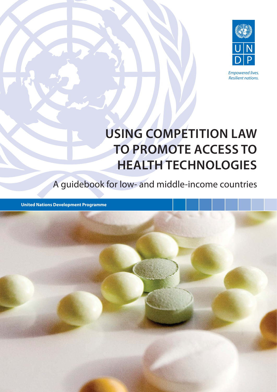

*Empowered lives. Resilient nations.* 

# **USING COMPETITION LAW TO PROMOTE ACCESS TO HEALTH TECHNOLOGIES**

A guidebook for low- and middle-income countries

**United Nations Development Programme**

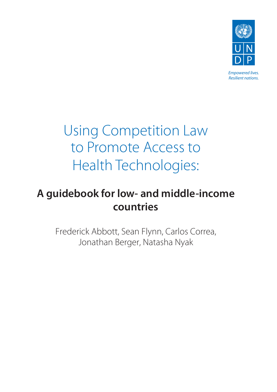

*Empowered lives. Resilient nations.* 

# Using Competition Law to Promote Access to Health Technologies:

# **A guidebook for low- and middle-income countries**

Frederick Abbott, Sean Flynn, Carlos Correa, Jonathan Berger, Natasha Nyak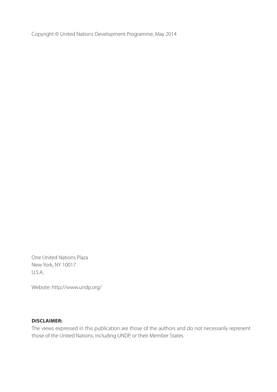Copyright © United Nations Development Programme, May 2014

One United Nations Plaza New York, NY 10017 U.S.A.

Website: http://www.undp.org/

### **DISCLAIMER:**

The views expressed in this publication are those of the authors and do not necessarily represent those of the United Nations, including UNDP, or their Member States.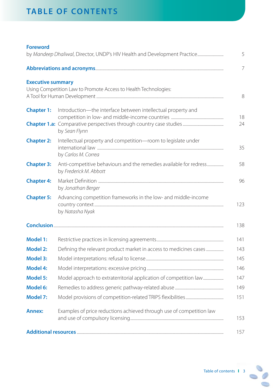| <b>Foreword</b>          | by Mandeep Dhaliwal, Director, UNDP's HIV Health and Development Practice                    | 5              |
|--------------------------|----------------------------------------------------------------------------------------------|----------------|
|                          |                                                                                              | $\overline{7}$ |
| <b>Executive summary</b> | Using Competition Law to Promote Access to Health Technologies:                              | 8              |
| <b>Chapter 1:</b>        | Introduction—the interface between intellectual property and                                 |                |
|                          | by Sean Flynn                                                                                | 18<br>24       |
| <b>Chapter 2:</b>        | Intellectual property and competition-room to legislate under<br>by Carlos M. Correa         | 35             |
| <b>Chapter 3:</b>        | Anti-competitive behaviours and the remedies available for redress<br>by Frederick M. Abbott | 58             |
| <b>Chapter 4:</b>        | by Jonathan Berger                                                                           | 96             |
| <b>Chapter 5:</b>        | Advancing competition frameworks in the low- and middle-income<br>by Natasha Nyak            | 123            |
|                          |                                                                                              | 138            |
| <b>Model 1:</b>          |                                                                                              | 141            |
| <b>Model 2:</b>          |                                                                                              | 143            |
| <b>Model 3:</b>          |                                                                                              | 145            |
| <b>Model 4:</b>          |                                                                                              | 146            |
| <b>Model 5:</b>          | Model approach to extraterritorial application of competition law                            | 147            |
| <b>Model 6:</b>          |                                                                                              | 149            |
| <b>Model 7:</b>          |                                                                                              | 151            |
| <b>Annex:</b>            | Examples of price reductions achieved through use of competition law                         | 153            |
|                          |                                                                                              | 157            |

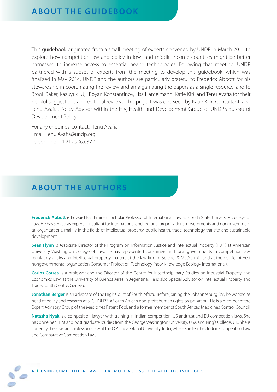This guidebook originated from a small meeting of experts convened by UNDP in March 2011 to explore how competition law and policy in low- and middle-income countries might be better harnessed to increase access to essential health technologies. Following that meeting, UNDP partnered with a subset of experts from the meeting to develop this guidebook, which was finalized in May 2014. UNDP and the authors are particularly grateful to Frederick Abbott for his stewardship in coordinating the review and amalgamating the papers as a single resource, and to Brook Baker, Kazuyuki Uji, Boyan Konstantinov, Lisa Hamelmann, Katie Kirk and Tenu Avafia for their helpful suggestions and editorial reviews. This project was overseen by Katie Kirk, Consultant, and Tenu Avafia, Policy Advisor within the HIV, Health and Development Group of UNDP's Bureau of Development Policy.

For any enquiries, contact: Tenu Avafia Email: Tenu.Avafia@undp.org Telephone: + 1.212.906.6372

# **ABOUT THE AUTHORS**

**Frederick Abbott** is Edward Ball Eminent Scholar Professor of International Law at Florida State University College of Law. He has served as expert consultant for international and regional organizations, governments and nongovernmental organizations, mainly in the fields of intellectual property, public health, trade, technology transfer and sustainable development.

**Sean Flynn** is Associate Director of the Program on Information Justice and Intellectual Property (PIJIP) at American University Washington College of Law. He has represented consumers and local governments in competition law, regulatory affairs and intellectual property matters at the law firm of Spiegel & McDiarmid and at the public interest nongovernmental organization Consumer Project on Technology (now Knowledge Ecology International).

**Carlos Correa** is a professor and the Director of the Centre for Interdisciplinary Studies on Industrial Property and Economics Law, at the University of Buenos Aires in Argentina. He is also Special Advisor on Intellectual Property and Trade, South Centre, Geneva.

**Jonathan Berger** is an advocate of the High Court of South Africa. Before joining the Johannesburg Bar, he worked as head of policy and research at SECTION27, a South African non-profit human rights organisation. He is a member of the Expert Advisory Group of the Medicines Patent Pool, and a former member of South Africa's Medicines Control Council.

**Natasha Nyak** is a competition lawyer with training in Indian competition, US antitrust and EU competition laws. She has done her LL.M and post graduate studies from the George Washington University, USA and King's College, UK. She is currently the assistant professor of law at the O.P. Jindal Global University, India, where she teaches Indian Competition Law and Comparative Competition Law.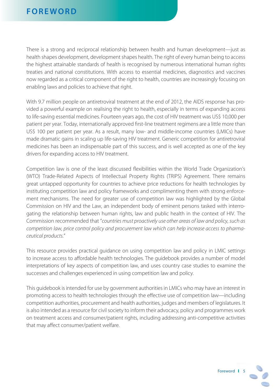There is a strong and reciprocal relationship between health and human development—just as health shapes development, development shapes health. The right of every human being to access the highest attainable standards of health is recognised by numerous international human rights treaties and national constitutions. With access to essential medicines, diagnostics and vaccines now regarded as a critical component of the right to health, countries are increasingly focusing on enabling laws and policies to achieve that right.

With 9.7 million people on antiretroviral treatment at the end of 2012, the AIDS response has provided a powerful example on realising the right to health, especially in terms of expanding access to life-saving essential medicines. Fourteen years ago, the cost of HIV treatment was US\$ 10,000 per patient per year. Today, internationally approved first-line treatment regimens are a little more than US\$ 100 per patient per year. As a result, many low- and middle-income countries (LMICs) have made dramatic gains in scaling up life-saving HIV treatment. Generic competition for antiretroviral medicines has been an indispensable part of this success, and is well accepted as one of the key drivers for expanding access to HIV treatment.

Competition law is one of the least discussed flexibilities within the World Trade Organization's (WTO) Trade-Related Aspects of Intellectual Property Rights (TRIPS) Agreement. There remains great untapped opportunity for countries to achieve price reductions for health technologies by instituting competition law and policy frameworks and complimenting them with strong enforcement mechanisms. The need for greater use of competition law was highlighted by the Global Commission on HIV and the Law, an independent body of eminent persons tasked with interrogating the relationship between human rights, law and public health in the context of HIV. The Commission recommended that "countries must proactively use other areas of law and policy, such as competition law, price control policy and procurement law which can help increase access to pharmaceutical products."

This resource provides practical guidance on using competition law and policy in LMIC settings to increase access to affordable health technologies. The guidebook provides a number of model interpretations of key aspects of competition law, and uses country case studies to examine the successes and challenges experienced in using competition law and policy.

This guidebook is intended for use by government authorities in LMICs who may have an interest in promoting access to health technologies through the effective use of competition law—including competition authorities, procurement and health authorities, judges and members of legislatures. It is also intended as a resource for civil society to inform their advocacy, policy and programmes work on treatment access and consumer/patient rights, including addressing anti-competitive activities that may affect consumer/patient welfare.

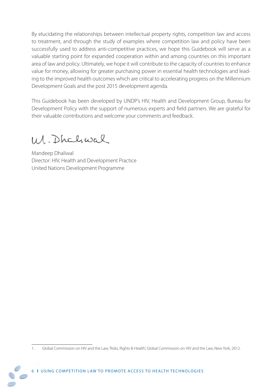By elucidating the relationships between intellectual property rights, competition law and access to treatment, and through the study of examples where competition law and policy have been successfully used to address anti-competitive practices, we hope this Guidebook will serve as a valuable starting point for expanded cooperation within and among countries on this important area of law and policy. Ultimately, we hope it will contribute to the capacity of countries to enhance value for money, allowing for greater purchasing power in essential health technologies and leading to the improved health outcomes which are critical to accelerating progress on the Millennium Development Goals and the post 2015 development agenda.

This Guidebook has been developed by UNDP's HIV, Health and Development Group, Bureau for Development Policy with the support of numerous experts and field partners. We are grateful for their valuable contributions and welcome your comments and feedback.

W. Dhahwal

Mandeep Dhaliwal Director: HIV, Health and Development Practice United Nations Development Programme

<sup>1.</sup> Global Commission on HIV and the Law, 'Risks, Rights & Health', Global Commission on HIV and the Law, New York, 2012.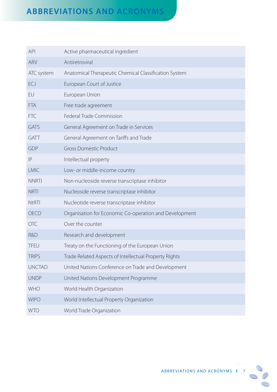# **ABBREVIATIONS AND ACRONYMS**

| <b>API</b>    | Active pharmaceutical ingredient                       |
|---------------|--------------------------------------------------------|
| ARV           | Antiretroviral                                         |
| ATC system    | Anatomical Therapeutic Chemical Classification System  |
| ECJ           | European Court of Justice                              |
| EU            | European Union                                         |
| <b>FTA</b>    | Free trade agreement                                   |
| <b>FTC</b>    | Federal Trade Commission                               |
| <b>GATS</b>   | General Agreement on Trade in Services                 |
| GATT          | General Agreement on Tariffs and Trade                 |
| <b>GDP</b>    | <b>Gross Domestic Product</b>                          |
| IP            | Intellectual property                                  |
| <b>LMIC</b>   | Low- or middle-income country                          |
| <b>NNRTI</b>  | Non-nucleoside reverse transcriptase inhibitor         |
| <b>NRTI</b>   | Nucleoside reverse transcriptase inhibitor             |
| <b>NtRTI</b>  | Nucleotide reverse transcriptase inhibitor             |
| <b>OECD</b>   | Organisation for Economic Co-operation and Development |
| <b>OTC</b>    | Over the counter                                       |
| R&D           | Research and development                               |
| <b>TFEU</b>   | Treaty on the Functioning of the European Union        |
| <b>TRIPS</b>  | Trade Related Aspects of Intellectual Property Rights  |
| <b>UNCTAD</b> | United Nations Conference on Trade and Development     |
| <b>UNDP</b>   | United Nations Development Programme                   |
| <b>WHO</b>    | World Health Organization                              |
| <b>WIPO</b>   | World Intellectual Property Organization               |
| <b>WTO</b>    | World Trade Organization                               |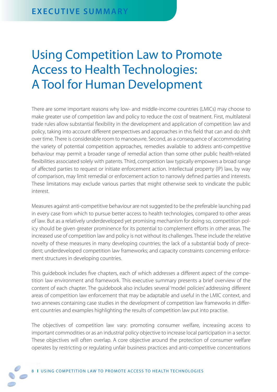# Using Competition Law to Promote Access to Health Technologies: A Tool for Human Development

There are some important reasons why low- and middle-income countries (LMICs) may choose to make greater use of competition law and policy to reduce the cost of treatment. First, multilateral trade rules allow substantial flexibility in the development and application of competition law and policy, taking into account different perspectives and approaches in this field that can and do shift over time. There is considerable room to manoeuvre. Second, as a consequence of accommodating the variety of potential competition approaches, remedies available to address anti-competitive behaviour may permit a broader range of remedial action than some other public health-related flexibilities associated solely with patents. Third, competition law typically empowers a broad range of affected parties to request or initiate enforcement action. Intellectual property (IP) law, by way of comparison, may limit remedial or enforcement action to narrowly defined parties and interests. These limitations may exclude various parties that might otherwise seek to vindicate the public interest.

Measures against anti-competitive behaviour are not suggested to be the preferable launching pad in every case from which to pursue better access to health technologies, compared to other areas of law. But as a relatively underdeveloped yet promising mechanism for doing so, competition policy should be given greater prominence for its potential to complement efforts in other areas. The increased use of competition law and policy is not without its challenges. These include the relative novelty of these measures in many developing countries; the lack of a substantial body of precedent; underdeveloped competition law frameworks; and capacity constraints concerning enforcement structures in developing countries.

This guidebook includes five chapters, each of which addresses a different aspect of the competition law environment and framework. This executive summary presents a brief overview of the content of each chapter. The quidebook also includes several 'model policies' addressing different areas of competition law enforcement that may be adaptable and useful in the LMIC context, and two annexes containing case studies in the development of competition law frameworks in different countries and examples highlighting the results of competition law put into practise.

The objectives of competition law vary: promoting consumer welfare, increasing access to important commodities or as an industrial policy objective to increase local participation in a sector. These objectives will often overlap. A core objective around the protection of consumer welfare operates by restricting or regulating unfair business practices and anti-competitive concentrations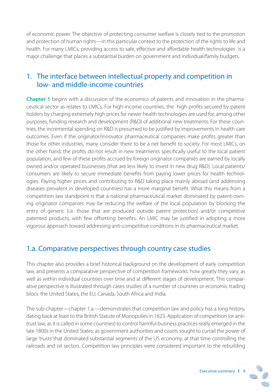of economic power. The objective of protecting consumer welfare is closely tied to the promotion and protection of human rights—in this particular context to the protection of the rights to life and health. For many LMICs, providing access to safe, effective and affordable health technologies is a major challenge that places a substantial burden on government and individual/family budgets.

## 1. The interface between intellectual property and competition in low- and middle-income countries

**Chapter 1** begins with a discussion of the economics of patents and innovation in the pharmaceutical sector as relates to LMICs. For high-income countries, the high profits secured by patent holders by charging extremely high prices for newer health technologies are used for, among other purposes, funding research and development (R&D) of additional new treatments. For these countries, the incremental spending on R&D is presumed to be justified by improvements in health care outcomes. Even if the originator/innovator pharmaceutical companies make profits greater than those for other industries, many consider there to be a net benefit to society. For most LMICs, on the other hand, the profits do not result in new treatments specifically useful to the local patient population, and few of these profits accrued by foreign originator companies are earned by locally owned and/or operated businesses (that are less likely to invest in new drug R&D). Local patients/ consumers are likely to secure immediate benefits from paying lower prices for health technologies. Paying higher prices and contributing to R&D taking place mainly abroad (and addressing diseases prevalent in developed countries) has a more marginal benefit. What this means from a competition law standpoint is that a national pharmaceutical market dominated by patent-owning originator companies may be reducing the welfare of the local population by blocking the entry of generic (i.e. those that are produced outside patent protection) and/or competitive patented products, with few offsetting benefits. An LMIC may be justified in adopting a more vigorous approach toward addressing anti-competitive conditions in its pharmaceutical market.

## 1.a. Comparative perspectives through country case studies

This chapter also provides a brief historical background on the development of early competition law, and presents a comparative perspective of competition frameworks: how greatly they vary, as well as within individual countries over time and at different stages of development. This comparative perspective is illustrated through cases studies of a number of countries or economic trading blocs: the United States, the EU, Canada, South Africa and India.

The sub-chapter—chapter 1.a.—demonstrates that competition law and policy has a long history, dating back at least to the British Statute of Monopolies in 1623. Application of competition (or antitrust law, as it is called in some countries) to control harmful business practices really emerged in the late 1800s in the United States, as government authorities and courts sought to curtail the power of large 'trusts' that dominated substantial segments of the US economy, at that time controlling the railroads and oil sectors. Competition law principles were considered important to the rebuilding

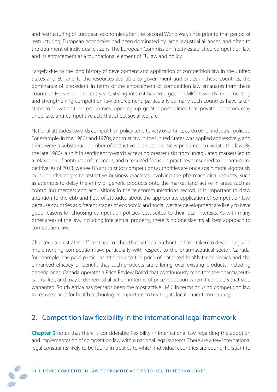and restructuring of European economies after the Second World War, since prior to that period of restructuring, European economies had been dominated by large industrial alliances, and often to the detriment of individual citizens. The European Commission Treaty established competition law and its enforcement as a foundational element of EU law and policy.

Largely due to the long history of development and application of competition law in the United States and EU, and to the resources available to government authorities in these countries, the dominance of 'precedent' in terms of the enforcement of competition law emanates from these countries. However, in recent years, strong interest has emerged in LMICs towards implementing and strengthening competition law enforcement, particularly as many such countries have taken steps to 'privatize' their economies, opening up greater possibilities that private operators may undertake anti-competitive acts that affect social welfare.

National attitudes towards competition policy tend to vary over time, as do other industrial policies. For example, in the 1960s and 1970s, antitrust law in the United States was applied aggressively, and there were a substantial number of restrictive business practices presumed to violate the law. By the late 1980s, a shift in sentiment towards accepting greater risks from unregulated markets led to a relaxation of antitrust enforcement, and a reduced focus on practices presumed to be anti-competitive. As of 2013, we see US antitrust (or competition) authorities are once again more vigorously pursuing challenges to restrictive business practices involving the pharmaceutical industry, such as attempts to delay the entry of generic products onto the market (and active in areas such as controlling mergers and acquisitions in the telecommunications sector). It is important to draw attention to the ebb and flow of attitudes about the appropriate application of competition law, because countries at different stages of economic and social welfare development are likely to have good reasons for choosing competition policies best suited to their local interests. As with many other areas of the law, including intellectual property, there is no 'one size fits all' best approach to competition law.

Chapter 1.a. illustrates different approaches that national authorities have taken to developing and implementing competition law, particularly with respect to the pharmaceutical sector. Canada, for example, has paid particular attention to the price of patented health technologies and the enhanced efficacy or benefit that such products are offering over existing products, including generic ones. Canada operates a Price Review Board that continuously monitors the pharmaceutical market, and may order remedial action in terms of price reduction when it considers that step warranted. South Africa has perhaps been the most active LMIC in terms of using competition law to reduce prices for health technologies important to treating its local patient community.

# 2. Competition law flexibility in the international legal framework

**Chapter 2** notes that there is considerable flexibility in international law regarding the adoption and implementation of competition law within national legal systems. There are a few international legal constraints likely to be found in treaties to which individual countries are bound. Pursuant to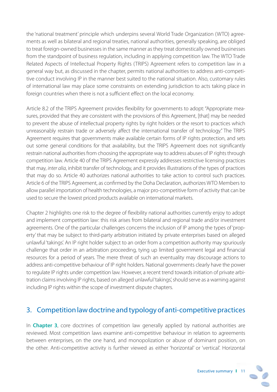the 'national treatment' principle which underpins several World Trade Organization (WTO) agreements as well as bilateral and regional treaties, national authorities, generally speaking, are obliged to treat foreign-owned businesses in the same manner as they treat domestically owned businesses from the standpoint of business regulation, including in applying competition law. The WTO Trade Related Aspects of Intellectual Property Rights (TRIPS) Agreement refers to competition law in a general way but, as discussed in the chapter, permits national authorities to address anti-competitive conduct involving IP in the manner best suited to the national situation. Also, customary rules of international law may place some constraints on extending jurisdiction to acts taking place in foreign countries when there is not a sufficient effect on the local economy.

Article 8.2 of the TRIPS Agreement provides flexibility for governments to adopt: "Appropriate measures, provided that they are consistent with the provisions of this Agreement, [that] may be needed to prevent the abuse of intellectual property rights by right holders or the resort to practices which unreasonably restrain trade or adversely affect the international transfer of technology." The TRIPS Agreement requires that governments make available certain forms of IP rights protection, and sets out some general conditions for that availability, but the TRIPS Agreement does not significantly restrain national authorities from choosing the appropriate way to address abuses of IP rights through competition law. Article 40 of the TRIPS Agreement expressly addresses restrictive licensing practices that may, inter alia, inhibit transfer of technology, and it provides illustrations of the types of practices that may do so. Article 40 authorizes national authorities to take action to control such practices. Article 6 of the TRIPS Agreement, as confirmed by the Doha Declaration, authorizes WTO Members to allow parallel importation of health technologies, a major pro-competitive form of activity that can be used to secure the lowest priced products available on international markets.

Chapter 2 highlights one risk to the degree of flexibility national authorities currently enjoy to adopt and implement competition law: this risk arises from bilateral and regional trade and/or investment agreements. One of the particular challenges concerns the inclusion of IP among the types of 'property' that may be subject to third-party arbitration initiated by private enterprises based on alleged unlawful 'takings'. An IP right holder subject to an order from a competition authority may spuriously challenge that order in an arbitration proceeding, tying up limited government legal and financial resources for a period of years. The mere threat of such an eventuality may discourage actions to address anti-competitive behaviour of IP right holders. National governments clearly have the power to regulate IP rights under competition law. However, a recent trend towards initiation of private arbitration claims involving IP rights, based on alleged unlawful 'takings', should serve as a warning against including IP rights within the scope of investment dispute chapters.

# 3. Competition law doctrine and typology of anti-competitive practices

In **Chapter 3**, core doctrines of competition law generally applied by national authorities are reviewed. Most competition laws examine anti-competitive behaviour in relation to agreements between enterprises, on the one hand, and monopolization or abuse of dominant position, on the other. Anti-competitive activity is further viewed as either 'horizontal' or 'vertical'. Horizontal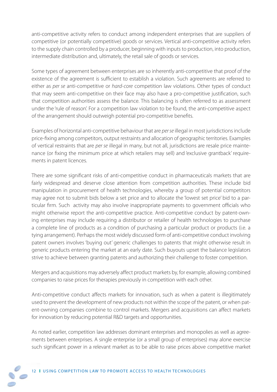anti-competitive activity refers to conduct among independent enterprises that are suppliers of competitive (or potentially competitive) goods or services. Vertical anti-competitive activity refers to the supply chain controlled by a producer, beginning with inputs to production, into production, intermediate distribution and, ultimately, the retail sale of goods or services.

Some types of agreement between enterprises are so inherently anti-competitive that proof of the existence of the agreement is sufficient to establish a violation. Such agreements are referred to either as per se anti-competitive or hard-core competition law violations. Other types of conduct that may seem anti-competitive on their face may also have a pro-competitive justification, such that competition authorities assess the balance. This balancing is often referred to as assessment under the 'rule of reason'. For a competition law violation to be found, the anti-competitive aspect of the arrangement should outweigh potential pro-competitive benefits.

Examples of horizontal anti-competitive behaviour that are per se illegal in most jurisdictions include price-fixing among competitors, output restraints and allocation of geographic territories. Examples of vertical restraints that are per se illegal in many, but not all, jurisdictions are resale price maintenance (or fixing the minimum price at which retailers may sell) and 'exclusive grantback' requirements in patent licences.

There are some significant risks of anti-competitive conduct in pharmaceuticals markets that are fairly widespread and deserve close attention from competition authorities. These include bid manipulation in procurement of health technologies, whereby a group of potential competitors may agree not to submit bids below a set price and to allocate the 'lowest set price' bid to a particular firm. Such activity may also involve inappropriate payments to government officials who might otherwise report the anti-competitive practice. Anti-competitive conduct by patent-owning enterprises may include requiring a distributor or retailer of health technologies to purchase a complete line of products as a condition of purchasing a particular product or products (i.e. a tying arrangement). Perhaps the most widely discussed form of anti-competitive conduct involving patent owners involves 'buying out' generic challenges to patents that might otherwise result in generic products entering the market at an early date. Such buyouts upset the balance legislators strive to achieve between granting patents and authorizing their challenge to foster competition.

Mergers and acquisitions may adversely affect product markets by, for example, allowing combined companies to raise prices for therapies previously in competition with each other.

Anti-competitive conduct affects markets for innovation, such as when a patent is illegitimately used to prevent the development of new products not within the scope of the patent, or when patent-owning companies combine to control markets. Mergers and acquisitions can affect markets for innovation by reducing potential R&D targets and opportunities.

As noted earlier, competition law addresses dominant enterprises and monopolies as well as agreements between enterprises. A single enterprise (or a small group of enterprises) may alone exercise such significant power in a relevant market as to be able to raise prices above competitive market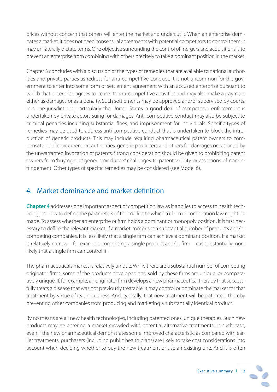prices without concern that others will enter the market and undercut it. When an enterprise dominates a market, it does not need consensual agreements with potential competitors to control them; it may unilaterally dictate terms. One objective surrounding the control of mergers and acquisitions is to prevent an enterprise from combining with others precisely to take a dominant position in the market.

Chapter 3 concludes with a discussion of the types of remedies that are available to national authorities and private parties as redress for anti-competitive conduct. It is not uncommon for the government to enter into some form of settlement agreement with an accused enterprise pursuant to which that enterprise agrees to cease its anti-competitive activities and may also make a payment either as damages or as a penalty. Such settlements may be approved and/or supervised by courts. In some jurisdictions, particularly the United States, a good deal of competition enforcement is undertaken by private actors suing for damages. Anti-competitive conduct may also be subject to criminal penalties including substantial fines, and imprisonment for individuals. Specific types of remedies may be used to address anti-competitive conduct that is undertaken to block the introduction of generic products. This may include requiring pharmaceutical patent owners to compensate public procurement authorities, generic producers and others for damages occasioned by the unwarranted invocation of patents. Strong consideration should be given to prohibiting patent owners from 'buying out' generic producers' challenges to patent validity or assertions of non-infringement. Other types of specific remedies may be considered (see Model 6).

## 4. Market dominance and market definition

**Chapter 4** addresses one important aspect of competition law as it applies to access to health technologies: how to define the parameters of the market to which a claim in competition law might be made. To assess whether an enterprise or firm holds a dominant or monopoly position, it is first necessary to define the relevant market. If a market comprises a substantial number of products and/or competing companies, it is less likely that a single firm can achieve a dominant position. If a market is relatively narrow—for example, comprising a single product and/or firm—it is substantially more likely that a single firm can control it.

The pharmaceuticals market is relatively unique. While there are a substantial number of competing originator firms, some of the products developed and sold by these firms are unique, or comparatively unique. If, for example, an originator firm develops a new pharmaceutical therapy that successfully treats a disease that was not previously treatable, it may control or dominate the market for that treatment by virtue of its uniqueness. And, typically, that new treatment will be patented, thereby preventing other companies from producing and marketing a substantially identical product.

By no means are all new health technologies, including patented ones, unique therapies. Such new products may be entering a market crowded with potential alternative treatments. In such case, even if the new pharmaceutical demonstrates some improved characteristic as compared with earlier treatments, purchasers (including public health plans) are likely to take cost considerations into account when deciding whether to buy the new treatment or use an existing one. And it is often

Executive summary **l** 13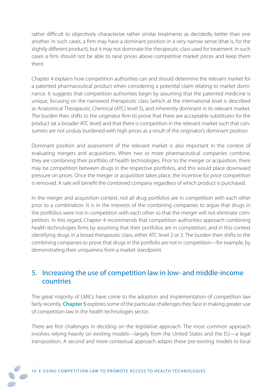rather difficult to objectively characterize rather similar treatments as decidedly better than one another. In such cases, a firm may have a dominant position in a very narrow sense (that is, for the slightly different product), but it may not dominate the therapeutic class used for treatment. In such cases a firm should not be able to raise prices above competitive market prices and keep them there.

Chapter 4 explains how competition authorities can and should determine the relevant market for a patented pharmaceutical product when considering a potential claim relating to market dominance. It suggests that competition authorities begin by assuming that the patented medicine is unique, focusing on the narrowest therapeutic class (which at the international level is described as Anatomical Therapeutic Chemical (ATC) level 5), and inherently dominant in its relevant market. The burden then shifts to the originator firm to prove that there are acceptable substitutes for the product (at a broader ATC level) and that there is competition in the relevant market such that consumers are not unduly burdened with high prices as a result of the originator's dominant position.

Dominant position and assessment of the relevant market is also important in the context of evaluating mergers and acquisitions. When two or more pharmaceutical companies combine, they are combining their portfolio of health technologies. Prior to the merger or acquisition, there may be competition between drugs in the respective portfolios, and this would place downward pressure on prices. Once the merger or acquisition takes place, the incentive for price competition is removed. A sale will benefit the combined company regardless of which product is purchased.

In the merger and acquisition context, not all drug portfolios are in competition with each other prior to a combination. It is in the interests of the combining companies to argue that drugs in the portfolios were not in competition with each other so that the merger will not eliminate competition. In this regard, Chapter 4 recommends that competition authorities approach combining health technologies firms by assuming that their portfolios are in competition, and in this context identifying drugs in a broad therapeutic class, either ATC level 2 or 3. The burden then shifts to the combining companies to prove that drugs in the portfolio are not in competition—for example, by demonstrating their uniqueness from a market standpoint.

## 5. Increasing the use of competition law in low- and middle-income countries

The great majority of LMICs have come to the adoption and implementation of competition law fairly recently. **Chapter 5** explores some of the particular challenges they face in making greater use of competition law in the health technologies sector.

There are first challenges in deciding on the legislative approach. The most common approach involves relying heavily on existing models—largely from the United States and the EU—a legal transposition. A second and more contextual approach adapts these pre-existing models to local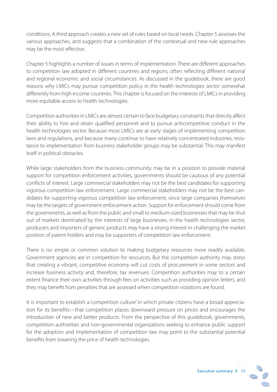conditions. A third approach creates a new set of rules based on local needs. Chapter 5 assesses the various approaches, and suggests that a combination of the contextual and new rule approaches may be the most effective.

Chapter 5 highlights a number of issues in terms of implementation. There are different approaches to competition law adopted in different countries and regions, often reflecting different national and regional economic and social circumstances. As discussed in the guidebook, there are good reasons why LMICs may pursue competition policy in the health technologies sector somewhat differently from high income countries. This chapter is focused on the interests of LMICs in providing more equitable access to health technologies.

Competition authorities in LMICs are almost certain to face budgetary constraints that directly affect their ability to hire and retain qualified personnel and to pursue anticompetitive conduct in the health technologies sector. Because most LMICs are at early stages of implementing competition laws and regulations, and because many continue to have relatively concentrated industries, resistance to implementation from business stakeholder groups may be substantial. This may manifest itself in political obstacles.

While large stakeholders from the business community may be in a position to provide material support for competition enforcement activities, governments should be cautious of any potential conflicts of interest. Large commercial stakeholders may not be the best candidates for supporting vigorous competition law enforcement. Large commercial stakeholders may not be the best candidates for supporting vigorous competition law enforcement, since large companies themselves may be the targets of government enforcement action. Support for enforcement should come from the governments, as well as from the public and small to medium-sized businesses that may be shut out of markets dominated by the interests of large businesses. In the health technologies sector, producers and importers of generic products may have a strong interest in challenging the market position of patent holders and may be supporters of competition law enforcement.

There is no simple or common solution to making budgetary resources more readily available. Government agencies are in competition for resources. But the competition authority may stress that creating a vibrant, competitive economy will cut costs of procurement in some sectors and increase business activity and, therefore, tax revenues. Competition authorities may to a certain extent finance their own activities through fees on activities such as providing opinion letters, and they may benefit from penalties that are assessed when competition violations are found.

It is important to establish a 'competition culture' in which private citizens have a broad appreciation for its benefits—that competition places downward pressure on prices and encourages the introduction of new and better products. From the perspective of this guidebook, governments, competition authorities and non-governmental organizations seeking to enhance public support for the adoption and implementation of competition law may point to the substantial potential benefits from lowering the price of health technologies.

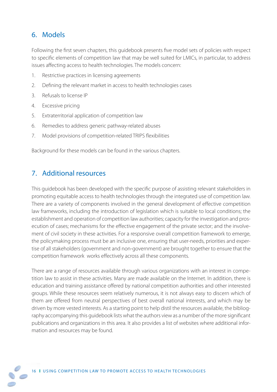# 6. Models

Following the first seven chapters, this guidebook presents five model sets of policies with respect to specific elements of competition law that may be well suited for LMICs, in particular, to address issues affecting access to health technologies. The models concern:

- 1. Restrictive practices in licensing agreements
- 2. Defining the relevant market in access to health technologies cases
- 3. Refusals to license IP
- 4. Excessive pricing
- 5. Extraterritorial application of competition law
- 6. Remedies to address generic pathway-related abuses
- 7. Model provisions of competition-related TRIPS flexibilities

Background for these models can be found in the various chapters.

## 7. Additional resources

This guidebook has been developed with the specific purpose of assisting relevant stakeholders in promoting equitable access to health technologies through the integrated use of competition law. There are a variety of components involved in the general development of effective competition law frameworks, including the introduction of legislation which is suitable to local conditions; the establishment and operation of competition law authorities; capacity for the investigation and prosecution of cases; mechanisms for the effective engagement of the private sector; and the involvement of civil society in these activities. For a responsive overall competition framework to emerge, the policymaking process must be an inclusive one, ensuring that user-needs, priorities and expertise of all stakeholders (government and non-government) are brought together to ensure that the competition framework works effectively across all these components.

There are a range of resources available through various organizations with an interest in competition law to assist in these activities. Many are made available on the Internet. In addition, there is education and training assistance offered by national competition authorities and other interested groups. While these resources seem relatively numerous, it is not always easy to discern which of them are offered from neutral perspectives of best overall national interests, and which may be driven by more vested interests. As a starting point to help distil the resources available, the bibliography accompanying this guidebook lists what the authors view as a number of the more significant publications and organizations in this area. It also provides a list of websites where additional information and resources may be found.

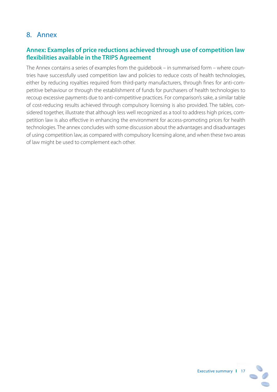## 8. Annex

## **Annex: Examples of price reductions achieved through use of competition law fl exibilities available in the TRIPS Agreement**

The Annex contains a series of examples from the guidebook – in summarised form – where countries have successfully used competition law and policies to reduce costs of health technologies, either by reducing royalties required from third-party manufacturers, through fines for anti-competitive behaviour or through the establishment of funds for purchasers of health technologies to recoup excessive payments due to anti-competitive practices. For comparison's sake, a similar table of cost-reducing results achieved through compulsory licensing is also provided. The tables, considered together, illustrate that although less well recognized as a tool to address high prices, competition law is also effective in enhancing the environment for access-promoting prices for health technologies. The annex concludes with some discussion about the advantages and disadvantages of using competition law, as compared with compulsory licensing alone, and when these two areas of law might be used to complement each other.

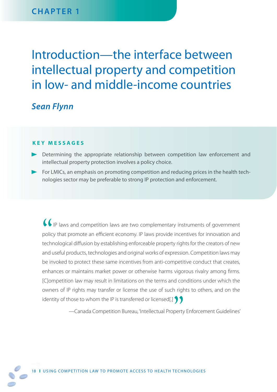# Introduction—the interface between intellectual property and competition in low- and middle-income countries

# *Sean Flynn*

### **KEY MESSAGES K E Y M E S S A G E S**

- Determining the appropriate relationship between competition law enforcement and intellectual property protection involves a policy choice. Determining the appropriate relationship between competition law enforcement and<br>intellectual property protection involves a policy choice.<br>For LMICs, an emphasis on promoting competition and reducing prices in the health
- nologies sector may be preferable to strong IP protection and enforcement.

 $\left(\begin{array}{c}\n\bullet \\
\bullet \\
\bullet\n\end{array}\right)$ IP laws and competition laws are two complementary instruments of government policy that promote an efficient economy. IP laws provide incentives for innovation and technological diffusion by establishing enforceable property rights for the creators of new and useful products, technologies and original works of expression. Competition laws may be invoked to protect these same incentives from anti-competitive conduct that creates, enhances or maintains market power or otherwise harms vigorous rivalry among firms. [C]ompetition law may result in limitations on the terms and conditions under which the owners of IP rights may transfer or license the use of such rights to others, and on the identity of those to whom the IP is transferred or licensed[.]  $\bigcirc$ <br>— Canada Competition Bureau, 'Intellectual Property

—Canada Competition Bureau, 'Intellectual Property Enforcement Guidelines'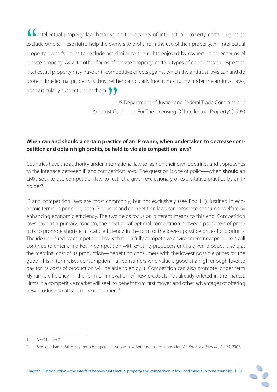$\alpha$   $\alpha$  exclusive Intellectual property law bestows on the owners of intellectual property certain rights to exclude others. These rights help the owners to profit from the use of their property. An intellectual property owner's rights to exclude are similar to the rights enjoyed by owners of other forms of private property. As with other forms of private property, certain types of conduct with respect to intellectual property may have anti-competitive effects against which the antitrust laws can and do protect. Intellectual property is thus neither particularly free from scrutiny under the antitrust laws, nor particularly suspect under them.  $\bigcap$ 

> —US Department of Justice and Federal Trade Commission, ' Antitrust Guidelines For The Licensing Of Intellectual Property' (1995)

## **When can and should a certain practice of an IP owner, when undertaken to decrease com**petition and obtain high profits, be held to violate competition laws?

Countries have the authority under international law to fashion their own doctrines and approaches to the interface between IP and competition laws.<sup>1</sup> The question is one of policy—when **should** an LMIC seek to use competition law to restrict a given exclusionary or exploitative practice by an IP holder?

IP and competition laws are most commonly, but not exclusively (see Box 1.1), justified in economic terms. In principle, both IP policies and competition laws can promote consumer welfare by enhancing economic efficiency. The two fields focus on different means to this end. Competition laws have as a primary concern, the creation of optimal competition between producers of products to promote short-term 'static efficiency' in the form of the lowest possible prices for products. The idea pursued by competition law is that in a fully competitive environment new producers will continue to enter a market in competition with existing producers until a given product is sold at the marginal cost of its production—benefiting consumers with the lowest possible prices for the good. This in turn raises consumption—all consumers who value a good at a high enough level to pay for its costs of production will be able to enjoy it. Competition can also promote longer term 'dynamic efficiency' in the form of innovation of new products not already offered in the market. Firms in a competitive market will seek to benefit from 'first mover' and other advantages of offering new products to attract more consumers.2

<sup>2.</sup> See Jonathan B. Baker, Beyond Schumpeter vs. Arrow: How Antitrust Fosters Innovation, Antitrust Law Journal , Vol. 74, 2007.



<sup>1.</sup> See Chapter 2.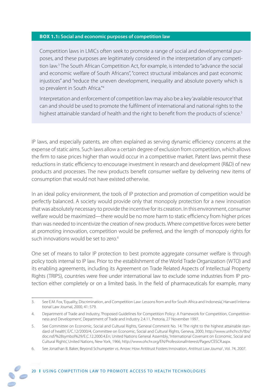#### **BOX 1.1: Social and economic purposes of competition law**

Competition laws in LMICs often seek to promote a range of social and developmental purposes, and these purposes are legitimately considered in the interpretation of any competition law.3 The South African Competition Act, for example, is intended to "advance the social and economic welfare of South Africans", "correct structural imbalances and past economic injustices" and "reduce the uneven development, inequality and absolute poverty which is so prevalent in South Africa."4

Interpretation and enforcement of competition law may also be a key 'available resource' that can and should be used to promote the fulfilment of international and national rights to the highest attainable standard of health and the right to benefit from the products of science.<sup>5</sup>

IP laws, and especially patents, are often explained as serving dynamic efficiency concerns at the expense of static aims. Such laws allow a certain degree of exclusion from competition, which allows the firm to raise prices higher than would occur in a competitive market. Patent laws permit these reductions in static efficiency to encourage investment in research and development (R&D) of new products and processes. The new products benefit consumer welfare by delivering new items of consumption that would not have existed otherwise.

In an ideal policy environment, the tools of IP protection and promotion of competition would be perfectly balanced. A society would provide only that monopoly protection for a new innovation that was absolutely necessary to provide the incentive for its creation. In this environment, consumer welfare would be maximized—there would be no more harm to static efficiency from higher prices than was needed to incentivize the creation of new products. Where competitive forces were better at promoting innovation, competition would be preferred, and the length of monopoly rights for such innovations would be set to zero.<sup>6</sup>

One set of means to tailor IP protection to best promote aggregate consumer welfare is through policy tools internal to IP law. Prior to the establishment of the World Trade Organization (WTO) and its enabling agreements, including its Agreement on Trade Related Aspects of Intellectual Property Rights (TRIPS), countries were free under international law to exclude some industries from IP protection either completely or on a limited basis. In the field of pharmaceuticals for example, many

<sup>3.</sup> See E.M. Fox, 'Equality, Discrimination, and Competition Law: Lessons from and for South Africa and Indonesia', Harvard International Law Journal, 2000, 41: 579.

<sup>4.</sup> Department of Trade and Industry, 'Proposed Guidelines for Competition Policy: A Framework for Competition, Competitiveness and Development', Department of Trade and Industry 2.4.11, Pretoria, 27 November 1997.

<sup>5.</sup> See Committee on Economic, Social and Cultural Rights, 'General Comment No. 14: The right to the highest attainable standard of health', E/C.12/2000/4, Committee on Economic, Social and Cultural Rights, Geneva, 2000, http://www.unhchr.ch/tbs/ doc.nsf/%28symbol%29/E.C.12.2000.4.En; United Nations General Assembly, 'International Covenant on Economic, Social and Cultural Rights', United Nations, New York, 1966, http://www.ohchr.org/EN/ProfessionalInterest/Pages/CESCR.aspx.

<sup>6.</sup> See Jonathan B. Baker, Beyond Schumpeter vs. Arrow: How Antitrust Fosters Innovation, Antitrust Law Journal , Vol. 74, 2007.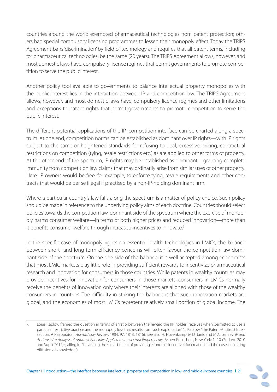countries around the world exempted pharmaceutical technologies from patent protection; others had special compulsory licensing programmes to lessen their monopoly effect. Today the TRIPS Agreement bans 'discrimination' by field of technology and requires that all patent terms, including for pharmaceutical technologies, be the same (20 years). The TRIPS Agreement allows, however, and most domestic laws have, compulsory licence regimes that permit governments to promote competition to serve the public interest.

Another policy tool available to governments to balance intellectual property monopolies with the public interest lies in the interaction between IP and competition law. The TRIPS Agreement allows, however, and most domestic laws have, compulsory licence regimes and other limitations and exceptions to patent rights that permit governments to promote competition to serve the public interest.

The different potential applications of the IP–competition interface can be charted along a spectrum. At one end, competition norms can be established as dominant over IP rights—with IP rights subject to the same or heightened standards for refusing to deal, excessive pricing, contractual restrictions on competition (tying, resale restrictions etc.) as are applied to other forms of property. At the other end of the spectrum, IP rights may be established as dominant—granting complete immunity from competition law claims that may ordinarily arise from similar uses of other property. Here, IP owners would be free, for example, to enforce tying, resale requirements and other contracts that would be per se illegal if practised by a non-IP-holding dominant firm.

Where a particular country's law falls along the spectrum is a matter of policy choice. Such policy should be made in reference to the underlying policy aims of each doctrine. Countries should select policies towards the competition law-dominant side of the spectrum where the exercise of monopoly harms consumer welfare—in terms of both higher prices and reduced innovation—more than it benefits consumer welfare through increased incentives to innovate.<sup>7</sup>

In the specific case of monopoly rights on essential health technologies in LMICs, the balance between short- and long-term efficiency concerns will often favour the competition law-dominant side of the spectrum. On the one side of the balance, it is well accepted among economists that most LMIC markets play little role in providing sufficient rewards to incentivize pharmaceutical research and innovation for consumers in those countries. While patents in wealthy countries may provide incentives for innovation for consumers in those markets, consumers in LMICs normally receive the benefits of innovation only where their interests are aligned with those of the wealthy consumers in countries. The difficulty in striking the balance is that such innovation markets are global, and the economies of most LMICs represent relatively small portion of global income. The

<sup>7.</sup> Louis Kaplow framed the question in terms of a "ratio between the reward the [IP holder] receives when permitted to use a particular restrictive practice and the monopoly loss that results from such exploitation" (L. Kaplow, 'The Patent-Antitrust Intersection: A Reappraisal', Harvard Law Review, 1984, 97: 1813, 1816). See also H. Hovenkamp, M.D. Janis and M.A. Lemley, IP and Antitrust: An Analysis of Antitrust Principles Applied to Intellectual Property Law, Aspen Publishers, New York: 1–10 (2nd ed. 2010 and Supp. 2012) (calling for "balancing the social benefit of providing economic incentives for creation and the costs of limiting diffusion of knowledge").

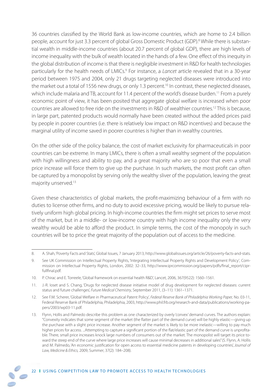36 countries classified by the World Bank as low-income countries, which are home to 2.4 billion people, account for just 3.3 percent of global Gross Domestic Product (GDP).<sup>8</sup> While there is substantial wealth in middle-income countries (about 20.7 percent of global GDP), there are high levels of income inequality with the bulk of wealth located in the hands of a few. One effect of this inequity in the global distribution of income is that there is negligible investment in R&D for health technologies particularly for the health needs of LMICs.<sup>9</sup> For instance, a *Lancet* article revealed that in a 30-year period between 1975 and 2004, only 21 drugs targeting neglected diseases were introduced into the market out a total of 1556 new drugs, or only 1.3 percent.<sup>10</sup> In contrast, these neglected diseases, which include malaria and TB, account for 11.4 percent of the world's disease burden.<sup>11</sup> From a purely economic point of view, it has been posited that aggregate global welfare is increased when poor countries are allowed to free ride on the investments in R&D of wealthier countries.12 This is because, in large part, patented products would normally have been created without the added prices paid by people in poorer countries (i.e. there is relatively low impact on R&D incentives) and because the marginal utility of income saved in poorer countries is higher than in wealthy countries.

On the other side of the policy balance, the cost of market exclusivity for pharmaceuticals in poor countries can be extreme. In many LMICs, there is often a small wealthy segment of the population with high willingness and ability to pay, and a great majority who are so poor that even a small price increase will force them to give up the purchase. In such markets, the most profit can often be captured by a monopolist by serving only the wealthy sliver of the population, leaving the great majority unserved.13

Given these characteristics of global markets, the profit-maximizing behaviour of a firm with no duties to license other firms, and no duty to avoid excessive pricing, would be likely to pursue relatively uniform high global pricing. In high-income countries the firm might set prices to serve most of the market, but in a middle- or low-income country with high income inequality only the very wealthy would be able to afford the product. In simple terms, the cost of the monopoly in such countries will be to price the great majority of the population out of access to the medicine.

<sup>8.</sup> A. Shah, 'Poverty Facts and Stats', Global Issues, 7 January 2013, http://www.globalissues.org/article/26/poverty-facts-and-stats.

<sup>9.</sup> See UK Commission on Intellectual Property Rights, 'Integrating Intellectual Property Rights and Development Policy', Commission on Intellectual Property Rights, London, 2002: 32-33, http://www.iprcommission.org/papers/pdfs/final\_report/ciprfullfinal.pdf.

<sup>10.</sup> P. Chirac and E. Torreele, 'Global framework on essential health R&D', Lancet, 2006, 367(9522): 1560–1561.

<sup>11.</sup> J.-R. Ioset and S. Chang, 'Drugs for neglected disease initiative model of drug development for neglected diseases: current status and future challenges', Future Medical Chemistry, September 2011, (3–11): 1361–1371.

<sup>12.</sup> See F.M. Scherer, 'Global Welfare in Pharmaceutical Patent Policy', Federal Reserve Bank of Philadelphia Working Paper, No. 03-11, Federal Reserve Bank of Philadelphia, Philadelphia, 2003, http://www.phil.frb.org/research-and-data/publications/working-papers/2003/wp03-11.pdf.

<sup>13.</sup> Flynn, Hollis and Palmedo describe this problem as one characterized by overly 'convex' demand curves. The authors explain: "Convexity indicates that some segment of the market (the flatter part of the demand curve) will be highly elastic—giving up the purchase with a slight price increase. Another segment of the market is likely to be more inelastic—willing to pay much higher prices for access. ...Attempting to capture a significant portion of the flat/elastic part of the demand curve is unprofitable. There, small price increases knock large numbers of consumers out of the market. The monopolist will target its price toward the steep end of the curve where large price increases will cause minimal decreases in additional sales" (S. Flynn, A. Hollis and M. Palmedo, 'An economic justification for open access to essential medicine patents in developing countries', Journal of Law, Medicine & Ethics, 2009, Summer; 37(2): 184–208).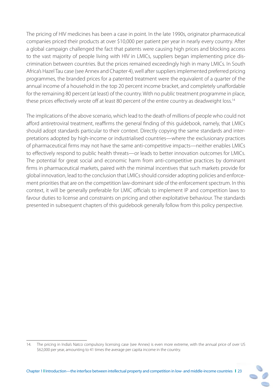The pricing of HIV medicines has been a case in point. In the late 1990s, originator pharmaceutical companies priced their products at over \$10,000 per patient per year in nearly every country. After a global campaign challenged the fact that patents were causing high prices and blocking access to the vast majority of people living with HIV in LMICs, suppliers began implementing price discrimination between countries. But the prices remained exceedingly high in many LMICs. In South Africa's Hazel Tau case (see Annex and Chapter 4), well after suppliers implemented preferred pricing programmes, the branded prices for a patented treatment were the equivalent of a quarter of the annual income of a household in the top 20 percent income bracket, and completely unaffordable for the remaining 80 percent (at least) of the country. With no public treatment programme in place, these prices effectively wrote off at least 80 percent of the entire country as deadweight loss.<sup>14</sup>

The implications of the above scenario, which lead to the death of millions of people who could not afford antiretroviral treatment, reaffirms the general finding of this guidebook, namely, that LMICs should adopt standards particular to their context. Directly copying the same standards and interpretations adopted by high-income or industrialised countries—where the exclusionary practices of pharmaceutical firms may not have the same anti-competitive impacts—neither enables LMICs to effectively respond to public health threats—or leads to better innovation outcomes for LMICs. The potential for great social and economic harm from anti-competitive practices by dominant firms in pharmaceutical markets, paired with the minimal incentives that such markets provide for global innovation, lead to the conclusion that LMICs should consider adopting policies and enforcement priorities that are on the competition law-dominant side of the enforcement spectrum. In this context, it will be generally preferable for LMIC officials to implement IP and competition laws to favour duties to license and constraints on pricing and other exploitative behaviour. The standards presented in subsequent chapters of this guidebook generally follow from this policy perspective.

<sup>14.</sup> The pricing in India's Natco compulsory licensing case (see Annex) is even more extreme, with the annual price of over US \$62,000 per year, amounting to 41 times the average per capita income in the country.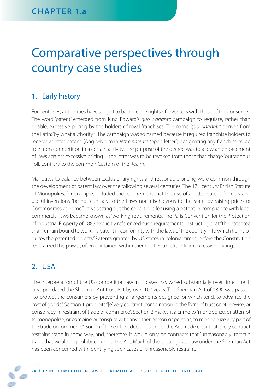# Comparative perspectives through country case studies

# 1. Early history

For centuries, authorities have sought to balance the rights of inventors with those of the consumer. The word 'patent' emerged from King Edward's *quo warranto* campaign to regulate, rather than enable, excessive pricing by the holders of royal franchises. The name 'quo warranto' derives from the Latin: 'by what authority?'. The campaign was so named because it required franchise holders to receive a 'letter patent' (Anglo-Norman lettre patente: 'open letter') designating any franchise to be free from competition in a certain activity. The purpose of the decree was to allow an enforcement of laws against excessive pricing—the letter was to be revoked from those that charge "outrageous Toll, contrary to the common Custom of the Realm."

Mandates to balance between exclusionary rights and reasonable pricing were common through the development of patent law over the following several centuries. The 17<sup>th</sup> century British Statute of Monopolies, for example, included the requirement that the use of a 'letter patent' for new and useful inventions "be not contrary to the Laws nor mischievous to the State, by raising prices of Commodities at home." Laws setting out the conditions for using a patent in compliance with local commercial laws became known as 'working' requirements. The Paris Convention for the Protection of Industrial Property of 1883 explicitly referenced such requirements, instructing that "the patentee shall remain bound to work his patent in conformity with the laws of the country into which he introduces the patented objects." Patents granted by US states in colonial times, before the Constitution federalized the power, often contained within them duties to refrain from excessive pricing.

## 2. USA

The interpretation of the US competition law in IP cases has varied substantially over time. The IP laws pre-dated the Sherman Antitrust Act by over 100 years. The Sherman Act of 1890 was passed "to protect the consumers by preventing arrangements designed, or which tend, to advance the cost of goods". Section 1 prohibits "[e]very contract, combination in the form of trust or otherwise, or conspiracy, in restraint of trade or commerce". Section 2 makes it a crime to "monopolize, or attempt to monopolize, or combine or conspire with any other person or persons, to monopolize any part of the trade or commerce". Some of the earliest decisions under the Act made clear that every contract restrains trade in some way, and, therefore, it would only be contracts that "unreasonably" restrain trade that would be prohibited under the Act. Much of the ensuing case law under the Sherman Act has been concerned with identifying such cases of unreasonable restraint.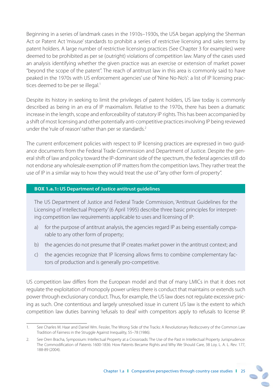Beginning in a series of landmark cases in the 1910s–1930s, the USA began applying the Sherman Act or Patent Act 'misuse' standards to prohibit a series of restrictive licensing and sales terms by patent holders. A large number of restrictive licensing practices (See Chapter 3 for examples) were deemed to be prohibited as per se (outright) violations of competition law. Many of the cases used an analysis identifying whether the given practice was an exercise or extension of market power "beyond the scope of the patent". The reach of antitrust law in this area is commonly said to have peaked in the 1970s with US enforcement agencies' use of 'Nine No-No's': a list of IP licensing practices deemed to be per se illegal.<sup>1</sup>

Despite its history in seeking to limit the privileges of patent holders, US law today is commonly described as being in an era of IP maximalism. Relative to the 1970s, there has been a dramatic increase in the length, scope and enforceability of statutory IP rights. This has been accompanied by a shift of most licensing and other potentially anti-competitive practices involving IP being reviewed under the 'rule of reason' rather than per se standards.<sup>2</sup>

The current enforcement policies with respect to IP licensing practices are expressed in two guidance documents from the Federal Trade Commission and Department of Justice. Despite the general shift of law and policy toward the IP-dominant side of the spectrum, the federal agencies still do not endorse any wholesale exemption of IP matters from the competition laws. They rather treat the use of IP in a similar way to how they would treat the use of "any other form of property".

## **BOX 1.a.1: US Department of Justice antitrust guidelines**

The US Department of Justice and Federal Trade Commission, 'Antitrust Guidelines for the Licensing of Intellectual Property' (6 April 1995) describe three basic principles for interpreting competition law requirements applicable to uses and licensing of IP:

- a) for the purpose of antitrust analysis, the agencies regard IP as being essentially comparable to any other form of property;
- b) the agencies do not presume that IP creates market power in the antitrust context; and
- c) the agencies recognize that IP licensing allows firms to combine complementary factors of production and is generally pro-competitive.

US competition law differs from the European model and that of many LMICs in that it does not regulate the exploitation of monopoly power unless there is conduct that maintains or extends such power through exclusionary conduct. Thus, for example, the US law does not regulate excessive pricing as such. One contentious and largely unresolved issue in current US law is the extent to which competition law duties banning 'refusals to deal' with competitors apply to refusals to license IP.

<sup>2.</sup> See Oren Bracha, Symposium: Intellectual Property at a Crossroads: The Use of the Past in Intellectual Property Jurisprudence: The Commodification of Patents 1600-1836: How Patents Became Rights and Why We Should Care, 38 Loy. L. A. L. Rev. 177, 188-89 (2004).



<sup>1.</sup> See Charles M. Haar and Daniel Wm. Fessler, The Wrong Side of the Tracks: A Revolutionary Rediscovery of the Common Law Tradition of Fairness in the Struggle Against Inequality, 55–78 (1986).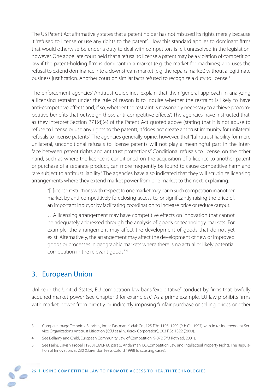The US Patent Act affirmatively states that a patent holder has not misused its rights merely because it "refused to license or use any rights to the patent". How this standard applies to dominant firms that would otherwise be under a duty to deal with competitors is left unresolved in the legislation, however. One appellate court held that a refusal to license a patent may be a violation of competition law if the patent-holding firm is dominant in a market (e.g. the market for machines) and uses the refusal to extend dominance into a downstream market (e.g. the repairs market) without a legitimate business justification. Another court on similar facts refused to recognize a duty to license.<sup>3</sup>

The enforcement agencies' 'Antitrust Guidelines' explain that their "general approach in analyzing a licensing restraint under the rule of reason is to inquire whether the restraint is likely to have anti-competitive effects and, if so, whether the restraint is reasonably necessary to achieve procompetitive benefits that outweigh those anti-competitive effects". The agencies have instructed that, as they interpret Section 271(d)(4) of the Patent Act quoted above (stating that it is not abuse to refuse to license or use any rights to the patent), it "does not create antitrust immunity for unilateral refusals to license patents". The agencies generally opine, however, that "[a]ntitrust liability for mere unilateral, unconditional refusals to license patents will not play a meaningful part in the interface between patent rights and antitrust protections." Conditional refusals to license, on the other hand, such as where the licence is conditioned on the acquisition of a licence to another patent or purchase of a separate product, can more frequently be found to cause competitive harm and "are subject to antitrust liability". The agencies have also indicated that they will scrutinize licensing arrangements where they extend market power from one market to the next, explaining:

"[L]icense restrictions with respect to one market may harm such competition in another market by anti-competitively foreclosing access to, or significantly raising the price of, an important input, or by facilitating coordination to increase price or reduce output.

... A licensing arrangement may have competitive effects on innovation that cannot be adequately addressed through the analysis of goods or technology markets. For example, the arrangement may affect the development of goods that do not yet exist. Alternatively, the arrangement may affect the development of new or improved goods or processes in geographic markets where there is no actual or likely potential competition in the relevant goods." 4

# 3. European Union

Unlike in the United States, EU competition law bans "exploitative" conduct by firms that lawfully acquired market power (see Chapter 3 for examples).<sup>5</sup> As a prime example, EU law prohibits firms with market power from directly or indirectly imposing "unfair purchase or selling prices or other

<sup>3.</sup> Compare Image Technical Services, Inc. v. Eastman Kodak Co., 125 F.3d 1195, 1209 (9th Cir. 1997) with In re: Independent Service Organizations Antitrust Litigation (CSU et al. v. Xerox Corporation), 203 F.3d 1322 (2000).

<sup>4.</sup> See Bellamy and Child, European Community Law of Competition, 9-072 (PM Roth ed. 2001).

<sup>5.</sup> See Parke, Davis v Probel, [1968] CMLR 60 para 5; Anderman, EC Competition Law and Intellectual Property Rights, The Regulation of Innovation, at 230 (Clarendon Press Oxford 1998) (discussing cases).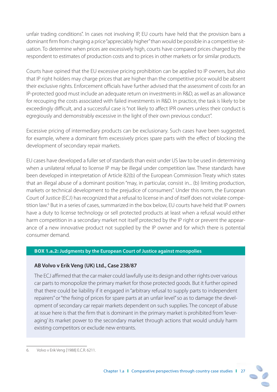unfair trading conditions". In cases not involving IP, EU courts have held that the provision bans a dominant firm from charging a price "appreciably higher" than would be possible in a competitive situation. To determine when prices are excessively high, courts have compared prices charged by the respondent to estimates of production costs and to prices in other markets or for similar products.

Courts have opined that the EU excessive pricing prohibition can be applied to IP owners, but also that IP right holders may charge prices that are higher than the competitive price would be absent their exclusive rights. Enforcement officials have further advised that the assessment of costs for an IP-protected good must include an adequate return on investments in R&D, as well as an allowance for recouping the costs associated with failed investments in R&D. In practice, the task is likely to be exceedingly difficult, and a successful case is "not likely to affect IPR owners unless their conduct is egregiously and demonstrably excessive in the light of their own previous conduct".

Excessive pricing of intermediary products can be exclusionary. Such cases have been suggested, for example, where a dominant firm excessively prices spare parts with the effect of blocking the development of secondary repair markets.

EU cases have developed a fuller set of standards than exist under US law to be used in determining when a unilateral refusal to license IP may be illegal under competition law. These standards have been developed in interpretation of Article 82(b) of the European Commission Treaty which states that an illegal abuse of a dominant position "may, in particular, consist in... (b) limiting production, markets or technical development to the prejudice of consumers". Under this norm, the European Court of Justice (ECJ) has recognized that a refusal to license in and of itself does not violate competition law.6 But in a series of cases, summarized in the box below, EU courts have held that IP owners have a duty to license technology or sell protected products at least when a refusal would either harm competition in a secondary market not itself protected by the IP right or prevent the appearance of a new innovative product not supplied by the IP owner and for which there is potential consumer demand.

## **BOX 1.a.2: Judgments by the European Court of Justice against monopolies**

## **AB Volvo v Erik Veng (UK) Ltd., Case 238/87**

The ECJ affirmed that the car maker could lawfully use its design and other rights over various car parts to monopolize the primary market for those protected goods. But it further opined that there could be liability if it engaged in "arbitrary refusal to supply parts to independent repairers" or "the fixing of prices for spare parts at an unfair level" so as to damage the development of secondary car repair markets dependent on such supplies. The concept of abuse at issue here is that the firm that is dominant in the primary market is prohibited from 'leveraging' its market power to the secondary market through actions that would unduly harm existing competitors or exclude new entrants.

<sup>6.</sup> Volvo v Erik Veng [1988] E.C.R. 6211.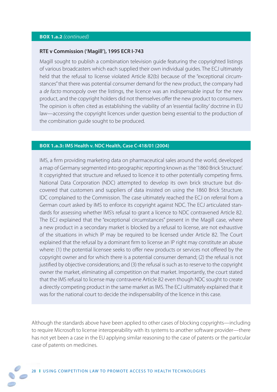#### **BOX 1.a.2** (continued)

#### **RTE v Commission ('Magill'), 1995 ECR I-743**

Magill sought to publish a combination television guide featuring the copyrighted listings of various broadcasters which each supplied their own individual guides. The ECJ ultimately held that the refusal to license violated Article 82(b) because of the "exceptional circumstances" that there was potential consumer demand for the new product, the company had a de facto monopoly over the listings, the licence was an indispensable input for the new product, and the copyright holders did not themselves offer the new product to consumers. The opinion is often cited as establishing the viability of an 'essential facility' doctrine in EU law—accessing the copyright licences under question being essential to the production of the combination guide sought to be produced.

#### **BOX 1.a.3: IMS Health v. NDC Health, Case C-418/01 (2004)**

IMS, a firm providing marketing data on pharmaceutical sales around the world, developed a map of Germany segmented into geographic reporting known as the '1860 Brick Structure'. It copyrighted that structure and refused to licence it to other potentially competing firms. National Data Corporation (NDC) attempted to develop its own brick structure but discovered that customers and suppliers of data insisted on using the 1860 Brick Structure. IDC complained to the Commission. The case ultimately reached the ECJ on referral from a German court asked by IMS to enforce its copyright against NDC. The ECJ articulated standards for assessing whether IMS's refusal to grant a licence to NDC contravened Article 82. The ECJ explained that the "exceptional circumstances" present in the Magill case, where a new product in a secondary market is blocked by a refusal to license, are not exhaustive of the situations in which IP may be required to be licensed under Article 82. The Court explained that the refusal by a dominant firm to license an IP right may constitute an abuse where: (1) the potential licensee seeks to offer new products or services not offered by the copyright owner and for which there is a potential consumer demand; (2) the refusal is not justified by objective considerations; and (3) the refusal is such as to reserve to the copyright owner the market, eliminating all competition on that market. Importantly, the court stated that the IMS refusal to license may contravene Article 82 even though NDC sought to create a directly competing product in the same market as IMS. The ECJ ultimately explained that it was for the national court to decide the indispensability of the licence in this case.

Although the standards above have been applied to other cases of blocking copyrights—including to require Microsoft to license interoperability with its systems to another software provider—there has not yet been a case in the EU applying similar reasoning to the case of patents or the particular case of patents on medicines.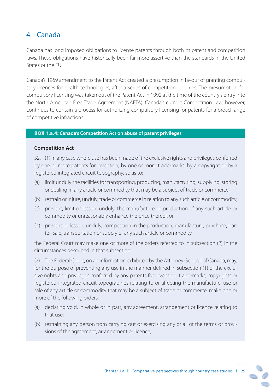## 4. Canada

Canada has long imposed obligations to license patents through both its patent and competition laws. These obligations have historically been far more assertive than the standards in the United States or the EU.

Canada's 1969 amendment to the Patent Act created a presumption in favour of granting compulsory licences for health technologies, after a series of competition inquiries. The presumption for compulsory licensing was taken out of the Patent Act in 1992 at the time of the country's entry into the North American Free Trade Agreement (NAFTA). Canada's current Competition Law, however, continues to contain a process for authorizing compulsory licensing for patents for a broad range of competitive infractions.

### **BOX 1.a.4: Canada's Competition Act on abuse of patent privileges**

## **Competition Act**

32. (1) In any case where use has been made of the exclusive rights and privileges conferred by one or more patents for invention, by one or more trade-marks, by a copyright or by a registered integrated circuit topography, so as to:

- (a) limit unduly the facilities for transporting, producing, manufacturing, supplying, storing or dealing in any article or commodity that may be a subject of trade or commerce,
- (b) restrain or injure, unduly, trade or commerce in relation to any such article or commodity,
- (c) prevent, limit or lessen, unduly, the manufacture or production of any such article or commodity or unreasonably enhance the price thereof, or
- (d) prevent or lessen, unduly, competition in the production, manufacture, purchase, barter, sale, transportation or supply of any such article or commodity,

the Federal Court may make one or more of the orders referred to in subsection (2) in the circumstances described in that subsection.

(2) The Federal Court, on an information exhibited by the Attorney General of Canada, may, for the purpose of preventing any use in the manner defined in subsection (1) of the exclusive rights and privileges conferred by any patents for invention, trade-marks, copyrights or registered integrated circuit topographies relating to or affecting the manufacture, use or sale of any article or commodity that may be a subject of trade or commerce, make one or more of the following orders:

- (a) declaring void, in whole or in part, any agreement, arrangement or licence relating to that use;
- (b) restraining any person from carrying out or exercising any or all of the terms or provisions of the agreement, arrangement or licence;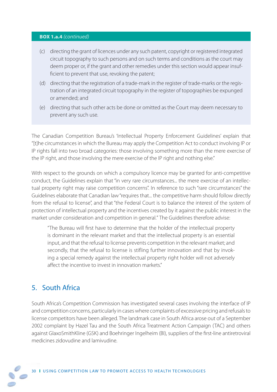#### **BOX 1.a.4** (continued)

- (c) directing the grant of licences under any such patent, copyright or registered integrated circuit topography to such persons and on such terms and conditions as the court may deem proper or, if the grant and other remedies under this section would appear insufficient to prevent that use, revoking the patent;
- (d) directing that the registration of a trade-mark in the register of trade-marks or the registration of an integrated circuit topography in the register of topographies be expunged or amended; and
- (e) directing that such other acts be done or omitted as the Court may deem necessary to prevent any such use.

The Canadian Competition Bureau's 'Intellectual Property Enforcement Guidelines' explain that "[t]he circumstances in which the Bureau may apply the Competition Act to conduct involving IP or IP rights fall into two broad categories: those involving something more than the mere exercise of the IP right, and those involving the mere exercise of the IP right and nothing else."

With respect to the grounds on which a compulsory licence may be granted for anti-competitive conduct, the Guidelines explain that "in very rare circumstances... the mere exercise of an intellectual property right may raise competition concerns". In reference to such "rare circumstances" the Guidelines elaborate that Canadian law "requires that... the competitive harm should follow directly from the refusal to license", and that "the Federal Court is to balance the interest of the system of protection of intellectual property and the incentives created by it against the public interest in the market under consideration and competition in general." The Guidelines therefore advise:

"The Bureau will first have to determine that the holder of the intellectual property is dominant in the relevant market and that the intellectual property is an essential input, and that the refusal to license prevents competition in the relevant market; and secondly, that the refusal to license is stifling further innovation and that by invoking a special remedy against the intellectual property right holder will not adversely affect the incentive to invest in innovation markets."

## 5. South Africa

South Africa's Competition Commission has investigated several cases involving the interface of IP and competition concerns, particularly in cases where complaints of excessive pricing and refusals to license competitors have been alleged. The landmark case in South Africa arose out of a September 2002 complaint by Hazel Tau and the South Africa Treatment Action Campaign (TAC) and others against GlaxoSmithKline (GSK) and Boehringer Ingelheim (BI), suppliers of the first-line antiretroviral medicines zidovudine and lamivudine.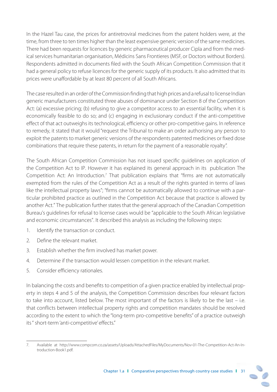In the Hazel Tau case, the prices for antiretroviral medicines from the patent holders were, at the time, from three to ten times higher than the least expensive generic version of the same medicines. There had been requests for licences by generic pharmaceutical producer Cipla and from the medical services humanitarian organisation, Médicins Sans Frontieres (MSF, or Doctors without Borders). Respondents admitted in documents filed with the South African Competition Commission that it had a general policy to refuse licences for the generic supply of its products. It also admitted that its prices were unaffordable by at least 80 percent of all South Africans.

The case resulted in an order of the Commission finding that high prices and a refusal to license Indian generic manufacturers constituted three abuses of dominance under Section 8 of the Competition Act: (a) excessive pricing; (b) refusing to give a competitor access to an essential facility, when it is economically feasible to do so; and (c) engaging in exclusionary conduct if the anti-competitive effect of that act outweighs its technological, efficiency or other pro-competitive gains. In reference to remedy, it stated that it would "request the Tribunal to make an order authorising any person to exploit the patents to market generic versions of the respondents patented medicines or fixed dose combinations that require these patents, in return for the payment of a reasonable royalty".

The South African Competition Commission has not issued specific quidelines on application of the Competition Act to IP. However it has explained its general approach in its publication The Competition Act: An Introduction.<sup>7</sup> That publication explains that "firms are not automatically exempted from the rules of the Competition Act as a result of the rights granted in terms of laws like the intellectual property laws"; "firms cannot be automatically allowed to continue with a particular prohibited practice as outlined in the Competition Act because that practice is allowed by another Act." The publication further states that the general approach of the Canadian Competition Bureau's guidelines for refusal to license cases would be "applicable to the South African legislative and economic circumstances". It described this analysis as including the following steps:

- 1. Identify the transaction or conduct.
- 2. Define the relevant market.
- 3. Establish whether the firm involved has market power.
- 4. Determine if the transaction would lessen competition in the relevant market.
- 5. Consider efficiency rationales.

In balancing the costs and benefits to competition of a given practice enabled by intellectual property in steps 4 and 5 of the analysis, the Competition Commission describes four relevant factors to take into account, listed below. The most important of the factors is likely to be the last – i.e. that conflicts between intellectual property rights and competition mandates should be resolved according to the extent to which the "long-term pro-competitive benefits" of a practice outweigh its " short-term 'anti-competitive' effects."

<sup>7.</sup> Available at http://www.compcom.co.za/assets/Uploads/AttachedFiles/MyDocuments/Nov-01-The-Competition-Act-An-Introduction-Book1.pdf.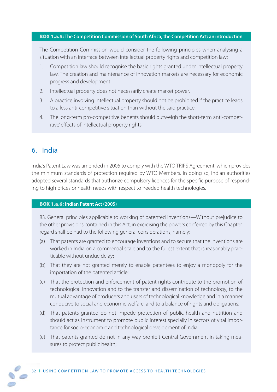#### **BOX 1.a.5: The Competition Commission of South Africa, the Competition Act: an introduction**

The Competition Commission would consider the following principles when analysing a situation with an interface between intellectual property rights and competition law:

- 1. Competition law should recognise the basic rights granted under intellectual property law. The creation and maintenance of innovation markets are necessary for economic progress and development.
- 2. Intellectual property does not necessarily create market power.
- 3. A practice involving intellectual property should not be prohibited if the practice leads to a less anti-competitive situation than without the said practice.
- 4. The long-term pro-competitive benefits should outweigh the short-term 'anti-competitive' effects of intellectual property rights.

## 6. India

India's Patent Law was amended in 2005 to comply with the WTO TRIPS Agreement, which provides the minimum standards of protection required by WTO Members. In doing so, Indian authorities adopted several standards that authorize compulsory licences for the specific purpose of responding to high prices or health needs with respect to needed health technologies.

#### **BOX 1.a.6: Indian Patent Act (2005)**

83. General principles applicable to working of patented inventions—Without prejudice to the other provisions contained in this Act, in exercising the powers conferred by this Chapter, regard shall be had to the following general considerations, namely: —

- (a) That patents are granted to encourage inventions and to secure that the inventions are worked in India on a commercial scale and to the fullest extent that is reasonably practicable without undue delay;
- (b) That they are not granted merely to enable patentees to enjoy a monopoly for the importation of the patented article;
- (c) That the protection and enforcement of patent rights contribute to the promotion of technological innovation and to the transfer and dissemination of technology, to the mutual advantage of producers and users of technological knowledge and in a manner conducive to social and economic welfare, and to a balance of rights and obligations;
- (d) That patents granted do not impede protection of public health and nutrition and should act as instrument to promote public interest specially in sectors of vital importance for socio-economic and technological development of India;
- (e) That patents granted do not in any way prohibit Central Government in taking measures to protect public health;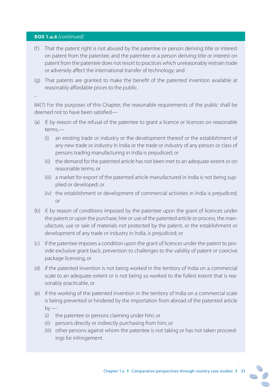#### **BOX 1.a.6** (continued)

- $(f)$  That the patent right is not abused by the patentee or person deriving title or interest on patent from the patentee, and the patentee or a person deriving title or interest on patent from the patentee does not resort to practices which unreasonably restrain trade or adversely affect the international transfer of technology; and
- (g) That patents are granted to make the benefit of the patented invention available at reasonably affordable prices to the public.

...

84(7) For the purposes of this Chapter, the reasonable requirements of the public shall be deemed not to have been satisfied—

- (a) if, by reason of the refusal of the patentee to grant a licence or licences on reasonable terms,—
	- (i) an existing trade or industry or the development thereof or the establishment of any new trade or industry in India or the trade or industry of any person or class of persons trading manufacturing in India is prejudiced; or
	- (ii) the demand for the patented article has not been met to an adequate extent or on reasonable terms; or
	- (iii) a market for export of the patented article manufactured in India is not being supplied or developed; or
	- (iv) the establishment or development of commercial activities in India is prejudiced; or
- (b) if, by reason of conditions imposed by the patentee upon the grant of licences under the patent or upon the purchase, hire or use of the patented article or process, the manufacture, use or sale of materials not protected by the patent, or the establishment or development of any trade or industry in India, is prejudiced; or
- (c) if the patentee imposes a condition upon the grant of licences under the patent to provide exclusive grant back, prevention to challenges to the validity of patent or coercive package licensing, or
- (d) if the patented invention is not being worked in the territory of India on a commercial scale to an adequate extent or is not being so worked to the fullest extent that is reasonably practicable, or
- (e) if the working of the patented invention in the territory of India on a commercial scale is being prevented or hindered by the importation from abroad of the patented article  $by -$ 
	- (i) the patentee or persons claiming under him; or
	- (ii) persons directly or indirectly purchasing from him; or
	- (iii) other persons against whom the patentee is not taking or has not taken proceedings for infringement.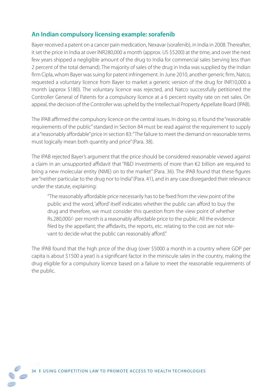## **An Indian compulsory licensing example: sorafenib**

Bayer received a patent on a cancer pain medication, Nexavar (sorafenib), in India in 2008. Thereafter, it set the price in India at over INR280,000 a month (approx. US \$5200) at the time, and over the next few years shipped a negligible amount of the drug to India for commercial sales (serving less than 2 percent of the total demand). The majority of sales of the drug in India was supplied by the Indian firm Cipla, whom Bayer was suing for patent infringement. In June 2010, another generic firm, Natco, requested a voluntary licence from Bayer to market a generic version of the drug for INR10,000 a month (approx \$180). The voluntary licence was rejected, and Natco successfully petitioned the Controller General of Patents for a compulsory licence at a 6 percent royalty rate on net sales. On appeal, the decision of the Controller was upheld by the Intellectual Property Appellate Board (IPAB).

The IPAB affirmed the compulsory licence on the central issues. In doing so, it found the "reasonable requirements of the public" standard in Section 84 must be read against the requirement to supply at a "reasonably affordable" price in section 83: "The failure to meet the demand on reasonable terms must logically mean both quantity and price" (Para. 38).

The IPAB rejected Bayer's argument that the price should be considered reasonable viewed against a claim in an unsupported affidavit that "R&D investments of more than  $\epsilon$ 2 billion are required to bring a new molecular entity (NME) on to the market" (Para. 36). The IPAB found that these figures are "neither particular to the drug nor to India" (Para. 41), and in any case disregarded their relevance under the statute, explaining:

"The reasonably affordable price necessarily has to be fixed from the view point of the public and the word, 'afford' itself indicates whether the public can afford to buy the drug and therefore, we must consider this question from the view point of whether Rs.280,000/- per month is a reasonably affordable price to the public. All the evidence filed by the appellant; the affidavits, the reports, etc. relating to the cost are not relevant to decide what the public can reasonably afford."

The IPAB found that the high price of the drug (over \$5000 a month in a country where GDP per capita is about \$1500 a year) is a significant factor in the miniscule sales in the country, making the drug eligible for a compulsory licence based on a failure to meet the reasonable requirements of the public.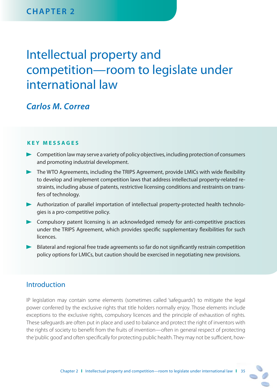# Intellectual property and competition—room to legislate under international law

# *Carlos M. Correa*

#### **KEY MESSAGES**

- Competition law may serve a variety of policy objectives, including protection of consumers and promoting industrial development.
- $\blacktriangleright$  The WTO Agreements, including the TRIPS Agreement, provide LMICs with wide flexibility to develop and implement competition laws that address intellectual property-related restraints, including abuse of patents, restrictive licensing conditions and restraints on transfers of technology.
- Authorization of parallel importation of intellectual property-protected health technologies is a pro-competitive policy.
- Compulsory patent licensing is an acknowledged remedy for anti-competitive practices under the TRIPS Agreement, which provides specific supplementary flexibilities for such licences.
- Bilateral and regional free trade agreements so far do not significantly restrain competition policy options for LMICs, but caution should be exercised in negotiating new provisions.

## Introduction

IP legislation may contain some elements (sometimes called 'safeguards') to mitigate the legal power conferred by the exclusive rights that title holders normally enjoy. Those elements include exceptions to the exclusive rights, compulsory licences and the principle of exhaustion of rights. These safeguards are often put in place and used to balance and protect the right of inventors with the rights of society to benefit from the fruits of invention—often in general respect of protecting the 'public good' and often specifically for protecting public health. They may not be sufficient, how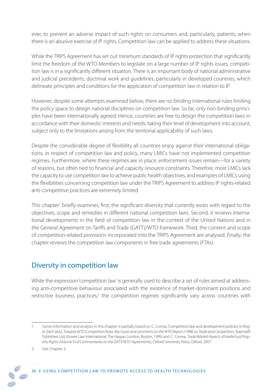ever, to prevent an adverse impact of such rights on consumers and, particularly, patients, when there is an abusive exercise of IP rights. Competition law can be applied to address these situations.

While the TRIPS Agreement has set out minimum standards of IP rights protection that significantly limit the freedom of the WTO Members to legislate on a large number of IP rights issues, competition law is in a significantly different situation. There is an important body of national administrative and judicial precedents, doctrinal work and guidelines, particularly in developed countries, which delineate principles and conditions for the application of competition law in relation to IP.

However, despite some attempts examined below, there are no binding international rules limiting the policy space to design national disciplines on competition law. So far, only non-binding principles have been internationally agreed. Hence, countries are free to design the competition laws in accordance with their domestic interests and needs, taking their level of development into account, subject only to the limitations arising from the territorial applicability of such laws.

Despite the considerable degree of flexibility all countries enjoy against their international obligations, in respect of competition law and policy, many LMICs have not implemented competition regimes. Furthermore, where these regimes are in place, enforcement issues remain—for a variety of reasons, but often tied to financial and capacity resource constraints. Therefore, most LMICs lack the capacity to use competition law to achieve public health objectives, and examples of LMICs using the flexibilities concerning competition law under the TRIPS Agreement to address IP rights-related anti-competitive practices are extremely limited.

This chapter<sup>1</sup> briefly examines, first, the significant diversity that currently exists with regard to the objectives, scope and remedies in different national competition laws. Second, it reviews international developments in the field of competition law in the context of the United Nations and in the General Agreement on Tariffs and Trade (GATT)/WTO framework. Third, the content and scope of competition-related provisions incorporated into the TRIPS Agreement are analysed. Finally, the chapter reviews the competition law components in free trade agreements (FTAs).

# Diversity in competition law

While the expression 'competition law' is generally used to describe a set of rules aimed at addressing anti-competitive behaviour associated with the existence of market-dominant positions and restrictive business practices,<sup>2</sup> the competition regimes significantly vary across countries with

<sup>2.</sup> See Chapter 3.



<sup>1.</sup> Some information and analysis in this chapter is partially based on C. Correa, 'Competition law and development policies', in Roger Zäch (ed.), Towards WTO Competition Rules. Key issues and comments on the WTO Report (1998) on Trade and Competition, Staempfli Publishers Ltd, Kluwer Law International, The Hague, London, Boston, 1999; and C. Correa, Trade Related Aspects of Intellectual Property Rights (Volume VI of Commentaries on the GATT/WTO Agreements), Oxford University Press, Oxford, 2007.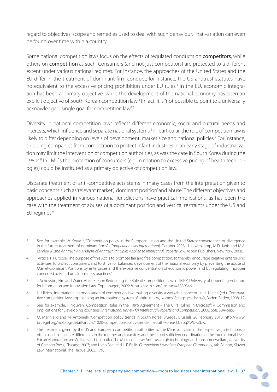regard to objectives, scope and remedies used to deal with such behaviour. That variation can even be found over time within a country.

Some national competition laws focus on the effects of regulated conducts on **competitors**, while others on **competition** as such. Consumers (and not just competitors) are protected to a different extent under various national regimes. For instance, the approaches of the United States and the EU differ in the treatment of dominant firm conduct; for instance, the US antitrust statutes have no equivalent to the excessive pricing prohibition under EU rules.<sup>3</sup> In the EU, economic integration has been a primary objective, while the development of the national economy has been an explicit objective of South Korean competition law.<sup>4</sup> In fact, it is "not possible to point to a universally acknowledged, single goal for competition law".<sup>5</sup>

Diversity in national competition laws reflects different economic, social and cultural needs and interests, which influence and separate national systems.<sup>6</sup> In particular, the role of competition law is likely to differ depending on levels of development, market size and national policies.<sup>7</sup> For instance, shielding companies from competition to protect infant industries in an early stage of industrialization may limit the intervention of competition authorities, as was the case in South Korea during the 1980s.<sup>8</sup> In LMICs the protection of consumers (e.g. in relation to excessive pricing of health technologies) could be instituted as a primary objective of competition law.

Disparate treatment of anti-competitive acts stems in many cases from the interpretation given to basic concepts such as 'relevant market', 'dominant position' and 'abuse'. The different objectives and approaches applied in various national jurisdictions have practical implications, as has been the case with the treatment of abuses of a dominant position and vertical restraints under the US and EU regimes.<sup>9</sup>

<sup>3.</sup> See, for example, W. Kovacic, 'Competition policy in the European Union and the United States: convergence or divergence in the future treatment of dominant firms?', Competition Law International, October 2008; H. Hovenkamp, M.D. Janis and M.A. Lemley, IP and Antitrust: An Analysis of Antitrust Principles Applied to Intellectual Property Law, Aspen Publishers, New York, 2008.

<sup>4. &</sup>quot;Article 1. Purpose. The purpose of this Act is to promote fair and free competition, to thereby encourage creative enterprising activities, to protect consumers, and to strive for balanced development of the national economy by preventing the abuse of Market-Dominant Positions by enterprises and the excessive concentration of economic power, and by regulating improper concerted acts and unfair business practices."

<sup>5.</sup> J. Schovsbo, 'Fire and Water Make Steam: Redefining the Role of Competition Law in TRIPS', University of Copenhagen Centre for Information and Innovation Law, Copenhagen, 2009: 8, http://ssrn.com/abstract=1339346.

<sup>6.</sup> H. Ullrich, 'International harmonisation of competition law: making diversity a workable concept', in H. Ullrich (ed.), Comparative competition law: approaching an international system of antitrust law, Nomos Verlagsgesellschaft, Baden-Baden, 1998: 12.

<sup>7.</sup> See, for example, T. Nguyen, 'Competition Rules in the TRIPS Agreement – The CFI's Ruling in Microsoft v. Commission and Implications for Developing countries', International Review for Intellectual Property and Competition, 2008, 558: 584–585.

<sup>8.</sup> M. Mariniello and M. Antonielli, 'Competition policy trends in South Korea', Bruegel, Brussels, 20 February 2013, http://www. bruegel.org/nc/blog/detail/article/1020-competition-policy-trends-in-south-korea/#.USpqXWDKZbw.

<sup>9.</sup> The treatment given by the US and European competition authorities to the Microsoft case in the respective jurisdictions is often used to illustrate differences in the regimes and practices and the lack of sufficient coordination at the international level. For an elaboration, see W. Page and J. Lopatka, The Microsoft case: Antitrust, high technology, and consumer welfare, University of Chicago Press, Chicago, 2007; and I. van Bael and J.-F. Bellis, Competition Law of the European Community, 4th Edition, Kluwer Law International, The Hague, 2005: 179.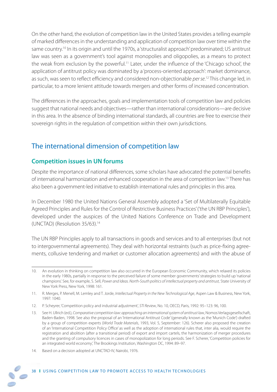On the other hand, the evolution of competition law in the United States provides a telling example of marked differences in the understanding and application of competition law over time within the same country.10 In its origin and until the 1970s, a 'structuralist approach' predominated; US antitrust law was seen as a government's tool against monopolies and oligopolies, as a means to protect the weak from exclusion by the powerful.<sup>11</sup> Later, under the influence of the 'Chicago school', the application of antitrust policy was dominated by a 'process-oriented approach': market dominance, as such, was seen to reflect efficiency and considered non-objectionable *per se*.<sup>12</sup> This change led, in particular, to a more lenient attitude towards mergers and other forms of increased concentration.

The differences in the approaches, goals and implementation tools of competition law and policies suggest that national needs and objectives—rather than international considerations—are decisive in this area. In the absence of binding international standards, all countries are free to exercise their sovereign rights in the regulation of competition within their own jurisdictions.

# The international dimension of competition law

## **Competition issues in UN forums**

Despite the importance of national differences, some scholars have advocated the potential benefits of international harmonization and enhanced cooperation in the area of competition law.13 There has also been a government-led initiative to establish international rules and principles in this area.

In December 1980 the United Nations General Assembly adopted a 'Set of Multilaterally Equitable Agreed Principles and Rules for the Control of Restrictive Business Practices' ('the UN RBP Principles'), developed under the auspices of the United Nations Conference on Trade and Development (UNCTAD) (Resolution 35/63).14

The UN RBP Principles apply to all transactions in goods and services and to all enterprises (but not to intergovernmental agreements). They deal with horizontal restraints (such as price-fixing agreements, collusive tendering and market or customer allocation agreements) and with the abuse of

<sup>10.</sup> An evolution in thinking on competition law also occurred in the European Economic Community, which relaxed its policies in the early 1980s, partially in response to the perceived failure of some member governments' strategies to build up 'national champions'. See, for example, S. Sell, Power and Ideas. North-South politics of intellectual property and antitrust, State University of New York Press, New York, 1998: 161.

<sup>11.</sup> R. Merges, P. Menell, M. Lemley and T. Jorde, Intellectual Property in the New Technological Age, Aspen Law & Business, New York, 1997: 1040.

<sup>12.</sup> P. Scheyrer, 'Competition policy and industrial adjustment', STI Review, No. 10, OECD, Paris, 1992: 95–123: 96, 100.

<sup>13.</sup> See H. Ullrich (ed.), Comparative competition law: approaching an international system of antitrust law, Nomos Verlagsgesellschaft, Baden-Baden, 1998. See also the proposal of an 'International Antitrust Code' (generally known as the 'Munich Code') drafted by a group of competition experts (World Trade Materials, 1993, Vol. 5, September: 126). Scherer also proposed the creation of an 'International Competition Policy Office' as well as the adoption of international rules that, inter alia, would require the registration and abolition (after a transitional period) of export and import cartels, the harmonization of merger procedures and the granting of compulsory licences in cases of monopolization for long periods. See F. Scherer, 'Competition policies for an integrated world economy', The Brookings Institution, Washington DC, 1994: 89–97.

<sup>14.</sup> Based on a decision adopted at UNCTAD-IV, Nairobi, 1976.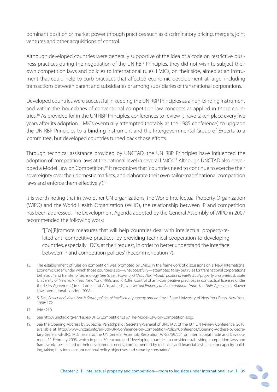dominant position or market power through practices such as discriminatory pricing, mergers, joint ventures and other acquisitions of control.

Although developed countries were generally supportive of the idea of a code on restrictive business practices during the negotiation of the UN RBP Principles, they did not wish to subject their own competition laws and policies to international rules. LMICs, on their side, aimed at an instrument that could help to curb practices that affected economic development at large, including transactions between parent and subsidiaries or among subsidiaries of transnational corporations.15

Developed countries were successful in keeping the UN RBP Principles as a non-binding instrument and within the boundaries of conventional competition law concepts as applied in those countries.<sup>16</sup> As provided for in the UN RBP Principles, conferences to review it have taken place every five years after its adoption. LMICs eventually attempted (notably at the 1985 conference) to upgrade the UN RBP Principles to a **binding** instrument and the Intergovernmental Group of Experts to a 'committee', but developed countries turned back those efforts.

Through technical assistance provided by UNCTAD, the UN RBP Principles have influenced the adoption of competition laws at the national level in several LMICs.<sup>17</sup> Although UNCTAD also developed a Model Law on Competition,<sup>18</sup> it recognizes that "countries need to continue to exercise their sovereignty over their domestic markets, and elaborate their own 'tailor-made' national competition laws and enforce them effectively".<sup>19</sup>

It is worth noting that in two other UN organizations, the World Intellectual Property Organization (WIPO) and the World Health Organization (WHO), the relationship between IP and competition has been addressed. The Development Agenda adopted by the General Assembly of WIPO in 2007 recommended the following work:

"[To][P]romote measures that will help countries deal with intellectual property-related anti-competitive practices, by providing technical cooperation to developing countries, especially LDCs, at their request, in order to better understand the interface between IP and competition policies" (Recommendation 7).

<sup>15.</sup> The establishment of rules on competition was promoted by LMICs in the framework of discussions on a 'New International Economic Order' under which those countries also—unsuccessfully—attempted to lay out rules for transnational corporations' behaviour and transfer of technology. See S. Sell, Power and Ideas. North-South politics of intellectual property and antitrust, State University of New York Press, New York, 1998; and P. Roffe, 'Control of anti-competitive practices in contractual licenses under the TRIPs Agreement', in C. Correa and A. Yusuf (eds), Intellectual Property and International Trade. The TRIPs Agreement, Kluwer Law International, London, 2008.

<sup>16.</sup> S. Sell, Power and Ideas. North-South politics of intellectual property and antitrust, State University of New York Press, New York, 1998: 172.

 $17$  Ibid $\cdot$  210.

<sup>18.</sup> See http://unctad.org/en/Pages/DITC/CompetitionLaw/The-Model-Law-on-Competition.aspx.

<sup>19.</sup> See the Opening Address by Supachai Panitchpakdi, Secretary-General of UNCTAD, of the 6th UN Review Conference, 2010, available at http://www.unctad.info/en/6th-UN-Conference-on-Competition-Policy/Conference/Opening-Address-by-Secretary-General-of-UNCTAD/. See also the UN General Assembly Resolution A/RES/59/221 on International Trade and Development, 11 February 2005, which in para. 30 encouraged "developing countries to consider establishing competition laws and frameworks best suited to their development needs, complemented by technical and financial assistance for capacity-building, taking fully into account national policy objectives and capacity constraints".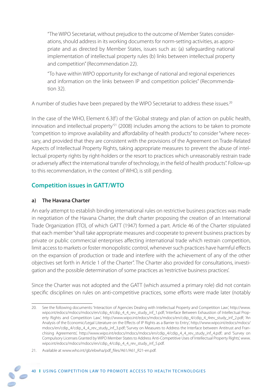"The WIPO Secretariat, without prejudice to the outcome of Member States considerations, should address in its working documents for norm-setting activities, as appropriate and as directed by Member States, issues such as: (a) safeguarding national implementation of intellectual property rules (b) links between intellectual property and competition" (Recommendation 22).

"To have within WIPO opportunity for exchange of national and regional experiences and information on the links between IP and competition policies" (Recommendation 32).

A number of studies have been prepared by the WIPO Secretariat to address these issues.<sup>20</sup>

In the case of the WHO, Element 6.3(f) of the 'Global strategy and plan of action on public health, innovation and intellectual property<sup>'21</sup> (2008) includes among the actions to be taken to promote "competition to improve availability and affordability of health products" to consider "where necessary, and provided that they are consistent with the provisions of the Agreement on Trade-Related Aspects of Intellectual Property Rights, taking appropriate measures to prevent the abuse of intellectual property rights by right-holders or the resort to practices which unreasonably restrain trade or adversely affect the international transfer of technology, in the field of health products". Follow-up to this recommendation, in the context of WHO, is still pending.

## **Competition issues in GATT/WTO**

## **a) The Havana Charter**

An early attempt to establish binding international rules on restrictive business practices was made in negotiation of the Havana Charter, the draft charter proposing the creation of an International Trade Organization (ITO), of which GATT (1947) formed a part. Article 46 of the Charter stipulated that each member "shall take appropriate measures and cooperate to prevent business practices by private or public commercial enterprises affecting international trade which restrain competition, limit access to markets or foster monopolistic control, whenever such practices have harmful effects on the expansion of production or trade and interfere with the achievement of any of the other objectives set forth in Article 1 of the Charter". The Charter also provided for consultations, investigation and the possible determination of some practices as 'restrictive business practices'.

Since the Charter was not adopted and the GATT (which assumed a primary role) did not contain specific disciplines on rules on anti-competitive practices, some efforts were made later (notably

<sup>20.</sup> See the following documents: 'Interaction of Agencies Dealing with Intellectual Property and Competition Law', http://www. wipo.int/edocs/mdocs/mdocs/en/cdip\_4/cdip\_4\_4\_rev\_study\_inf\_1.pdf; 'Interface Between Exhaustion of Intellectual Property Rights and Competition Law', http://www.wipo.int/edocs/mdocs/mdocs/en/cdip\_4/cdip\_4\_4rev\_study\_inf\_2.pdf; 'An Analysis of the Economic/Legal Literature on the Effects of IP Rights as a Barrier to Entry', http://www.wipo.int/edocs/mdocs/ mdocs/en/cdip\_4/cdip\_4\_4\_rev\_study\_inf\_3.pdf; 'Survey on Measures to Address the Interface between Antitrust and Franchising Agreements', http://www.wipo.int/edocs/mdocs/mdocs/en/cdip\_4/cdip\_4\_4\_rev\_study\_inf\_4.pdf; and 'Survey on Compulsory Licenses Granted by WIPO Member States to Address Anti-Competitive Uses of Intellectual Property Rights', www. wipo.int/edocs/mdocs/mdocs/en/cdip\_4/cdip\_4\_4\_rev\_study\_inf\_5.pdf.

<sup>21.</sup> Available at www.who.int/gb/ebwha/pdf\_files/A61/A61\_R21-en.pdf.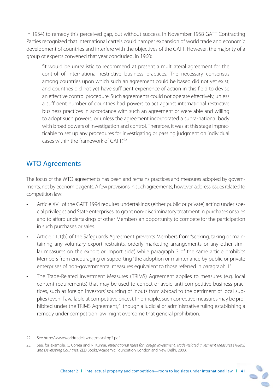in 1954) to remedy this perceived gap, but without success. In November 1958 GATT Contracting Parties recognized that international cartels could hamper expansion of world trade and economic development of countries and interfere with the objectives of the GATT. However, the majority of a group of experts convened that year concluded, in 1960:

"it would be unrealistic to recommend at present a multilateral agreement for the control of international restrictive business practices. The necessary consensus among countries upon which such an agreement could be based did not yet exist, and countries did not yet have sufficient experience of action in this field to devise an effective control procedure. Such agreements could not operate effectively, unless a sufficient number of countries had powers to act against international restrictive business practices in accordance with such an agreement or were able and willing to adopt such powers, or unless the agreement incorporated a supra-national body with broad powers of investigation and control. Therefore, it was at this stage impracticable to set up any procedures for investigating or passing judgment on individual cases within the framework of GATT"22

# WTO Agreements

The focus of the WTO agreements has been and remains practices and measures adopted by governments, not by economic agents. A few provisions in such agreements, however, address issues related to competition law:

- Article XVII of the GATT 1994 requires undertakings (either public or private) acting under special privileges and State enterprises, to grant non-discriminatory treatment in purchases or sales and to afford undertakings of other Members an opportunity to compete for the participation in such purchases or sales.
- Article 11.1(b) of the Safeguards Agreement prevents Members from "seeking, taking or maintaining any voluntary export restraints, orderly marketing arrangements or any other similar measures on the export or import side", while paragraph 3 of the same article prohibits Members from encouraging or supporting "the adoption or maintenance by public or private enterprises of non-governmental measures equivalent to those referred in paragraph 1".
- The Trade-Related Investment Measures (TRIMS) Agreement applies to measures (e.g. local content requirements) that may be used to correct or avoid anti-competitive business practices, such as foreign investors' sourcing of inputs from abroad to the detriment of local supplies (even if available at competitive prices). In principle, such corrective measures may be prohibited under the TRIMS Agreement,<sup>23</sup> though a judicial or administrative ruling establishing a remedy under competition law might overcome that general prohibition.

<sup>22.</sup> See http://www.worldtradelaw.net/misc/rbp2.pdf.

<sup>23.</sup> See, for example, C. Correa and N. Kumar, International Rules for Foreign Investment. Trade-Related Invesment Measures (TRIMS) and Developing Countries, ZED Books/Academic Foundation, London and New Delhi, 2003.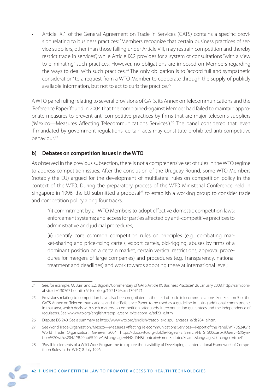Article IX.1 of the General Agreement on Trade in Services (GATS) contains a specific provision relating to business practices: "Members recognize that certain business practices of service suppliers, other than those falling under Article VIII, may restrain competition and thereby restrict trade in services", while Article IX.2 provides for a system of consultations "with a view to eliminating" such practices. However, no obligations are imposed on Members regarding the ways to deal with such practices.<sup>24</sup> The only obligation is to "accord full and sympathetic consideration" to a request from a WTO Member to cooperate through the supply of publicly available information, but not to act to curb the practice.<sup>25</sup>

A WTO panel ruling relating to several provisions of GATS, its Annex on Telecommunications and the 'Reference Paper' found in 2004 that the complained-against Member had failed to maintain appropriate measures to prevent anti-competitive practices by firms that are major telecoms suppliers ('Mexico—Measures Affecting Telecommunications Services').<sup>26</sup> The panel considered that, even if mandated by government regulations, certain acts may constitute prohibited anti-competitive behaviour.<sup>27</sup>

#### **b) Debates on competition issues in the WTO**

As observed in the previous subsection, there is not a comprehensive set of rules in the WTO regime to address competition issues. After the conclusion of the Uruguay Round, some WTO Members (notably the EU) argued for the development of multilateral rules on competition policy in the context of the WTO. During the preparatory process of the WTO Ministerial Conference held in Singapore in 1996, the EU submitted a proposal<sup>28</sup> to establish a working group to consider trade and competition policy along four tracks:

"(i) commitment by all WTO Members to adopt effective domestic competition laws; enforcement systems; and access for parties affected by anti-competitive practices to administrative and judicial procedures;

(ii) identify core common competition rules or principles (e.g., combating market-sharing and price-fixing cartels, export cartels, bid-rigging, abuses by firms of a dominant position on a certain market, certain vertical restrictions, approval procedures for mergers of large companies) and procedures (e.g. Transparency, national treatment and deadlines) and work towards adopting these at international level;

<sup>24.</sup> See, for example, M. Burri and S.Z. Bigdeli, 'Commentary of GATS Article IX: Business Practices', 26 January 2008, http://ssrn.com/ abstract=1307671 or http://dx.doi.org/10.2139/ssrn.1307671.

<sup>25.</sup> Provisions relating to competition have also been negotiated in the field of basic telecommunications. See Section 5 of the GATS Annex on Telecommunications and the 'Reference Paper' to be used as a guideline in taking additional commitments in that area, which deals with such matters as competition safeguards, interconnection guarantees and the independence of regulators. See www.wto.org/english/tratop\_e/serv\_e/telecom\_e/tel23\_e.htm.

<sup>26.</sup> Dispute DS 240. See a summary at http://www.wto.org/english/tratop\_e/dispu\_e/cases\_e/ds204\_e.htm.

<sup>27.</sup> See World Trade Organization, 'Mexico--Measures Affecting Telecommunications Services--Report of the Panel', WT/DS240/R, World Trade Organization, Geneva, 2004, https://docs.wto.org/dol2fe/Pages/FE\_Search/FE\_S\_S006.aspx?Query=(@Symbol=%20wt/ds204/r\*%20not%20rw\*)&Language=ENGLISH&Context=FomerScriptedSearch&languageUIChanged=true#.

<sup>28. &#</sup>x27;Possible elements of a WTO Work Programme to explore the feasibility of Developing an International Framework of Competition Rules in the WTO', 8 July 1996.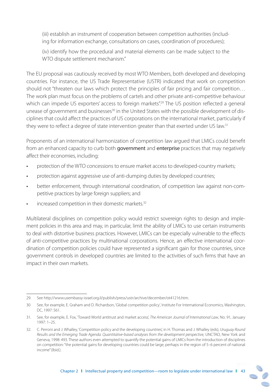(iii) establish an instrument of cooperation between competition authorities (including for information exchange, consultations on cases, coordination of procedures);

(iv) identify how the procedural and material elements can be made subject to the WTO dispute settlement mechanism."

The EU proposal was cautiously received by most WTO Members, both developed and developing countries. For instance, the US Trade Representative (USTR) indicated that work on competition should not "threaten our laws which protect the principles of fair pricing and fair competition... The work plan must focus on the problems of cartels and other private anti-competitive behaviour which can impede US exporters' access to foreign markets".<sup>29</sup> The US position reflected a general unease of government and businesses<sup>30</sup> in the United States with the possible development of disciplines that could affect the practices of US corporations on the international market, particularly if they were to reflect a degree of state intervention greater than that exerted under US law.<sup>31</sup>

Proponents of an international harmonization of competition law argued that LMICs could benefit from an enhanced capacity to curb both government and enterprise practices that may negatively affect their economies, including:

- protection of the WTO concessions to ensure market access to developed-country markets;
- protection against aggressive use of anti-dumping duties by developed countries;
- better enforcement, through international coordination, of competition law against non-competitive practices by large foreign suppliers; and
- increased competition in their domestic markets.<sup>32</sup>

Multilateral disciplines on competition policy would restrict sovereign rights to design and implement policies in this area and may, in particular, limit the ability of LMICs to use certain instruments to deal with distortive business practices. However, LMICs can be especially vulnerable to the effects of anti-competitive practices by multinational corporations. Hence, an effective international coordination of competition policies could have represented a significant gain for those countries, since government controls in developed countries are limited to the activities of such firms that have an impact in their own markets.

<sup>29.</sup> See http://www.usembassy-israel.org.il/publish/press/ustr/archive/december/ot41216.htm.

<sup>30</sup> See, for example, E. Graham and D. Richardson, 'Global competition policy', Institute For International Economics, Washington, DC, 1997: 561.

<sup>31.</sup> See, for example, E. Fox, 'Toward World antitrust and market access', The American Journal of International Law, No. 91, January 1997: 1–25.

<sup>32.</sup> C. Perroni and J. Whalley, 'Competition policy and the developing countries', in H. Thomas and J. Whalley (eds), Uruguay Round Results and the Emerging Trade Agenda. Quantitative-based analyses from the development perspective, UNCTAD, New York and Geneva, 1998: 493. These authors even attempted to quantify the potential gains of LMICs from the introduction of disciplines on competition: "the potential gains for developing countries could be large, perhaps in the region of 5–6 percent of national income" (Ibid.).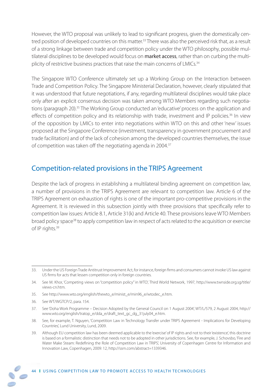However, the WTO proposal was unlikely to lead to significant progress, given the domestically centred position of developed countries on this matter.<sup>33</sup> There was also the perceived risk that, as a result of a strong linkage between trade and competition policy under the WTO philosophy, possible multilateral disciplines to be developed would focus on market access, rather than on curbing the multiplicity of restrictive business practices that raise the main concerns of LMICs.<sup>34</sup>

The Singapore WTO Conference ultimately set up a Working Group on the Interaction between Trade and Competition Policy. The Singapore Ministerial Declaration, however, clearly stipulated that it was understood that future negotiations, if any, regarding multilateral disciplines would take place only after an explicit consensus decision was taken among WTO Members regarding such negotiations (paragraph 20).<sup>35</sup> The Working Group conducted an 'educative' process on the application and effects of competition policy and its relationship with trade, investment and IP policies.<sup>36</sup> In view of the opposition by LMICs to enter into negotiations within WTO on this and other 'new' issues proposed at the Singapore Conference (investment, transparency in government procurement and trade facilitation) and of the lack of cohesion among the developed countries themselves, the issue of competition was taken off the negotiating agenda in 2004.<sup>37</sup>

# Competition-related provisions in the TRIPS Agreement

Despite the lack of progress in establishing a multilateral binding agreement on competition law, a number of provisions in the TRIPS Agreement are relevant to competition law. Article 6 of the TRIPS Agreement on exhaustion of rights is one of the important pro-competitive provisions in the Agreement. It is reviewed in this subsection jointly with three provisions that specifically refer to competition law issues: Article 8.1, Article 31(k) and Article 40. These provisions leave WTO Members broad policy space<sup>38</sup> to apply competition law in respect of acts related to the acquisition or exercise of IP rights.<sup>39</sup>

<sup>33.</sup> Under the US Foreign Trade Antitrust Improvement Act, for instance, foreign firms and consumers cannot invoke US law against US firms for acts that lessen competition only in foreign countries.

<sup>34.</sup> See M. Khor, 'Competing views on "competition policy" in WTO', Third World Network, 1997, http://www.twnside.org.sg/title/ views-cn.htm.

<sup>35.</sup> See http://www.wto.org/english/thewto\_e/minist\_e/min96\_e/wtodec\_e.htm.

<sup>36.</sup> See WT/WGTCP/2, para. 154.

<sup>37.</sup> See 'Doha Work Programme – Decision Adopted by the General Council on 1 August 2004', WT/L/579, 2 August 2004, http:// www.wto.org/english/tratop\_e/dda\_e/draft\_text\_gc\_dg\_31july04\_e.htm.

<sup>38.</sup> See, for example, T. Nguyen, 'Competition Law in Technology Transfer under TRIPS Agreement - Implications for Developing Countries', Lund University, Lund, 2009.

<sup>39.</sup> Although EU competition law has been deemed applicable to the 'exercise' of IP rights and not to their 'existence', this doctrine is based on a formalistic distinction that needs not to be adopted in other jurisdictions. See, for example, J. Schovsbo, 'Fire and Water Make Steam: Redefining the Role of Competition Law in TRIPS', University of Copenhagen Centre for Information and Innovation Law, Copenhagen, 2009: 12, http://ssrn.com/abstract=1339346.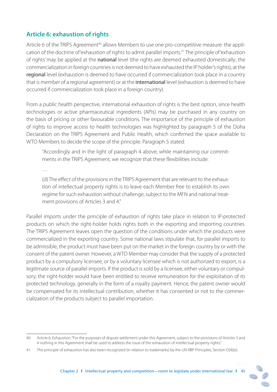## **Article 6: exhaustion of rights**

Article 6 of the TRIPS Agreement<sup>40</sup> allows Members to use one pro-competitive measure: the application of the doctrine of 'exhaustion of rights' to admit parallel imports.41 The principle of 'exhaustion of rights' may be applied at the **national** level (the rights are deemed exhausted domestically; the commercialization in foreign countries is not deemed to have exhausted the IP holder's rights), at the regional level (exhaustion is deemed to have occurred if commercialization took place in a country that is member of a regional agreement) or at the *international* level (exhaustion is deemed to have occurred if commercialization took place in a foreign country).

From a public health perspective, international exhaustion of rights is the best option, since health technologies or active pharmaceutical ingredients (APIs) may be purchased in any country on the basis of pricing or other favourable conditions. The importance of the principle of exhaustion of rights to improve access to health technologies was highlighted by paragraph 5 of the Doha Declaration on the TRIPS Agreement and Public Health, which confirmed the space available to WTO Members to decide the scope of the principle. Paragraph 5 stated:

"Accordingly and in the light of paragraph 4 above, while maintaining our commitments in the TRIPS Agreement, we recognize that these flexibilities include:

…

(d) The effect of the provisions in the TRIPS Agreement that are relevant to the exhaustion of intellectual property rights is to leave each Member free to establish its own regime for such exhaustion without challenge, subject to the MFN and national treatment provisions of Articles 3 and 4."

Parallel imports under the principle of exhaustion of rights take place in relation to IP-protected products on which the right-holder holds rights both in the exporting and importing countries. The TRIPS Agreement leaves open the question of the conditions under which the products were commercialized in the exporting country. Some national laws stipulate that, for parallel imports to be admissible, the product must have been put on the market in the foreign country by or with the consent of the patent owner. However, a WTO Member may consider that the supply of a protected product by a compulsory licensee, or by a voluntary licensee which is not authorized to export, is a legitimate source of parallel imports. If the product is sold by a licensee, either voluntary or compulsory, the right-holder would have been entitled to receive remuneration for the exploitation of its protected technology, generally in the form of a royalty payment. Hence, the patent owner would be compensated for its intellectual contribution, whether it has consented or not to the commercialization of the products subject to parallel importation.

<sup>40.</sup> Article 6. Exhaustion: "For the purposes of dispute settlement under this Agreement, subject to the provisions of Articles 3 and 4 nothing in this Agreement shall be used to address the issue of the exhaustion of intellectual property rights."

<sup>41.</sup> The principle of exhaustion has also been recognized (in relation to trademarks) by the UN RBP Principles, Section D(4)(e).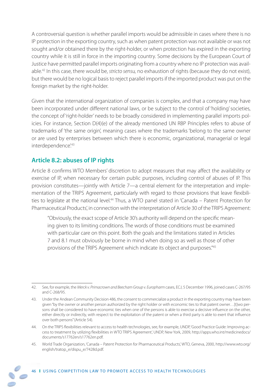A controversial question is whether parallel imports would be admissible in cases where there is no IP protection in the exporting country, such as when patent protection was not available or was not sought and/or obtained there by the right-holder, or when protection has expired in the exporting country while it is still in force in the importing country. Some decisions by the European Court of Justice have permitted parallel imports originating from a country where no IP protection was available.<sup>42</sup> In this case, there would be, *stricto sensu*, no exhaustion of rights (because they do not exist), but there would be no logical basis to reject parallel imports if the imported product was put on the foreign market by the right-holder.

Given that the international organization of companies is complex, and that a company may have been incorporated under different national laws, or be subject to the control of 'holding' societies, the concept of 'right-holder' needs to be broadly considered in implementing parallel imports policies. For instance, Section D(4)(e) of the already mentioned UN RBP Principles refers to abuse of trademarks of 'the same origin', meaning cases where the trademarks 'belong to the same owner or are used by enterprises between which there is economic, organizational, managerial or legal interdependence<sup>'43</sup>

## **Article 8.2: abuses of IP rights**

Article 8 confirms WTO Members' discretion to adopt measures that may affect the availability or exercise of IP, when necessary for certain public purposes, including control of abuses of IP. This provision constitutes—jointly with Article 7—a central element for the interpretation and implementation of the TRIPS Agreement, particularly with regard to those provisions that leave flexibilities to legislate at the national level.<sup>44</sup> Thus, a WTO panel stated in 'Canada – Patent Protection for Pharmaceutical Products', in connection with the interpretation of Article 30 of the TRIPS Agreement:

"Obviously, the exact scope of Article 30's authority will depend on the specific meaning given to its limiting conditions. The words of those conditions must be examined with particular care on this point. Both the goals and the limitations stated in Articles 7 and 8.1 must obviously be borne in mind when doing so as well as those of other provisions of the TRIPS Agreement which indicate its object and purposes."45

<sup>42.</sup> See, for example, the Merck v. Primacrown and Beecham Group v. Europharm cases, ECJ, 5 December 1996, joined cases C-267/95 and C-268/95.

<sup>43.</sup> Under the Andean Community Decision 486, the consent to commercialize a product in the exporting country may have been given "by the owner or another person authorized by the right holder or with economic ties to that patent owner…[t]wo persons shall be considered to have economic ties when one of the persons is able to exercise a decisive influence on the other, either directly or indirectly, with respect to the exploitation of the patent or when a third party is able to exert that influence over both persons" (Article 54).

<sup>44.</sup> On the TRIPS flexibilities relevant to access to health technologies, see, for example, UNDP, 'Good Practice Guide: Improving access to treatment by utilizing flexibilities in WTO TRIPS Agreement', UNDP, New York, 2009, http://apps.who.int/medicinedocs/ documents/s17762en/s17762en.pdf.

<sup>45.</sup> World Trade Organization, 'Canada – Patent Protection for Pharmaceutical Products', WTO, Geneva, 2000, http://www.wto.org/ english/tratop\_e/dispu\_e/7428d.pdf.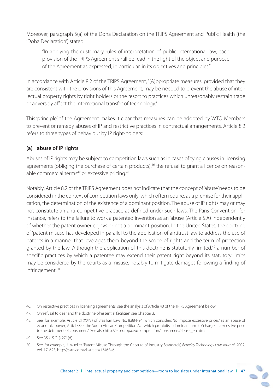Moreover, paragraph 5(a) of the Doha Declaration on the TRIPS Agreement and Public Health (the 'Doha Declaration') stated:

"In applying the customary rules of interpretation of public international law, each provision of the TRIPS Agreement shall be read in the light of the object and purpose of the Agreement as expressed, in particular, in its objectives and principles."

In accordance with Article 8.2 of the TRIPS Agreement, "[A]ppropriate measures, provided that they are consistent with the provisions of this Agreement, may be needed to prevent the abuse of intellectual property rights by right holders or the resort to practices which unreasonably restrain trade or adversely affect the international transfer of technology."

This 'principle' of the Agreement makes it clear that measures can be adopted by WTO Members to prevent or remedy abuses of IP and restrictive practices in contractual arrangements. Article 8.2 refers to three types of behaviour by IP right-holders:

#### **(a) abuse of IP rights**

Abuses of IP rights may be subject to competition laws such as in cases of tying clauses in licensing agreements (obliging the purchase of certain products),<sup>46</sup> the refusal to grant a licence on reasonable commercial terms<sup>47</sup> or excessive pricing.<sup>48</sup>

Notably, Article 8.2 of the TRIPS Agreement does not indicate that the concept of 'abuse' needs to be considered in the context of competition laws only, which often require, as a premise for their application, the determination of the existence of a dominant position. The abuse of IP rights may or may not constitute an anti-competitive practice as defined under such laws. The Paris Convention, for instance, refers to the failure to work a patented invention as an 'abuse' (Article 5.A) independently of whether the patent owner enjoys or not a dominant position. In the United States, the doctrine of 'patent misuse' has developed in parallel to the application of antitrust law to address the use of patents in a manner that leverages them beyond the scope of rights and the term of protection granted by the law. Although the application of this doctrine is statutorily limited.<sup>49</sup> a number of specific practices by which a patentee may extend their patent right beyond its statutory limits may be considered by the courts as a misuse, notably to mitigate damages following a finding of infringement.<sup>50</sup>

<sup>46.</sup> On restrictive practices in licensing agreements, see the analysis of Article 40 of the TRIPS Agreement below.

<sup>47.</sup> On 'refusal to deal' and the doctrine of 'essential facilities', see Chapter 3.

<sup>48.</sup> See, for example, Article 21(XXIV) of Brazilian Law No. 8.884/94, which considers "to impose excessive prices" as an abuse of economic power; Article 8 of the South African Competition Act which prohibits a dominant firm to "charge an excessive price to the detriment of consumers". See also http://ec.europa.eu/competition/consumers/abuse\_en.html.

<sup>49.</sup> See 35 U.S.C. § 271(d).

<sup>50.</sup> See, for example, J. Mueller, 'Patent Misuse Through the Capture of Industry Standards', Berkeley Technology Law Journal, 2002, Vol. 17: 623, http://ssrn.com/abstract=1346546.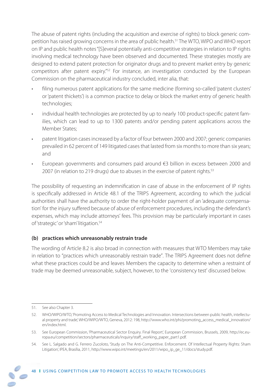The abuse of patent rights (including the acquisition and exercise of rights) to block generic competition has raised growing concerns in the area of public health.51 The WTO, WIPO and WHO report on IP and public health notes "[S]everal potentially anti-competitive strategies in relation to IP rights involving medical technology have been observed and documented. These strategies mostly are designed to extend patent protection for originator drugs and to prevent market entry by generic competitors after patent expiry."<sup>52</sup> For instance, an investigation conducted by the European Commission on the pharmaceutical industry concluded, inter alia, that:

- filing numerous patent applications for the same medicine (forming so-called 'patent clusters' or 'patent thickets') is a common practice to delay or block the market entry of generic health technologies;
- individual health technologies are protected by up to nearly 100 product-specific patent families, which can lead to up to 1300 patents and/or pending patent applications across the Member States;
- patent litigation cases increased by a factor of four between 2000 and 2007; generic companies prevailed in 62 percent of 149 litigated cases that lasted from six months to more than six years; and
- European governments and consumers paid around €3 billion in excess between 2000 and 2007 (in relation to 219 drugs) due to abuses in the exercise of patent rights.<sup>53</sup>

The possibility of requesting an indemnification in case of abuse in the enforcement of IP rights is specifically addressed in Article 48.1 of the TRIPS Agreement, according to which the judicial authorities shall have the authority to order the right-holder payment of an 'adequate compensation' for the injury suffered because of abuse of enforcement procedures, including the defendant's expenses, which may include attorneys' fees. This provision may be particularly important in cases of 'strategic' or 'sham' litigation.54

#### **(b) practices which unreasonably restrain trade**

The wording of Article 8.2 is also broad in connection with measures that WTO Members may take in relation to "practices which unreasonably restrain trade". The TRIPS Agreement does not define what these practices could be and leaves Members the capacity to determine when a restraint of trade may be deemed unreasonable, subject, however, to the 'consistency test' discussed below.

<sup>51.</sup> See also Chapter 3.

<sup>52.</sup> WHO/WIPO/WTO, 'Promoting Access to Medical Technologies and Innovation. Intersections between public health, intellectual property and trade', WHO/WIPO/WTO, Geneva, 2012: 198, http://www.who.int/phi/promoting\_access\_medical\_innovation/ en/index.html.

<sup>53.</sup> See European Commission, 'Pharmaceutical Sector Enquiry. Final Report', European Commission, Brussels, 2009, http://ec.europa.eu/competition/sectors/pharmaceuticals/inquiry/staff \_working\_paper\_part1.pdf.

<sup>54.</sup> See L. Salgado and G. Ferrero Zucoloto, 'Study on The Anti-Competitive. Enforcement. Of Intellectual Property Rights: Sham Litigation', IPEA, Brasília, 2011, http://www.wipo.int/meetings/en/2011/wipo\_ip\_ge\_11/docs/study.pdf.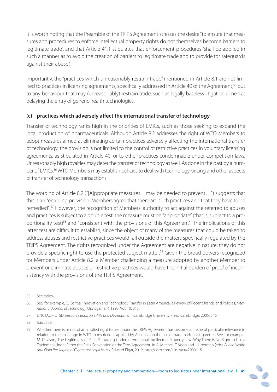It is worth noting that the Preamble of the TRIPS Agreement stresses the desire "to ensure that measures and procedures to enforce intellectual property rights do not themselves become barriers to legitimate trade", and that Article 41.1 stipulates that enforcement procedures "shall be applied in such a manner as to avoid the creation of barriers to legitimate trade and to provide for safeguards against their abuse".

Importantly, the "practices which unreasonably restrain trade" mentioned in Article 8.1 are not limited to practices in licensing agreements, specifically addressed in Article 40 of the Agreement,<sup>55</sup> but to any behaviour that may (unreasonably) restrain trade, such as legally baseless litigation aimed at delaying the entry of generic health technologies.

#### (c) practices which adversely affect the international transfer of technology

Transfer of technology ranks high in the priorities of LMICs, such as those seeking to expand the local production of pharmaceuticals. Although Article 8.2 addresses the right of WTO Members to adopt measures aimed at eliminating certain practices adversely affecting the international transfer of technology, the provision is not limited to the control of restrictive practices in voluntary licensing agreements, as stipulated in Article 40, or to other practices condemnable under competition laws. Unreasonably high royalties may deter the transfer of technology as well. As done in the past by a number of LMICs,<sup>56</sup> WTO Members may establish policies to deal with technology pricing and other aspects of transfer of technology transactions.

The wording of Article 8.2 ("[A]ppropriate measures…may be needed to prevent…") suggests that this is an "enabling provision: Members agree that there are such practices and that they have to be remedied".57 However, the recognition of Members' authority to act against the referred to abuses and practices is subject to a double test: the measure must be "appropriate" (that is, subject to a proportionality test)<sup>58</sup> and "consistent with the provisions of this Agreement". The implications of this latter test are difficult to establish, since the object of many of the measures that could be taken to address abuses and restrictive practices would fall outside the matters specifically regulated by the TRIPS Agreement. The rights recognized under the Agreement are negative in nature; they do not provide a specific right to use the protected subject matter.<sup>59</sup> Given the broad powers recognized for Members under Article 8.2, a Member challenging a measure adopted by another Member to prevent or eliminate abuses or restrictive practices would have the initial burden of proof of inconsistency with the provisions of the TRIPS Agreement.

<sup>55.</sup> See below.

<sup>56.</sup> See, for example, C. Correa, 'Innovation and Technology Transfer in Latin America: a Review of Recent Trends and Policies', International Journal of Technology Management, 1995, Vol. 10: 815.

<sup>57.</sup> UNCTAD–ICTSD, Resource Book on TRIPS and Development, Cambridge University Press, Cambridge, 2005: 546.

<sup>58.</sup> Ibid.: 553.

<sup>59.</sup> Whether there is or not of an implied right to use under the TRIPS Agreement has become an issue of particular relevance in relation to the challenge in WTO to restrictions applied by Australia on the use of trademarks for cigarettes. See, for example, M. Davison, 'The Legitimacy of Plain Packaging Under International Intellectual Property Law: Why There is No Right to Use a Trademark Under Either the Paris Convention or the Trips Agreement', in A. Mitchell, T. Voon and J. Liberman (eds), Public Health and Plain Packaging of Cigarettes: Legal Issues, Edward Elgar, 2012, http://ssrn.com/abstract=2009115.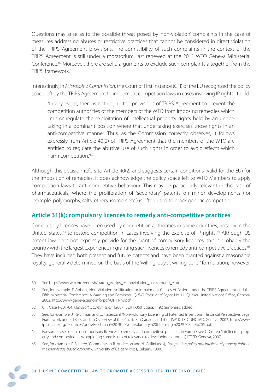Questions may arise as to the possible threat posed by 'non-violation' complaints in the case of measures addressing abuses or restrictive practices that cannot be considered in direct violation of the TRIPS Agreement provisions. The admissibility of such complaints in the context of the TRIPS Agreement is still under a moratorium, last renewed at the 2011 WTO Geneva Ministerial Conference.<sup>60</sup> Moreover, there are solid arguments to exclude such complaints altogether from the TRIPS framework<sup>61</sup>

Interestingly, in Microsoft v. Commission, the Court of First Instance (CFI) of the EU recognized the policy space left by the TRIPS Agreement to implement competition laws in cases involving IP rights. It held:

"In any event, there is nothing in the provisions of TRIPS Agreement to prevent the competition authorities of the members of the WTO from imposing remedies which limit or regulate the exploitation of intellectual property rights held by an undertaking in a dominant position where that undertaking exercises those rights in an anti-competitive manner. Thus, as the Commission correctly observes, it follows expressly from Article 40(2) of TRIPS Agreement that the members of the WTO are entitled to regulate the abusive use of such rights in order to avoid effects which harm competition."62

Although this decision refers to Article 40(2) and suggests certain conditions (valid for the EU) for the imposition of remedies, it does acknowledge the policy space left to WTO Members to apply competition laws to anti-competitive behaviour. This may be particularly relevant in the case of pharmaceuticals, where the proliferation of 'secondary' patents on minor developments (for example, polymorphs, salts, ethers, isomers etc.) is often used to block generic competition.

## **Article 31(k): compulsory licences to remedy anti-competitive practices**

Compulsory licences have been used by competition authorities in some countries, notably in the United States,<sup>63</sup> to restore competition in cases involving the exercise of IP rights.<sup>64</sup> Although US patent law does not expressly provide for the grant of compulsory licences, this is probably the country with the largest experience in granting such licences to remedy anti-competitive practices.<sup>65</sup> They have included both present and future patents and have been granted against a reasonable royalty, generally determined on the basis of the 'willing-buyer, willing-seller' formulation; however,

<sup>60.</sup> See http://www.wto.org/english/tratop\_e/trips\_e/nonviolation\_background\_e.htm.

<sup>61.</sup> See, for example, F. Abbott, 'Non-Violation Nullification or Impairment Causes of Action under the TRIPS Agreement and the Fifth Ministerial Conference: A Warning and Reminder', QUNO Occasional Paper, No. 11, Quaker United Nations Office, Geneva, 2002, http://www.geneva.quno.info/pdf/QP11-nv.pdf.

<sup>62.</sup> CFI, Case T-201/04, Microsoft v. Commission, [2007] ECR II-3601, para. 1192 (emphasis added).

<sup>63.</sup> See, for example, J. Reichman and C. Hasenzahl, 'Non-voluntary Licensing of Patented Inventions. Historical Perspective, Legal Framework under TRIPS, and an Overview of the Practice in Canada and the USA', ICTSD-UNCTAD, Geneva, 2003, http://www. iprsonline.org/resources/docs/Reichman%20-%20Non-voluntary%20Licensing%20-%20Blue%205.pdf.

<sup>64.</sup> For some cases of use of compulsory licences to remedy anti-competitive practices in Europe, see C. Correa, 'Intellectual property and competition law: exploring some issues of relevance to developing countries', ICTSD, Geneva, 2007.

<sup>65.</sup> See, for example, F. Scherer, 'Comments' in R. Anderson and N. Gallini (eds), Competition policy and intellectual property rights in the knowledge-based economy, University of Calgary Press, Calgary. 1998.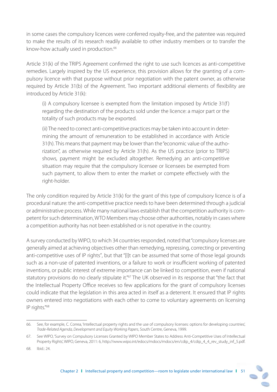in some cases the compulsory licences were conferred royalty-free, and the patentee was required to make the results of its research readily available to other industry members or to transfer the know-how actually used in production.<sup>66</sup>

Article 31(k) of the TRIPS Agreement confirmed the right to use such licences as anti-competitive remedies. Largely inspired by the US experience, this provision allows for the granting of a compulsory licence with that purpose without prior negotiation with the patent owner, as otherwise required by Article 31(b) of the Agreement. Two important additional elements of flexibility are introduced by Article 31(k):

(i) A compulsory licensee is exempted from the limitation imposed by Article 31(f ) regarding the destination of the products sold under the licence: a major part or the totality of such products may be exported.

(ii) The need to correct anti-competitive practices may be taken into account in determining the amount of remuneration to be established in accordance with Article 31(h). This means that payment may be lower than the "economic value of the authorization", as otherwise required by Article 31(h). As the US practice (prior to TRIPS) shows, payment might be excluded altogether. Remedying an anti-competitive situation may require that the compulsory licensee or licensees be exempted from such payment, to allow them to enter the market or compete effectively with the right-holder.

The only condition required by Article 31(k) for the grant of this type of compulsory licence is of a procedural nature: the anti-competitive practice needs to have been determined through a judicial or administrative process. While many national laws establish that the competition authority is competent for such determination, WTO Members may choose other authorities, notably in cases where a competition authority has not been established or is not operative in the country.

A survey conducted by WIPO, to which 34 countries responded, noted that "compulsory licenses are generally aimed at achieving objectives other than remedying, repressing, correcting or preventing anti-competitive uses of IP rights", but that "[I]t can be assumed that some of those legal grounds such as a non-use of patented inventions, or a failure to work or insufficient working of patented inventions, or public interest of extreme importance can be linked to competition, even if national statutory provisions do no clearly stipulate it."<sup>67</sup> The UK observed in its response that "the fact that the Intellectual Property Office receives so few applications for the grant of compulsory licenses could indicate that the legislation in this area acted in itself as a deterrent. It ensured that IP rights owners entered into negotiations with each other to come to voluntary agreements on licensing IP rights."68

<sup>66.</sup> See, for example, C. Correa, 'Intellectual property rights and the use of compulsory licenses: options for developing countries', Trade-Related Agenda, Development and Equity Working Papers, South Centre, Geneva, 1999.

<sup>67.</sup> See WIPO, 'Survey on Compulsory Licenses Granted by WIPO Member States to Address Anti-Competitive Uses of Intellectual Property Rights', WIPO, Geneva, 2011: 6, http://www.wipo.int/edocs/mdocs/mdocs/en/cdip\_4/cdip\_4\_4\_rev\_study\_inf\_5.pdf.

<sup>68.</sup> Ibid.: 24.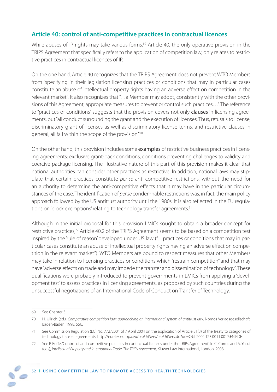## **Article 40: control of anti-competitive practices in contractual licences**

While abuses of IP rights may take various forms,<sup>69</sup> Article 40, the only operative provision in the TRIPS Agreement that specifically refers to the application of competition law, only relates to restrictive practices in contractual licences of IP.

On the one hand, Article 40 recognizes that the TRIPS Agreement does not prevent WTO Members from "specifying in their legislation licensing practices or conditions that may in particular cases constitute an abuse of intellectual property rights having an adverse effect on competition in the relevant market". It also recognizes that "…a Member may adopt, consistently with the other provisions of this Agreement, appropriate measures to prevent or control such practices…". The reference to "practices or conditions" suggests that the provision covers not only **clauses** in licensing agreements, but "all conduct surrounding the grant and the execution of licenses. Thus, refusals to license, discriminatory grant of licenses as well as discriminatory license terms, and restrictive clauses in general, all fall within the scope of the provision."70

On the other hand, this provision includes some examples of restrictive business practices in licensing agreements: exclusive grant-back conditions, conditions preventing challenges to validity and coercive package licensing. The illustrative nature of this part of this provision makes it clear that national authorities can consider other practices as restrictive. In addition, national laws may stipulate that certain practices constitute per se anti-competitive restrictions, without the need for an authority to determine the anti-competitive effects that it may have in the particular circumstances of the case. The identification of per se condemnable restrictions was, in fact, the main policy approach followed by the US antitrust authority until the 1980s. It is also reflected in the EU regulations on 'block exemptions' relating to technology transfer agreements.<sup>71</sup>

Although in the initial proposal for this provision LMICs sought to obtain a broader concept for restrictive practices,<sup>72</sup> Article 40.2 of the TRIPS Agreement seems to be based on a competition test inspired by the 'rule of reason' developed under US law ("…practices or conditions that may in particular cases constitute an abuse of intellectual property rights having an adverse effect on competition in the relevant market"). WTO Members are bound to respect measures that other Members may take in relation to licensing practices or conditions which "restrain competition" and that may have "adverse effects on trade and may impede the transfer and dissemination of technology". These qualifications were probably introduced to prevent governments in LMICs from applying a 'development test' to assess practices in licensing agreements, as proposed by such countries during the unsuccessful negotiations of an International Code of Conduct on Transfer of Technology.

<sup>69.</sup> See Chapter 3.

<sup>70.</sup> H. Ullrich (ed.), Comparative competition law: approaching an international system of antitrust law, Nomos Verlagsgesellschaft, Baden-Baden, 1998: 556.

<sup>71.</sup> See Commission Regulation (EC) No. 772/2004 of 7 April 2004 on the application of Article 81(3) of the Treaty to categories of technology transfer agreements: http://eur-lex.europa.eu/LexUriServ/LexUriServ.do?uri=OJ:L:2004:123:0011:0017:EN:PDF.

<sup>72.</sup> See P. Roffe, 'Control of anti-competitive practices in contractual licenses under the TRIPs Agreement', in C. Correa and A. Yusuf (eds), Intellectual Property and International Trade. The TRIPs Agreement, Kluwer Law International, London, 2008.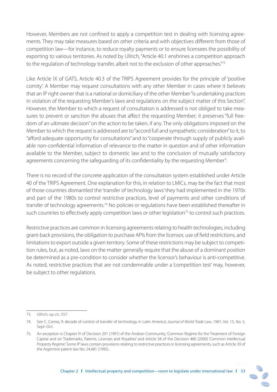However, Members are not confined to apply a competition test in dealing with licensing agreements. They may take measures based on other criteria and with objectives different from those of competition law—for instance, to reduce royalty payments or to ensure licensees the possibility of exporting to various territories. As noted by Ullrich, "Article 40.1 enshrines a competition approach to the regulation of technology transfer, albeit not to the exclusion of other approaches."<sup>73</sup>

Like Article IX of GATS, Article 40.3 of the TRIPS Agreement provides for the principle of 'positive comity'. A Member may request consultations with any other Member in cases where it believes that an IP right owner that is a national or domiciliary of the other Member "is undertaking practices in violation of the requesting Member's laws and regulations on the subject matter of this Section". However, the Member to which a request of consultation is addressed is not obliged to take measures to prevent or sanction the abuses that affect the requesting Member; it preserves "full freedom of an ultimate decision" on the action to be taken, if any. The only obligations imposed on the Member to which the request is addressed are to "accord full and sympathetic consideration" to it, to "afford adequate opportunity for consultations" and to "cooperate through supply of publicly available non-confidential information of relevance to the matter in question and of other information available to the Member, subject to domestic law and to the conclusion of mutually satisfactory agreements concerning the safeguarding of its confidentiality by the requesting Member".

There is no record of the concrete application of the consultation system established under Article 40 of the TRIPS Agreement. One explanation for this, in relation to LMICs, may be the fact that most of those countries dismantled the 'transfer of technology laws' they had implemented in the 1970s and part of the 1980s to control restrictive practices, level of payments and other conditions of transfer of technology agreements.74 No policies or regulations have been established thereafter in such countries to effectively apply competition laws or other legislation<sup>75</sup> to control such practices.

Restrictive practices are common in licensing agreements relating to health technologies, including grant-back provisions, the obligation to purchase APIs from the licensor, use of field restrictions, and limitations to export outside a given territory. Some of these restrictions may be subject to competition rules, but, as noted, laws on the matter generally require that the abuse of a dominant position be determined as a pre-condition to consider whether the licensor's behaviour is anti-competitive. As noted, restrictive practices that are not condemnable under a 'competition test' may, however, be subject to other regulations.

<sup>73.</sup> Ullrich, op cit.: 557.

<sup>74.</sup> See C. Correa, 'A decade of control of transfer of technology in Latin America', Journal of World Trade Law, 1981, Vol. 15, No. 5, Sept–Oct.

<sup>75.</sup> An exception is Chapter IV of Decision 291 (1991) of the Andean Community, 'Common Regime for the Treatment of Foreign Capital and on Trademarks, Patents, Licenses and Royalties' and Article 58 of the Decision 486 (2000) 'Common Intellectual Property Regime'. Some IP laws contain provisions relating to restrictive practices in licensing agreements, such as Article 39 of the Argentine patent law No. 24.481 (1995).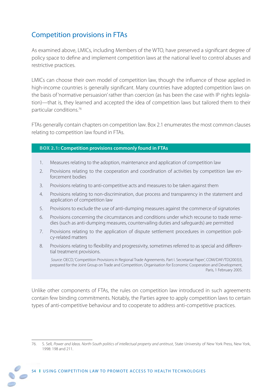# Competition provisions in FTAs

As examined above, LMICs, including Members of the WTO, have preserved a significant degree of policy space to define and implement competition laws at the national level to control abuses and restrictive practices.

LMICs can choose their own model of competition law, though the influence of those applied in high-income countries is generally significant. Many countries have adopted competition laws on the basis of 'normative persuasion' rather than coercion (as has been the case with IP rights legislation)—that is, they learned and accepted the idea of competition laws but tailored them to their particular conditions.76

FTAs generally contain chapters on competition law. Box 2.1 enumerates the most common clauses relating to competition law found in FTAs.

#### **BOX 2.1: Competition provisions commonly found in FTAs**

- 1. Measures relating to the adoption, maintenance and application of competition law
- 2. Provisions relating to the cooperation and coordination of activities by competition law enforcement bodies
- 3. Provisions relating to anti-competitive acts and measures to be taken against them
- 4. Provisions relating to non-discrimination, due process and transparency in the statement and application of competition law
- 5. Provisions to exclude the use of anti-dumping measures against the commerce of signatories
- 6. Provisions concerning the circumstances and conditions under which recourse to trade remedies (such as anti-dumping measures, countervailing duties and safeguards) are permitted
- 7. Provisions relating to the application of dispute settlement procedures in competition policy-related matters
- 8. Provisions relating to flexibility and progressivity, sometimes referred to as special and differential treatment provisions.

Source: OECD, 'Competition Provisions in Regional Trade Agreements. Part I. Secretariat Paper', COM/DAF/TD(2003)3, prepared for the Joint Group on Trade and Competition, Organisation for Economic Cooperation and Development, Paris, 1 February 2005.

Unlike other components of FTAs, the rules on competition law introduced in such agreements contain few binding commitments. Notably, the Parties agree to apply competition laws to certain types of anti-competitive behaviour and to cooperate to address anti-competitive practices.

<sup>76.</sup> S. Sell, Power and Ideas. North-South politics of intellectual property and antitrust, State University of New York Press, New York, 1998: 198 and 211.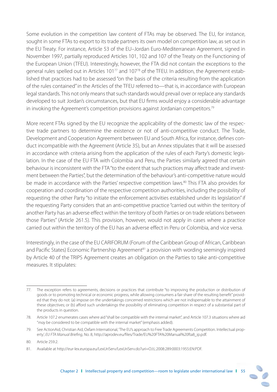Some evolution in the competition law content of FTAs may be observed. The EU, for instance, sought in some FTAs to export to its trade partners its own model on competition law, as set out in the EU Treaty. For instance, Article 53 of the EU–Jordan Euro-Mediterranean Agreement, signed in November 1997, partially reproduced Articles 101, 102 and 107 of the Treaty on the Functioning of the European Union (TFEU). Interestingly, however, the FTA did not contain the exceptions to the general rules spelled out in Articles 101<sup>77</sup> and 107<sup>78</sup> of the TFEU. In addition, the Agreement established that practices had to be assessed "on the basis of the criteria resulting from the application of the rules contained" in the Articles of the TFEU referred to—that is, in accordance with European legal standards. This not only means that such standards would prevail over or replace any standards developed to suit Jordan's circumstances, but that EU firms would enjoy a considerable advantage in invoking the Agreement's competition provisions against Jordanian competitors.<sup>79</sup>

More recent FTAs signed by the EU recognize the applicability of the domestic law of the respective trade partners to determine the existence or not of anti-competitive conduct. The Trade, Development and Cooperation Agreement between EU and South Africa, for instance, defines conduct incompatible with the Agreement (Article 35), but an Annex stipulates that it will be assessed in accordance with criteria arising from the application of the rules of each Party's domestic legislation. In the case of the EU FTA with Colombia and Peru, the Parties similarly agreed that certain behaviour is inconsistent with the FTA "to the extent that such practices may affect trade and investment between the Parties", but the determination of the behaviour's anti-competitive nature would be made in accordance with the Parties' respective competition laws.<sup>80</sup> This FTA also provides for cooperation and coordination of the respective competition authorities, including the possibility of requesting the other Party "to initiate the enforcement activities established under its legislation" if the requesting Party considers that an anti-competitive practice "carried out within the territory of another Party has an adverse effect within the territory of both Parties or on trade relations between those Parties" (Article 261.5). This provision, however, would not apply in cases where a practice carried out within the territory of the EU has an adverse effect in Peru or Colombia, and vice versa.

Interestingly, in the case of the EU CARIFORUM (Forum of the Caribbean Group of African, Caribbean and Pacific States) Economic Partnership Agreement<sup>81</sup> a provision with wording seemingly inspired by Article 40 of the TRIPS Agreement creates an obligation on the Parties to take anti-competitive measures. It stipulates:

<sup>77.</sup> The exception refers to agreements, decisions or practices that contribute "to improving the production or distribution of goods or to promoting technical or economic progress, while allowing consumers a fair share of the resulting benefit" provided that they do not: (a) impose on the undertakings concerned restrictions which are not indispensable to the attainment of these objectives; or (b) afford such undertakings the possibility of eliminating competition in respect of a substantial part of the products in question.

<sup>78.</sup> Article 107.2 enumerates cases where aid "shall be compatible with the internal market", and Article 107.3 situations where aid "may be considered to be compatible with the internal market" (emphasis added).

<sup>79.</sup> See ActionAid, Christian Aid, Oxfam International, 'The EU's approach to Free Trade Agreements Competition. Intellectual property', EU FTA Manual Briefing, No. 8, http://aprodev.eu/files/Trade/EU%20FTA%20Manual%20fta8\_ip.pdf.

<sup>80</sup> Article 259.2

<sup>81.</sup> Available at http://eur-lex.europa.eu/LexUriServ/LexUriServ.do?uri=OJ:L:2008:289:0003:1955:EN:PDF.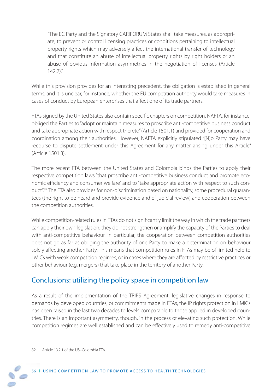"The EC Party and the Signatory CARIFORUM States shall take measures, as appropriate, to prevent or control licensing practices or conditions pertaining to intellectual property rights which may adversely affect the international transfer of technology and that constitute an abuse of intellectual property rights by right holders or an abuse of obvious information asymmetries in the negotiation of licenses (Article  $142.2$ )"

While this provision provides for an interesting precedent, the obligation is established in general terms, and it is unclear, for instance, whether the EU competition authority would take measures in cases of conduct by European enterprises that affect one of its trade partners.

FTAs signed by the United States also contain specific chapters on competition. NAFTA, for instance, obliged the Parties to "adopt or maintain measures to proscribe anti-competitive business conduct and take appropriate action with respect thereto" (Article 1501.1) and provided for cooperation and coordination among their authorities. However, NAFTA explicitly stipulated "[N]o Party may have recourse to dispute settlement under this Agreement for any matter arising under this Article" (Article 1501.3).

The more recent FTA between the United States and Colombia binds the Parties to apply their respective competition laws "that proscribe anti-competitive business conduct and promote economic efficiency and consumer welfare" and to "take appropriate action with respect to such conduct".<sup>82</sup> The FTA also provides for non-discrimination based on nationality, some procedural quarantees (the right to be heard and provide evidence and of judicial review) and cooperation between the competition authorities.

While competition-related rules in FTAs do not significantly limit the way in which the trade partners can apply their own legislation, they do not strengthen or amplify the capacity of the Parties to deal with anti-competitive behaviour. In particular, the cooperation between competition authorities does not go as far as obliging the authority of one Party to make a determination on behaviour solely affecting another Party. This means that competition rules in FTAs may be of limited help to LMICs with weak competition regimes, or in cases where they are affected by restrictive practices or other behaviour (e.g. mergers) that take place in the territory of another Party.

# Conclusions: utilizing the policy space in competition law

As a result of the implementation of the TRIPS Agreement, legislative changes in response to demands by developed countries, or commitments made in FTAs, the IP rights protection in LMICs has been raised in the last two decades to levels comparable to those applied in developed countries. There is an important asymmetry, though, in the process of elevating such protection. While competition regimes are well established and can be effectively used to remedy anti-competitive

<sup>82.</sup> Article 13.2.1 of the US–Colombia FTA.

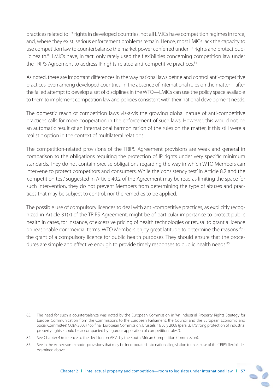practices related to IP rights in developed countries, not all LMICs have competition regimes in force, and, where they exist, serious enforcement problems remain. Hence, most LMICs lack the capacity to use competition law to counterbalance the market power conferred under IP rights and protect public health.<sup>83</sup> LMICs have, in fact, only rarely used the flexibilities concerning competition law under the TRIPS Agreement to address IP rights-related anti-competitive practices.<sup>84</sup>

As noted, there are important differences in the way national laws define and control anti-competitive practices, even among developed countries. In the absence of international rules on the matter—after the failed attempt to develop a set of disciplines in the WTO—LMICs can use the policy space available to them to implement competition law and policies consistent with their national development needs.

The domestic reach of competition laws vis-à-vis the growing global nature of anti-competitive practices calls for more cooperation in the enforcement of such laws. However, this would not be an automatic result of an international harmonization of the rules on the matter, if this still were a realistic option in the context of multilateral relations.

The competition-related provisions of the TRIPS Agreement provisions are weak and general in comparison to the obligations requiring the protection of IP rights under very specific minimum standards. They do not contain precise obligations regarding the way in which WTO Members can intervene to protect competitors and consumers. While the 'consistency test' in Article 8.2 and the 'competition test' suggested in Article 40.2 of the Agreement may be read as limiting the space for such intervention, they do not prevent Members from determining the type of abuses and practices that may be subject to control, nor the remedies to be applied.

The possible use of compulsory licences to deal with anti-competitive practices, as explicitly recognized in Article 31(k) of the TRIPS Agreement, might be of particular importance to protect public health in cases, for instance, of excessive pricing of health technologies or refusal to grant a licence on reasonable commercial terms. WTO Members enjoy great latitude to determine the reasons for the grant of a compulsory licence for public health purposes. They should ensure that the procedures are simple and effective enough to provide timely responses to public health needs.85

<sup>83.</sup> The need for such a counterbalance was noted by the European Commission in 'An Industrial Property Rights Strategy for Europe. Communication from the Commissions to the European Parliament, the Council and the European Economic and Social Committee', COM(2008) 465 final, European Commission, Brussels, 16 July 2008 (para, 3.4: "Strong protection of industrial property rights should be accompanied by rigorous application of competition rules.").

<sup>84.</sup> See Chapter 4 (reference to the decision on ARVs by the South African Competition Commission).

<sup>85.</sup> See in the Annex some model provisions that may be incorporated into national legislation to make use of the TRIPS flexibilities examined above.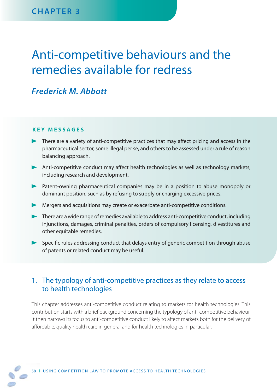# Anti-competitive behaviours and the remedies available for redress

# *Frederick M. Abbott*

#### **KEY MESSAGES**

- There are a variety of anti-competitive practices that may affect pricing and access in the pharmaceutical sector, some illegal per se, and others to be assessed under a rule of reason balancing approach.
- Anti-competitive conduct may affect health technologies as well as technology markets, including research and development.
- Patent-owning pharmaceutical companies may be in a position to abuse monopoly or dominant position, such as by refusing to supply or charging excessive prices.
- Mergers and acquisitions may create or exacerbate anti-competitive conditions.
- There are a wide range of remedies available to address anti-competitive conduct, including injunctions, damages, criminal penalties, orders of compulsory licensing, divestitures and other equitable remedies.
- $\blacktriangleright$  Specific rules addressing conduct that delays entry of generic competition through abuse of patents or related conduct may be useful.

# 1. The typology of anti-competitive practices as they relate to access to health technologies

This chapter addresses anti-competitive conduct relating to markets for health technologies. This contribution starts with a brief background concerning the typology of anti-competitive behaviour. It then narrows its focus to anti-competitive conduct likely to affect markets both for the delivery of affordable, quality health care in general and for health technologies in particular.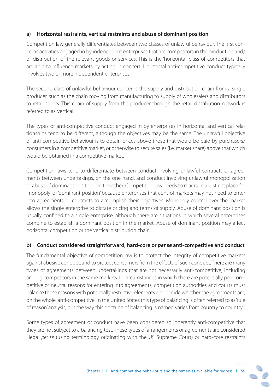#### **a) Horizontal restraints, vertical restraints and abuse of dominant position**

Competition law generally differentiates between two classes of unlawful behaviour. The first concerns activities engaged in by independent enterprises that are competitors in the production and/ or distribution of the relevant goods or services. This is the 'horizontal' class of competitors that are able to influence markets by acting in concert. Horizontal anti-competitive conduct typically involves two or more independent enterprises.

The second class of unlawful behaviour concerns the supply and distribution chain from a single producer, such as the chain moving from manufacturing to supply of wholesalers and distributors to retail sellers. This chain of supply from the producer through the retail distribution network is referred to as 'vertical'.

The types of anti-competitive conduct engaged in by enterprises in horizontal and vertical relationships tend to be different, although the objectives may be the same. The unlawful objective of anti-competitive behaviour is to obtain prices above those that would be paid by purchasers/ consumers in a competitive market, or otherwise to secure sales (i.e. market share) above that which would be obtained in a competitive market.

Competition laws tend to differentiate between conduct involving unlawful contracts or agreements between undertakings, on the one hand, and conduct involving unlawful monopolization or abuse of dominant position, on the other. Competition law needs to maintain a distinct place for 'monopoly' or 'dominant position' because enterprises that control markets may not need to enter into agreements or contracts to accomplish their objectives. Monopoly control over the market allows the single enterprise to dictate pricing and terms of supply. Abuse of dominant position is usually confined to a single enterprise, although there are situations in which several enterprises combine to establish a dominant position in the market. Abuse of dominant position may affect horizontal competition or the vertical distribution chain.

#### **b) Conduct considered straightforward, hard-core or** *per se* **anti-competitive and conduct**

The fundamental objective of competition law is to protect the integrity of competitive markets against abusive conduct, and to protect consumers from the effects of such conduct. There are many types of agreements between undertakings that are not necessarily anti-competitive, including among competitors in the same markets. In circumstances in which there are potentially pro-competitive or neutral reasons for entering into agreements, competition authorities and courts must balance these reasons with potentially restrictive elements and decide whether the agreements are, on the whole, anti-competitive. In the United States this type of balancing is often referred to as 'rule of reason' analysis, but the way this doctrine of balancing is named varies from country to country.

Some types of agreement or conduct have been considered so inherently anti-competitive that they are not subject to a balancing test. These types of arrangements or agreements are considered illegal per se (using terminology originating with the US Supreme Court) or hard-core restraints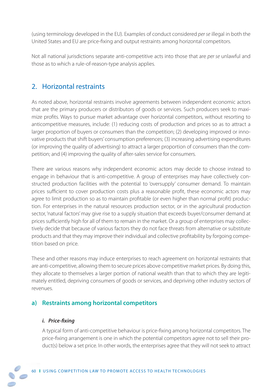(using terminology developed in the EU). Examples of conduct considered per se illegal in both the United States and EU are price-fixing and output restraints among horizontal competitors.

Not all national jurisdictions separate anti-competitive acts into those that are per se unlawful and those as to which a rule-of-reason-type analysis applies.

# 2. Horizontal restraints

As noted above, horizontal restraints involve agreements between independent economic actors that are the primary producers or distributors of goods or services. Such producers seek to maximize profits. Ways to pursue market advantage over horizontal competitors, without resorting to anticompetitive measures, include: (1) reducing costs of production and prices so as to attract a larger proportion of buyers or consumers than the competition; (2) developing improved or innovative products that shift buyers' consumption preferences; (3) increasing advertising expenditures (or improving the quality of advertising) to attract a larger proportion of consumers than the competition; and (4) improving the quality of after-sales service for consumers.

There are various reasons why independent economic actors may decide to choose instead to engage in behaviour that is anti-competitive. A group of enterprises may have collectively constructed production facilities with the potential to 'oversupply' consumer demand. To maintain prices sufficient to cover production costs plus a reasonable profit, these economic actors may agree to limit production so as to maintain profitable (or even higher than normal profit) production. For enterprises in the natural resources production sector, or in the agricultural production sector, 'natural factors' may give rise to a supply situation that exceeds buyer/consumer demand at prices sufficiently high for all of them to remain in the market. Or a group of enterprises may collectively decide that because of various factors they do not face threats from alternative or substitute products and that they may improve their individual and collective profitability by forgoing competition based on price.

These and other reasons may induce enterprises to reach agreement on horizontal restraints that are anti-competitive, allowing them to secure prices above competitive market prices. By doing this, they allocate to themselves a larger portion of national wealth than that to which they are legitimately entitled, depriving consumers of goods or services, and depriving other industry sectors of revenues.

## **a) Restraints among horizontal competitors**

#### *i. Price-fixing*

A typical form of anti-competitive behaviour is price-fixing among horizontal competitors. The price-fixing arrangement is one in which the potential competitors agree not to sell their product(s) below a set price. In other words, the enterprises agree that they will not seek to attract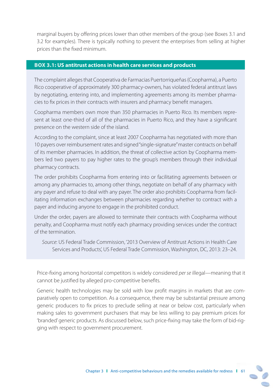marginal buyers by offering prices lower than other members of the group (see Boxes 3.1 and 3.2 for examples). There is typically nothing to prevent the enterprises from selling at higher prices than the fixed minimum.

#### **BOX 3.1: US antitrust actions in health care services and products**

The complaint alleges that Cooperativa de Farmacias Puertorriqueñas (Coopharma), a Puerto Rico cooperative of approximately 300 pharmacy-owners, has violated federal antitrust laws by negotiating, entering into, and implementing agreements among its member pharmacies to fix prices in their contracts with insurers and pharmacy benefit managers.

Coopharma members own more than 350 pharmacies in Puerto Rico. Its members represent at least one-third of all of the pharmacies in Puerto Rico, and they have a significant presence on the western side of the island.

According to the complaint, since at least 2007 Coopharma has negotiated with more than 10 payers over reimbursement rates and signed "single-signature" master contracts on behalf of its member pharmacies. In addition, the threat of collective action by Coopharma members led two payers to pay higher rates to the group's members through their individual pharmacy contracts.

The order prohibits Coopharma from entering into or facilitating agreements between or among any pharmacies to, among other things, negotiate on behalf of any pharmacy with any payer and refuse to deal with any payer. The order also prohibits Coopharma from facilitating information exchanges between pharmacies regarding whether to contract with a payer and inducing anyone to engage in the prohibited conduct.

Under the order, payers are allowed to terminate their contracts with Coopharma without penalty, and Coopharma must notify each pharmacy providing services under the contract of the termination.

Source: US Federal Trade Commission, '2013 Overview of Antitrust Actions in Health Care Services and Products', US Federal Trade Commission, Washington, DC, 2013: 23–24.

Price-fixing among horizontal competitors is widely considered per se illegal—meaning that it cannot be justified by alleged pro-competitive benefits.

Generic health technologies may be sold with low profit margins in markets that are comparatively open to competition. As a consequence, there may be substantial pressure among generic producers to fix prices to preclude selling at near or below cost, particularly when making sales to government purchasers that may be less willing to pay premium prices for 'branded' generic products. As discussed below, such price-fixing may take the form of bid-rigging with respect to government procurement.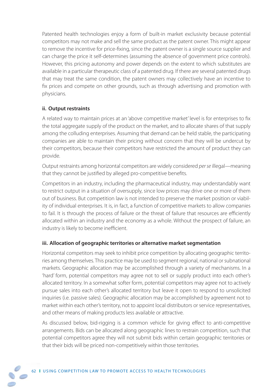Patented health technologies enjoy a form of built-in market exclusivity because potential competitors may not make and sell the same product as the patent owner. This might appear to remove the incentive for price-fixing, since the patent owner is a single source supplier and can charge the price it self-determines (assuming the absence of government price controls). However, this pricing autonomy and power depends on the extent to which substitutes are available in a particular therapeutic class of a patented drug. If there are several patented drugs that may treat the same condition, the patent owners may collectively have an incentive to fix prices and compete on other grounds, such as through advertising and promotion with physicians.

#### **ii. Output restraints**

A related way to maintain prices at an 'above competitive market' level is for enterprises to fix the total aggregate supply of the product on the market, and to allocate shares of that supply among the colluding enterprises. Assuming that demand can be held stable, the participating companies are able to maintain their pricing without concern that they will be undercut by their competitors, because their competitors have restricted the amount of product they can provide.

 Output restraints among horizontal competitors are widely considered per se illegal—meaning that they cannot be justified by alleged pro-competitive benefits.

 Competitors in an industry, including the pharmaceutical industry, may understandably want to restrict output in a situation of oversupply, since low prices may drive one or more of them out of business. But competition law is not intended to preserve the market position or viability of individual enterprises. It is, in fact, a function of competitive markets to allow companies to fail. It is through the process of failure or the threat of failure that resources are efficiently allocated within an industry and the economy as a whole. Without the prospect of failure, an industry is likely to become inefficient.

## **iii. Allocation of geographic territories or alternative market segmentation**

 Horizontal competitors may seek to inhibit price competition by allocating geographic territories among themselves. This practice may be used to segment regional, national or subnational markets. Geographic allocation may be accomplished through a variety of mechanisms. In a 'hard' form, potential competitors may agree not to sell or supply product into each other's allocated territory. In a somewhat softer form, potential competitors may agree not to actively pursue sales into each other's allocated territory but leave it open to respond to unsolicited inquiries (i.e. passive sales). Geographic allocation may be accomplished by agreement not to market within each other's territory, not to appoint local distributors or service representatives, and other means of making products less available or attractive.

As discussed below, bid-rigging is a common vehicle for giving effect to anti-competitive arrangements. Bids can be allocated along geographic lines to restrain competition, such that potential competitors agree they will not submit bids within certain geographic territories or that their bids will be priced non-competitively within those territories.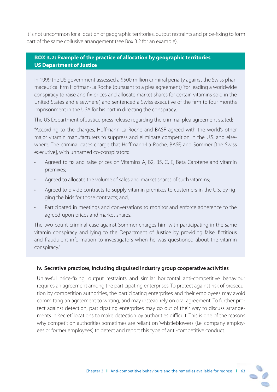It is not uncommon for allocation of geographic territories, output restraints and price-fixing to form part of the same collusive arrangement (see Box 3.2 for an example).

#### **BOX 3.2: Example of the practice of allocation by geographic territories US Department of Justice**

In 1999 the US government assessed a \$500 million criminal penalty against the Swiss pharmaceutical firm Hoffman-La Roche (pursuant to a plea agreement) "for leading a worldwide conspiracy to raise and fix prices and allocate market shares for certain vitamins sold in the United States and elsewhere", and sentenced a Swiss executive of the firm to four months imprisonment in the USA for his part in directing the conspiracy.

The US Department of Justice press release regarding the criminal plea agreement stated:

"According to the charges, Hoffmann-La Roche and BASF agreed with the world's other major vitamin manufacturers to suppress and eliminate competition in the U.S. and elsewhere. The criminal cases charge that Hoffmann-La Roche, BASF, and Sommer [the Swiss executive], with unnamed co-conspirators:

- Agreed to fix and raise prices on Vitamins A, B2, B5, C, E, Beta Carotene and vitamin premixes;
- Agreed to allocate the volume of sales and market shares of such vitamins;
- Agreed to divide contracts to supply vitamin premixes to customers in the U.S. by rigging the bids for those contracts; and,
- Participated in meetings and conversations to monitor and enforce adherence to the agreed-upon prices and market shares.

The two-count criminal case against Sommer charges him with participating in the same vitamin conspiracy and lying to the Department of Justice by providing false, fictitious and fraudulent information to investigators when he was questioned about the vitamin conspiracy."

#### **iv. Secretive practices, including disguised industry group cooperative activities**

Unlawful price-fixing, output restraints and similar horizontal anti-competitive behaviour requires an agreement among the participating enterprises. To protect against risk of prosecution by competition authorities, the participating enterprises and their employees may avoid committing an agreement to writing, and may instead rely on oral agreement. To further protect against detection, participating enterprises may go out of their way to discuss arrangements in 'secret' locations to make detection by authorities difficult. This is one of the reasons why competition authorities sometimes are reliant on 'whistleblowers' (i.e. company employees or former employees) to detect and report this type of anti-competitive conduct.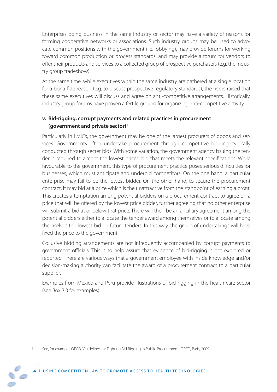Enterprises doing business in the same industry or sector may have a variety of reasons for forming cooperative networks or associations. Such industry groups may be used to advocate common positions with the government (i.e. lobbying), may provide forums for working toward common production or process standards, and may provide a forum for vendors to offer their products and services to a collected group of prospective purchasers (e.g. the industry group tradeshow).

 At the same time, while executives within the same industry are gathered at a single location for a bona fide reason (e.g. to discuss prospective regulatory standards), the risk is raised that these same executives will discuss and agree on anti-competitive arrangements. Historically, industry group forums have proven a fertile ground for organizing anti-competitive activity.

### **v. Bid-rigging, corrupt payments and related practices in procurement (government and private sector)1**

 Particularly in LMICs, the government may be one of the largest procurers of goods and services. Governments often undertake procurement through competitive bidding, typically conducted through secret bids. With some variation, the government agency issuing the tender is required to accept the lowest priced bid that meets the relevant specifications. While favourable to the government, this type of procurement practice poses serious difficulties for businesses, which must anticipate and underbid competitors. On the one hand, a particular enterprise may fail to be the lowest bidder. On the other hand, to secure the procurement contract, it may bid at a price which is the unattractive from the standpoint of earning a profit. This creates a temptation among potential bidders on a procurement contract to agree on a price that will be offered by the lowest price bidder, further agreeing that no other enterprise will submit a bid at or below that price. There will then be an ancillary agreement among the potential bidders either to allocate the tender award among themselves or to allocate among themselves the lowest bid on future tenders. In this way, the group of undertakings will have fixed the price to the government.

 Collusive bidding arrangements are not infrequently accompanied by corrupt payments to government officials. This is to help assure that evidence of bid-rigging is not explored or reported. There are various ways that a government employee with inside knowledge and/or decision-making authority can facilitate the award of a procurement contract to a particular supplier.

 Examples from Mexico and Peru provide illustrations of bid-rigging in the health care sector (see Box 3.3 for examples).

<sup>1.</sup> See, for example, OECD, 'Guidelines for Fighting Bid Rigging in Public Procurement', OECD, Paris, 2009.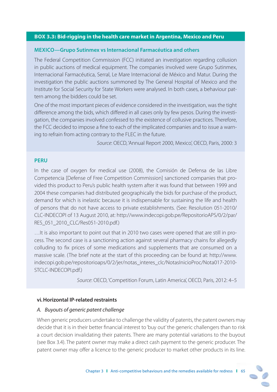#### **BOX 3.3: Bid-rigging in the health care market in Argentina, Mexico and Peru**

#### **MEXICO—Grupo Sutinmex vs Internacional Farmacéutica and others**

The Federal Competition Commission (FCC) initiated an investigation regarding collusion in public auctions of medical equipment. The companies involved were Grupo Sutinmex, Internacional Farmacéutica, Serral, Le Mare Internacional de México and Matur. During the investigation the public auctions summoned by The General Hospital of Mexico and the Institute for Social Security for State Workers were analysed. In both cases, a behaviour pattern among the bidders could be set.

One of the most important pieces of evidence considered in the investigation, was the tight difference among the bids, which differed in all cases only by few pesos. During the investigation, the companies involved confessed to the existence of collusive practices. Therefore, the FCC decided to impose a fine to each of the implicated companies and to issue a warning to refrain from acting contrary to the FLEC in the future.

Source: OECD, 'Annual Report 2000, Mexico', OECD, Paris, 2000: 3

#### **PERU**

In the case of oxygen for medical use (2008), the Comisión de Defensa de las Libre Competencia [Defense of Free Competition Commission] sanctioned companies that provided this product to Peru's public health system after it was found that between 1999 and 2004 these companies had distributed geographically the bids for purchase of the product, demand for which is inelastic because it is indispensable for sustaining the life and health of persons that do not have access to private establishments. (See: Resolution 051-2010/ CLC-INDECOPI of 13 August 2010, at: http://www.indecopi.gob.pe/RepositorioAPS/0/2/par/ RES\_051\_2010\_CLC/Res051-2010.pdf.)

…It is also important to point out that in 2010 two cases were opened that are still in process. The second case is a sanctioning action against several pharmacy chains for allegedly colluding to fix prices of some medications and supplements that are consumed on a massive scale. (The brief note at the start of this proceeding can be found at: http://www. indecopi.gob.pe/repositorioaps/0/2/jer/notas\_interes\_clc/NotasInicioProc/Nota017-2010- STCLC-INDECOPI.pdf.)

Source: OECD, 'Competition Forum, Latin America', OECD, Paris, 2012: 4–5

#### **vi. Horizontal IP-related restraints**

#### A. Buyouts of generic patent challenge

When generic producers undertake to challenge the validity of patents, the patent owners may decide that it is in their better financial interest to 'buy out' the generic challengers than to risk a court decision invalidating their patents. There are many potential variations to the buyout (see Box 3.4). The patent owner may make a direct cash payment to the generic producer. The patent owner may offer a licence to the generic producer to market other products in its line.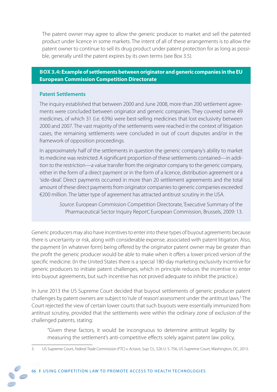The patent owner may agree to allow the generic producer to market and sell the patented product under licence in some markets. The intent of all of these arrangements is to allow the patent owner to continue to sell its drug product under patent protection for as long as possible, generally until the patent expires by its own terms (see Box 3.5).

#### **BOX 3.4: Example of settlements between originator and generic companies in the EU European Commission Competition Directorate**

#### **Patent Settlements**

The inquiry established that between 2000 and June 2008, more than 200 settlement agreements were concluded between originator and generic companies. They covered some 49 medicines, of which 31 (i.e. 63%) were best-selling medicines that lost exclusivity between 2000 and 2007. The vast majority of the settlements were reached in the context of litigation cases, the remaining settlements were concluded in out of court disputes and/or in the framework of opposition proceedings.

In approximately half of the settlements in question the generic company's ability to market its medicine was restricted. A significant proportion of these settlements contained—in addition to the restriction—a value transfer from the originator company to the generic company, either in the form of a direct payment or in the form of a licence, distribution agreement or a 'side-deal'. Direct payments occurred in more than 20 settlement agreements and the total amount of these direct payments from originator companies to generic companies exceeded €200 million. The latter type of agreement has attracted antitrust scrutiny in the USA.

Source: European Commission Competition Directorate, 'Executive Summary of the Pharmaceutical Sector Inquiry Report', European Commission, Brussels, 2009: 13.

Generic producers may also have incentives to enter into these types of buyout agreements because there is uncertainty or risk, along with considerable expense, associated with patent litigation. Also, the payment (in whatever form) being offered by the originator patent owner may be greater than the profit the generic producer would be able to make when it offers a lower priced version of the specific medicine. (In the United States there is a special 180-day marketing exclusivity incentive for generic producers to initiate patent challenges, which in principle reduces the incentive to enter into buyout agreements, but such incentive has not proved adequate to inhibit the practice.)

In June 2013 the US Supreme Court decided that buyout settlements of generic producer patent challenges by patent owners are subject to 'rule of reason' assessment under the antitrust laws.<sup>3</sup> The Court rejected the view of certain lower courts that such buyouts were essentially immunized from antitrust scrutiny, provided that the settlements were within the ordinary zone of exclusion of the challenged patents, stating:

"Given these factors, it would be incongruous to determine antitrust legality by measuring the settlement's anti-competitive effects solely against patent law policy,

<sup>3.</sup> US Supreme Court, Federal Trade Commission (FTC) v. Actavis, Sup. Ct., 526 U. S. 756, US Supreme Court, Washington, DC, 2013.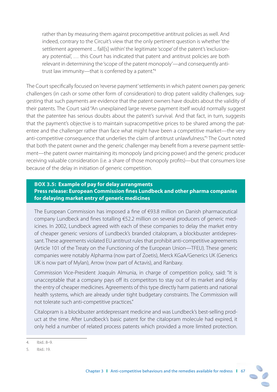rather than by measuring them against procompetitive antitrust policies as well. And indeed, contrary to the Circuit's view that the only pertinent question is whether 'the settlement agreement ... fall[s] within' the legitimate 'scope' of the patent's 'exclusionary potential', … this Court has indicated that patent and antitrust policies are both relevant in determining the 'scope of the patent monopoly'—and consequently antitrust law immunity—that is conferred by a patent."4

The Court specifically focused on 'reverse payment' settlements in which patent owners pay generic challengers (in cash or some other form of consideration) to drop patent validity challenges, suggesting that such payments are evidence that the patent owners have doubts about the validity of their patents. The Court said "An unexplained large reverse payment itself would normally suggest that the patentee has serious doubts about the patent's survival. And that fact, in turn, suggests that the payment's objective is to maintain supracompetitive prices to be shared among the patentee and the challenger rather than face what might have been a competitive market—the very anti-competitive consequence that underlies the claim of antitrust unlawfulness."5 The Court noted that both the patent owner and the generic challenger may benefit from a reverse payment settlement—the patent owner maintaining its monopoly (and pricing power) and the generic producer receiving valuable consideration (i.e. a share of those monopoly profits)—but that consumers lose because of the delay in initiation of generic competition.

#### **BOX 3.5: Example of pay for delay arrangments Press release: European Commission fines Lundbeck and other pharma companies for delaying market entry of generic medicines**

The European Commission has imposed a fine of  $E$ 93.8 million on Danish pharmaceutical company Lundbeck and fines totalling  $E$ 52.2 million on several producers of generic medicines. In 2002, Lundbeck agreed with each of these companies to delay the market entry of cheaper generic versions of Lundbeck's branded citalopram, a blockbuster antidepressant. These agreements violated EU antitrust rules that prohibit anti-competitive agreements (Article 101 of the Treaty on the Functioning of the European Union—TFEU). These generic companies were notably Alpharma (now part of Zoetis), Merck KGaA/Generics UK (Generics UK is now part of Mylan), Arrow (now part of Actavis), and Ranbaxy.

Commission Vice-President Joaquín Almunia, in charge of competition policy, said: "It is unacceptable that a company pays off its competitors to stay out of its market and delay the entry of cheaper medicines. Agreements of this type directly harm patients and national health systems, which are already under tight budgetary constraints. The Commission will not tolerate such anti-competitive practices."

Citalopram is a blockbuster antidepressant medicine and was Lundbeck's best-selling product at the time. After Lundbeck's basic patent for the citalopram molecule had expired, it only held a number of related process patents which provided a more limited protection.

<sup>4.</sup> Ibid.: 8–9.

<sup>5.</sup> Ibid.: 19.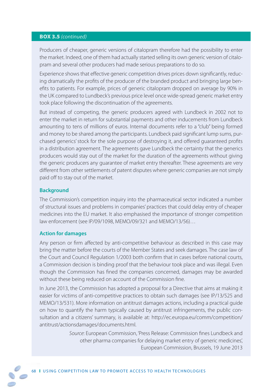#### **BOX 3.5** (continued)

Producers of cheaper, generic versions of citalopram therefore had the possibility to enter the market. Indeed, one of them had actually started selling its own generic version of citalopram and several other producers had made serious preparations to do so.

Experience shows that effective generic competition drives prices down significantly, reducing dramatically the profits of the producer of the branded product and bringing large benefits to patients. For example, prices of generic citalopram dropped on average by 90% in the UK compared to Lundbeck's previous price level once wide-spread generic market entry took place following the discontinuation of the agreements.

But instead of competing, the generic producers agreed with Lundbeck in 2002 not to enter the market in return for substantial payments and other inducements from Lundbeck amounting to tens of millions of euros. Internal documents refer to a "club" being formed and money to be shared among the participants. Lundbeck paid significant lump sums, purchased generics' stock for the sole purpose of destroying it, and offered guaranteed profits in a distribution agreement. The agreements gave Lundbeck the certainty that the generics producers would stay out of the market for the duration of the agreements without giving the generic producers any guarantee of market entry thereafter. These agreements are very different from other settlements of patent disputes where generic companies are not simply paid off to stay out of the market.

#### **Background**

The Commission's competition inquiry into the pharmaceutical sector indicated a number of structural issues and problems in companies' practices that could delay entry of cheaper medicines into the EU market. It also emphasised the importance of stronger competition law enforcement (see IP/09/1098, MEMO/09/321 and MEMO/13/56)…

#### **Action for damages**

Any person or firm affected by anti-competitive behaviour as described in this case may bring the matter before the courts of the Member States and seek damages. The case law of the Court and Council Regulation 1/2003 both confirm that in cases before national courts, a Commission decision is binding proof that the behaviour took place and was illegal. Even though the Commission has fined the companies concerned, damages may be awarded without these being reduced on account of the Commission fine.

In June 2013, the Commission has adopted a proposal for a Directive that aims at making it easier for victims of anti-competitive practices to obtain such damages (see IP/13/525 and MEMO/13/531). More information on antitrust damages actions, including a practical guide on how to quantify the harm typically caused by antitrust infringements, the public consultation and a citizens' summary, is available at: http://ec.europa.eu/comm/competition/ antitrust/actionsdamages/documents.html.

> Source: European Commission, 'Press Release: Commission fines Lundbeck and other pharma companies for delaying market entry of generic medicines', European Commission, Brussels, 19 June 2013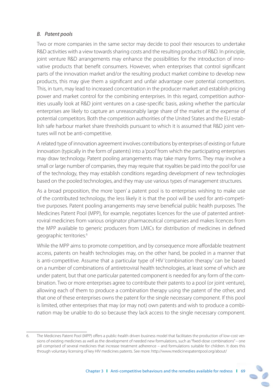#### B. Patent pools

 Two or more companies in the same sector may decide to pool their resources to undertake R&D activities with a view towards sharing costs and the resulting products of R&D. In principle, joint venture R&D arrangements may enhance the possibilities for the introduction of innovative products that benefit consumers. However, when enterprises that control significant parts of the innovation market and/or the resulting product market combine to develop new products, this may give them a significant and unfair advantage over potential competitors. This, in turn, may lead to increased concentration in the producer market and establish pricing power and market control for the combining enterprises. In this regard, competition authorities usually look at R&D joint ventures on a case-specific basis, asking whether the particular enterprises are likely to capture an unreasonably large share of the market at the expense of potential competitors. Both the competition authorities of the United States and the EU establish safe harbour market share thresholds pursuant to which it is assumed that R&D joint ventures will not be anti-competitive.

 A related type of innovation agreement involves contributions by enterprises of existing or future innovation (typically in the form of patents) into a 'pool' from which the participating enterprises may draw technology. Patent pooling arrangements may take many forms. They may involve a small or large number of companies, they may require that royalties be paid into the pool for use of the technology, they may establish conditions regarding development of new technologies based on the pooled technologies, and they may use various types of management structures.

 As a broad proposition, the more 'open' a patent pool is to enterprises wishing to make use of the contributed technology, the less likely it is that the pool will be used for anti-competitive purposes. Patent pooling arrangements may serve beneficial public health purposes. The Medicines Patent Pool (MPP), for example, negotiates licences for the use of patented antiretroviral medicines from various originator pharmaceutical companies and makes licences from the MPP available to generic producers from LMICs for distribution of medicines in defined geographic territories.<sup>6</sup>

While the MPP aims to promote competition, and by consequence more affordable treatment access, patents on health technologies may, on the other hand, be pooled in a manner that is anti-competitive. Assume that a particular type of HIV 'combination therapy' can be based on a number of combinations of antiretroviral health technologies, at least some of which are under patent, but that one particular patented component is needed for any form of the combination. Two or more enterprises agree to contribute their patents to a pool (or joint venture), allowing each of them to produce a combination therapy using the patent of the other, and that one of these enterprises owns the patent for the single necessary component. If this pool is limited, other enterprises that may (or may not) own patents and wish to produce a combination may be unable to do so because they lack access to the single necessary component.

<sup>6.</sup> The Medicines Patent Pool (MPP) offers a public-health driven business model that facilitates the production of low-cost versions of existing medicines as well as the development of needed new formulations, such as "fixed-dose combinations" – one pill comprised of several medicines that increase treatment adherence – and formulations suitable for children. It does this through voluntary licensing of key HIV medicines patents. See more: http://www.medicinespatentpool.org/about/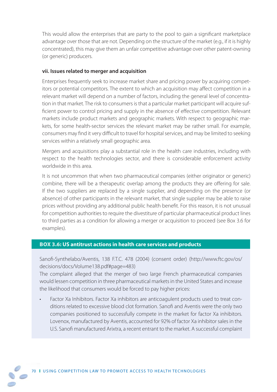This would allow the enterprises that are party to the pool to gain a significant marketplace advantage over those that are not. Depending on the structure of the market (e.g., if it is highly concentrated), this may give them an unfair competitive advantage over other patent-owning (or generic) producers.

#### **vii. Issues related to merger and acquisition**

 Enterprises frequently seek to increase market share and pricing power by acquiring competitors or potential competitors. The extent to which an acquisition may affect competition in a relevant market will depend on a number of factors, including the general level of concentration in that market. The risk to consumers is that a particular market participant will acquire sufficient power to control pricing and supply in the absence of effective competition. Relevant markets include product markets and geographic markets. With respect to geographic markets, for some health-sector services the relevant market may be rather small. For example, consumers may find it very difficult to travel for hospital services, and may be limited to seeking services within a relatively small geographic area.

 Mergers and acquisitions play a substantial role in the health care industries, including with respect to the health technologies sector, and there is considerable enforcement activity worldwide in this area.

 It is not uncommon that when two pharmaceutical companies (either originator or generic) combine, there will be a therapeutic overlap among the products they are offering for sale. If the two suppliers are replaced by a single supplier, and depending on the presence (or absence) of other participants in the relevant market, that single supplier may be able to raise prices without providing any additional public health benefit. For this reason, it is not unusual for competition authorities to require the divestiture of particular pharmaceutical product lines to third parties as a condition for allowing a merger or acquisition to proceed (see Box 3.6 for examples).

#### **BOX 3.6: US antitrust actions in health care services and products**

Sanofi -Synthelabo/Aventis, 138 F.T.C. 478 (2004) (consent order) (http://www.ftc.gov/os/ decisions/docs/Volume138.pdf#page=483)

The complaint alleged that the merger of two large French pharmaceutical companies would lessen competition in three pharmaceutical markets in the United States and increase the likelihood that consumers would be forced to pay higher prices:

• Factor Xa Inhibitors. Factor Xa inhibitors are anticoagulent products used to treat conditions related to excessive blood clot formation. Sanofi and Aventis were the only two companies positioned to successfully compete in the market for factor Xa inhibitors. Lovenox, manufactured by Aventis, accounted for 92% of factor Xa inhibitor sales in the U.S. Sanofi manufactured Arixtra, a recent entrant to the market. A successful complaint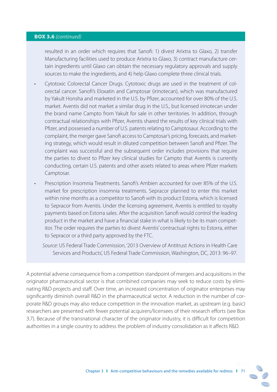#### **BOX 3.6** (continued)

resulted in an order which requires that Sanofi: 1) divest Arixtra to Glaxo, 2) transfer Manufacturing facilities used to produce Arixtra to Glaxo, 3) contract manufacture certain ingredients until Glaxo can obtain the necessary regulatory approvals and supply sources to make the ingredients, and 4) help Glaxo complete three clinical trials.

- Cytotoxic Colorectal Cancer Drugs. Cytotoxic drugs are used in the treatment of colorectal cancer. Sanofi's Eloxatin and Camptosar (irinotecan), which was manufactured by Yakult Honsha and marketed in the U.S. by Pfizer, accounted for over 80% of the U.S. market. Aventis did not market a similar drug in the U.S., but licensed irinotecan under the brand name Campto from Yakult for sale in other territories. In addition, through contractual relationships with Pfizer, Aventis shared the results of key clinical trials with Pfizer, and possessed a number of U.S. patents relating to Camptosaur. According to the complaint, the merger gave Sanofi access to Camptosar's pricing, forecasts, and marketing strategy, which would result in diluted competition between Sanofi and Pfizer. The complaint was successful and the subsequent order includes provisions that require the parties to divest to Pfizer key clinical studies for Campto that Aventis is currently conducting, certain U.S. patents and other assets related to areas where Pfizer markets Camptosar.
- Prescription Insomnia Treatments. Sanofi's Ambien accounted for over 85% of the U.S. market for prescription insomnia treatments. Sepracor planned to enter this market within nine months as a competitor to Sanofi with its product Estorra, which is licensed to Sepracor from Aventis. Under the licensing agreement, Aventis is entitled to royalty payments based on Estorra sales. After the acquisition Sanofi would control the leading product in the market and have a financial stake in what is likely to be its main competitor. The order requires the parties to divest Aventis' contractual rights to Estorra, either to Sepracor or a third party approved by the FTC.
	- Source: US Federal Trade Commission, '2013 Overview of Antitrust Actions in Health Care Services and Products', US Federal Trade Commission, Washington, DC, 2013: 96–97.

A potential adverse consequence from a competition standpoint of mergers and acquisitions in the originator pharmaceutical sector is that combined companies may seek to reduce costs by eliminating R&D projects and staff. Over time, an increased concentration of originator enterprises may significantly diminish overall R&D in the pharmaceutical sector. A reduction in the number of corporate R&D groups may also reduce competition in the innovation market, as upstream (e.g. basic) researchers are presented with fewer potential acquirers/licensees of their research efforts (see Box 3.7). Because of the transnational character of the originator industry, it is difficult for competition authorities in a single country to address the problem of industry consolidation as it affects R&D.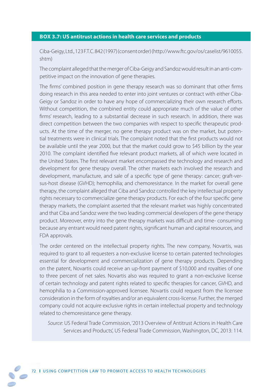#### **BOX 3.7: US antitrust actions in health care services and products**

Ciba-Geigy, Ltd., 123 F.T.C. 842 (1997) (consent order) (http://www.ftc.gov/os/caselist/9610055. shtm)

The complaint alleged that the merger of Ciba-Geigy and Sandoz would result in an anti-competitive impact on the innovation of gene therapies.

The firms' combined position in gene therapy research was so dominant that other firms doing research in this area needed to enter into joint ventures or contract with either Ciba-Geigy or Sandoz in order to have any hope of commercializing their own research efforts. Without competition, the combined entity could appropriate much of the value of other firms' research, leading to a substantial decrease in such research. In addition, there was direct competition between the two companies with respect to specific therapeutic products. At the time of the merger, no gene therapy product was on the market, but potential treatments were in clinical trials. The complaint noted that the first products would not be available until the year 2000, but that the market could grow to \$45 billion by the year 2010. The complaint identified five relevant product markets, all of which were located in the United States. The first relevant market encompassed the technology and research and development for gene therapy overall. The other markets each involved the research and development, manufacture, and sale of a specific type of gene therapy: cancer; graft-versus-host disease (GVHD); hemophilia; and chemoresistance. In the market for overall gene therapy, the complaint alleged that Ciba and Sandoz controlled the key intellectual property rights necessary to commercialize gene therapy products. For each of the four specific gene therapy markets, the complaint asserted that the relevant market was highly concentrated and that Ciba and Sandoz were the two leading commercial developers of the gene therapy product. Moreover, entry into the gene therapy markets was difficult and time- consuming because any entrant would need patent rights, significant human and capital resources, and FDA approvals.

The order centered on the intellectual property rights. The new company, Novartis, was required to grant to all requesters a non-exclusive license to certain patented technologies essential for development and commercialization of gene therapy products. Depending on the patent, Novartis could receive an up-front payment of \$10,000 and royalties of one to three percent of net sales. Novartis also was required to grant a non-exclusive license of certain technology and patent rights related to specific therapies for cancer, GVHD, and hemophilia to a Commission-approved licensee. Novartis could request from the licensee consideration in the form of royalties and/or an equivalent cross-license. Further, the merged company could not acquire exclusive rights in certain intellectual property and technology related to chemoresistance gene therapy.

Source: US Federal Trade Commission, '2013 Overview of Antitrust Actions in Health Care Services and Products', US Federal Trade Commission, Washington, DC, 2013: 114.

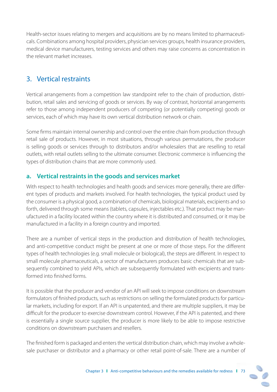Health-sector issues relating to mergers and acquisitions are by no means limited to pharmaceuticals. Combinations among hospital providers, physician services groups, health insurance providers, medical device manufacturers, testing services and others may raise concerns as concentration in the relevant market increases.

# 3. Vertical restraints

Vertical arrangements from a competition law standpoint refer to the chain of production, distribution, retail sales and servicing of goods or services. By way of contrast, horizontal arrangements refer to those among independent producers of competing (or potentially competing) goods or services, each of which may have its own vertical distribution network or chain.

Some firms maintain internal ownership and control over the entire chain from production through retail sale of products. However, in most situations, through various permutations, the producer is selling goods or services through to distributors and/or wholesalers that are reselling to retail outlets, with retail outlets selling to the ultimate consumer. Electronic commerce is influencing the types of distribution chains that are more commonly used.

# **a. Vertical restraints in the goods and services market**

With respect to health technologies and health goods and services more generally, there are different types of products and markets involved. For health technologies, the typical product used by the consumer is a physical good, a combination of chemicals, biological materials, excipients and so forth, delivered through some means (tablets, capsules, injectables etc.). That product may be manufactured in a facility located within the country where it is distributed and consumed, or it may be manufactured in a facility in a foreign country and imported.

There are a number of vertical steps in the production and distribution of health technologies, and anti-competitive conduct might be present at one or more of those steps. For the different types of health technologies (e.g. small molecule or biological), the steps are different. In respect to small molecule pharmaceuticals, a sector of manufacturers produces basic chemicals that are subsequently combined to yield APIs, which are subsequently formulated with excipients and transformed into finished forms.

It is possible that the producer and vendor of an API will seek to impose conditions on downstream formulators of finished products, such as restrictions on selling the formulated products for particular markets, including for export. If an API is unpatented, and there are multiple suppliers, it may be difficult for the producer to exercise downstream control. However, if the API is patented, and there is essentially a single source supplier, the producer is more likely to be able to impose restrictive conditions on downstream purchasers and resellers.

The finished form is packaged and enters the vertical distribution chain, which may involve a wholesale purchaser or distributor and a pharmacy or other retail point-of-sale. There are a number of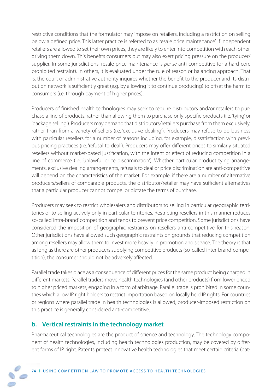restrictive conditions that the formulator may impose on retailers, including a restriction on selling below a defined price. This latter practice is referred to as 'resale price maintenance'. If independent retailers are allowed to set their own prices, they are likely to enter into competition with each other, driving them down. This benefits consumers but may also exert pricing pressure on the producer/ supplier. In some jurisdictions, resale price maintenance is per se anti-competitive (or a hard-core prohibited restraint). In others, it is evaluated under the rule of reason or balancing approach. That is, the court or administrative authority inquires whether the benefit to the producer and its distribution network is sufficiently great (e.g. by allowing it to continue producing) to offset the harm to consumers (i.e. through payment of higher prices).

Producers of finished health technologies may seek to require distributors and/or retailers to purchase a line of products, rather than allowing them to purchase only specific products (i.e. 'tying' or 'package selling'). Producers may demand that distributors/retailers purchase from them exclusively, rather than from a variety of sellers (i.e. 'exclusive dealing'). Producers may refuse to do business with particular resellers for a number of reasons including, for example, dissatisfaction with previous pricing practices (i.e. 'refusal to deal'). Producers may offer different prices to similarly situated resellers without market-based justification, with the intent or effect of reducing competition in a line of commerce (i.e. 'unlawful price discrimination'). Whether particular product tying arrangements, exclusive dealing arrangements, refusals to deal or price discrimination are anti-competitive will depend on the characteristics of the market. For example, if there are a number of alternative producers/sellers of comparable products, the distributor/retailer may have sufficient alternatives that a particular producer cannot compel or dictate the terms of purchase.

Producers may seek to restrict wholesalers and distributors to selling in particular geographic territories or to selling actively only in particular territories. Restricting resellers in this manner reduces so-called 'intra-brand' competition and tends to prevent price competition. Some jurisdictions have considered the imposition of geographic restraints on resellers anti-competitive for this reason. Other jurisdictions have allowed such geographic restraints on grounds that reducing competition among resellers may allow them to invest more heavily in promotion and service. The theory is that as long as there are other producers supplying competitive products (so-called 'inter-brand' competition), the consumer should not be adversely affected.

Parallel trade takes place as a consequence of different prices for the same product being charged in different markets. Parallel traders move health technologies (and other products) from lower priced to higher priced markets, engaging in a form of arbitrage. Parallel trade is prohibited in some countries which allow IP right holders to restrict importation based on locally held IP rights. For countries or regions where parallel trade in health technologies is allowed, producer-imposed restriction on this practice is generally considered anti-competitive.

# **b. Vertical restraints in the technology market**

Pharmaceutical technologies are the product of science and technology. The technology component of health technologies, including health technologies production, may be covered by different forms of IP right. Patents protect innovative health technologies that meet certain criteria (pat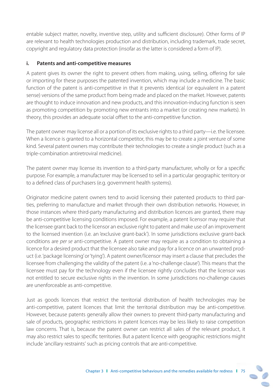entable subject matter, novelty, inventive step, utility and sufficient disclosure). Other forms of IP are relevant to health technologies production and distribution, including trademark, trade secret, copyright and regulatory data protection (insofar as the latter is considered a form of IP).

#### **i. Patents and anti-competitive measures**

A patent gives its owner the right to prevent others from making, using, selling, offering for sale or importing for these purposes the patented invention, which may include a medicine. The basic function of the patent is anti-competitive in that it prevents identical (or equivalent in a patent sense) versions of the same product from being made and placed on the market. However, patents are thought to induce innovation and new products, and this innovation-inducing function is seen as promoting competition by promoting new entrants into a market (or creating new markets). In theory, this provides an adequate social offset to the anti-competitive function.

The patent owner may license all or a portion of its exclusive rights to a third party—i.e. the licensee. When a licence is granted to a horizontal competitor, this may be to create a joint venture of some kind. Several patent owners may contribute their technologies to create a single product (such as a triple-combination antiretroviral medicine).

The patent owner may license its invention to a third-party manufacturer, wholly or for a specific purpose. For example, a manufacturer may be licensed to sell in a particular geographic territory or to a defined class of purchasers (e.g. government health systems).

Originator medicine patent owners tend to avoid licensing their patented products to third parties, preferring to manufacture and market through their own distribution networks. However, in those instances where third-party manufacturing and distribution licences are granted, there may be anti-competitive licensing conditions imposed. For example, a patent licensor may require that the licensee grant back to the licensor an exclusive right to patent and make use of an improvement to the licensed invention (i.e. an 'exclusive grant-back'). In some jurisdictions exclusive grant-back conditions are per se anti-competitive. A patent owner may require as a condition to obtaining a licence for a desired product that the licensee also take and pay for a licence on an unwanted product (i.e. 'package licensing' or 'tying'). A patent owner/licensor may insert a clause that precludes the licensee from challenging the validity of the patent (i.e. a 'no-challenge clause'). This means that the licensee must pay for the technology even if the licensee rightly concludes that the licensor was not entitled to secure exclusive rights in the invention. In some jurisdictions no-challenge causes are unenforceable as anti-competitive.

Just as goods licences that restrict the territorial distribution of health technologies may be anti-competitive, patent licences that limit the territorial distribution may be anti-competitive. However, because patents generally allow their owners to prevent third-party manufacturing and sale of products, geographic restrictions in patent licences may be less likely to raise competition law concerns. That is, because the patent owner can restrict all sales of the relevant product, it may also restrict sales to specific territories. But a patent licence with geographic restrictions might include 'ancillary restraints' such as pricing controls that are anti-competitive.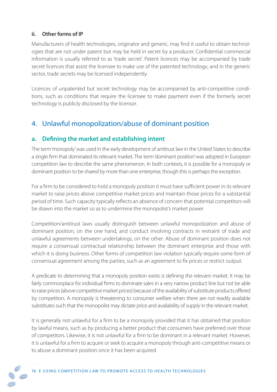### **ii. Other forms of IP**

Manufacturers of health technologies, originator and generic, may find it useful to obtain technologies that are not under patent but may be held in secret by a producer. Confidential commercial information is usually referred to as 'trade secret'. Patent licences may be accompanied by trade secret licences that assist the licensee to make use of the patented technology; and in the generic sector, trade secrets may be licensed independently.

Licences of unpatented but secret technology may be accompanied by anti-competitive conditions, such as conditions that require the licensee to make payment even if the formerly secret technology is publicly disclosed by the licensor.

# 4. Unlawful monopolization/abuse of dominant position

# **a.** Defining the market and establishing intent

The term 'monopoly' was used in the early development of antitrust law in the United States to describe a single firm that dominated its relevant market. The term 'dominant position' was adopted in European competition law to describe the same phenomenon. In both contexts, it is possible for a monopoly or dominant position to be shared by more than one enterprise, though this is perhaps the exception.

For a firm to be considered to hold a monopoly position it must have sufficient power in its relevant market to raise prices above competitive market prices and maintain those prices for a substantial period of time. Such capacity typically reflects an absence of concern that potential competitors will be drawn into the market so as to undermine the monopolist's market power.

Competition/antitrust laws usually distinguish between unlawful monopolization and abuse of dominant position, on the one hand, and conduct involving contracts in restraint of trade and unlawful agreements between undertakings, on the other. Abuse of dominant position does not require a consensual contractual relationship between the dominant enterprise and those with which it is doing business. Other forms of competition law violation typically require some form of consensual agreement among the parties, such as an agreement to fix prices or restrict output.

A predicate to determining that a monopoly position exists is defining the relevant market. It may be fairly commonplace for individual firms to dominate sales in a very narrow product line but not be able to raise prices (above competitive market prices) because of the availability of substitute products offered by competitors. A monopoly is threatening to consumer welfare when there are not readily available substitutes such that the monopolist may dictate price and availability of supply in the relevant market.

It is generally not unlawful for a firm to be a monopoly provided that it has obtained that position by lawful means, such as by producing a better product that consumers have preferred over those of competitors. Likewise, it is not unlawful for a firm to be dominant in a relevant market. However, it is unlawful for a firm to acquire or seek to acquire a monopoly through anti-competitive means or to abuse a dominant position once it has been acquired.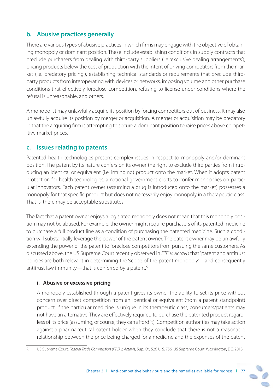# **b. Abusive practices generally**

There are various types of abusive practices in which firms may engage with the objective of obtaining monopoly or dominant position. These include establishing conditions in supply contracts that preclude purchasers from dealing with third-party suppliers (i.e. 'exclusive dealing arrangements'), pricing products below the cost of production with the intent of driving competitors from the market (i.e. 'predatory pricing'), establishing technical standards or requirements that preclude thirdparty products from interoperating with devices or networks, imposing volume and other purchase conditions that effectively foreclose competition, refusing to license under conditions where the refusal is unreasonable, and others.

A monopolist may unlawfully acquire its position by forcing competitors out of business. It may also unlawfully acquire its position by merger or acquisition. A merger or acquisition may be predatory in that the acquiring firm is attempting to secure a dominant position to raise prices above competitive market prices.

### **c. Issues relating to patents**

Patented health technologies present complex issues in respect to monopoly and/or dominant position. The patent by its nature confers on its owner the right to exclude third parties from introducing an identical or equivalent (i.e. infringing) product onto the market. When it adopts patent protection for health technologies, a national government elects to confer monopolies on particular innovators. Each patent owner (assuming a drug is introduced onto the market) possesses a monopoly for that specific product but does not necessarily enjoy monopoly in a therapeutic class. That is, there may be acceptable substitutes.

The fact that a patent owner enjoys a legislated monopoly does not mean that this monopoly position may not be abused. For example, the owner might require purchasers of its patented medicine to purchase a full product line as a condition of purchasing the patented medicine. Such a condition will substantially leverage the power of the patent owner. The patent owner may be unlawfully extending the power of the patent to foreclose competitors from pursuing the same customers. As discussed above, the US Supreme Court recently observed in FTC v. Actavis that "patent and antitrust policies are both relevant in determining the 'scope of the patent monopoly'—and consequently antitrust law immunity—that is conferred by a patent."7

#### **i. Abusive or excessive pricing**

 A monopoly established through a patent gives its owner the ability to set its price without concern over direct competition from an identical or equivalent (from a patent standpoint) product. If the particular medicine is unique in its therapeutic class, consumers/patients may not have an alternative. They are effectively required to purchase the patented product regardless of its price (assuming, of course, they can afford it). Competition authorities may take action against a pharmaceutical patent holder when they conclude that there is not a reasonable relationship between the price being charged for a medicine and the expenses of the patent

<sup>7.</sup> US Supreme Court, Federal Trade Commission (FTC) v. Actavis, Sup. Ct., 526 U. S. 756, US Supreme Court, Washington, DC, 2013.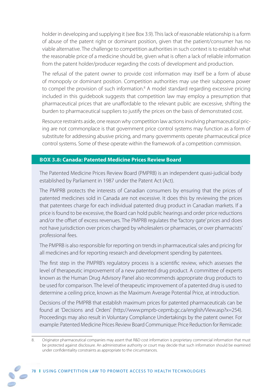holder in developing and supplying it (see Box 3.9). This lack of reasonable relationship is a form of abuse of the patent right or dominant position, given that the patient/consumer has no viable alternative. The challenge to competition authorities in such context is to establish what the reasonable price of a medicine should be, given what is often a lack of reliable information from the patent holder/producer regarding the costs of development and production.

 The refusal of the patent owner to provide cost information may itself be a form of abuse of monopoly or dominant position. Competition authorities may use their subpoena power to compel the provision of such information.<sup>8</sup> A model standard regarding excessive pricing included in this guidebook suggests that competition law may employ a presumption that pharmaceutical prices that are unaffordable to the relevant public are excessive, shifting the burden to pharmaceutical suppliers to justify the prices on the basis of demonstrated cost.

 Resource restraints aside, one reason why competition law actions involving pharmaceutical pricing are not commonplace is that government price control systems may function as a form of substitute for addressing abusive pricing, and many governments operate pharmaceutical price control systems. Some of these operate within the framework of a competition commission.

#### **BOX 3.8: Canada: Patented Medicine Prices Review Board**

The Patented Medicine Prices Review Board (PMPRB) is an independent quasi-judicial body established by Parliament in 1987 under the Patent Act (Act).

The PMPRB protects the interests of Canadian consumers by ensuring that the prices of patented medicines sold in Canada are not excessive. It does this by reviewing the prices that patentees charge for each individual patented drug product in Canadian markets. If a price is found to be excessive, the Board can hold public hearings and order price reductions and/or the offset of excess revenues. The PMPRB regulates the 'factory gate' prices and does not have jurisdiction over prices charged by wholesalers or pharmacies, or over pharmacists' professional fees.

The PMPRB is also responsible for reporting on trends in pharmaceutical sales and pricing for all medicines and for reporting research and development spending by patentees.

The first step in the PMPRB's regulatory process is a scientific review, which assesses the level of therapeutic improvement of a new patented drug product. A committee of experts known as the Human Drug Advisory Panel also recommends appropriate drug products to be used for comparison. The level of therapeutic improvement of a patented drug is used to determine a ceiling price, known as the Maximum Average Potential Price, at introduction.

Decisions of the PMPRB that establish maximum prices for patented pharmaceuticals can be found at 'Decisions and Orders' (http://www.pmprb-cepmb.gc.ca/english/View.asp?x=254). Proceedings may also result in Voluntary Compliance Undertakings by the patent owner. For example: Patented Medicine Prices Review Board Communique: Price Reduction for Remicade:

<sup>8.</sup> Originator pharmaceutical companies may assert that R&D cost information is proprietary commercial information that must be protected against disclosure. An administrative authority or court may decide that such information should be examined under confidentiality constraints as appropriate to the circumstances.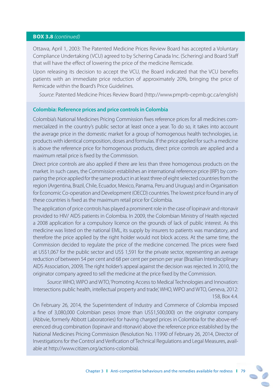#### **BOX 3.8** (continued)

Ottawa, April 1, 2003: The Patented Medicine Prices Review Board has accepted a Voluntary Compliance Undertaking (VCU) agreed to by Schering Canada Inc. (Schering) and Board Staff that will have the effect of lowering the price of the medicine Remicade.

Upon releasing its decision to accept the VCU, the Board indicated that the VCU benefits patients with an immediate price reduction of approximately 20%, bringing the price of Remicade within the Board's Price Guidelines.

Source: Patented Medicine Prices Review Board (http://www.pmprb-cepmb.gc.ca/english)

#### **Colombia: Reference prices and price controls in Colombia**

Colombia's National Medicines Pricing Commission fixes reference prices for all medicines commercialized in the country's public sector at least once a year. To do so, it takes into account the average price in the domestic market for a group of homogenous health technologies, i.e. products with identical composition, doses and formulas. If the price applied for such a medicine is above the reference price for homogenous products, direct price controls are applied and a maximum retail price is fixed by the Commission.

Direct price controls are also applied if there are less than three homogenous products on the market. In such cases, the Commission establishes an international reference price (IRP) by comparing the price applied for the same product in at least three of eight selected countries from the region (Argentina, Brazil, Chile, Ecuador, Mexico, Panama, Peru and Uruguay) and in Organisation for Economic Co-operation and Development (OECD) countries. The lowest price found in any of these countries is fixed as the maximum retail price for Colombia.

The application of price controls has played a prominent role in the case of lopinavir and ritonavir provided to HIV/ AIDS patients in Colombia. In 2009, the Colombian Ministry of Health rejected a 2008 application for a compulsory licence on the grounds of lack of public interest. As this medicine was listed on the national EML, its supply by insurers to patients was mandatory, and therefore the price applied by the right holder would not block access. At the same time, the Commission decided to regulate the price of the medicine concerned. The prices were fixed at US\$1,067 for the public sector and US\$ 1,591 for the private sector, representing an average reduction of between 54 per cent and 68 per cent per person per year (Brazilian Interdisciplinary AIDS Association, 2009). The right holder's appeal against the decision was rejected. In 2010, the originator company agreed to sell the medicine at the price fixed by the Commission.

Source: WHO, WIPO and WTO, 'Promoting Access to Medical Technologies and Innovation: Intersections public health, intellectual property and trade', WHO, WIPO and WTO, Geneva, 2012: 158, Box 4.4.

On February 26, 2014, the Superintendent of Industry and Commerce of Colombia imposed a fine of 3,080,000 Colombian pesos (more than US\$1,500,000) on the originator company (Abbvie, formerly Abbott Laboratories) for having charged prices in Colombia for the above-referenced drug combination (lopinavir and ritonavir) above the reference price established by the National Medicines Pricing Commission (Resolution No. 11990 of February 26, 2014, Director of Investigations for the Control and Verification of Technical Regulations and Legal Measures, available at http://www.citizen.org/actions-colombia).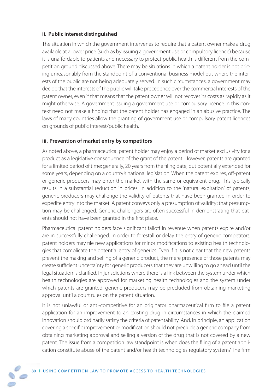#### **ii. Public interest distinguished**

 The situation in which the government intervenes to require that a patent owner make a drug available at a lower price (such as by issuing a government use or compulsory licence) because it is unaffordable to patients and necessary to protect public health is different from the competition ground discussed above. There may be situations in which a patent holder is not pricing unreasonably from the standpoint of a conventional business model but where the interests of the public are not being adequately served. In such circumstances, a government may decide that the interests of the public will take precedence over the commercial interests of the patent owner, even if that means that the patent owner will not recover its costs as rapidly as it might otherwise. A government issuing a government use or compulsory licence in this context need not make a finding that the patent holder has engaged in an abusive practice. The laws of many countries allow the granting of government use or compulsory patent licences on grounds of public interest/public health.

#### **iii. Prevention of market entry by competitors**

 As noted above, a pharmaceutical patent holder may enjoy a period of market exclusivity for a product as a legislative consequence of the grant of the patent. However, patents are granted for a limited period of time; generally, 20 years from the filing date, but potentially extended for some years, depending on a country's national legislation. When the patent expires, off -patent or generic producers may enter the market with the same or equivalent drug. This typically results in a substantial reduction in prices. In addition to the "natural expiration" of patents, generic producers may challenge the validity of patents that have been granted in order to expedite entry into the market. A patent conveys only a presumption of validity; that presumption may be challenged. Generic challengers are often successful in demonstrating that patents should not have been granted in the first place.

Pharmaceutical patent holders face significant falloff in revenue when patents expire and/or are in successfully challenged. In order to forestall or delay the entry of generic competitors, patent holders may file new applications for minor modifications to existing health technologies that complicate the potential entry of generics. Even if it is not clear that the new patents prevent the making and selling of a generic product, the mere presence of those patents may create sufficient uncertainty for generic producers that they are unwilling to go ahead until the legal situation is clarified. In jurisdictions where there is a link between the system under which health technologies are approved for marketing health technologies and the system under which patents are granted, generic producers may be precluded from obtaining marketing approval until a court rules on the patent situation.

It is not unlawful or anti-competitive for an originator pharmaceutical firm to file a patent application for an improvement to an existing drug in circumstances in which the claimed innovation should ordinarily satisfy the criteria of patentability. And, in principle, an application covering a specific improvement or modification should not preclude a generic company from obtaining marketing approval and selling a version of the drug that is not covered by a new patent. The issue from a competition law standpoint is when does the filing of a patent application constitute abuse of the patent and/or health technologies regulatory system? The firm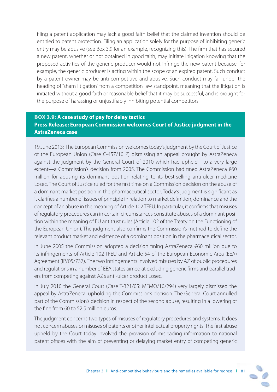filing a patent application may lack a good faith belief that the claimed invention should be entitled to patent protection. Filing an application solely for the purpose of inhibiting generic entry may be abusive (see Box 3.9 for an example, recognizing this). The firm that has secured a new patent, whether or not obtained in good faith, may initiate litigation knowing that the proposed activities of the generic producer would not infringe the new patent because, for example, the generic producer is acting within the scope of an expired patent. Such conduct by a patent owner may be anti-competitive and abusive. Such conduct may fall under the heading of "sham litigation" from a competition law standpoint, meaning that the litigation is initiated without a good faith or reasonable belief that it may be successful, and is brought for the purpose of harassing or unjustifiably inhibiting potential competitors.

### **BOX 3.9: A case study of pay for delay tactics Press Release: European Commission welcomes Court of Justice judgment in the AstraZeneca case**

19 June 2013: The European Commission welcomes today's judgment by the Court of Justice of the European Union (Case C-457/10 P) dismissing an appeal brought by AstraZeneca against the judgment by the General Court of 2010 which had upheld—to a very large extent—a Commission's decision from 2005. The Commission had fined AstraZeneca €60 million for abusing its dominant position relating to its best-selling anti-ulcer medicine Losec. The Court of Justice ruled for the first time on a Commission decision on the abuse of a dominant market position in the pharmaceutical sector. Today's judgment is significant as it clarifies a number of issues of principle in relation to market definition, dominance and the concept of an abuse in the meaning of Article 102 TFEU. In particular, it confirms that misuses of regulatory procedures can in certain circumstances constitute abuses of a dominant position within the meaning of EU antitrust rules (Article 102 of the Treaty on the Functioning of the European Union). The judgment also confirms the Commission's method to define the relevant product market and existence of a dominant position in the pharmaceutical sector.

In June 2005 the Commission adopted a decision fining AstraZeneca €60 million due to its infringements of Article 102 TFEU and Article 54 of the European Economic Area (EEA) Agreement (IP/05/737). The two infringements involved misuses by AZ of public procedures and regulations in a number of EEA states aimed at excluding generic firms and parallel traders from competing against AZ's anti-ulcer product Losec.

In July 2010 the General Court (Case T-321/05: MEMO/10/294) very largely dismissed the appeal by AstraZeneca, upholding the Commission's decision. The General Court annulled part of the Commission's decision in respect of the second abuse, resulting in a lowering of the fine from 60 to 52.5 million euros.

The judgment concerns two types of misuses of regulatory procedures and systems. It does not concern abuses or misuses of patents or other intellectual property rights. The first abuse upheld by the Court today involved the provision of misleading information to national patent offices with the aim of preventing or delaying market entry of competing generic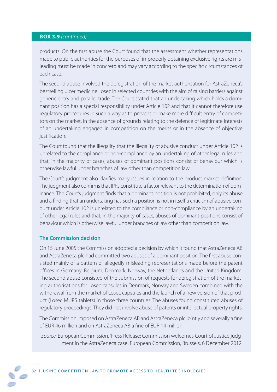#### **BOX 3.9** (continued)

products. On the first abuse the Court found that the assessment whether representations made to public authorities for the purposes of improperly obtaining exclusive rights are misleading must be made in concreto and may vary according to the specific circumstances of each case.

The second abuse involved the deregistration of the market authorisation for AstraZeneca's bestselling ulcer medicine Losec in selected countries with the aim of raising barriers against generic entry and parallel trade. The Court stated that an undertaking which holds a dominant position has a special responsibility under Article 102 and that it cannot therefore use regulatory procedures in such a way as to prevent or make more difficult entry of competitors on the market, in the absence of grounds relating to the defence of legitimate interests of an undertaking engaged in competition on the merits or in the absence of objective justification.

The Court found that the illegality that the illegality of abusive conduct under Article 102 is unrelated to the compliance or non-compliance by an undertaking of other legal rules and that, in the majority of cases, abuses of dominant positions consist of behaviour which is otherwise lawful under branches of law other than competition law.

The Court's judgment also clarifies many issues in relation to the product market definition. The judgment also confirms that IPRs constitute a factor relevant to the determination of dominance. The Court's judgment finds that a dominant position is not prohibited, only its abuse and a finding that an undertaking has such a position is not in itself a criticism of abusive conduct under Article 102 is unrelated to the compliance or non-compliance by an undertaking of other legal rules and that, in the majority of cases, abuses of dominant positions consist of behaviour which is otherwise lawful under branches of law other than competition law.

#### **The Commission decision**

On 15 June 2005 the Commission adopted a decision by which it found that AstraZeneca AB and AstraZeneca plc had committed two abuses of a dominant position. The first abuse consisted mainly of a pattern of allegedly misleading representations made before the patent offices in Germany, Belgium, Denmark, Norway, the Netherlands and the United Kingdom. The second abuse consisted of the submission of requests for deregistration of the marketing authorisations for Losec capsules in Denmark, Norway and Sweden combined with the withdrawal from the market of Losec capsules and the launch of a new version of that product (Losec MUPS tablets) in those three countries. The abuses found constituted abuses of regulatory proceedings. They did not involve abuse of patents or intellectual property rights.

The Commission imposed on AstraZeneca AB and AstraZeneca plc jointly and severally a fine of EUR 46 million and on AstraZeneca AB a fine of EUR 14 million.

Source: European Commission, 'Press Release: Commission welcomes Court of Justice judgment in the AstraZeneca case', European Commission, Brussels, 6 December 2012.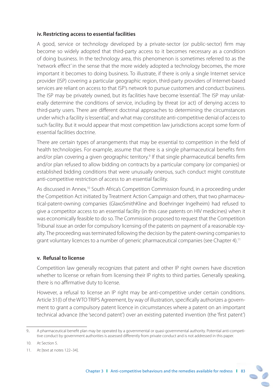#### **iv. Restricting access to essential facilities**

A good, service or technology developed by a private-sector (or public-sector) firm may become so widely adopted that third-party access to it becomes necessary as a condition of doing business. In the technology area, this phenomenon is sometimes referred to as the 'network effect' in the sense that the more widely adopted a technology becomes, the more important it becomes to doing business. To illustrate, if there is only a single Internet service provider (ISP) covering a particular geographic region, third-party providers of Internet-based services are reliant on access to that ISP's network to pursue customers and conduct business. The ISP may be privately owned, but its facilities have become 'essential'. The ISP may unilaterally determine the conditions of service, including by threat (or act) of denying access to third-party users. There are different doctrinal approaches to determining the circumstances under which a facility is 'essential', and what may constitute anti-competitive denial of access to such facility. But it would appear that most competition law jurisdictions accept some form of essential facilities doctrine.

There are certain types of arrangements that may be essential to competition in the field of health technologies. For example, assume that there is a single pharmaceutical benefits firm and/or plan covering a given geographic territory.<sup>9</sup> If that single pharmaceutical benefits firm and/or plan refused to allow bidding on contracts by a particular company (or companies) or established bidding conditions that were unusually onerous, such conduct might constitute anti-competitive restriction of access to an essential facility.

As discussed in Annex,<sup>10</sup> South Africa's Competition Commission found, in a proceeding under the Competition Act initiated by Treatment Action Campaign and others, that two pharmaceutical-patent-owning companies (GlaxoSmithKline and Boehringer Ingelheim) had refused to give a competitor access to an essential facility (in this case patents on HIV medicines) when it was economically feasible to do so. The Commission proposed to request that the Competition Tribunal issue an order for compulsory licensing of the patents on payment of a reasonable royalty. The proceeding was terminated following the decision by the patent-owning companies to grant voluntary licences to a number of generic pharmaceutical companies (see Chapter 4).<sup>11</sup>

#### **v. Refusal to license**

 Competition law generally recognizes that patent and other IP right owners have discretion whether to license or refrain from licensing their IP rights to third parties. Generally speaking, there is no affirmative duty to license.

 However, a refusal to license an IP right may be anti-competitive under certain conditions. Article 31(I) of the WTO TRIPS Agreement, by way of illustration, specifically authorizes a government to grant a compulsory patent licence in circumstances where a patent on an important technical advance (the 'second patent') over an existing patented invention (the 'first patent')

<sup>9..</sup> A pharmaceutical benefi t plan may be operated by a governmental or quasi-governmental authority. Potential anti-competitive conduct by government authorities is assessed differently from private conduct and is not addressed in this paper.

<sup>10.</sup> At Section 5.

<sup>11.</sup> At [text at notes 122–34].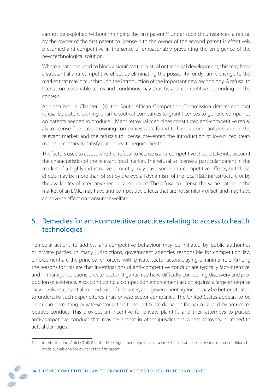cannot be exploited without infringing the first patent.<sup>12</sup> Under such circumstances, a refusal by the owner of the first patent to license it to the owner of the second patent is effectively presumed anti-competitive in the sense of unreasonably preventing the emergence of the new technological solution.

Where a patent is used to block a significant industrial or technical development, this may have a substantial anti-competitive effect by eliminating the possibility for dynamic change to the market that may occur through the introduction of the important new technology. A refusal to license on reasonable terms and conditions may thus be anti-competitive depending on the context.

 As described in Chapter 1(a), the South African Competition Commission determined that refusal by patent-owning pharmaceutical companies to grant licences to generic companies on patents needed to produce HIV antiretroviral medicines constituted anti-competitive refusals to license. The patent-owning companies were found to have a dominant position on the relevant market, and the refusals to license prevented the introduction of low-priced treatments necessary to satisfy public health requirements.

 The factors used to assess whether refusal to license is anti-competitive should take into account the characteristics of the relevant local market. The refusal to license a particular patent in the market of a highly industrialized country may have some anti-competitive effects, but those effects may be more than offset by the overall dynamism of the local R&D infrastructure or by the availability of alternative technical solutions. The refusal to license the same patent in the market of an LMIC may have anti-competitive effects that are not similarly offset, and may have an adverse effect on consumer welfare.

# 5. Remedies for anti-competitive practices relating to access to health technologies

Remedial actions to address anti-competitive behaviour may be initiated by public authorities or private parties. In many jurisdictions, government agencies responsible for competition law enforcement are the principal enforcers, with private-sector actors playing a minimal role. Among the reasons for this are that investigations of anti-competitive conduct are typically fact-intensive, and in many jurisdictions private-sector litigants may have difficulty compelling discovery and production of evidence. Also, conducting a competition enforcement action against a large enterprise may involve substantial expenditure of resources, and government agencies may be better situated to undertake such expenditures than private-sector companies. The United States appears to be unique in permitting private-sector actors to collect triple damages for harm caused by anti-competitive conduct. This provides an incentive for private plaintiffs and their attorneys to pursue anti-competitive conduct that may be absent in other jurisdictions where recovery is limited to actual damages.

<sup>12.</sup> In this situation, Article 31(l)(ii) of the TRIPS Agreement requires that a cross-licence on reasonable terms and conditions be made available to the owner of the first patent.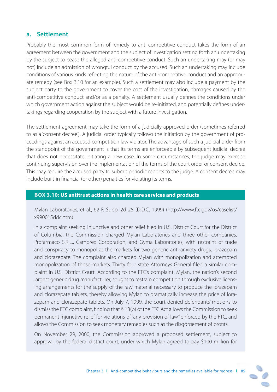#### **a. Settlement**

Probably the most common form of remedy to anti-competitive conduct takes the form of an agreement between the government and the subject of investigation setting forth an undertaking by the subject to cease the alleged anti-competitive conduct. Such an undertaking may (or may not) include an admission of wrongful conduct by the accused. Such an undertaking may include conditions of various kinds reflecting the nature of the anti-competitive conduct and an appropriate remedy (see Box 3.10 for an example). Such a settlement may also include a payment by the subject party to the government to cover the cost of the investigation, damages caused by the anti-competitive conduct and/or as a penalty. A settlement usually defines the conditions under which government action against the subject would be re-initiated, and potentially defines undertakings regarding cooperation by the subject with a future investigation.

The settlement agreement may take the form of a judicially approved order (sometimes referred to as a 'consent decree'). A judicial order typically follows the initiation by the government of proceedings against an accused competition law violator. The advantage of such a judicial order from the standpoint of the government is that its terms are enforceable by subsequent judicial decree that does not necessitate initiating a new case. In some circumstances, the judge may exercise continuing supervision over the implementation of the terms of the court order or consent decree. This may require the accused party to submit periodic reports to the judge. A consent decree may include built-in financial (or other) penalties for violating its terms.

#### **BOX 3.10: US antitrust actions in health care services and products**

Mylan Laboratories, et al., 62 F. Supp. 2d 25 (D.D.C. 1999) (http://www.ftc.gov/os/caselist/ x990015ddc.htm)

In a complaint seeking injunctive and other relief filed in U.S. District Court for the District of Columbia, the Commission charged Mylan Laboratories and three other companies, Profarmaco S.R.L., Cambrex Corporation, and Gyma Laboratories, with restraint of trade and conspiracy to monopolize the markets for two generic anti-anxiety drugs, lorazepam and clorazepate. The complaint also charged Mylan with monopolization and attempted monopolization of those markets. Thirty four state Attorneys General filed a similar complaint in U.S. District Court. According to the FTC's complaint, Mylan, the nation's second largest generic drug manufacturer, sought to restrain competition through exclusive licensing arrangements for the supply of the raw material necessary to produce the lorazepam and clorazepate tablets, thereby allowing Mylan to dramatically increase the price of lorazepam and clorazepate tablets. On July 7, 1999, the court denied defendants' motions to dismiss the FTC complaint, finding that § 13(b) of the FTC Act allows the Commission to seek permanent injunctive relief for violations of "any provision of law" enforced by the FTC, and allows the Commission to seek monetary remedies such as the disgorgement of profits.

On November 29, 2000, the Commission approved a proposed settlement, subject to approval by the federal district court, under which Mylan agreed to pay \$100 million for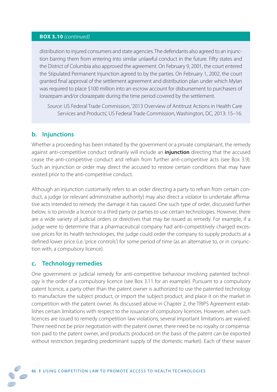#### **BOX 3.10** (continued)

distribution to injured consumers and state agencies. The defendants also agreed to an injunction barring them from entering into similar unlawful conduct in the future. Fifty states and the District of Columbia also approved the agreement. On February 9, 2001, the court entered the Stipulated Permanent Injunction agreed to by the parties. On February 1, 2002, the court granted final approval of the settlement agreement and distribution plan under which Mylan was required to place \$100 million into an escrow account for disbursement to purchasers of lorazepam and/or clorazepate during the time period covered by the settlement.

Source: US Federal Trade Commission, '2013 Overview of Antitrust Actions in Health Care Services and Products', US Federal Trade Commission, Washington, DC, 2013: 15–16.

#### **b. Injunctions**

Whether a proceeding has been initiated by the government or a private complainant, the remedy against anti-competitive conduct ordinarily will include an **injunction** directing that the accused cease the anti-competitive conduct and refrain from further anti-competitive acts (see Box 3.9). Such an injunction or order may direct the accused to restore certain conditions that may have existed prior to the anti-competitive conduct.

Although an injunction customarily refers to an order directing a party to refrain from certain conduct, a judge (or relevant administrative authority) may also direct a violator to undertake affirmative acts intended to remedy the damage it has caused. One such type of order, discussed further below, is to provide a licence to a third party or parties to use certain technologies. However, there are a wide variety of judicial orders or directives that may be issued as remedy. For example, if a judge were to determine that a pharmaceutical company had anti-competitively charged excessive prices for its health technologies, the judge could order the company to supply products at a defined lower price (i.e. 'price controls') for some period of time (as an alternative to, or in conjunction with, a compulsory licence).

#### **c. Technology remedies**

One government or judicial remedy for anti-competitive behaviour involving patented technology is the order of a compulsory licence (see Box 3.11 for an example). Pursuant to a compulsory patent licence, a party other than the patent owner is authorized to use the patented technology to manufacture the subject product, or import the subject product, and place it on the market in competition with the patent owner. As discussed above in Chapter 2, the TRIPS Agreement establishes certain limitations with respect to the issuance of compulsory licences. However, when such licences are issued to remedy competition law violations, several important limitations are waived. There need not be prior negotiation with the patent owner, there need be no royalty or compensation paid to the patent owner, and products produced on the basis of the patent can be exported without restriction (regarding predominant supply of the domestic market). Each of these waiver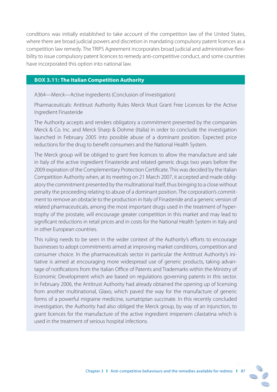conditions was initially established to take account of the competition law of the United States, where there are broad judicial powers and discretion in mandating compulsory patent licences as a competition law remedy. The TRIPS Agreement incorporates broad judicial and administrative flexibility to issue compulsory patent licences to remedy anti-competitive conduct, and some countries have incorporated this option into national law.

#### **BOX 3.11: The Italian Competition Authority**

A364—Merck—Active Ingredients (Conclusion of Investigation)

Pharmaceuticals: Antitrust Authority Rules Merck Must Grant Free Licences for the Active Ingredient Finasteride

The Authority accepts and renders obligatory a commitment presented by the companies Merck & Co. Inc. and Merck Sharp & Dohme (Italia) in order to conclude the investigation launched in February 2005 into possible abuse of a dominant position. Expected price reductions for the drug to benefit consumers and the National Health System.

The Merck group will be obliged to grant free licences to allow the manufacture and sale in Italy of the active ingredient Finasteride and related generic drugs two years before the 2009 expiration of the Complementary Protection Certificate. This was decided by the Italian Competition Authority when, at its meeting on 21 March 2007, it accepted and made obligatory the commitment presented by the multinational itself, thus bringing to a close without penalty the proceeding relating to abuse of a dominant position. The corporation's commitment to remove an obstacle to the production in Italy of Finasteride and a generic version of related pharmaceuticals, among the most important drugs used in the treatment of hypertrophy of the prostate, will encourage greater competition in this market and may lead to significant reductions in retail prices and in costs for the National Health System in Italy and in other European countries.

This ruling needs to be seen in the wider context of the Authority's efforts to encourage businesses to adopt commitments aimed at improving market conditions, competition and consumer choice. In the pharmaceuticals sector in particular the Antitrust Authority's initiative is aimed at encouraging more widespread use of generic products, taking advantage of notifications from the Italian Office of Patents and Trademarks within the Ministry of Economic Development which are based on regulations governing patents in this sector. In February 2006, the Antitrust Authority had already obtained the opening up of licensing from another multinational, Glaxo, which paved the way for the manufacture of generic forms of a powerful migraine medicine, sumatriptan succinate. In this recently concluded investigation, the Authority had also obliged the Merck group, by way of an injunction, to grant licences for the manufacture of the active ingredient imipenem cilastatina which is used in the treatment of serious hospital infections.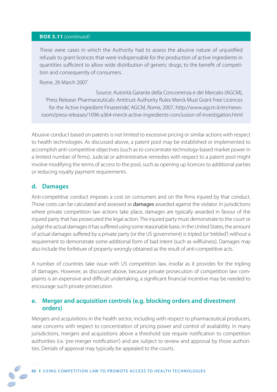#### **BOX 3.11** (continued)

These were cases in which the Authority had to assess the abusive nature of unjustified refusals to grant licences that were indispensable for the production of active ingredients in quantities sufficient to allow wide distribution of generic drugs, to the benefit of competition and consequently of consumers.

Rome, 26 March 2007

Source: Autorità Garante della Concorrenza e del Mercato (AGCM), 'Press Release: Pharmaceuticals: Antitrust Authority Rules Merck Must Grant Free Licences for the Active Ingredient Finasteride', AGCM, Rome, 2007, http://www.agcm.it/en/newsroom/press-releases/1096-a364-merck-active-ingredients-conclusion-of-investigation.html

Abusive conduct based on patents is not limited to excessive pricing or similar actions with respect to health technologies. As discussed above, a patent pool may be established or implemented to accomplish anti-competitive objectives (such as to concentrate technology-based market power in a limited number of firms). Judicial or administrative remedies with respect to a patent pool might involve modifying the terms of access to the pool, such as opening up licences to additional parties or reducing royalty payment requirements.

### **d. Damages**

Anti-competitive conduct imposes a cost on consumers and on the firms injured by that conduct. Those costs can be calculated and assessed as **damages** awarded against the violator. In jurisdictions where private competition law actions take place, damages are typically awarded in favour of the injured party that has prosecuted the legal action. The injured party must demonstrate to the court or judge the actual damages it has suffered using some reasonable basis. In the United States, the amount of actual damages suffered by a private party (or the US government) is tripled (or 'trebled') without a requirement to demonstrate some additional form of bad intent (such as willfulness). Damages may also include the forfeiture of property wrongly obtained as the result of anti-competitive acts.

A number of countries take issue with US competition law, insofar as it provides for the tripling of damages. However, as discussed above, because private prosecution of competition law complaints is an expensive and difficult undertaking, a significant financial incentive may be needed to encourage such private prosecution.

### **e. Merger and acquisition controls (e.g. blocking orders and divestment orders)**

Mergers and acquisitions in the health sector, including with respect to pharmaceutical producers, raise concerns with respect to concentration of pricing power and control of availability. In many jurisdictions, mergers and acquisitions above a threshold size require notification to competition authorities (i.e. 'pre-merger notification') and are subject to review and approval by those authorities. Denials of approval may typically be appealed to the courts.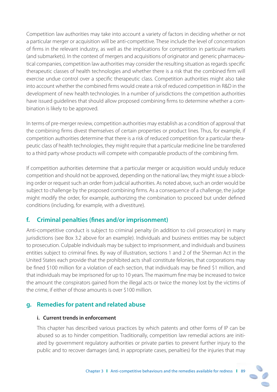Competition law authorities may take into account a variety of factors in deciding whether or not a particular merger or acquisition will be anti-competitive. These include the level of concentration of firms in the relevant industry, as well as the implications for competition in particular markets (and submarkets). In the context of mergers and acquisitions of originator and generic pharmaceutical companies, competition law authorities may consider the resulting situation as regards specific therapeutic classes of health technologies and whether there is a risk that the combined firm will exercise undue control over a specific therapeutic class. Competition authorities might also take into account whether the combined firms would create a risk of reduced competition in R&D in the development of new health technologies. In a number of jurisdictions the competition authorities have issued quidelines that should allow proposed combining firms to determine whether a combination is likely to be approved.

In terms of pre-merger review, competition authorities may establish as a condition of approval that the combining firms divest themselves of certain properties or product lines. Thus, for example, if competition authorities determine that there is a risk of reduced competition for a particular therapeutic class of health technologies, they might require that a particular medicine line be transferred to a third party whose products will compete with comparable products of the combining firm.

If competition authorities determine that a particular merger or acquisition would unduly reduce competition and should not be approved, depending on the national law, they might issue a blocking order or request such an order from judicial authorities. As noted above, such an order would be subject to challenge by the proposed combining firms. As a consequence of a challenge, the judge might modify the order, for example, authorizing the combination to proceed but under defined conditions (including, for example, with a divestiture).

# f. Criminal penalties (fines and/or imprisonment)

Anti-competitive conduct is subject to criminal penalty (in addition to civil prosecution) in many jurisdictions (see Box 3.2 above for an example). Individuals and business entities may be subject to prosecution. Culpable individuals may be subject to imprisonment, and individuals and business entities subject to criminal fines. By way of illustration, sections 1 and 2 of the Sherman Act in the United States each provide that the prohibited acts shall constitute felonies, that corporations may be fined \$100 million for a violation of each section, that individuals may be fined \$1 million, and that individuals may be imprisoned for up to 10 years. The maximum fine may be increased to twice the amount the conspirators gained from the illegal acts or twice the money lost by the victims of the crime, if either of those amounts is over \$100 million.

# **g. Remedies for patent and related abuse**

#### **i. Current trends in enforcement**

 This chapter has described various practices by which patents and other forms of IP can be abused so as to hinder competition. Traditionally, competition law remedial actions are initiated by government regulatory authorities or private parties to prevent further injury to the public and to recover damages (and, in appropriate cases, penalties) for the injuries that may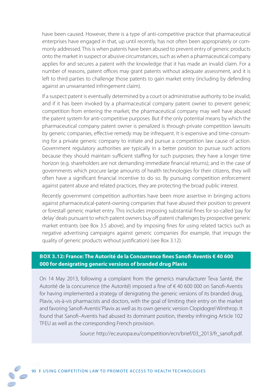have been caused. However, there is a type of anti-competitive practice that pharmaceutical enterprises have engaged in that, up until recently, has not often been appropriately or commonly addressed. This is when patents have been abused to prevent entry of generic products onto the market in suspect or abusive circumstances, such as when a pharmaceutical company applies for and secures a patent with the knowledge that it has made an invalid claim. For a number of reasons, patent offices may grant patents without adequate assessment, and it is left to third parties to challenge those patents to gain market entry (including by defending against an unwarranted infringement claim).

 If a suspect patent is eventually determined by a court or administrative authority to be invalid, and if it has been invoked by a pharmaceutical company patent owner to prevent generic competition from entering the market, the pharmaceutical company may well have abused the patent system for anti-competitive purposes. But if the only potential means by which the pharmaceutical company patent owner is penalized is through private competition lawsuits by generic companies, effective remedy may be infrequent. It is expensive and time-consuming for a private generic company to initiate and pursue a competition law cause of action. Government regulatory authorities are typically in a better position to pursue such actions because they should maintain sufficient staffing for such purposes; they have a longer time horizon (e.g. shareholders are not demanding immediate financial returns); and in the case of governments which procure large amounts of health technologies for their citizens, they will often have a significant financial incentive to do so. By pursuing competition enforcement against patent abuse and related practices, they are protecting the broad public interest.

 Recently government competition authorities have been more assertive in bringing actions against pharmaceutical-patent-owning companies that have abused their position to prevent or forestall generic market entry. This includes imposing substantial fines for so-called 'pay for delay' deals pursuant to which patent owners buy off patent challenges by prospective generic market entrants (see Box 3.5 above), and by imposing fines for using related tactics such as negative advertising campaigns against generic companies (for example, that impugn the quality of generic products without justification) (see Box 3.12).

#### **BOX 3.12: France: The Autorité de la Concurrence fines Sanofi-Aventis € 40 600 000 for denigrating generic versions of branded drug Plavix**

On 14 May 2013, following a complaint from the generics manufacturer Teva Santé, the Autorité de la concurrence (the Autorité) imposed a fine of € 40 600 000 on Sanofi-Aventis for having implemented a strategy of denigrating the generic versions of its branded drug, Plavix, vis-à-vis pharmacists and doctors, with the goal of limiting their entry on the market and favoring Sanofi-Aventis' Plavix as well as its own generic version Clopidogrel Winthrop. It found that Sanofi-Aventis had abused its dominant position, thereby infringing Article 102 TFEU as well as the corresponding French provision.

Source: http://ec.europa.eu/competition/ecn/brief/03\_2013/fr\_sanofi.pdf.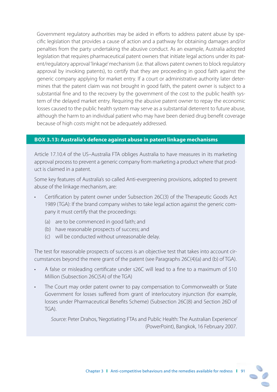Government regulatory authorities may be aided in efforts to address patent abuse by specific legislation that provides a cause of action and a pathway for obtaining damages and/or penalties from the party undertaking the abusive conduct. As an example, Australia adopted legislation that requires pharmaceutical patent owners that initiate legal actions under its patent/regulatory approval 'linkage' mechanism (i.e. that allows patent owners to block regulatory approval by invoking patents), to certify that they are proceeding in good faith against the generic company applying for market entry. If a court or administrative authority later determines that the patent claim was not brought in good faith, the patent owner is subject to a substantial fine and to the recovery by the government of the cost to the public health system of the delayed market entry. Requiring the abusive patent owner to repay the economic losses caused to the public health system may serve as a substantial deterrent to future abuse, although the harm to an individual patient who may have been denied drug benefit coverage because of high costs might not be adequately addressed.

#### **BOX 3.13: Australia's defence against abuse in patent linkage mechanisms**

Article 17.10.4 of the US–Australia FTA obliges Australia to have measures in its marketing approval process to prevent a generic company from marketing a product where that product is claimed in a patent.

Some key features of Australia's so called Anti-evergreening provisions, adopted to prevent abuse of the linkage mechanism, are:

- Certification by patent owner under Subsection 26C(3) of the Therapeutic Goods Act 1989 (TGA): If the brand company wishes to take legal action against the generic company it must certify that the proceedings:
	- (a) are to be commenced in good faith; and
	- (b) have reasonable prospects of success; and
	- (c) will be conducted without unreasonable delay.

The test for reasonable prospects of success is an objective test that takes into account circumstances beyond the mere grant of the patent (see Paragraphs 26C(4)(a) and (b) of TGA).

- A false or misleading certificate under s26C will lead to a fine to a maximum of \$10 Million (Subsection 26C(5A) of the TGA)
- The Court may order patent owner to pay compensation to Commonwealth or State Government for losses suffered from grant of interlocutory injunction (for example, losses under Pharmaceutical Benefits Scheme) (Subsection 26C(8) and Section 26D of TGA).

Source: Peter Drahos, 'Negotiating FTAs and Public Health: The Australian Experience' (PowerPoint), Bangkok, 16 February 2007.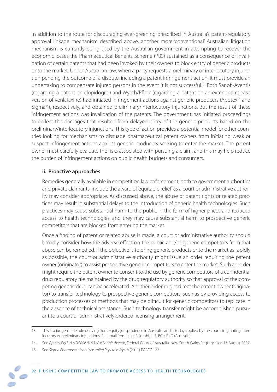In addition to the route for discouraging ever-greening prescribed in Australia's patent-regulatory approval linkage mechanism described above, another more 'conventional' Australian litigation mechanism is currently being used by the Australian government in attempting to recover the economic losses the Pharmaceutical Benefits Scheme (PBS) sustained as a consequence of invalidation of certain patents that had been invoked by their owners to block entry of generic products onto the market. Under Australian law, when a party requests a preliminary or interlocutory injunction pending the outcome of a dispute, including a patent infringement action, it must provide an undertaking to compensate injured persons in the event it is not successful.<sup>13</sup> Both Sanofi-Aventis (regarding a patent on clopidogrel) and Wyeth/Pfizer (regarding a patent on an extended release version of venlafaxine) had initiated infringement actions against generic producers (Apotex14 and Sigma<sup>15</sup>), respectively, and obtained preliminary/interlocutory injunctions. But the result of these infringement actions was invalidation of the patents. The government has initiated proceedings to collect the damages that resulted from delayed entry of the generic products based on the preliminary/interlocutory injunctions. This type of action provides a potential model for other countries looking for mechanisms to dissuade pharmaceutical patent owners from initiating weak or suspect infringement actions against generic producers seeking to enter the market. The patent owner must carefully evaluate the risks associated with pursuing a claim, and this may help reduce the burden of infringement actions on public health budgets and consumers.

#### **ii. Proactive approaches**

 Remedies generally available in competition law enforcement, both to government authorities and private claimants, include the award of 'equitable relief' as a court or administrative authority may consider appropriate. As discussed above, the abuse of patent rights or related practices may result in substantial delays to the introduction of generic health technologies. Such practices may cause substantial harm to the public in the form of higher prices and reduced access to health technologies, and they may cause substantial harm to prospective generic competitors that are blocked from entering the market.

Once a finding of patent or related abuse is made, a court or administrative authority should broadly consider how the adverse effect on the public and/or generic competitors from that abuse can be remedied. If the objective is to bring generic products onto the market as rapidly as possible, the court or administrative authority might issue an order requiring the patent owner (originator) to assist prospective generic competitors to enter the market. Such an order might require the patent owner to consent to the use by generic competitors of a confidential drug regulatory file maintained by the drug regulatory authority so that approval of the competing generic drug can be accelerated. Another order might direct the patent owner (originator) to transfer technology to prospective generic competitors, such as by providing access to production processes or methods that may be difficult for generic competitors to replicate in the absence of technical assistance. Such technology transfer might be accomplished pursuant to a court or administratively ordered licensing arrangement.

<sup>13.</sup> This is a judge-made rule deriving from equity jurisprudence in Australia, and is today applied by the courts in granting interlocutory or preliminary injunctions. Per email from Luigi Palombi, LLB, BCe, PhD (Australia).

<sup>14.</sup> See Apotex Pty Ltd ACN 096 916 148 v Sanofi-Aventis, Federal Court of Australia, New South Wales Registry, filed 16 August 2007.

<sup>15.</sup> See Sigma Pharmaceuticals (Australia) Pty Ltd v Wyeth (2011) FCAFC 132.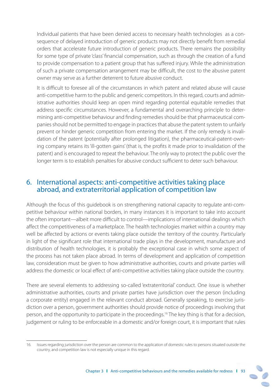Individual patients that have been denied access to necessary health technologies as a consequence of delayed introduction of generic products may not directly benefit from remedial orders that accelerate future introduction of generic products. There remains the possibility for some type of private 'class' financial compensation, such as through the creation of a fund to provide compensation to a patient group that has suffered injury. While the administration of such a private compensation arrangement may be difficult, the cost to the abusive patent owner may serve as a further deterrent to future abusive conduct.

It is difficult to foresee all of the circumstances in which patent and related abuse will cause anti-competitive harm to the public and generic competitors. In this regard, courts and administrative authorities should keep an open mind regarding potential equitable remedies that address specific circumstances. However, a fundamental and overarching principle to determining anti-competitive behaviour and finding remedies should be that pharmaceutical companies should not be permitted to engage in practices that abuse the patent system to unfairly prevent or hinder generic competition from entering the market. If the only remedy is invalidation of the patent (potentially after prolonged litigation), the pharmaceutical-patent-owning company retains its 'ill-gotten gains' (that is, the profits it made prior to invalidation of the patent) and is encouraged to repeat the behaviour. The only way to protect the public over the longer term is to establish penalties for abusive conduct sufficient to deter such behaviour.

# 6. International aspects: anti-competitive activities taking place abroad, and extraterritorial application of competition law

Although the focus of this guidebook is on strengthening national capacity to regulate anti-competitive behaviour within national borders, in many instances it is important to take into account the often important—albeit more difficult to control—implications of international dealings which affect the competitiveness of a marketplace. The health technologies market within a country may well be affected by actions or events taking place outside the territory of the country. Particularly in light of the significant role that international trade plays in the development, manufacture and distribution of health technologies, it is probably the exceptional case in which some aspect of the process has not taken place abroad. In terms of development and application of competition law, consideration must be given to how administrative authorities, courts and private parties will address the domestic or local effect of anti-competitive activities taking place outside the country.

There are several elements to addressing so-called 'extraterritorial' conduct. One issue is whether administrative authorities, courts and private parties have jurisdiction over the person (including a corporate entity) engaged in the relevant conduct abroad. Generally speaking, to exercise jurisdiction over a person, government authorities should provide notice of proceedings involving that person, and the opportunity to participate in the proceedings.16 The key thing is that for a decision, judgement or ruling to be enforceable in a domestic and/or foreign court, it is important that rules

<sup>16.</sup> Issues regarding jurisdiction over the person are common to the application of domestic rules to persons situated outside the country, and competition law is not especially unique in this regard.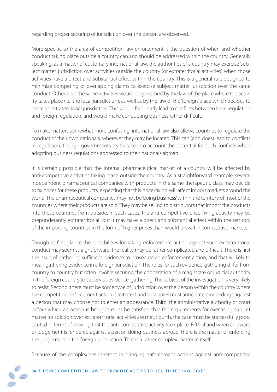regarding proper securing of jurisdiction over the person are observed.

More specific to the area of competition law enforcement is the question of when and whether conduct taking place outside a country can and should be addressed within the country. Generally speaking, as a matter of customary international law, the authorities of a country may exercise 'subject matter' jurisdiction over activities outside the country (or extraterritorial activities) when those activities have a direct and substantial effect within the country. This is a general rule designed to minimize competing or overlapping claims to exercise subject matter jurisdiction over the same conduct. Otherwise, the same activities would be governed by the law of the place where the activity takes place (i.e. the local jurisdiction), as well as by the law of the 'foreign' place which decides to exercise extraterritorial jurisdiction. This would frequently lead to conflicts between local regulation and foreign regulation, and would make conducting business rather difficult.

To make matters somewhat more confusing, international law also allows countries to regulate the conduct of their own nationals, wherever they may be located. This can (and does) lead to conflicts in regulation, though governments try to take into account the potential for such conflicts when adopting business regulations addressed to their nationals abroad.

It is certainly possible that the internal pharmaceutical market of a country will be affected by anti-competitive activities taking place outside the country. As a straightforward example, several independent pharmaceutical companies with products in the same therapeutic class may decide to fix prices for these products, expecting that this 'price-fixing' will affect import markets around the world. The pharmaceutical companies may not be 'doing business' within the territory of most of the countries where their products are sold. They may be selling to distributors that import the products into these countries from outside. In such cases, the anti-competitive price-fixing activity may be preponderantly 'extraterritorial', but it may have a direct and substantial effect within the territory of the importing countries in the form of higher prices than would prevail in competitive markets.

Though at first glance the possibilities for taking enforcement action against such extraterritorial conduct may seem straightforward, the reality may be rather complicated and difficult. There is first the issue of gathering sufficient evidence to prosecute an enforcement action, and that is likely to mean gathering evidence in a foreign jurisdiction. The rules for such evidence-gathering differ from country to country but often involve securing the cooperation of a magistrate or judicial authority in the foreign country to supervise evidence-gathering. The subject of the investigation is very likely to resist. Second, there must be some type of jurisdiction over the person within the country where the competition enforcement action is initiated, and local rules must anticipate proceedings against a person that may choose not to enter an appearance. Third, the administrative authority or court before which an action is brought must be satisfied that the requirements for exercising subject matter jurisdiction over extraterritorial activities are met. Fourth, the case must be successfully prosecuted in terms of proving that the anti-competitive activity took place. Fifth, if and when an award or judgement is rendered against a person doing business abroad, there is the matter of enforcing the judgement in the foreign jurisdiction. That is a rather complex matter in itself.

Because of the complexities inherent in bringing enforcement actions against anti-competitive

94 **l** USING COMPETITION LAW TO PROMOTE ACCESS TO HEALTH TECHNOLOGIES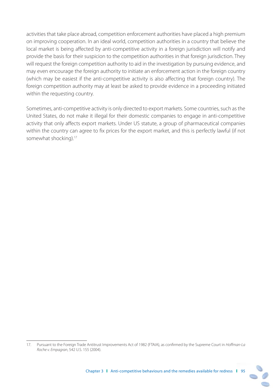activities that take place abroad, competition enforcement authorities have placed a high premium on improving cooperation. In an ideal world, competition authorities in a country that believe the local market is being affected by anti-competitive activity in a foreign jurisdiction will notify and provide the basis for their suspicion to the competition authorities in that foreign jurisdiction. They will request the foreign competition authority to aid in the investigation by pursuing evidence, and may even encourage the foreign authority to initiate an enforcement action in the foreign country (which may be easiest if the anti-competitive activity is also affecting that foreign country). The foreign competition authority may at least be asked to provide evidence in a proceeding initiated within the requesting country.

Sometimes, anti-competitive activity is only directed to export markets. Some countries, such as the United States, do not make it illegal for their domestic companies to engage in anti-competitive activity that only affects export markets. Under US statute, a group of pharmaceutical companies within the country can agree to fix prices for the export market, and this is perfectly lawful (if not somewhat shocking).<sup>17</sup>

<sup>17.</sup> Pursuant to the Foreign Trade Antitrust Improvements Act of 1982 (FTAIA), as confirmed by the Supreme Court in Hoffman-La Roche v. Empagran, 542 U.S. 155 (2004).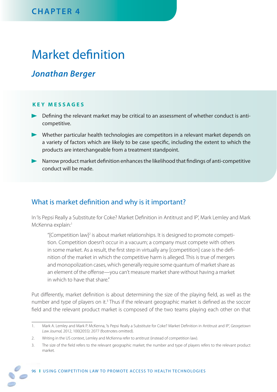# Market definition

# *Jonathan Berger*

#### **KEY MESSAGES**

- Defining the relevant market may be critical to an assessment of whether conduct is anticompetitive.
- Whether particular health technologies are competitors in a relevant market depends on a variety of factors which are likely to be case specific, including the extent to which the products are interchangeable from a treatment standpoint.
- $\blacktriangleright$  Narrow product market definition enhances the likelihood that findings of anti-competitive conduct will be made.

# What is market definition and why is it important?

In 'Is Pepsi Really a Substitute for Coke? Market Definition in Antitrust and IP', Mark Lemley and Mark McKenna explain:<sup>1</sup>

"[Competition law]<sup>2</sup> is about market relationships. It is designed to promote competition. Competition doesn't occur in a vacuum; a company must compete with others in some market. As a result, the first step in virtually any [competition] case is the definition of the market in which the competitive harm is alleged. This is true of mergers and monopolization cases, which generally require some quantum of market share as an element of the offense—you can't measure market share without having a market in which to have that share."

Put differently, market definition is about determining the size of the playing field, as well as the number and type of players on it.<sup>3</sup> Thus if the relevant geographic market is defined as the soccer field and the relevant product market is composed of the two teams playing each other on that

<sup>1.</sup> Mark A. Lemley and Mark P. McKenna, 'Is Pepsi Really a Substitute for Coke? Market Definition in Antitrust and IP', Georgetown Law Journal, 2012, 100(2055): 2077 (footnotes omitted).

<sup>2.</sup> Writing in the US context, Lemley and McKenna refer to antitrust (instead of competition law).

<sup>3.</sup> The size of the field refers to the relevant geographic market; the number and type of players refers to the relevant product market.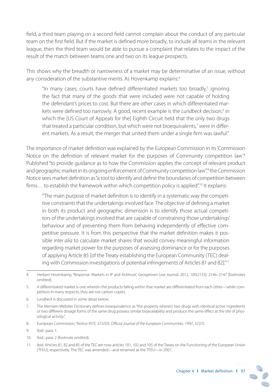field, a third team playing on a second field cannot complain about the conduct of any particular team on the first field. But if the market is defined more broadly, to include all teams in the relevant league, then the third team would be able to pursue a complaint that relates to the impact of the result of the match between teams one and two on its league prospects.

This shows why the breadth or narrowness of a market may be determinative of an issue, without any consideration of the substantive merits. As Hovenkamp explains:<sup>4</sup>

"In many cases, courts have defined differentiated markets too broadly, $<sup>5</sup>$  ignoring</sup> the fact that many of the goods that were included were not capable of holding the defendant's prices to cost. But there are other cases in which differentiated markets were defined too narrowly. A good, recent example is the Lundbeck decision,<sup>6</sup> in which the [US Court of Appeals for the] Eighth Circuit held that the only two drugs that treated a particular condition, but which were not bioequivalents,<sup>7</sup> were in different markets. As a result, the merger that united them under a single firm was lawful."

The importance of market definition was explained by the European Commission in its 'Commission Notice on the definition of relevant market for the purposes of Community competition law.<sup>8</sup> Published "to provide guidance as to how the Commission applies the concept of relevant product and geographic market in its ongoing enforcement of Community competition law",<sup>9</sup> the Commission Notice sees market definition as "a tool to identify and define the boundaries of competition between firms... to establish the framework within which competition policy is applied".<sup>10</sup> It explains:

"The main purpose of market definition is to identify in a systematic way the competitive constraints that the undertakings involved face. The objective of defining a market in both its product and geographic dimension is to identify those actual competitors of the undertakings involved that are capable of constraining those undertakings' behaviour and of preventing them from behaving independently of effective competitive pressure. It is from this perspective that the market definition makes it possible inter alia to calculate market shares that would convey meaningful information regarding market power for the purposes of assessing dominance or for the purposes of applying Article 85 [of the Treaty establishing the European Community (TEC) dealing with Commission investigations of potential infringements of Articles 81 and 82]."11

- 6. Lundbeck is discussed in some detail below.
- 7. The Merriam-Webster Dictionary defines bioequivalence as "the property wherein two drugs with identical active ingredients or two different dosage forms of the same drug possess similar bioavailability and produce the same effect at the site of physiological activity".
- 8. European Commission, 'Notice 97/C 372/03', Official Journal of the European Communities, 1997, 372/5.
- 9. Ibid.: para. 1.
- 10. Ibid.: para. 2 (footnote omitted).
- 11. Ibid. Articles 81, 82 and 85 of the TEC are now articles 101, 102 and 105 of the Treaty on the Functioning of the European Union (TFEU), respectively. The TEC was amended—and renamed as the TFEU—in 2007.

<sup>4.</sup> Herbert Hovenkamp, 'Response: Markets in IP and Antitrust', Georgetown Law Journal, 2012, 100(2133): 2146–2147 (footnotes omitted).

<sup>5.</sup> A differentiated market is one wherein the products falling within that market are differentiated from each other—while competitors in many respects, they are not carbon copies.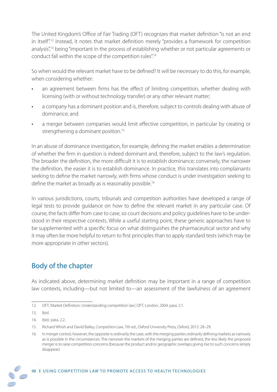The United Kingdom's Office of Fair Trading (OFT) recognizes that market definition "is not an end in itself".<sup>12</sup> Instead, it notes that market definition merely "provides a framework for competition analysis",<sup>13</sup> being "important in the process of establishing whether or not particular agreements or conduct fall within the scope of the competition rules".14

So when would the relevant market have to be defined? It will be necessary to do this, for example, when considering whether:

- an agreement between firms has the effect of limiting competition, whether dealing with licensing (with or without technology transfer) or any other relevant matter;
- a company has a dominant position and is, therefore, subject to controls dealing with abuse of dominance; and
- a merger between companies would limit effective competition, in particular by creating or strengthening a dominant position.<sup>15</sup>

In an abuse of dominance investigation, for example, defining the market enables a determination of whether the firm in question is indeed dominant and, therefore, subject to the law's regulation. The broader the definition, the more difficult it is to establish dominance; conversely, the narrower the definition, the easier it is to establish dominance. In practice, this translates into complainants seeking to define the market narrowly, with firms whose conduct is under investigation seeking to define the market as broadly as is reasonably possible.<sup>16</sup>

In various jurisdictions, courts, tribunals and competition authorities have developed a range of legal tests to provide guidance on how to define the relevant market in any particular case. Of course, the facts differ from case to case, so court decisions and policy quidelines have to be understood in their respective contexts. While a useful starting point, these generic approaches have to be supplemented with a specific focus on what distinguishes the pharmaceutical sector and why it may often be more helpful to return to first principles than to apply standard tests (which may be more appropriate in other sectors).

# Body of the chapter

As indicated above, determining market definition may be important in a range of competition law contexts, including—but not limited to—an assessment of the lawfulness of an agreement

<sup>12.</sup> OFT, 'Market Definition: Understanding competition law', OFT, London, 2004: para. 2.1.

<sup>13.</sup> Ibid.

<sup>14.</sup> Ibid.: para. 2.2.

<sup>15.</sup> Richard Whish and David Bailey, Competition Law, 7th ed., Oxford University Press, Oxford, 2012: 28–29.

<sup>16.</sup> In merger control, however, the opposite is ordinarily the case, with the merging parties ordinarily defining markets as narrowly as is possible in the circumstances. The narrower the markets of the merging parties are defined, the less likely the proposed merger is to raise competition concerns (because the product and/or geographic overlaps giving rise to such concerns simply disappear).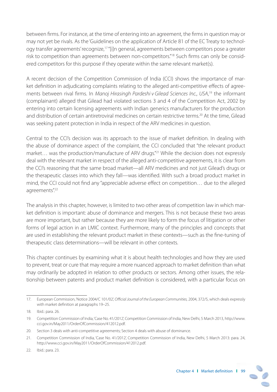between firms. For instance, at the time of entering into an agreement, the firms in question may or may not yet be rivals. As the 'Guidelines on the application of Article 81 of the EC Treaty to technology transfer agreements' recognize,17 "[i]n general, agreements between competitors pose a greater risk to competition than agreements between non-competitors."<sup>18</sup> Such firms can only be considered competitors for this purpose if they operate within the same relevant market(s).

A recent decision of the Competition Commission of India (CCI) shows the importance of market definition in adjudicating complaints relating to the alleged anti-competitive effects of agreements between rival firms. In *Manoj Hirasingh Pardeshi v Gilead Sciences Inc., USA*,<sup>19</sup> the informant (complainant) alleged that Gilead had violated sections 3 and 4 of the Competition Act, 2002 by entering into certain licensing agreements with Indian generics manufacturers for the production and distribution of certain antiretroviral medicines on certain restrictive terms.<sup>20</sup> At the time, Gilead was seeking patent protection in India in respect of the ARV medicines in question.

Central to the CCI's decision was its approach to the issue of market definition. In dealing with the abuse of dominance aspect of the complaint, the CCI concluded that "the relevant product market... was the production/manufacture of ARV drugs."<sup>21</sup> While the decision does not expressly deal with the relevant market in respect of the alleged anti-competitive agreements, it is clear from the CCI's reasoning that the same broad market—all ARV medicines and not just Gilead's drugs or the therapeutic classes into which they fall—was identified. With such a broad product market in mind, the CCI could not find any "appreciable adverse effect on competition... due to the alleged agreements".22

The analysis in this chapter, however, is limited to two other areas of competition law in which market definition is important: abuse of dominance and mergers. This is not because these two areas are more important, but rather because they are more likely to form the focus of litigation or other forms of legal action in an LMIC context. Furthermore, many of the principles and concepts that are used in establishing the relevant product market in these contexts—such as the fine-tuning of therapeutic class determinations—will be relevant in other contexts.

This chapter continues by examining what it is about health technologies and how they are used to prevent, treat or cure that may require a more nuanced approach to market definition than what may ordinarily be adopted in relation to other products or sectors. Among other issues, the relationship between patents and product market definition is considered, with a particular focus on

<sup>17.</sup> European Commission, 'Notice 2004/C 101/02', Official Journal of the European Communities, 2004, 372/5, which deals expressly with market definition at paragraphs 19–25.

<sup>18.</sup> Ibid.: para. 26.

<sup>19.</sup> Competition Commission of India, 'Case No. 41/2012', Competition Commission of India, New Delhi, 5 March 2013, http://www. cci.gov.in/May2011/OrderOfCommission/412012.pdf.

<sup>20.</sup> Section 3 deals with anti-competitive agreements; Section 4 deals with abuse of dominance.

<sup>21.</sup> Competition Commission of India, 'Case No. 41/2012', Competition Commission of India, New Delhi, 5 March 2013: para. 24, http://www.cci.gov.in/May2011/OrderOfCommission/412012.pdf.

<sup>22.</sup> Ibid.: para. 23.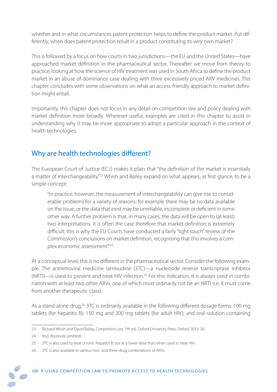whether and in what circumstances patent protection helps to define the product market. Put differently, when does patent protection result in a product constituting its very own market?

This is followed by a focus on how courts in two jurisdictions—the EU and the United States—have approached market definition in the pharmaceutical sector. Thereafter we move from theory to practice, looking at how the science of HIV treatment was used in South Africa to define the product market in an abuse of dominance case dealing with three excessively priced ARV medicines. This chapter concludes with some observations on what an access-friendly approach to market definition might entail.

Importantly, this chapter does not focus in any detail on competition law and policy dealing with market definition more broadly. Wherever useful, examples are cited in this chapter to assist in understanding why it may be more appropriate to adopt a particular approach in the context of health technologies.

# Why are health technologies different?

The European Court of Justice (ECJ) makes it plain that "the definition of the market is essentially a matter of interchangeability."<sup>23</sup> Whish and Bailey expand on what appears, at first glance, to be a simple concept:

"In practice, however, the measurement of interchangeability can give rise to considerable problems for a variety of reasons: for example there may be no data available on the issue, or the data that exist may be unreliable, incomplete or deficient in some other way. A further problem is that, in many cases, the data will be open to (at least) two interpretations. It is often the case therefore that market definition is extremely difficult; this is why the EU Courts have conducted a fairly "light touch" review of the Commission's conclusions on market definition, recognising that this involves a 'complex economic assessment."<sup>24</sup>

At a conceptual level, this is no different in the pharmaceutical sector. Consider the following example. The antiretroviral medicine lamivudine (3TC)—a nucleoside reverse transcriptase inhibitor (NRTI)—is used to prevent and treat HIV infection.25 For this indication, it is always used in combination with at least two other ARVs, one of which must ordinarily not be an NRTI (i.e. it must come from another therapeutic class).

As a stand-alone drug,<sup>26</sup> 3TC is ordinarily available in the following different dosage forms: 100 mg tablets (for hepatitis B); 150 mg and 300 mg tablets (for adult HIV); and oral solution containing

<sup>23.</sup> Richard Whish and David Bailey, Competition Law, 7th ed., Oxford University Press, Oxford, 2012: 30.

<sup>24.</sup> Ibid. (footnote omitted).

<sup>25. 3</sup>TC is also used to treat chronic hepatitis B, but at a lower dose than when used to treat HIV.

<sup>26. 3</sup>TC is also available in various two- and three-drug combinations of ARVs.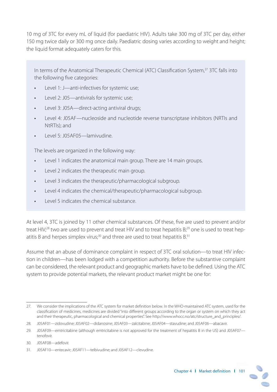10 mg of 3TC for every mL of liquid (for paediatric HIV). Adults take 300 mg of 3TC per day, either 150 mg twice daily or 300 mg once daily. Paediatric dosing varies according to weight and height; the liquid format adequately caters for this.

In terms of the Anatomical Therapeutic Chemical (ATC) Classification System,<sup>27</sup> 3TC falls into the following five categories:

- Level 1: J—anti-infectives for systemic use;
- Level 2: J05—antivirals for systemic use;
- Level 3: J05A—direct-acting antiviral drugs;
- Level 4: J05AF—nucleoside and nucleotide reverse transcriptase inhibitors (NRTIs and NtRTIs); and
- Level 5: J05AF05—lamivudine.

The levels are organized in the following way:

- Level 1 indicates the anatomical main group. There are 14 main groups.
- Level 2 indicates the therapeutic main group.
- Level 3 indicates the therapeutic/pharmacological subgroup.
- Level 4 indicates the chemical/therapeutic/pharmacological subgroup.
- Level 5 indicates the chemical substance.

At level 4, 3TC is joined by 11 other chemical substances. Of these, five are used to prevent and/or treat HIV;<sup>28</sup> two are used to prevent and treat HIV and to treat hepatitis B;<sup>29</sup> one is used to treat hepatitis B and herpes simplex virus;<sup>30</sup> and three are used to treat hepatitis  $B$ <sup>31</sup>

Assume that an abuse of dominance complaint in respect of 3TC oral solution—to treat HIV infection in children—has been lodged with a competition authority. Before the substantive complaint can be considered, the relevant product and geographic markets have to be defined. Using the ATC system to provide potential markets, the relevant product market might be one for:

<sup>27.</sup> We consider the implications of the ATC system for market definition below. In the WHO-maintained ATC system, used for the classification of medicines, medicines are divided "into different groups according to the organ or system on which they act and their therapeutic, pharmacological and chemical properties". See http://www.whocc.no/atc/structure\_and\_principles/.

<sup>28.</sup> J05AF01—zidovudine; J05AF02—didanosine; J05AF03—zalcitabine; J05AF04—stavudine; and J05AF06—abacavir.

<sup>29.</sup> J05AF09—emtricitabine (although emtricitabine is not approved for the treatment of hepatitis B in the US) and J05AF07 tenofovir.

<sup>30.</sup> J05AF08—adefovir.

<sup>31.</sup> J05AF10—entecavir; J05AF11—telbivudine; and J05AF12—clevudine.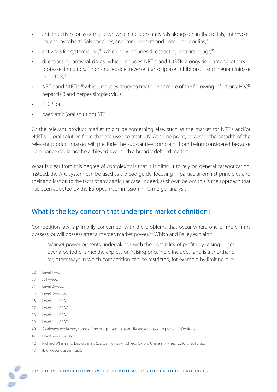- anti-infectives for systemic use,<sup>32</sup> which includes antivirals alongside antibacterials, antimycotics, antimycobacterials, vaccines, and immune sera and immunoglobulins;<sup>33</sup>
- antivirals for systemic use, $34$  which only includes direct-acting antiviral drugs, $35$
- direct-acting antiviral drugs, which includes NRTIs and NtRTIs alongside—among others protease inhibitors,<sup>36</sup> non-nucleoside reverse transcriptase inhibitors,<sup>37</sup> and neuraminidase inhibitors:<sup>38</sup>
- NRTIs and NtRTIs,<sup>39</sup> which includes drugs to treat one or more of the following infections: HIV,<sup>40</sup> hepatitis B and herpes simplex virus;
- $3TC; ^{41}$  or
- paediatric (oral solution) 3TC.

Or the relevant product market might be something else, such as the market for NRTIs and/or NtRTIs in oral solution form that are used to treat HIV. At some point, however, the breadth of the relevant product market will preclude the substantive complaint from being considered because dominance could not be achieved over such a broadly defined market.

What is clear from this degree of complexity is that it is difficult to rely on general categorization. Instead, the ATC system can be used as a broad quide, focusing in particular on first principles and their application to the facts of any particular case. Indeed, as shown below, this is the approach that has been adopted by the European Commission in its merger analysis.

# What is the key concern that underpins market definition?

Competition law is primarily concerned "with the problems that occur where one or more firms possess, or will possess after a merger, market power."42 Whish and Bailey explain:43

"Market power presents undertakings with the possibility of profitably raising prices over a period of time; the expression 'raising price' here includes, and is a shorthand for, other ways in which competition can be restricted, for example by limiting out-

- 32. Level 1—J.
- 33. J01—J06.
- 34. Level 2—J05.
- 35. Level 3—J05A.
- 36. Level 4—J05AE.
- 37. Level 4—J05AG.
- 38. Level 4—J05AH.
- 39. Level 4—J05AF.
- 40. As already explained, some of the drugs used to treat HIV are also used to prevent infections.
- 41. Level 5—J05AF05.
- 42. Richard Whish and David Bailey, Competition Law, 7th ed., Oxford University Press, Oxford, 2012: 25.
- 43. Ibid. (footnote omitted).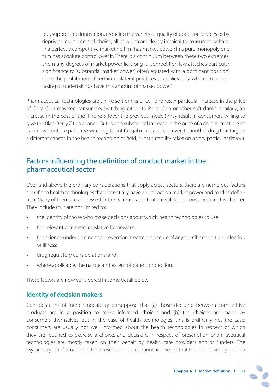put, suppressing innovation, reducing the variety or quality of goods or services or by depriving consumers of choice, all of which are clearly inimical to consumer welfare. In a perfectly competitive market no firm has market power; in a pure monopoly one firm has absolute control over it. There is a continuum between these two extremes, and many degrees of market power lie along it. Competition law attaches particular significance to 'substantial market power', often equated with 'a dominant position', since the prohibition of certain unilateral practices… applies only where an undertaking or undertakings have this amount of market power."

Pharmaceutical technologies are unlike soft drinks or cell phones. A particular increase in the price of Coca Cola may see consumers switching either to Pepsi Cola or other soft drinks; similarly, an increase in the cost of the iPhone 5 (over the previous model) may result in consumers willing to give the BlackBerry Z10 a chance. But even a substantial increase in the price of a drug to treat breast cancer will not see patients switching to antifungal medication, or even to another drug that targets a different cancer. In the health technologies field, substitutability takes on a very particular flavour.

# Factors influencing the definition of product market in the pharmaceutical sector

Over and above the ordinary considerations that apply across sectors, there are numerous factors specific to health technologies that potentially have an impact on market power and market definition. Many of them are addressed in the various cases that are still to be considered in this chapter. They include (but are not limited to):

- the identity of those who make decisions about which health technologies to use;
- the relevant domestic legislative framework;
- the science underpinning the prevention, treatment or cure of any specific condition, infection or illness;
- drug regulatory considerations; and
- where applicable, the nature and extent of patent protection.

These factors are now considered in some detail below.

### **Identity of decision makers**

Considerations of interchangeability presuppose that (a) those deciding between competitive products are in a position to make informed choices and (b) the choices are made by consumers themselves. But in the case of health technologies, this is ordinarily not the case: consumers are usually not well informed about the health technologies in respect of which they are required to exercise a choice, and decisions in respect of prescription pharmaceutical technologies are mostly taken on their behalf by health care providers and/or funders. The asymmetry of information in the prescriber–user relationship means that the user is simply not in a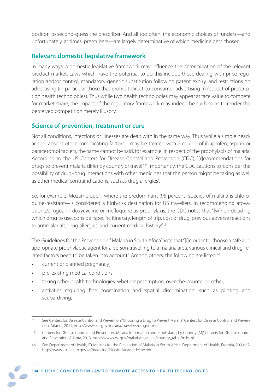position to second-guess the prescriber. And all too often, the economic choices of funders—and unfortunately, at times, prescribers—are largely determinative of which medicine gets chosen.

### **Relevant domestic legislative framework**

In many ways, a domestic legislative framework may influence the determination of the relevant product market. Laws which have the potential to do this include those dealing with price regulation and/or control, mandatory generic substitution following patent expiry, and restrictions on advertising (in particular those that prohibit direct-to-consumer advertising in respect of prescription health technologies). Thus while two health technologies may appear at face value to compete for market share, the impact of the regulatory framework may indeed be such so as to render the perceived competition merely illusory.

# **Science of prevention, treatment or cure**

Not all conditions, infections or illnesses are dealt with in the same way. Thus while a simple headache—absent other complicating factors—may be treated with a couple of ibuprofen, aspirin or paracetomol tablets, the same cannot be said, for example, in respect of the prophylaxis of malaria. According to the US Centers for Disease Control and Prevention (CDC), "[r]ecommendations for drugs to prevent malaria differ by country of travel".<sup>44</sup> Importantly, the CDC cautions to "consider the possibility of drug–drug interactions with other medicines that the person might be taking as well as other medical contraindications, such as drug allergies".

So, for example, Mozambique—where the predominant (95 percent) species of malaria is chloroquine-resistant—is considered a high-risk destination for US travellers. In recommending atovaquone/proguanil, doxycycline or mefloquine as prophylaxis, the CDC notes that "[w]hen deciding which drug to use, consider specific itinerary, length of trip, cost of drug, previous adverse reactions to antimalarials, drug allergies, and current medical history."45

The 'Guidelines for the Prevention of Malaria in South Africa' note that "[i]n order to choose a safe and appropriate prophylactic agent for a person travelling to a malaria area, various clinical and drug-related factors need to be taken into account". Among others, the following are listed:<sup>46</sup>

- current or planned pregnancy;
- pre-existing medical conditions;
- taking other health technologies, whether prescription, over-the-counter or other;
- activities requiring fine coordination and 'spatial discrimination', such as piloting and scuba-diving;

<sup>44.</sup> See Centers for Disease Control and Prevention, 'Choosing a Drug to Prevent Malaria', Centers for Disease Control and Prevention, Atlanta, 2011, http://www.cdc.gov/malaria/travelers/drugs.html.

<sup>45.</sup> Centers for Disease Control and Prevention, 'Malaria Information and Prophylaxis, by Country [M]', Centers for Disease Control and Prevention, Atlanta, 2013, http://www.cdc.gov/malaria/travelers/country\_table/m.html.

<sup>46.</sup> See Department of Health, 'Guidelines for the Prevention of Malaria in South Africa', Department of Health, Pretoria, 2009: 12, http://www.kznhealth.gov.za/medicine/2009malariaguideline.pdf.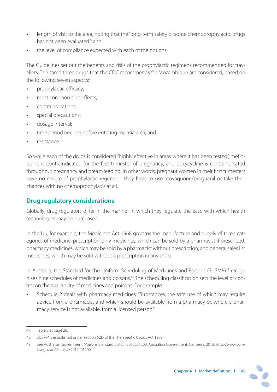- length of visit to the area, noting that the "long-term safety of some chemoprophylactic drugs has not been evaluated"; and
- the level of compliance expected with each of the options.

The Guidelines set out the benefits and risks of the prophylactic regimens recommended for travellers. The same three drugs that the CDC recommends for Mozambique are considered, based on the following seven aspects:<sup>47</sup>

- prophylactic efficacy;
- most common side effects;
- contraindications;
- special precautions;
- dosage interval;
- time period needed before entering malaria area; and
- resistance.

So while each of the drugs is considered "highly effective in areas where it has been tested", mefloquine is contraindicated for the first trimester of pregnancy, and doxycycline is contraindicated throughout pregnancy and breast-feeding. In other words, pregnant women in their first trimesters have no choice of prophylactic regimen—they have to use atovaquone/proguanil or take their chances with no chemoprophylaxis at all.

# **Drug regulatory considerations**

Globally, drug regulators differ in the manner in which they regulate the ease with which health technologies may be purchased.

In the UK, for example, the Medicines Act 1968 governs the manufacture and supply of three categories of medicine: prescription-only medicines, which can be sold by a pharmacist if prescribed; pharmacy medicines, which may be sold by a pharmacist without prescription; and general sales list medicines, which may be sold without a prescription in any shop.

In Australia, the Standard for the Uniform Scheduling of Medicines and Poisons (SUSMP)<sup>48</sup> recognises nine schedules of medicines and poisons.<sup>49</sup> The scheduling classification sets the level of control on the availability of medicines and poisons. For example:

• Schedule 2 deals with pharmacy medicines: "Substances, the safe use of which may require advice from a pharmacist and which should be available from a pharmacy or, where a pharmacy service is not available, from a licensed person."

<sup>47.</sup> Table 3 at page 28.

<sup>48.</sup> SUSMP is established under section 52D of the Therapeutic Goods Act 1989.

<sup>49.</sup> See Australian Government, 'Poisons Standard 2012', F2012L01200, Australian Government, Canberra, 2012, http://www.comlaw.gov.au/Details/F2012L01200.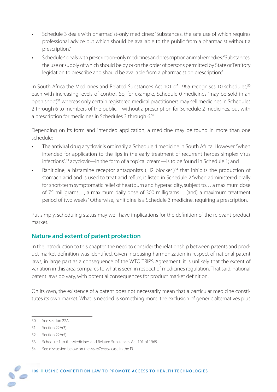- Schedule 3 deals with pharmacist-only medicines: "Substances, the safe use of which requires professional advice but which should be available to the public from a pharmacist without a prescription."
- Schedule 4 deals with prescription-only medicines and prescription animal remedies: "Substances, the use or supply of which should be by or on the order of persons permitted by State or Territory legislation to prescribe and should be available from a pharmacist on prescription."

In South Africa the Medicines and Related Substances Act 101 of 1965 recognises 10 schedules,<sup>50</sup> each with increasing levels of control. So, for example, Schedule 0 medicines "may be sold in an open shop",51 whereas only certain registered medical practitioners may sell medicines in Schedules 2 through 6 to members of the public—without a prescription for Schedule 2 medicines, but with a prescription for medicines in Schedules 3 through 6.52

Depending on its form and intended application, a medicine may be found in more than one schedule:

- The antiviral drug acyclovir is ordinarily a Schedule 4 medicine in South Africa. However, "when intended for application to the lips in the early treatment of recurrent herpes simplex virus infections",53 acyclovir—in the form of a topical cream—is to be found in Schedule 1; and
- Ranitidine, a histamine receptor antagonists ('H2 blocker')<sup>54</sup> that inhibits the production of stomach acid and is used to treat acid reflux, is listed in Schedule 2 "when administered orally for short-term symptomatic relief of heartburn and hyperacidity, subject to… a maximum dose of 75 milligrams…, a maximum daily dose of 300 milligrams… [and] a maximum treatment period of two weeks." Otherwise, ranitidine is a Schedule 3 medicine, requiring a prescription.

Put simply, scheduling status may well have implications for the definition of the relevant product market.

# **Nature and extent of patent protection**

In the introduction to this chapter, the need to consider the relationship between patents and product market definition was identified. Given increasing harmonization in respect of national patent laws, in large part as a consequence of the WTO TRIPS Agreement, it is unlikely that the extent of variation in this area compares to what is seen in respect of medicines regulation. That said, national patent laws do vary, with potential consequences for product market definition.

On its own, the existence of a patent does not necessarily mean that a particular medicine constitutes its own market. What is needed is something more: the exclusion of generic alternatives plus

<sup>50.</sup> See section 22A.

<sup>51.</sup> Section 22A(3).

<sup>52.</sup> Section 22A(5).

<sup>53.</sup> Schedule 1 to the Medicines and Related Substances Act 101 of 1965.

<sup>54.</sup> See discussion below on the AstraZeneca case in the EU.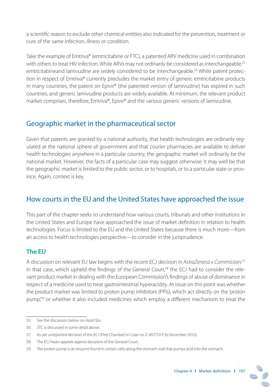a scientific reason to exclude other chemical entities also indicated for the prevention, treatment or cure of the same infection, illness or condition.

Take the example of Emtriva® (emtricitabine or FTC), a patented ARV medicine used in combination with others to treat HIV infection. While ARVs may not ordinarily be considered as interchangeable.<sup>55</sup> emtricitabineand lamivudine are widely considered to be interchangeable.<sup>56</sup> While patent protection in respect of Emtriva® currently precludes the market entry of generic emtricitabine products in many countries, the patent on Epivir® (the patented version of lamivudine) has expired in such countries, and generic lamivudine products are widely available. At minimum, the relevant product market comprises, therefore, Emtriva®, Epivir® and the various generic versions of lamivudine.

# Geographic market in the pharmaceutical sector

Given that patents are granted by a national authority, that health technologies are ordinarily regulated at the national sphere of government and that courier pharmacies are available to deliver health technologies anywhere in a particular country, the geographic market will ordinarily be the national market. However, the facts of a particular case may suggest otherwise: it may well be that the geographic market is limited to the public sector, or to hospitals, or to a particular state or province. Again, context is key.

# How courts in the EU and the United States have approached the issue

This part of the chapter seeks to understand how various courts, tribunals and other institutions in the United States and Europe have approached the issue of market definition in relation to health technologies. Focus is limited to the EU and the United States because there is much more—from an access to health technologies perspective—to consider in the jurisprudence.

## **The EU**

A discussion on relevant EU law begins with the recent ECJ decision in AstraZeneca v Commission.<sup>57</sup> In that case, which upheld the findings of the General Court,<sup>58</sup> the ECJ had to consider the relevant product market in dealing with the European Commission's findings of abuse of dominance in respect of a medicine used to treat gastrointestinal hyperacidity. At issue on this point was whether the product market was limited to proton pump inhibitors (PPIs), which act directly on the 'proton pump'<sup>59</sup> or whether it also included medicines which employ a different mechanism to treat the

<sup>55.</sup> See the discussion below on Hazel Tau.

<sup>56. 3</sup>TC is discussed in some detail above.

<sup>57.</sup> As yet unreported decision of the ECJ (First Chamber) in Case no. C-457/10 P (6 December 2012).

<sup>58.</sup> The ECJ hears appeals against decisions of the General Court.

<sup>59.</sup> The proton pump is an enzyme found in certain cells along the stomach wall that pumps acid into the stomach.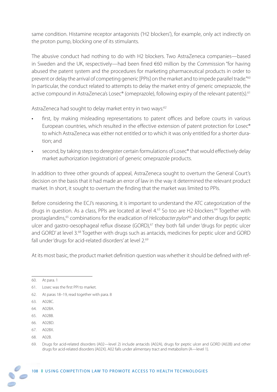same condition. Histamine receptor antagonists ('H2 blockers'), for example, only act indirectly on the proton pump, blocking one of its stimulants.

The abusive conduct had nothing to do with H2 blockers. Two AstraZeneca companies—based in Sweden and the UK, respectively—had been fined €60 million by the Commission "for having abused the patent system and the procedures for marketing pharmaceutical products in order to prevent or delay the arrival of competing generic [PPIs] on the market and to impede parallel trade."<sup>60</sup> In particular, the conduct related to attempts to delay the market entry of generic omeprazole, the active compound in AstraZeneca's Losec<sup>®</sup> (omeprazole), following expiry of the relevant patent(s).<sup>61</sup>

AstraZeneca had sought to delay market entry in two ways:<sup>62</sup>

- first, by making misleading representations to patent offices and before courts in various European countries, which resulted in the effective extension of patent protection for Losec® to which AstraZeneca was either not entitled or to which it was only entitled for a shorter duration; and
- second, by taking steps to deregister certain formulations of Losec® that would effectively delay market authorization (registration) of generic omeprazole products.

In addition to three other grounds of appeal, AstraZeneca sought to overturn the General Court's decision on the basis that it had made an error of law in the way it determined the relevant product market. In short, it sought to overturn the finding that the market was limited to PPIs.

Before considering the ECJ's reasoning, it is important to understand the ATC categorization of the drugs in question. As a class, PPIs are located at level 4.<sup>63</sup> So too are H2-blockers.<sup>64</sup> Together with prostaglandins,<sup>65</sup> combinations for the eradication of Helicobacter pylori<sup>66</sup> and other drugs for peptic ulcer and gastro-oesophageal reflux disease (GORD), $67$  they both fall under 'drugs for peptic ulcer and GORD' at level 3.<sup>68</sup> Together with drugs such as antacids, medicines for peptic ulcer and GORD fall under 'drugs for acid-related disorders' at level 2.69

At its most basic, the product market definition question was whether it should be defined with ref-

68. A02B.

<sup>60.</sup> At para. 1

<sup>61.</sup> Losec was the first PPI to market.

<sup>62.</sup> At paras 18–19, read together with para. 8

<sup>63.</sup> A02BC.

<sup>64.</sup> A02BA.

<sup>65.</sup> A02BB.

<sup>66.</sup> A02BD.

<sup>67.</sup> A02BX.

<sup>69.</sup> Drugs for acid-related disorders (A02—level 2) include antacids (A02A), drugs for peptic ulcer and GORD (A02B) and other drugs for acid-related disorders (A02X). A02 falls under alimentary tract and metabolism (A—level 1).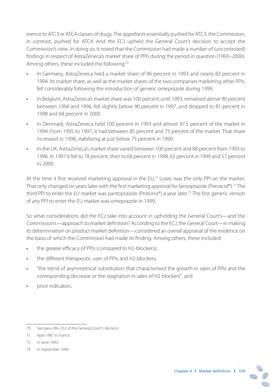erence to ATC3 or ATC4 classes of drugs. The appellants essentially pushed for ATC3; the Commission, in contrast, pushed for ATC4. And the ECJ upheld the General Court's decision to accept the Commission's view. In doing so, it noted that the Commission had made a number of (uncontested) findings in respect of AstraZeneca's market share of PPIs during the period in question (1993–2000). Among others, these included the following:<sup>70</sup>

- In Germany, AstraZeneca held a market share of 96 percent in 1993 and nearly 83 percent in 1994. Its market share, as well as the market shares of the two companies marketing other PPIs, fell considerably following the introduction of generic omeprazole during 1999.
- In Belgium, AstraZeneca's market share was 100 percent until 1993, remained above 90 percent between 1994 and 1996, fell slightly below 90 percent in 1997, and dropped to 81 percent in 1998 and 68 percent in 2000.
- In Denmark, AstraZeneca held 100 percent in 1993 and almost 97.5 percent of the market in 1994. From 1995 to 1997, it had between 85 percent and 75 percent of the market. That share increased in 1998, stabilizing at just below 75 percent in 1999.
- In the UK, AstraZeneca's market share varied between 100 percent and 88 percent from 1993 to 1996. In 1997 it fell to 78 percent, then to 68 percent in 1998, 63 percent in 1999 and 57 percent in 2000.

At the time it first received marketing approval in the EU,<sup>71</sup> Losec was the only PPI on the market. That only changed six years later with the first marketing approval for lansoprazole (Prevacid®).<sup>72</sup> The third PPI to enter the EU market was pantoprazole (Protonix®) a year later.<sup>73</sup> The first generic version of any PPI to enter the EU market was omeprazole in 1999.

So what considerations did the ECJ take into account in upholding the General Court's—and the Commission's—approach to market definition? According to the ECJ, the General Court—in making its determination on product market definition—considered an overall appraisal of the evidence on the basis of which the Commission had made its finding. Among others, these included:

- the greater efficacy of PPIs (compared to H2-blockers);
- the different therapeutic uses of PPIs and H2-blockers;
- "the trend of asymmetrical substitution that characterised the growth in sales of PPIs and the corresponding decrease or the stagnation in sales of H2 blockers"; and
- price indicators.

73. In September 1994.

<sup>70.</sup> See para 246–252 of the General Court's decision.

<sup>71.</sup> April 1987 in France.

<sup>72.</sup> In June 1993.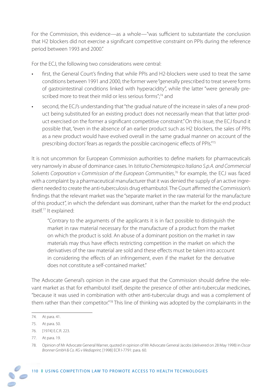For the Commission, this evidence—as a whole—"was sufficient to substantiate the conclusion that H2 blockers did not exercise a significant competitive constraint on PPIs during the reference period between 1993 and 2000."

For the ECJ, the following two considerations were central:

- first, the General Court's finding that while PPIs and H2-blockers were used to treat the same conditions between 1991 and 2000, the former were "generally prescribed to treat severe forms of gastrointestinal conditions linked with hyperacidity", while the latter "were generally prescribed more to treat their mild or less serious forms";<sup>74</sup> and
- second, the ECJ's understanding that "the gradual nature of the increase in sales of a new product being substituted for an existing product does not necessarily mean that that latter product exercised on the former a significant competitive constraint." On this issue, the ECJ found it possible that, "even in the absence of an earlier product such as H2 blockers, the sales of PPIs as a new product would have evolved overall in the same gradual manner on account of the prescribing doctors' fears as regards the possible carcinogenic effects of PPIs."75

It is not uncommon for European Commission authorities to define markets for pharmaceuticals very narrowly in abuse of dominance cases. In Istitutio Chemioterapico Italiano S.p.A. and Commercial Solvents Corporation v Commission of the European Communities,<sup>76</sup> for example, the ECJ was faced with a complaint by a pharmaceutical manufacturer that it was denied the supply of an active ingredient needed to create the anti-tuberculosis drug ethambutol. The Court affirmed the Commission's findings that the relevant market was the "separate market in the raw material for the manufacture of this product", in which the defendant was dominant, rather than the market for the end product itself.77 It explained:

"Contrary to the arguments of the applicants it is in fact possible to distinguish the market in raw material necessary for the manufacture of a product from the market on which the product is sold. An abuse of a dominant position on the market in raw materials may thus have effects restricting competition in the market on which the derivatives of the raw material are sold and these effects must be taken into account in considering the effects of an infringement, even if the market for the derivative does not constitute a self-contained market."

The Advocate General's opinion in the case argued that the Commission should define the relevant market as that for ethambutol itself, despite the presence of other anti-tubercular medicines, "because it was used in combination with other anti-tubercular drugs and was a complement of them rather than their competitor."78 This line of thinking was adopted by the complainants in the

<sup>74.</sup> At para. 41.

<sup>75.</sup> At para. 50.

<sup>76. [1974]</sup> E.C.R. 223.

<sup>77.</sup> At para. 19.

<sup>78.</sup> Opinion of Mr Advocate General Warner, quoted in opinion of Mr Advocate General Jacobs (delivered on 28 May 1998) in Oscar Bronner GmbH & Co. KG v Mediaprint, [1998] ECR I-7791: para. 60.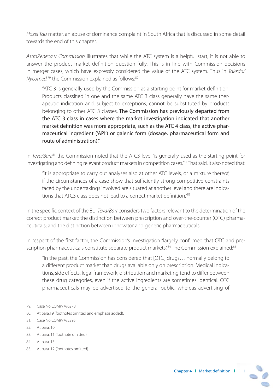Hazel Tau matter, an abuse of dominance complaint in South Africa that is discussed in some detail towards the end of this chapter.

AstraZeneca v Commission illustrates that while the ATC system is a helpful start, it is not able to answer the product market definition question fully. This is in line with Commission decisions in merger cases, which have expressly considered the value of the ATC system. Thus in Takeda/ Nycomed, $79$  the Commission explained as follows: $80$ 

"ATC 3 is generally used by the Commission as a starting point for market definition. Products classified in one and the same ATC 3 class generally have the same therapeutic indication and, subject to exceptions, cannot be substituted by products belonging to other ATC 3 classes. The Commission has previously departed from the ATC 3 class in cases where the market investigation indicated that another market definition was more appropriate, such as the ATC 4 class, the active pharmaceutical ingredient ('API') or galenic form (dosage, pharmaceutical form and route of administration)."

In Teva/Barr,<sup>81</sup> the Commission noted that the ATC3 level "is generally used as the starting point for investigating and defining relevant product markets in competition cases."<sup>82</sup> That said, it also noted that:

"it is appropriate to carry out analyses also at other ATC levels, or a mixture thereof, if the circumstances of a case show that sufficiently strong competitive constraints faced by the undertakings involved are situated at another level and there are indications that ATC3 class does not lead to a correct market definition."<sup>83</sup>

In the specific context of the EU, Teva/Barr considers two factors relevant to the determination of the correct product market: the distinction between prescription and over-the-counter (OTC) pharmaceuticals; and the distinction between innovator and generic pharmaceuticals.

In respect of the first factor, the Commission's investigation "largely confirmed that OTC and prescription pharmaceuticals constitute separate product markets."<sup>84</sup> The Commission explained:<sup>85</sup>

"In the past, the Commission has considered that [OTC] drugs… normally belong to a different product market than drugs available only on prescription. Medical indications, side effects, legal framework, distribution and marketing tend to differ between these drug categories, even if the active ingredients are sometimes identical. OTC pharmaceuticals may be advertised to the general public, whereas advertising of

<sup>79.</sup> Case No COMP/M.6278.

<sup>80.</sup> At para.19 (footnotes omitted and emphasis added).

<sup>81.</sup> Case No COMP/M.5295.

<sup>82.</sup> At para. 10.

<sup>83.</sup> At para. 11 (footnote omitted).

<sup>84.</sup> At para. 13.

<sup>85.</sup> At para. 12 (footnotes omitted).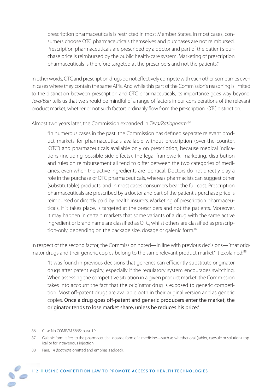prescription pharmaceuticals is restricted in most Member States. In most cases, consumers choose OTC pharmaceuticals themselves and purchases are not reimbursed. Prescription pharmaceuticals are prescribed by a doctor and part of the patient's purchase price is reimbursed by the public health-care system. Marketing of prescription pharmaceuticals is therefore targeted at the prescribers and not the patients."

In other words, OTC and prescription drugs do not effectively compete with each other, sometimes even in cases where they contain the same APIs. And while this part of the Commission's reasoning is limited to the distinction between prescription and OTC pharmaceuticals, its importance goes way beyond. Teva/Barr tells us that we should be mindful of a range of factors in our considerations of the relevant product market, whether or not such factors ordinarily flow from the prescription–OTC distinction.

#### Almost two years later, the Commission expanded in Teva/Ratiopharm.<sup>86</sup>

"In numerous cases in the past, the Commission has defined separate relevant product markets for pharmaceuticals available without prescription (over-the-counter, 'OTC') and pharmaceuticals available only on prescription, because medical indications (including possible side-effects), the legal framework, marketing, distribution and rules on reimbursement all tend to differ between the two categories of medicines, even when the active ingredients are identical. Doctors do not directly play a role in the purchase of OTC pharmaceuticals, whereas pharmacists can suggest other (substitutable) products, and in most cases consumers bear the full cost. Prescription pharmaceuticals are prescribed by a doctor and part of the patient's purchase price is reimbursed or directly paid by health insurers. Marketing of prescription pharmaceuticals, if it takes place, is targeted at the prescribers and not the patients. Moreover, it may happen in certain markets that some variants of a drug with the same active ingredient or brand name are classified as OTC, whilst others are classified as prescription-only, depending on the package size, dosage or galenic form.<sup>87</sup>

In respect of the second factor, the Commission noted—in line with previous decisions—"that originator drugs and their generic copies belong to the same relevant product market." It explained:<sup>88</sup>

"It was found in previous decisions that generics can efficiently substitute originator drugs after patent expiry, especially if the regulatory system encourages switching. When assessing the competitive situation in a given product market, the Commission takes into account the fact that the originator drug is exposed to generic competition. Most off-patent drugs are available both in their original version and as generic copies. Once a drug goes off -patent and generic producers enter the market, the originator tends to lose market share, unless he reduces his price."

<sup>88.</sup> Para. 14 (footnote omitted and emphasis added).



<sup>86.</sup> Case No COMP/M.5865: para. 19.

<sup>87.</sup> Galenic form refers to the pharmaceutical dosage form of a medicine—such as whether oral (tablet, capsule or solution), topical or for intravenous injection.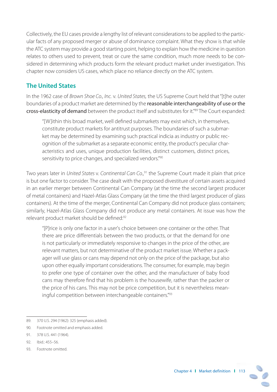Collectively, the EU cases provide a lengthy list of relevant considerations to be applied to the particular facts of any proposed merger or abuse of dominance complaint. What they show is that while the ATC system may provide a good starting point, helping to explain how the medicine in question relates to others used to prevent, treat or cure the same condition, much more needs to be considered in determining which products form the relevant product market under investigation. This chapter now considers US cases, which place no reliance directly on the ATC system.

## **The United States**

In the 1962 case of Brown Shoe Co., Inc. v. United States, the US Supreme Court held that "[t]he outer boundaries of a product market are determined by the reasonable interchangeability of use or the cross-elasticity of demand between the product itself and substitutes for it."89 The Court expanded:

"[W]ithin this broad market, well defined submarkets may exist which, in themselves, constitute product markets for antitrust purposes. The boundaries of such a submarket may be determined by examining such practical indicia as industry or public recognition of the submarket as a separate economic entity, the product's peculiar characteristics and uses, unique production facilities, distinct customers, distinct prices, sensitivity to price changes, and specialized vendors."<sup>90</sup>

Two years later in United States v. Continental Can Co.,<sup>91</sup> the Supreme Court made it plain that price is but one factor to consider. The case dealt with the proposed divestiture of certain assets acquired in an earlier merger between Continental Can Company (at the time the second largest producer of metal containers) and Hazel-Atlas Glass Company (at the time the third largest producer of glass containers). At the time of the merger, Continental Can Company did not produce glass containers; similarly, Hazel-Atlas Glass Company did not produce any metal containers. At issue was how the relevant product market should be defined:<sup>92</sup>

"[P]rice is only one factor in a user's choice between one container or the other. That there are price differentials between the two products, or that the demand for one is not particularly or immediately responsive to changes in the price of the other, are relevant matters, but not determinative of the product market issue. Whether a packager will use glass or cans may depend not only on the price of the package, but also upon other equally important considerations. The consumer, for example, may begin to prefer one type of container over the other, and the manufacturer of baby food cans may therefore find that his problem is the housewife, rather than the packer or the price of his cans. This may not be price competition, but it is nevertheless meaningful competition between interchangeable containers."93

93. Footnote omitted.



<sup>89. 370</sup> U.S. 294 (1962): 325 (emphasis added).

<sup>90.</sup> Footnote omitted and emphasis added.

<sup>91. 378</sup> U.S. 441 (1964).

<sup>92.</sup> Ibid.: 455–56.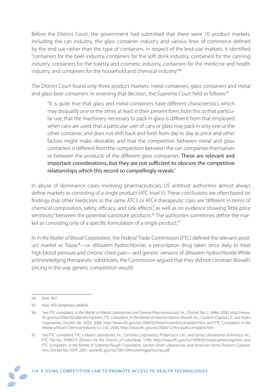Before the District Court, the government had submitted that there were 10 product markets, including the can industry, the glass container industry and various lines of commerce defined by the end use rather than the type of containers. In respect of the 'end-use' markets, it identified "containers for the beer industry, containers for the soft drink industry, containers for the canning industry, containers for the toiletry and cosmetic industry, containers for the medicine and health industry, and containers for the household and chemical industry."94

The District Court found only three product markets: metal containers, glass containers and metal and glass beer containers. In reversing that decision, the Supreme Court held as follows:<sup>95</sup>

"It is quite true that glass and metal containers have different characteristics which may disqualify one or the other, at least in their present form, from this or that particular use; that the machinery necessary to pack in glass is different from that employed when cans are used; that a particular user of cans or glass may pack in only one or the other container, and does not shift back and forth from day to day as price and other factors might make desirable; and that the competition between metal and glass containers is different from the competition between the can companies themselves or between the products of the different glass companies. These are relevant and important considerations, but they are not sufficient to obscure the competitive relationships which this record so compellingly reveals."

In abuse of dominance cases involving pharmaceuticals, US antitrust authorities almost always define markets as consisting of a single product (ATC level 5). These conclusions are often based on findings that other medicines in the same ATC3 or ATC4 therapeutic class are "different in terms of chemical composition, safety, efficacy, and side effects", as well as on evidence showing "little price sensitivity" between the potential substitute products.<sup>96</sup> The authorities sometimes define the market as consisting only of a specific formulation of a single product.<sup>97</sup>

In In the Matter of Biovail Corporation, the Federal Trade Commission (FTC) defined the relevant product market as Tiazac®—or diltiazem hydrochloride, a prescription drug taken once daily to treat high blood pressure and chronic chest pain—and generic versions of diltiazem hydrochloride While acknowledging therapeutic substitutes, the Commission argued that they did not constrain Biovail's pricing in the way generic competition would:

<sup>97.</sup> See FTC complaint, FTC v. Mylan Laboratories, Inc., Cambrex Corporation, Profarmaco S.R.I., and Gyma Laboratories of America, Inc., FTC File No. X990015 (District for the District of Columbia), 1999, http://www.ftc.gov/os/1999/02/mylanamencmp.htm; and FTC complaint, In the Matter of Schering-Plough Corporation, Upsher-Smith Laboratories, and American Home Products Corporation, Docket No. 9297, 2001, www.ftc.gov/os/2001/04/scheringpart3cmp.pdf.



<sup>94.</sup> Ibid.: 447.

<sup>95.</sup> Ibid.: 450 (emphasis added).

<sup>96.</sup> See FTC complaint, In the Matter of Abbott Laboratories and Geneva Pharmaceuticals, Inc., Docket No. C-3946, 2000, http://www. ftc.gov/os/2000/03/abbottcmp.htm; FTC complaint, In the Matter of Hoechst Marion Rousell, Inc., Carderm Capital L.P., and Andrx Corporation, Docket No. 9293, 2000, http://www.ftc.gov/os/2000/03/hoechstandrxcomplaint.htm; and FTC Complaint, In the Matter of Asahi Chemical Industry Co., Ltd., 2000, http://www.ftc.gov/os/2000/12/fmcasahicomplaint.htm.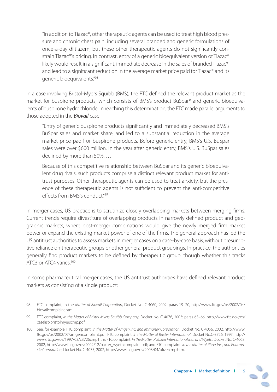"In addition to Tiazac®, other therapeutic agents can be used to treat high blood pressure and chronic chest pain, including several branded and generic formulations of once-a-day diltiazem, but these other therapeutic agents do not significantly constrain Tiazac<sup>®'</sup>s pricing. In contrast, entry of a generic bioequivalent version of Tiazac<sup>®</sup> likely would result in a significant, immediate decrease in the sales of branded Tiazac<sup>®</sup>, and lead to a significant reduction in the average market price paid for Tiazac® and its generic bioequivalents."98

In a case involving Bristol-Myers Squibb (BMS), the FTC defined the relevant product market as the market for buspirone products, which consists of BMS's product BuSpar® and generic bioequivalents of buspirone hydrochloride. In reaching this determination, the FTC made parallel arguments to those adopted in the **Biovail** case:

"Entry of generic buspirone products significantly and immediately decreased BMS's BuSpar sales and market share, and led to a substantial reduction in the average market price padif or buspirone products. Before generic entry, BMS's U.S. BuSpar sales were over \$600 million. In the year after generic entry, BMS's U.S. BuSpar sales declined by more than 50%. …

Because of this competitive relationship between BuSpar and its generic bioequivalent drug rivals, such products comprise a distinct relevant product market for antitrust purposes. Other therapeutic agents can be used to treat anxiety, but the presence of these therapeutic agents is not sufficient to prevent the anti-competitive effects from BMS's conduct."<sup>99</sup>

In merger cases, US practice is to scrutinize closely overlapping markets between merging firms. Current trends require divestiture of overlapping products in narrowly defined product and geographic markets, where post-merger combinations would give the newly merged firm market power or expand the existing market power of one of the firms. The general approach has led the US antitrust authorities to assess markets in merger cases on a case-by-case basis, without presumptive reliance on therapeutic groups or other general product groupings. In practice, the authorities generally find product markets to be defined by therapeutic group, though whether this tracks ATC3 or ATC4 varies.100

In some pharmaceutical merger cases, the US antitrust authorities have defined relevant product markets as consisting of a single product:

<sup>100.</sup> See, for example, FTC complaint, In the Matter of Amgen Inc. and Immunex Corporation, Docket No. C-4056, 2002, http://www. ftc.gov/os/2002/07/amgencomplaint.pdf; FTC complaint, In the Matter of Baxter International, Docket No.C-3726, 1997, http:// www.ftc.gov/os/1997/03/c3726cmp.htm; FTC complaint, In the Matter of Baxter International Inc., and Wyeth, Docket No. C-4068, 2002, http://www.ftc.gov/os/2002/12/baxter\_wyethcomplaint.pdf; and FTC complaint, In the Matter of Pfizer Inc., and Pharmacia Corporation, Docket No. C-4075, 2002, http://www.ftc.gov/os/2003/04/pfizercmp.htm.



<sup>98.</sup> FTC complaint, In the Matter of Biovail Corporation, Docket No. C-4060, 2002: paras 19–20, http://www.ftc.gov/os/2002/04/ biovailcomplaint.htm.

<sup>99.</sup> FTC complaint, In the Matter of Bristol-Myers Squibb Company, Docket No. C-4076, 2003: paras 65–66, http://www.ftc.gov/os/ caselist/bristolmyerscmp.pdf.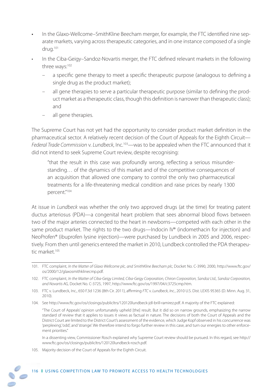- In the Glaxo-Wellcome–SmithKline Beecham merger, for example, the FTC identified nine separate markets, varying across therapeutic categories, and in one instance composed of a single drug.101
- In the Ciba-Geigy–Sandoz-Novartis merger, the FTC defined relevant markets in the following three ways:<sup>102</sup>
	- a specific gene therapy to meet a specific therapeutic purpose (analogous to defining a single drug as the product market);
	- all gene therapies to serve a particular therapeutic purpose (similar to defining the product market as a therapeutic class, though this definition is narrower than therapeutic class); and
	- all gene therapies.

The Supreme Court has not yet had the opportunity to consider product market definition in the pharmaceutical sector. A relatively recent decision of the Court of Appeals for the Eighth Circuit— Federal Trade Commission v. Lundbeck, Inc.<sup>103</sup>—was to be appealed when the FTC announced that it did not intend to seek Supreme Court review, despite recognising:

"that the result in this case was profoundly wrong, reflecting a serious misunderstanding… of the dynamics of this market and of the competitive consequences of an acquisition that allowed one company to control the only two pharmaceutical treatments for a life-threatening medical condition and raise prices by nearly 1300 percent."104

At issue in Lundbeck was whether the only two approved drugs (at the time) for treating patent ductus arteriosus (PDA)—a congenital heart problem that sees abnormal blood flows between two of the major arteries connected to the heart in newborns—competed with each other in the same product market. The rights to the two drugs—Indocin IV® (indomethacin for injection) and NeoProfen® (ibuprofen lysine injection)—were purchased by Lundbeck in 2005 and 2006, respectively. From then until generics entered the market in 2010, Lundbeck controlled the PDA therapeutic market.<sup>105</sup>

 In a dissenting view, Commissioner Rosch explained why Supreme Court review should be pursued. In this regard, see http:// www.ftc.gov/os/closings/publicltrs/120120lundbeck-rosch.pdf.

105. Majority decision of the Court of Appeals for the Eighth Circuit.

<sup>101.</sup> FTC complaint, In the Matter of Glaxo Wellcome plc, and SmithKline Beecham plc, Docket No. C-3990, 2000, http://www.ftc.gov/ os/2000/12/glaxosmithklinecmp.pdf.

<sup>102.</sup> FTC complaint, In the Matter of Ciba-Geigy Limited, Ciba-Geigy Corporation, Chiron Corporation, Sandoz Ltd., Sandoz Corporation, and Novartis AG, Docket No. C-3725, 1997, http://www.ftc.gov/os/1997/04/c3725cmp.htm.

<sup>103.</sup> FTC v. Lundbeck, Inc., 650 F.3d 1236 (8th Cir. 2011), affirming FTC v. Lundbeck, Inc., 2010 U.S. Dist. LEXIS 95365 (D. Minn. Aug. 31, 2010).

<sup>104.</sup> See http://www.ftc.gov/os/closings/publicltrs/120120lundbeck-jdl-brill-ramirez.pdf. A majority of the FTC explained:

 <sup>&</sup>quot;The Court of Appeals' opinion unfortunately upheld [the] result. But it did so on narrow grounds, emphasizing the narrow standard of review that it applies to issues it views as factual in nature. The decisions of both the Court of Appeals and the District Court are limited to the District Court's assessment of the evidence, which Judge Kopf observed in his concurrence was 'perplexing', 'odd', and 'strange'. We therefore intend to forgo further review in this case, and turn our energies to other enforcement priorities."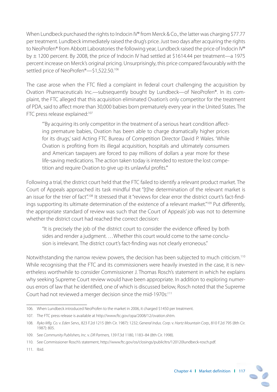When Lundbeck purchased the rights to Indocin IV® from Merck & Co., the latter was charging \$77.77 per treatment. Lundbeck immediately raised the drug's price. Just two days after acquiring the rights to NeoProfen® from Abbott Laboratories the following year, Lundbeck raised the price of Indocin IV® by ± 1200 percent. By 2008, the price of Indocin IV had settled at \$1614.44 per treatment—a 1975 percent increase on Merck's original pricing. Unsurprisingly, this price compared favourably with the settled price of NeoProfen®-\$1,522.50.<sup>106</sup>

The case arose when the FTC filed a complaint in federal court challenging the acquisition by Ovation Pharmaceuticals Inc.—subsequently bought by Lundbeck—of NeoProfen®. In its complaint, the FTC alleged that this acquisition eliminated Ovation's only competitor for the treatment of PDA, said to affect more than 30,000 babies born prematurely every year in the United States. The FTC press release explained:<sup>107</sup>

"By acquiring its only competitor in the treatment of a serious heart condition affecting premature babies, Ovation has been able to charge dramatically higher prices for its drugs,' said Acting FTC Bureau of Competition Director David P. Wales. 'While Ovation is profiting from its illegal acquisition, hospitals and ultimately consumers and American taxpayers are forced to pay millions of dollars a year more for these life-saving medications. The action taken today is intended to restore the lost competition and require Ovation to give up its unlawful profits."

Following a trial, the district court held that the FTC failed to identify a relevant product market. The Court of Appeals approached its task mindful that "[t]he determination of the relevant market is an issue for the trier of fact".<sup>108</sup> It stressed that it "reviews for clear error the district court's fact-findings supporting its ultimate determination of the existence of a relevant market."<sup>109</sup> Put differently, the appropriate standard of review was such that the Court of Appeals' job was not to determine whether the district court had reached the correct decision:

"It is precisely the job of the district court to consider the evidence offered by both sides and render a judgment. …Whether this court would come to the same conclusion is irrelevant. The district court's fact-finding was not clearly erroneous."

Notwithstanding the narrow review powers, the decision has been subjected to much criticism.<sup>110</sup> While recognising that the FTC and its commissioners were heavily invested in the case, it is nevertheless worthwhile to consider Commissioner J. Thomas Rosch's statement in which he explains why seeking Supreme Court review would have been appropriate. In addition to exploring numerous errors of law that he identified, one of which is discussed below, Rosch noted that the Supreme Court had not reviewed a merger decision since the mid-1970s:111

<sup>106.</sup> When Lundbeck introduced NeoProfen to the market in 2006, it charged \$1450 per treatment.

<sup>107.</sup> The FTC press release is available at http://www.ftc.gov/opa/2008/12/ovation.shtm.

<sup>108.</sup> Ryko Mfg. Co. v. Eden Servs., 823 F.2d 1215 (8th Cir. 1987): 1232; General Indus. Corp. v. Hartz Mountain Corp., 810 F.2d 795 (8th Cir. 1987): 805.

<sup>109.</sup> See Community Publishers, Inc. v. DR Partners, 139 F.3d 1180, 1183–84 (8th Cir. 1998).

<sup>110.</sup> See Commissioner Rosch's statement, http://www.ftc.gov/os/closings/publicltrs/120120lundbeck-rosch.pdf.

<sup>111.</sup> Ibid.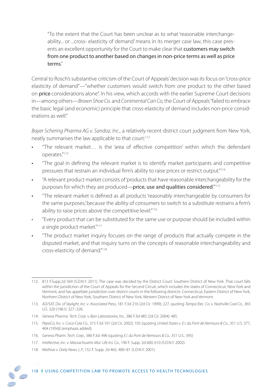"To the extent that the Court has been unclear as to what 'reasonable interchangeability... or ...cross- elasticity of demand' means in its merger case law, this case presents an excellent opportunity for the Court to make clear that customers may switch from one product to another based on changes in non-price terms as well as price terms."

Central to Rosch's substantive criticism of the Court of Appeals' decision was its focus on "cross-price elasticity of demand"—"whether customers would switch from one product to the other based on **price** considerations alone". In his view, which accords with the earlier Supreme Court decisions in—among others—Brown Shoe Co. and Continental Can Co, the Court of Appeals "failed to embrace the basic legal (and economic) principle that cross-elasticity of demand includes non-price considerations as well."

Bayer Schering Pharma AG v. Sandoz, Inc., a relatively recent district court judgment from New York, neatly summarises the law applicable to that court:<sup>112</sup>

- "The relevant market... is the 'area of effective competition' within which the defendant operates."113
- "The goal in defining the relevant market is to identify market participants and competitive pressures that restrain an individual firm's ability to raise prices or restrict output."<sup>114</sup>
- "A relevant product market consists of 'products that have reasonable interchangeability for the purposes for which they are produced—price, use and qualities considered."<sup>115</sup>
- "The relevant market is defined as all products 'reasonably interchangeable by consumers for the same purposes,' because the ability of consumers to switch to a substitute restrains a firm's ability to raise prices above the competitive level."<sup>116</sup>
- "Every product that can be substituted for the same use or purpose should be included within a single product market."<sup>117</sup>
- "The product market inquiry focuses on the range of products that actually compete in the disputed market, and that inquiry turns on the concepts of reasonable interchangeability and cross-elasticity of demand."118

<sup>112. 813</sup> F.Supp.2d 569 (S.D.N.Y. 2011). The case was decided by the District Court: Southern District of New York. That court falls within the jurisdiction of the Court of Appeals for the Second Circuit, which includes the states of Connecticut, New York and Vermont, and has appellate jurisdiction over district courts in the following districts: Connecticut, Eastern District of New York, Northern District of New York, Southern District of New York, Western District of New York and Vermont.

<sup>113.</sup> AD/SAT, Div. of Skylight, Inc. v. Associated Press, 181 F.3d 216 (2d Cir. 1999); 227, quoting Tampa Elec. Co. v. Nashville Coal Co., 365 U.S. 320 (1961): 327–328.

<sup>114.</sup> Geneva Pharma. Tech. Corp. v. Barr Laboratories, Inc., 386 F.3d 485 (2d Cir. 2004): 485.

<sup>115.</sup> PepsiCo, Inc. v. Coca-Cola Co., 315 F.3d 101 (2d Cir. 2002): 105 (quoting United States v. E.I. du Pont de Nemours & Co., 351 U.S. 377, 404 (1956)) (emphasis added).

<sup>116.</sup> Geneva Pharm. Tech. Corp., 386 F.3d: 496 (quoting E.I. du Pont de Nemours & Co., 351 U.S.: 395)

<sup>117.</sup> Intellective, Inc. v. Massachusetts Mut. Life Ins. Co., 190 F. Supp. 2d 600, 610 (S.D.N.Y. 2002).

<sup>118.</sup> Mathias v. Daily News, L.P., 152 F. Supp. 2d 465, 480–81 (S.D.N.Y. 2001).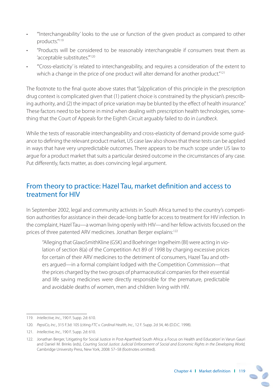- "'Interchangeability' looks to the use or function of the given product as compared to other products."119
- "Products will be considered to be reasonably interchangeable if consumers treat them as 'acceptable substitutes."<sup>120</sup>
- "'Cross-elasticity' is related to interchangeability, and requires a consideration of the extent to which a change in the price of one product will alter demand for another product."<sup>121</sup>

The footnote to the final quote above states that "[a]pplication of this principle in the prescription drug context is complicated given that (1) patient choice is constrained by the physician's prescribing authority, and (2) the impact of price variation may be blunted by the effect of health insurance." These factors need to be borne in mind when dealing with prescription health technologies, something that the Court of Appeals for the Eighth Circuit arguably failed to do in Lundbeck.

While the tests of reasonable interchangeability and cross-elasticity of demand provide some guidance to defining the relevant product market, US case law also shows that these tests can be applied in ways that have very unpredictable outcomes. There appears to be much scope under US law to argue for a product market that suits a particular desired outcome in the circumstances of any case. Put differently, facts matter, as does convincing legal argument.

# From theory to practice: Hazel Tau, market definition and access to treatment for HIV

In September 2002, legal and community activists in South Africa turned to the country's competition authorities for assistance in their decade-long battle for access to treatment for HIV infection. In the complaint, Hazel Tau—a woman living openly with HIV—and her fellow activists focused on the prices of three patented ARV medicines. Jonathan Berger explains:<sup>122</sup>

"Alleging that GlaxoSmithKline (GSK) and Boehringer Ingelheim (BI) were acting in violation of section 8(a) of the Competition Act 89 of 1998 by charging excessive prices for certain of their ARV medicines to the detriment of consumers, Hazel Tau and others argued—in a formal complaint lodged with the Competition Commission—that the prices charged by the two groups of pharmaceutical companies for their essential and life saving medicines were directly responsible for the premature, predictable and avoidable deaths of women, men and children living with HIV.

<sup>122.</sup> Jonathan Berger, 'Litigating for Social Justice in Post-Apartheid South Africa: a Focus on Health and Education' in Varun Gauri and Daniel M. Brinks (eds), Courting Social Justice: Judicial Enforcement of Social and Economic Rights in the Developing World, Cambridge University Press, New York, 2008: 57–58 (footnotes omitted).



<sup>119.</sup> Intellective, Inc., 190 F. Supp. 2d: 610.

<sup>120.</sup> PepsiCo, Inc., 315 F.3d: 105 (citing FTC v. Cardinal Health, Inc., 12 F. Supp. 2d 34, 46 (D.D.C. 1998).

<sup>121.</sup> Intellective, Inc., 190 F. Supp. 2d: 610.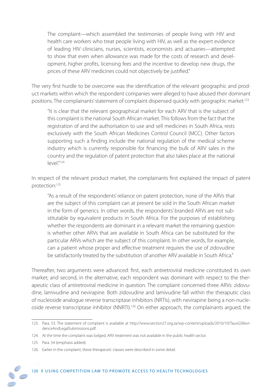The complaint—which assembled the testimonies of people living with HIV and health care workers who treat people living with HIV, as well as the expert evidence of leading HIV clinicians, nurses, scientists, economists and actuaries—attempted to show that even when allowance was made for the costs of research and development, higher profits, licensing fees and the incentive to develop new drugs, the prices of these ARV medicines could not objectively be justified."

The very first hurdle to be overcome was the identification of the relevant geographic and product markets within which the respondent companies were alleged to have abused their dominant positions. The complainants' statement of complaint dispensed quickly with geographic market:<sup>123</sup>

"It is clear that the relevant geographical market for each ARV that is the subject of this complaint is the national South African market. This follows from the fact that the registration of and the authorisation to use and sell medicines in South Africa, rests exclusively with the South African Medicines Control Council (MCC). Other factors supporting such a finding include the national regulation of the medical scheme industry which is currently responsible for financing the bulk of ARV sales in the country and the regulation of patent protection that also takes place at the national level."124

In respect of the relevant product market, the complainants first explained the impact of patent protection:125

"As a result of the respondents' reliance on patent protection, none of the ARVs that are the subject of this complaint can at present be sold in the South African market in the form of generics. In other words, the respondents' branded ARVs are not substitutable by equivalent products in South Africa. For the purposes of establishing whether the respondents are dominant in a relevant market the remaining question is whether other ARVs that are available in South Africa can be substituted for the particular ARVs which are the subject of this complaint. In other words, for example, can a patient whose proper and effective treatment requires the use of zidovudine be satisfactorily treated by the substitution of another ARV available in South Africa."

Thereafter, two arguments were advanced: first, each antiretroviral medicine constituted its own market; and second, in the alternative, each respondent was dominant with respect to the therapeutic class of antiretroviral medicine in question. The complaint concerned three ARVs: zidovudine, lamivudine and nevirapine. Both zidovudine and lamivudine fall within the theraputic class of nucleoside analogue reverse transcriptase inhibitors (NRTIs), with nevirapine being a non-nucleoside reverse transcriptase inhibitor (NNRTI).126 On either approach, the complainants argued, the

<sup>123.</sup> Para. 53. The statement of complaint is available at http://www.section27.org.za/wp-content/uploads/2010/10/TauvGSKevidenceAndLegalSubmissions.pdf.

<sup>124.</sup> At the time the complaint was lodged, ARV treatment was not available in the public health sector.

<sup>125.</sup> Para. 54 (emphasis added).

<sup>126.</sup> Earlier in the complaint, these therapeutic classes were described in some detail.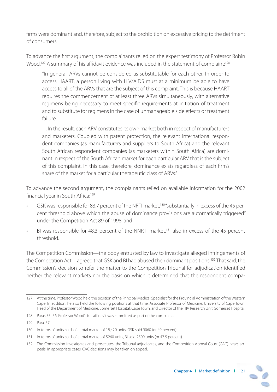firms were dominant and, therefore, subject to the prohibition on excessive pricing to the detriment of consumers.

To advance the first argument, the complainants relied on the expert testimony of Professor Robin Wood.<sup>127</sup> A summary of his affidavit evidence was included in the statement of complaint:<sup>128</sup>

"In general, ARVs cannot be considered as substitutable for each other. In order to access HAART, a person living with HIV/AIDS must at a minimum be able to have access to all of the ARVs that are the subject of this complaint. This is because HAART requires the commencement of at least three ARVs simultaneously, with alternative regimens being necessary to meet specific requirements at initiation of treatment and to substitute for regimens in the case of unmanageable side effects or treatment failure.

…In the result, each ARV constitutes its own market both in respect of manufacturers and marketers. Coupled with patent protection, the relevant international respondent companies (as manufacturers and suppliers to South Africa) and the relevant South African respondent companies (as marketers within South Africa) are dominant in respect of the South African market for each particular ARV that is the subject of this complaint. In this case, therefore, dominance exists regardless of each firm's share of the market for a particular therapeutic class of ARVs."

To advance the second argument, the complainants relied on available information for the 2002 financial year in South Africa:<sup>129</sup>

- GSK was responsible for 83.7 percent of the NRTI market,<sup>130</sup> "substantially in excess of the 45 percent threshold above which the abuse of dominance provisions are automatically triggered" under the Competition Act 89 of 1998; and
- BI was responsible for 48.3 percent of the NNRTI market,<sup>131</sup> also in excess of the 45 percent threshold.

The Competition Commission—the body entrusted by law to investigate alleged infringements of the Competition Act—agreed that GSK and BI had abused their dominant positions.<sup>132</sup> That said, the Commission's decision to refer the matter to the Competition Tribunal for adjudication identified neither the relevant markets nor the basis on which it determined that the respondent compa-

<sup>127.</sup> At the time, Professor Wood held the position of the Principal Medical Specialist for the Provincial Administration of the Western Cape. In addition, he also held the following positions at that time: Associate Professor of Medicine, University of Cape Town; Head of the Department of Medicine, Somerset Hospital, Cape Town; and Director of the HIV Research Unit, Somerset Hospital.

<sup>128.</sup> Paras 55-56. Professor Wood's full affidavit was submitted as part of the complaint.

<sup>129.</sup> Para. 57.

<sup>130.</sup> In terms of units sold, of a total market of 18,420 units, GSK sold 9060 (or 49 percent).

<sup>131.</sup> In terms of units sold, of a total market of 5260 units, BI sold 2500 units (or 47.5 percent).

<sup>132.</sup> The Commission investigates and 'prosecutes', the Tribunal adjudicates, and the Competition Appeal Court (CAC) hears appeals. In appropriate cases, CAC decisions may be taken on appeal.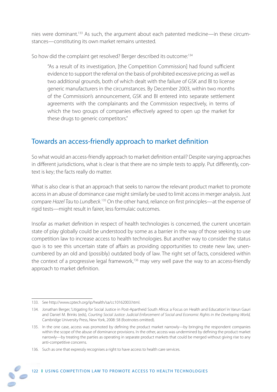nies were dominant.133 As such, the argument about each patented medicine—in these circumstances—constituting its own market remains untested.

So how did the complaint get resolved? Berger described its outcome:<sup>134</sup>

"As a result of its investigation, [the Competition Commission] had found sufficient evidence to support the referral on the basis of prohibited excessive pricing as well as two additional grounds, both of which dealt with the failure of GSK and BI to license generic manufacturers in the circumstances. By December 2003, within two months of the Commission's announcement, GSK and BI entered into separate settlement agreements with the complainants and the Commission respectively, in terms of which the two groups of companies effectively agreed to open up the market for these drugs to generic competitors."

# Towards an access-friendly approach to market definition

So what would an access-friendly approach to market definition entail? Despite varying approaches in different jurisdictions, what is clear is that there are no simple tests to apply. Put differently, context is key; the facts really do matter.

What is also clear is that an approach that seeks to narrow the relevant product market to promote access in an abuse of dominance case might similarly be used to limit access in merger analysis. Just compare Hazel Tau to Lundbeck.<sup>135</sup> On the other hand, reliance on first principles—at the expense of rigid tests—might result in fairer, less formulaic outcomes.

Insofar as market definition in respect of health technologies is concerned, the current uncertain state of play globally could be understood by some as a barrier in the way of those seeking to use competition law to increase access to health technologies. But another way to consider the status quo is to see this uncertain state of affairs as providing opportunities to create new law, unencumbered by an old and (possibly) outdated body of law. The right set of facts, considered within the context of a progressive legal framework,<sup>136</sup> may very well pave the way to an access-friendly approach to market definition.

<sup>133.</sup> See http://www.cptech.org/ip/health/sa/cc10162003.html.

<sup>134.</sup> Jonathan Berger, 'Litigating for Social Justice in Post-Apartheid South Africa: a Focus on Health and Education' in Varun Gauri and Daniel M. Brinks (eds), Courting Social Justice: Judicial Enforcement of Social and Economic Rights in the Developing World, Cambridge University Press, New York, 2008: 58 (footnotes omitted).

<sup>135.</sup> In the one case, access was promoted by defining the product market narrowly—by bringing the respondent companies within the scope of the abuse of dominance provisions. In the other, access was undermined by defining the product market narrowly—by treating the parties as operating in separate product markets that could be merged without giving rise to any anti-competitive concerns.

<sup>136.</sup> Such as one that expressly recognises a right to have access to health care services.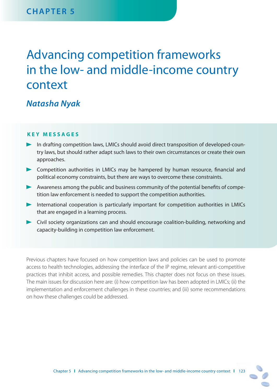# Advancing competition frameworks in the low- and middle-income country context

# *Natasha Nyak*

#### **KEY MESSAGES**

- In drafting competition laws, LMICs should avoid direct transposition of developed-country laws, but should rather adapt such laws to their own circumstances or create their own approaches.
- $\triangleright$  Competition authorities in LMICs may be hampered by human resource, financial and political economy constraints, but there are ways to overcome these constraints.
- Awareness among the public and business community of the potential benefits of competition law enforcement is needed to support the competition authorities.
- International cooperation is particularly important for competition authorities in LMICs that are engaged in a learning process.
- Civil society organizations can and should encourage coalition-building, networking and capacity-building in competition law enforcement.

Previous chapters have focused on how competition laws and policies can be used to promote access to health technologies, addressing the interface of the IP regime, relevant anti-competitive practices that inhibit access, and possible remedies. This chapter does not focus on these issues. The main issues for discussion here are: (i) how competition law has been adopted in LMICs; (ii) the implementation and enforcement challenges in these countries; and (iii) some recommendations on how these challenges could be addressed.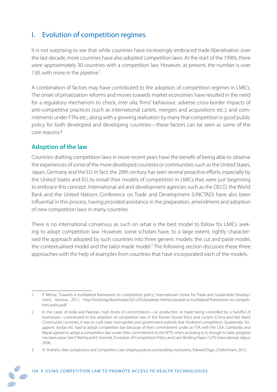# I. Evolution of competition regimes

It is not surprising to see that while countries have increasingly embraced trade liberalisation over the last decade, more countries have also adopted competition laws. At the start of the 1990s, there were approximately 30 countries with a competition law. However, at present, the number is over 130, with more in the pipeline.<sup>1</sup>

A combination of factors may have contributed to the adoption of competition regimes in LMICs. The onset of privatization reforms and moves towards market economies have resulted in the need for a regulatory mechanism to check, inter alia, firms' behaviour; adverse cross-border impacts of anti-competitive practices (such as international cartels, mergers and acquisitions etc.); and commitments under FTAs etc.; along with a growing realisation by many that competition is good public policy for both developed and developing countries—these factors can be seen as some of the core reasons.<sup>2</sup>

## **Adoption of the law**

Countries drafting competition laws in more recent years have the benefit of being able to observe the experiences of some of the more developed countries or communities such as the United States, Japan, Germany and the EU. In fact, the 20th century has seen several proactive efforts, especially by the United States and EU, to install their models of competition in LMICs that were just beginning to embrace this concept. International aid and development agencies such as the OECD, the World Bank and the United Nations Conference on Trade and Development (UNCTAD) have also been influential in this process, having provided assistance in the preparation, amendment and adoption of new competition laws in many countries.

There is no international consensus as such on what is the best model to follow for LMICs seeking to adopt competition law. However, some scholars have, to a large extent, rightly characterised the approach adopted by such countries into three generic models: the cut and paste model, the contextualised model and the tailor-made model.<sup>3</sup> The following section discusses these three approaches with the help of examples from countries that have incorporated each of the models.

<sup>1.</sup> P. Mehta, 'Towards a multilateral framework on competition policy', International Centre for Trade and Sustainable Development, Geneva, 2011, http://ictsd.org/downloads/2012/02/pradeep-mehta-towards-a-multilateral-framework-on-competition-policy.pdf.

<sup>2.</sup> In the cases of India and Pakistan, high levels of concentration—i.e. production or trade being controlled by a handful of businesses—contributed to the adoption of competition law. In the former (Soviet bloc) and current (China and Viet Nam) Communist countries, it was to curb state monopolies and government policies that hindered competition. Guatemala, Singapore, Jordan etc. had to adopt competition law because of their commitment under an FTA with the USA. Cambodia and Nepal agreed to adopt a competition law under their commitment to the WTO when acceding to it, though to date, progress has been poor. See P. Mehta and S. Evenett, 'Evolution of Competition Policy and Law', Briefing Paper, CUTS International, Jaipur, 2006.

<sup>3.</sup> H. Shahein, New Jurisdictions and Competition Law: shaping policies and building institutions, Edward Elgar, Cheltenham, 2012.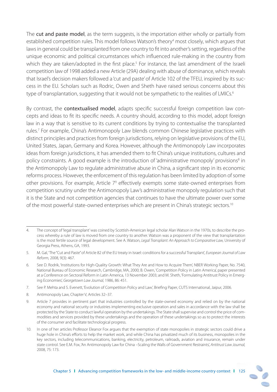The cut and paste model, as the term suggests, is the importation either wholly or partially from established competition rules. This model follows Watson's theory<sup>4</sup> most closely, which argues that laws in general could be transplanted from one country to fit into another's setting, regardless of the unique economic and political circumstances which influenced rule-making in the country from which they are taken/adopted in the first place.<sup>5</sup> For instance, the last amendment of the Israeli competition law of 1998 added a new Article (29A) dealing with abuse of dominance, which reveals that Israel's decision makers followed a 'cut and paste' of Article 102 of the TFEU, inspired by its success in the EU. Scholars such as Rodric, Owen and Sheth have raised serious concerns about this type of transplantation, suggesting that it would not be sympathetic to the realities of LMICs.<sup>6</sup>

By contrast, the **contextualised model**, adapts specific successful foreign competition law concepts and ideas to fit its specific needs. A country should, according to this model, adopt foreign law in a way that is sensitive to its current conditions by trying to contextualise the transplanted rules.7 For example, China's Antimonopoly Law blends common Chinese legislative practices with distinct principles and practices from foreign jurisdictions, relying on legislative provisions of the EU, United States, Japan, Germany and Korea. However, although the Antimonopoly Law incorporates ideas from foreign jurisdictions, it has amended them to fit China's unique institutions, cultures and policy constraints. A good example is the introduction of 'administrative monopoly' provisions<sup>8</sup> in the Antimonopoly Law to regulate administrative abuse in China, a significant step in its economic reforms process. However, the enforcement of this regulation has been limited by adoption of some other provisions. For example, Article 7<sup>9</sup> effectively exempts some state-owned enterprises from competition scrutiny under the Antimonopoly Law's administrative monopoly regulation such that it is the State and not competition agencies that continues to have the ultimate power over some of the most powerful state-owned enterprises which are present in China's strategic sectors.<sup>10</sup>

7. See P. Mehta and S. Evenett, 'Evolution of Competition Policy and Law', Briefing Paper, CUTS International, Jaipur, 2006.

<sup>4.</sup> The concept of 'legal transplant' was coined by Scottish-American legal scholar Alan Watson in the 1970s, to describe the process whereby a rule of law is moved from one country to another. Watson was a proponent of the view that transplantation is the most fertile source of legal development. See A. Watson, Legal Transplant: An Approach to Comparative Law, University of Georgia Press, Athens, GA, 1993.

<sup>5.</sup> M. Gal, 'The "Cut and Paste" of Article 82 of the EU treaty in Israel: conditions for a successful Transplant', European Journal of Law Reform, 2008, 9(3): 467.

<sup>6.</sup> See D. Rodrik, 'Institutions for High-Quality Growth: What They Are and How to Acquire Them', NBER Working Paper, No. 7540, National Bureau of Economic Research, Cambridge, MA, 2000; B. Owen, 'Competition Policy in Latin America', paper presented at a Conference on Sectoral Reform in Latin America, 13 November 2003; and M. Sheth, 'Formulating Antitrust Policy in Emerging Economies', Georgetown Law Journal, 1986, 86: 451.

<sup>8.</sup> Antimonopoly Law, Chapter V, Articles 32–37.

<sup>9.</sup> Article 7 provides in pertinent part that industries controlled by the state-owned economy and relied on by the national economy and national security or industries implementing exclusive operation and sales in accordance with the law shall be protected by the State to conduct lawful operation by the undertakings. The State shall supervise and control the price of commodities and services provided by these undertakings and the operation of these undertakings so as to protect the interests of the consumer and facilitate technological progress.

<sup>10.</sup> In one of her articles Professor Eleanor Fox argues that the exemption of state monopolies in strategic sectors could drive a huge hole in China's efforts to help the market work, and while China has privatized much of its business, monopolies in the key sectors, including telecommunications, banking, electricity, petroleum, railroads, aviation and insurance, remain under state control. See E.M. Fox, 'An Antimonopoly Law for China –Scaling the Walls of Government Restraints', Antitrust Law Journal, 2008, 75: 173.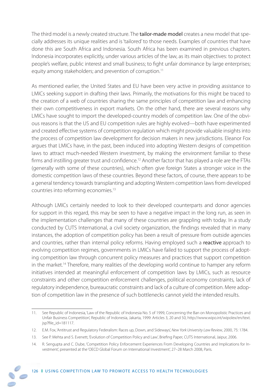The third model is a newly created structure. The **tailor-made model** creates a new model that specially addresses its unique realities and is 'tailored' to those needs. Examples of countries that have done this are South Africa and Indonesia. South Africa has been examined in previous chapters. Indonesia incorporates explicitly, under various articles of the law, as its main objectives: to protect people's welfare, public interest and small business; to fight unfair dominance by large enterprises; equity among stakeholders; and prevention of corruption.<sup>11</sup>

As mentioned earlier, the United States and EU have been very active in providing assistance to LMICs seeking support in drafting their laws. Primarily, the motivations for this might be traced to the creation of a web of countries sharing the same principles of competition law and enhancing their own competitiveness in export markets. On the other hand, there are several reasons why LMICs have sought to import the developed-country models of competition law. One of the obvious reasons is that the US and EU competition rules are highly evolved—both have experimented and created effective systems of competition regulation which might provide valuable insights into the process of competition law development for decision makers in new jurisdictions. Eleanor Fox argues that LMICs have, in the past, been induced into adopting Western designs of competition laws to attract much-needed Western investment, by making the environment familiar to these firms and instilling greater trust and confidence.<sup>12</sup> Another factor that has played a role are the FTAs (generally with some of these countries), which often give foreign States a stronger voice in the domestic competition laws of these countries. Beyond these factors, of course, there appears to be a general tendency towards transplanting and adopting Western competition laws from developed countries into reforming economies.13

Although LMICs certainly needed to look to their developed counterparts and donor agencies for support in this regard, this may be seen to have a negative impact in the long run, as seen in the implementation challenges that many of these countries are grappling with today. In a study conducted by CUTS International, a civil society organization, the findings revealed that in many instances, the adoption of competition policy has been a result of pressure from outside agencies and countries, rather than internal policy reforms. Having employed such a reactive approach to evolving competition regimes, governments in LMICs have failed to support the process of adopting competition law through concurrent policy measures and practices that support competition in the market.<sup>14</sup> Therefore, many realities of the developing world continue to hamper any reform initiatives intended at meaningful enforcement of competition laws by LMICs, such as resource constraints and other competition enforcement challenges, political economy constraints, lack of regulatory independence, bureaucratic constraints and lack of a culture of competition. Mere adoption of competition law in the presence of such bottlenecks cannot yield the intended results.

<sup>11.</sup> See Republic of Indonesia, 'Law of the Republic of Indonesia No. 5 of 1999, Concerning the Ban on Monopolistic Practices and Unfair Business Competition', Republic of Indonesia, Jakarta, 1999: Articles 3, 20 and 50, http://www.wipo.int/wipolex/en/text. jsp?file\_id=181117.

<sup>12.</sup> E.M. Fox, 'Antitrust and Regulatory Federalism: Races up, Down, and Sideways', New York University Law Review, 2000, 75: 1784.

<sup>13.</sup> See P. Mehta and S. Evenett, 'Evolution of Competition Policy and Law', Briefing Paper, CUTS International, Jaipur, 2006.

<sup>14.</sup> R. Sengupta and C. Dube, 'Competition Policy Enforcement Experiences From Developing Countries and Implications for Investment', presented at the 'OECD Global Forum on International Investment', 27–28 March 2008, Paris.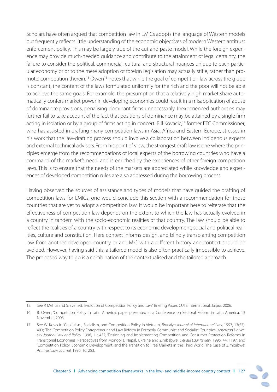Scholars have often argued that competition law in LMICs adopts the language of Western models but frequently reflects little understanding of the economic objectives of modern Western antitrust enforcement policy. This may be largely true of the cut and paste model. While the foreign experience may provide much-needed guidance and contribute to the attainment of legal certainty, the failure to consider the political, commercial, cultural and structural nuances unique to each particular economy prior to the mere adoption of foreign legislation may actually stifle, rather than promote, competition therein.<sup>15</sup> Owen<sup>16</sup> notes that while the goal of competition law across the globe is constant, the content of the laws formulated uniformly for the rich and the poor will not be able to achieve the same goals. For example, the presumption that a relatively high market share automatically confers market power in developing economies could result in a misapplication of abuse of dominance provisions, penalising dominant firms unnecessarily. Inexperienced authorities may further fail to take account of the fact that positions of dominance may be attained by a single firm acting in isolation or by a group of firms acting in concert. Bill Kovacic,<sup>17</sup> former FTC Commissioner, who has assisted in drafting many competition laws in Asia, Africa and Eastern Europe, stresses in his work that the law-drafting process should involve a collaboration between indigenous experts and external technical advisers.From his point of view, the strongest draft law is one where the principles emerge from the recommendations of local experts of the borrowing countries who have a command of the market's need, and is enriched by the experiences of other foreign competition laws. This is to ensure that the needs of the markets are appreciated while knowledge and experiences of developed competition rules are also addressed during the borrowing process.

Having observed the sources of assistance and types of models that have guided the drafting of competition laws for LMICs, one would conclude this section with a recommendation for those countries that are yet to adopt a competition law. It would be important here to reiterate that the effectiveness of competition law depends on the extent to which the law has actually evolved in a country in tandem with the socio-economic realities of that country. The law should be able to reflect the realities of a country with respect to its economic development, social and political realities, culture and constitution. Here context informs design, and blindly transplanting competition law from another developed country or an LMIC with a different history and context should be avoided. However, having said this, a tailored model is also often practically impossible to achieve. The proposed way to go is a combination of the contextualised and the tailored approach.

<sup>15.</sup> See P. Mehta and S. Evenett, 'Evolution of Competition Policy and Law', Briefing Paper, CUTS International, Jaipur, 2006.

<sup>16.</sup> B. Owen, 'Competition Policy in Latin America', paper presented at a Conference on Sectoral Reform in Latin America, 13 November 2003.

<sup>17.</sup> See W. Kovacic, 'Capitalism, Socialism, and Competition Policy in Vietnam', Brooklyn Journal of International Law, 1997, 13(57): 403; 'The Competition Policy Entrepreneur and Law Reform in Formerly Communist and Socialist Countries', American University Journal Law and Policy, 1996, 11: 437; 'Designing and Implementing Competition and Consumer Protection Reforms in Transitional Economies: Perspectives from Mongolia, Nepal, Ukraine and Zimbabwe', DePaul Law Review, 1995, 44: 1197; and 'Competition Policy, Economic Development, and the Transition to Free Markets in the Third World: The Case of Zimbabwe', Antitrust Law Journal, 1996, 16: 253.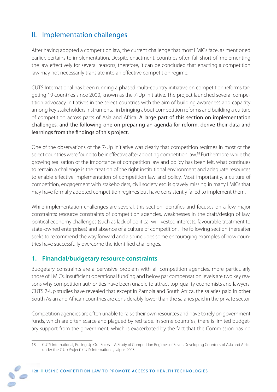# II. Implementation challenges

After having adopted a competition law, the current challenge that most LMICs face, as mentioned earlier, pertains to implementation. Despite enactment, countries often fall short of implementing the law effectively for several reasons; therefore, it can be concluded that enacting a competition law may not necessarily translate into an effective competition regime.

CUTS International has been running a phased multi-country initiative on competition reforms targeting 19 countries since 2000, known as the 7-Up initiative. The project launched several competition advocacy initiatives in the select countries with the aim of building awareness and capacity among key stakeholders instrumental in bringing about competition reforms and building a culture of competition across parts of Asia and Africa. A large part of this section on implementation challenges, and the following one on preparing an agenda for reform, derive their data and learnings from the findings of this project.

One of the observations of the 7-Up initiative was clearly that competition regimes in most of the select countries were found to be ineffective after adopting competition law.<sup>18</sup> Furthermore, while the growing realisation of the importance of competition law and policy has been felt, what continues to remain a challenge is the creation of the right institutional environment and adequate resources to enable effective implementation of competition law and policy. Most importantly, a culture of competition, engagement with stakeholders, civil society etc. is gravely missing in many LMICs that may have formally adopted competition regimes but have consistently failed to implement them.

While implementation challenges are several, this section identifies and focuses on a few major constraints: resource constraints of competition agencies, weaknesses in the draft/design of law, political economy challenges (such as lack of political will, vested interests, favourable treatment to state-owned enterprises) and absence of a culture of competition. The following section thereafter seeks to recommend the way forward and also includes some encouraging examples of how countries have successfully overcome the identified challenges.

## **1. Financial/budgetary resource constraints**

Budgetary constraints are a pervasive problem with all competition agencies, more particularly those of LMICs. Insufficient operational funding and below par compensation levels are two key reasons why competition authorities have been unable to attract top-quality economists and lawyers. CUTS 7-Up studies have revealed that except in Zambia and South Africa, the salaries paid in other South Asian and African countries are considerably lower than the salaries paid in the private sector.

Competition agencies are often unable to raise their own resources and have to rely on government funds, which are often scarce and plagued by red tape. In some countries, there is limited budgetary support from the government, which is exacerbated by the fact that the Commission has no

<sup>18.</sup> CUTS International, 'Pulling Up Our Socks—A Study of Competition Regimes of Seven Developing Countries of Asia and Africa under the 7-Up Project', CUTS International, Jaipur, 2003.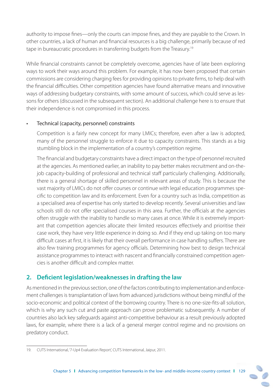authority to impose fines—only the courts can impose fines, and they are payable to the Crown. In other countries, a lack of human and financial resources is a big challenge, primarily because of red tape in bureaucratic procedures in transferring budgets from the Treasury.19

While financial constraints cannot be completely overcome, agencies have of late been exploring ways to work their ways around this problem. For example, it has now been proposed that certain commissions are considering charging fees for providing opinions to private firms, to help deal with the financial difficulties. Other competition agencies have found alternative means and innovative ways of addressing budgetary constraints, with some amount of success, which could serve as lessons for others (discussed in the subsequent section). An additional challenge here is to ensure that their independence is not compromised in this process.

#### • Technical (capacity, personnel) constraints

 Competition is a fairly new concept for many LMICs; therefore, even after a law is adopted, many of the personnel struggle to enforce it due to capacity constraints. This stands as a big stumbling block in the implementation of a country's competition regime.

The financial and budgetary constraints have a direct impact on the type of personnel recruited at the agencies. As mentioned earlier, an inability to pay better makes recruitment and on-thejob capacity-building of professional and technical staff particularly challenging. Additionally, there is a general shortage of skilled personnel in relevant areas of study. This is because the vast majority of LMICs do not offer courses or continue with legal education programmes specific to competition law and its enforcement. Even for a country such as India, competition as a specialised area of expertise has only started to develop recently. Several universities and law schools still do not offer specialised courses in this area. Further, the officials at the agencies often struggle with the inability to handle so many cases at once. While it is extremely important that competition agencies allocate their limited resources effectively and prioritise their case work, they have very little experience in doing so. And if they end up taking on too many difficult cases at first, it is likely that their overall performance in case handling suffers. There are also few training programmes for agency officials. Determining how best to design technical assistance programmes to interact with nascent and financially constrained competition agencies is another difficult and complex matter.

# **2.** Deficient legislation/weaknesses in drafting the law

As mentioned in the previous section, one of the factors contributing to implementation and enforcement challenges is transplantation of laws from advanced jurisdictions without being mindful of the socio-economic and political context of the borrowing country. There is no one-size-fits-all solution, which is why any such cut and paste approach can prove problematic subsequently. A number of countries also lack key safeguards against anti-competitive behaviour as a result previously adopted laws, for example, where there is a lack of a general merger control regime and no provisions on predatory conduct.

<sup>19.</sup> CUTS International, '7-Up4 Evaluation Report', CUTS International, Jaipur, 2011.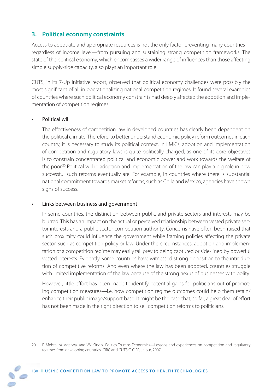## **3. Political economy constraints**

Access to adequate and appropriate resources is not the only factor preventing many countries regardless of income level—from pursuing and sustaining strong competition frameworks. The state of the political economy, which encompasses a wider range of influences than those affecting simple supply-side capacity, also plays an important role.

CUTS, in its 7-Up initiative report, observed that political economy challenges were possibly the most significant of all in operationalizing national competition regimes. It found several examples of countries where such political economy constraints had deeply affected the adoption and implementation of competition regimes.

#### • Political will

The effectiveness of competition law in developed countries has clearly been dependent on the political climate. Therefore, to better understand economic policy reform outcomes in each country, it is necessary to study its political context. In LMICs, adoption and implementation of competition and regulatory laws is quite politically charged, as one of its core objectives is to constrain concentrated political and economic power and work towards the welfare of the poor.20 Political will in adoption and implementation of the law can play a big role in how successful such reforms eventually are. For example, in countries where there is substantial national commitment towards market reforms, such as Chile and Mexico, agencies have shown signs of success.

#### • Links between business and government

 In some countries, the distinction between public and private sectors and interests may be blurred. This has an impact on the actual or perceived relationship between vested private sector interests and a public sector competition authority. Concerns have often been raised that such proximity could influence the government while framing policies affecting the private sector, such as competition policy or law. Under the circumstances, adoption and implementation of a competition regime may easily fall prey to being captured or side-lined by powerful vested interests. Evidently, some countries have witnessed strong opposition to the introduction of competitive reforms. And even where the law has been adopted, countries struggle with limited implementation of the law because of the strong nexus of businesses with polity.

However, little effort has been made to identify potential gains for politicians out of promoting competition measures—i.e. how competition regime outcomes could help them retain/ enhance their public image/support base. It might be the case that, so far, a great deal of effort has not been made in the right direction to sell competition reforms to politicians.

<sup>20.</sup> P. Mehta, M. Agarwal and V.V. Singh, 'Politics Trumps Economics—Lessons and experiences on competition and regulatory regimes from developing countries'. CIRC and CUTS C-CIER, Jaipur, 2007.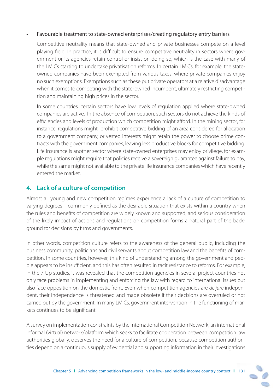#### • Favourable treatment to state-owned enterprises/creating regulatory entry barriers

 Competitive neutrality means that state-owned and private businesses compete on a level playing field. In practice, it is difficult to ensure competitive neutrality in sectors where government or its agencies retain control or insist on doing so, which is the case with many of the LMICs starting to undertake privatisation reforms. In certain LMICs, for example, the stateowned companies have been exempted from various taxes, where private companies enjoy no such exemptions. Exemptions such as these put private operators at a relative disadvantage when it comes to competing with the state-owned incumbent, ultimately restricting competition and maintaining high prices in the sector.

 In some countries, certain sectors have low levels of regulation applied where state-owned companies are active. In the absence of competition, such sectors do not achieve the kinds of efficiencies and levels of production which competition might afford. In the mining sector, for instance, regulations might prohibit competitive bidding of an area considered for allocation to a government company, or vested interests might retain the power to choose prime contracts with the government companies, leaving less productive blocks for competitive bidding. Life insurance is another sector where state-owned enterprises may enjoy privilege, for example regulations might require that policies receive a sovereign guarantee against failure to pay, while the same might not available to the private life insurance companies which have recently entered the market.

## **4. Lack of a culture of competition**

Almost all young and new competition regimes experience a lack of a culture of competition to varying degrees—commonly defined as the desirable situation that exists within a country when the rules and benefits of competition are widely known and supported, and serious consideration of the likely impact of actions and regulations on competition forms a natural part of the background for decisions by firms and governments.

In other words, competition culture refers to the awareness of the general public, including the business community, politicians and civil servants about competition law and the benefits of competition. In some countries, however, this kind of understanding among the government and people appears to be insufficient, and this has often resulted in tacit resistance to reforms. For example, in the 7-Up studies, it was revealed that the competition agencies in several project countries not only face problems in implementing and enforcing the law with regard to international issues but also face opposition on the domestic front. Even when competition agencies are *de jure* independent, their independence is threatened and made obsolete if their decisions are overruled or not carried out by the government. In many LMICs, government intervention in the functioning of markets continues to be significant.

A survey on implementation constraints by the International Competition Network, an international informal (virtual) network/platform which seeks to facilitate cooperation between competition law authorities globally, observes the need for a culture of competition, because competition authorities depend on a continuous supply of evidential and supporting information in their investigations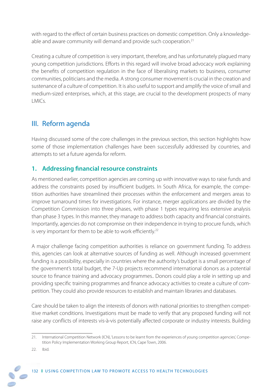with regard to the effect of certain business practices on domestic competition. Only a knowledgeable and aware community will demand and provide such cooperation.<sup>21</sup>

Creating a culture of competition is very important, therefore, and has unfortunately plagued many young competition jurisdictions. Efforts in this regard will involve broad advocacy work explaining the benefits of competition regulation in the face of liberalising markets to business, consumer communities, politicians and the media. A strong consumer movement is crucial in the creation and sustenance of a culture of competition. It is also useful to support and amplify the voice of small and medium-sized enterprises, which, at this stage, are crucial to the development prospects of many LMICs.

# III. Reform agenda

Having discussed some of the core challenges in the previous section, this section highlights how some of those implementation challenges have been successfully addressed by countries, and attempts to set a future agenda for reform.

# **1. Addressing financial resource constraints**

As mentioned earlier, competition agencies are coming up with innovative ways to raise funds and address the constraints posed by insufficient budgets. In South Africa, for example, the competition authorities have streamlined their processes within the enforcement and mergers areas to improve turnaround times for investigations. For instance, merger applications are divided by the Competition Commission into three phases, with phase 1 types requiring less extensive analysis than phase 3 types. In this manner, they manage to address both capacity and financial constraints. Importantly, agencies do not compromise on their independence in trying to procure funds, which is very important for them to be able to work efficiently.<sup>22</sup>

A major challenge facing competition authorities is reliance on government funding. To address this, agencies can look at alternative sources of funding as well. Although increased government funding is a possibility, especially in countries where the authority's budget is a small percentage of the government's total budget, the 7-Up projects recommend international donors as a potential source to finance training and advocacy programmes.. Donors could play a role in setting up and providing specific training programmes and finance advocacy activities to create a culture of competition. They could also provide resources to establish and maintain libraries and databases.

Care should be taken to align the interests of donors with national priorities to strengthen competitive market conditions. Investigations must be made to verify that any proposed funding will not raise any conflicts of interests vis-à-vis potentially affected corporate or industry interests. Building

<sup>22.</sup> Ibid.



<sup>21.</sup> International Competition Network (ICN), 'Lessons to be learnt from the experiences of young competition agencies', Competition Policy Implementation Working Group Report, ICN, Cape Town, 2006.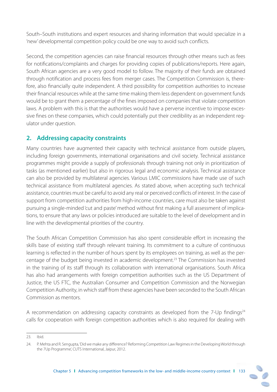South–South institutions and expert resources and sharing information that would specialize in a 'new' developmental competition policy could be one way to avoid such conflicts.

Second, the competition agencies can raise financial resources through other means such as fees for notifications/complaints and charges for providing copies of publications/reports. Here again, South African agencies are a very good model to follow. The majority of their funds are obtained through notification and process fees from merger cases. The Competition Commission is, therefore, also financially quite independent. A third possibility for competition authorities to increase their financial resources while at the same time making them less dependent on government funds would be to grant them a percentage of the fines imposed on companies that violate competition laws. A problem with this is that the authorities would have a perverse incentive to impose excessive fines on these companies, which could potentially put their credibility as an independent regulator under question.

## **2. Addressing capacity constraints**

Many countries have augmented their capacity with technical assistance from outside players, including foreign governments, international organisations and civil society. Technical assistance programmes might provide a supply of professionals through training not only in prioritization of tasks (as mentioned earlier) but also in rigorous legal and economic analysis. Technical assistance can also be provided by multilateral agencies. Various LMIC commissions have made use of such technical assistance from multilateral agencies. As stated above, when accepting such technical assistance, countries must be careful to avoid any real or perceived conflicts of interest. In the case of support from competition authorities from high-income countries, care must also be taken against pursuing a single-minded 'cut and paste' method without first making a full assessment of implications, to ensure that any laws or policies introduced are suitable to the level of development and in line with the developmental priorities of the country.

The South African Competition Commission has also spent considerable effort in increasing the skills base of existing staff through relevant training. Its commitment to a culture of continuous learning is reflected in the number of hours spent by its employees on training, as well as the percentage of the budget being invested in academic development.23 The Commission has invested in the training of its staff through its collaboration with international organisations. South Africa has also had arrangements with foreign competition authorities such as the US Department of Justice, the US FTC, the Australian Consumer and Competition Commission and the Norwegian Competition Authority, in which staff from these agencies have been seconded to the South African Commission as mentors.

A recommendation on addressing capacity constraints as developed from the 7-Up findings<sup>24</sup> calls for cooperation with foreign competition authorities which is also required for dealing with

<sup>23.</sup> Ibid.

<sup>24.</sup> P. Mehta and R. Sengupta, 'Did we make any difference? Reforming Competition Law Regimes in the Developing World through the 7Up Programme', CUTS International, Jaipur, 2012.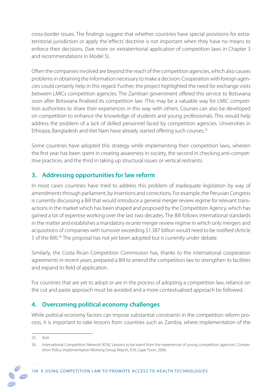cross-border issues. The findings suggest that whether countries have special provisions for extraterritorial jurisdiction or apply the 'effects' doctrine is not important when they have no means to enforce their decisions. (See more on extraterritorial application of competition laws in Chapter 3 and recommendations in Model 5).

Often the companies involved are beyond the reach of the competition agencies, which also causes problems in obtaining the information necessary to make a decision. Cooperation with foreign agencies could certainly help in this regard. Further, the project highlighted the need for exchange visits between LMICs competition agencies. The Zambian government offered this service to Botswana soon after Botswana finalised its competition law. IThis may be a valuable way for LMIC competition authorities to share their experiences in this way with others. Courses can also be developed on competition to enhance the knowledge of students and young professionals. This would help address the problem of a lack of skilled personnel faced by competition agencies. Universities in Ethiopia, Bangladesh and Viet Nam have already started offering such courses.<sup>25</sup>

Some countries have adopted this strategy while implementing their competition laws, wherein the first year has been spent in creating awareness in society, the second in checking anti-competitive practices, and the third in taking up structural issues or vertical restraints.

## **3. Addressing opportunities for law reform**

In most cases countries have tried to address this problem of inadequate legislation by way of amendments through parliament, by insertions and corrections. For example, the Peruvian Congress is currently discussing a Bill that would introduce a general merger review regime for relevant transactions in the market which has been shaped and proposed by the Competition Agency, which has gained a lot of expertise working over the last two decades. The Bill follows international standards in the matter and establishes a mandatory ex ante merger review regime in which only mergers and acquisitions of companies with turnover exceeding \$1.387 billion would need to be notified (Article 5 of the Bill).26 The proposal has not yet been adopted but is currently under debate.

Similarly, the Costa Rican Competition Commission has, thanks to the international cooperation agreements in recent years, prepared a Bill to amend the competition law to strengthen its facilities and expand its field of application.

For countries that are yet to adopt or are in the process of adopting a competition law, reliance on the cut and paste approach must be avoided and a more contextualised approach be followed.

# **4. Overcoming political economy challenges**

While political economy factors can impose substantial constraints in the competition reform process, it is important to take lessons from countries such as Zambia, where implementation of the

<sup>25.</sup> Ibid.

<sup>26.</sup> International Competition Network (ICN), 'Lessons to be learnt from the experiences of young competition agencies', Competition Policy Implementation Working Group Report, ICN, Cape Town, 2006.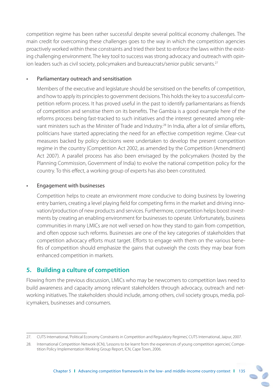competition regime has been rather successful despite several political economy challenges. The main credit for overcoming these challenges goes to the way in which the competition agencies proactively worked within these constraints and tried their best to enforce the laws within the existing challenging environment. The key tool to success was strong advocacy and outreach with opinion leaders such as civil society, policymakers and bureaucrats/senior public servants.<sup>27</sup>

#### • Parliamentary outreach and sensitisation

Members of the executive and legislature should be sensitised on the benefits of competition, and how to apply its principles to government decisions. This holds the key to a successful competition reform process. It has proved useful in the past to identify parliamentarians as friends of competition and sensitise them on its benefits. The Gambia is a good example here of the reforms process being fast-tracked to such initiatives and the interest generated among relevant ministers such as the Minister of Trade and Industry.<sup>28</sup> In India, after a lot of similar efforts, politicians have started appreciating the need for an effective competition regime. Clear-cut measures backed by policy decisions were undertaken to develop the present competition regime in the country (Competition Act 2002, as amended by the Competition (Amendment) Act 2007). A parallel process has also been envisaged by the policymakers (hosted by the Planning Commission, Government of India) to evolve the national competition policy for the country. To this effect, a working group of experts has also been constituted.

#### • Engagement with businesses

 Competition helps to create an environment more conducive to doing business by lowering entry barriers, creating a level playing field for competing firms in the market and driving innovation/production of new products and services. Furthermore, competition helps boost investments by creating an enabling environment for businesses to operate. Unfortunately, business communities in many LMICs are not well versed on how they stand to gain from competition, and often oppose such reforms. Businesses are one of the key categories of stakeholders that competition advocacy efforts must target. Efforts to engage with them on the various benefits of competition should emphasize the gains that outweigh the costs they may bear from enhanced competition in markets.

## **5. Building a culture of competition**

Flowing from the previous discussion, LMICs who may be newcomers to competition laws need to build awareness and capacity among relevant stakeholders through advocacy, outreach and networking initiatives. The stakeholders should include, among others, civil society groups, media, policymakers, businesses and consumers.

<sup>27.</sup> CUTS International, 'Political Economy Constraints in Competition and Regulatory Regimes', CUTS International, Jaipur, 2007.

<sup>28.</sup> International Competition Network (ICN), 'Lessons to be learnt from the experiences of young competition agencies', Competition Policy Implementation Working Group Report, ICN, Cape Town, 2006.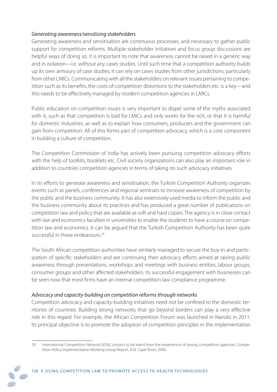#### Generating awareness/sensitising stakeholders

Generating awareness and sensitisation are continuous processes, and necessary to gather public support for competition reforms. Multiple stakeholder initiatives and focus group discussions are helpful ways of doing so. It is important to note that awareness cannot be raised in a generic way and in isolation—i.e. without any cases studies. Until such time that a competition authority builds up its own armoury of case studies, it can rely on cases studies from other jurisdictions, particularly from other LMICs. Communicating with all the stakeholders on relevant issues pertaining to competition such as its benefits, the costs of competition distortions to the stakeholders etc. is a key—and this needs to be effectively managed by modern competition agencies in LMICs.

Public education on competition issues is very important to dispel some of the myths associated with it, such as that competition is bad for LMICs and only works for the rich, or that it is harmful for domestic industries, as well as to explain how consumers, producers and the government can gain from competition. All of this forms part of competition advocacy, which is a core component in building a culture of competition.

The Competition Commission of India has actively been pursuing competition advocacy efforts with the help of toolkits, booklets etc. Civil society organizations can also play an important role in addition to countries' competition agencies in terms of taking on such advocacy initiatives.

In its efforts to generate awareness and sensitisation, the Turkish Competition Authority organizes events such as panels, conferences and regional seminars to increase awareness of competition by the public and the business community. It has also extensively used media to inform the public and the business community about its practices and has produced a great number of publications on competition law and policy that are available as soft and hard copies. The agency is in close contact with law and economics faculties in universities to enable the students to have a course on competition law and economics. It can be argued that the Turkish Competition Authority has been quite successful in these endeavours.<sup>29</sup>

The South African competition authorities have similarly managed to secure the buy-in and participation of specific stakeholders and are continuing their advocacy efforts aimed at raising public awareness through presentations, workshops and meetings with business entities, labour groups, consumer groups and other affected stakeholders. Its successful engagement with businesses can be seen now that most firms have an internal competition law compliance programme.

#### Advocacy and capacity-building on competition reforms through networks

Competition advocacy and capacity-building initiatives need not be confined to the domestic territories of countries. Building strong networks that go beyond borders can play a very effective role in this regard. For example, the African Competition Forum was launched in Nairobi in 2011. Its principal objective is to promote the adoption of competition principles in the implementation

<sup>29.</sup> International Competition Network (ICN), 'Lessons to be learnt from the experiences of young competition agencies', Competition Policy Implementation Working Group Report, ICN, Cape Town, 2006.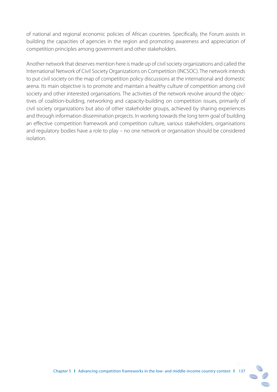of national and regional economic policies of African countries. Specifically, the Forum assists in building the capacities of agencies in the region and promoting awareness and appreciation of competition principles among government and other stakeholders.

Another network that deserves mention here is made up of civil society organizations and called the International Network of Civil Society Organizations on Competition (INCSOC). The network intends to put civil society on the map of competition policy discussions at the international and domestic arena. Its main objective is to promote and maintain a healthy culture of competition among civil society and other interested organisations. The activities of the network revolve around the objectives of coalition-building, networking and capacity-building on competition issues, primarily of civil society organizations but also of other stakeholder groups, achieved by sharing experiences and through information dissemination projects. In working towards the long term goal of building an effective competition framework and competition culture, various stakeholders, organisations and regulatory bodies have a role to play – no one network or organisation should be considered isolation.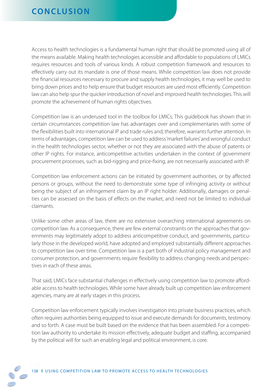# **CONCLUSION**

Access to health technologies is a fundamental human right that should be promoted using all of the means available. Making health technologies accessible and affordable to populations of LMICs requires resources and tools of various kinds. A robust competition framework and resources to effectively carry out its mandate is one of those means. While competition law does not provide the financial resources necessary to procure and supply health technologies, it may well be used to bring down prices and to help ensure that budget resources are used most efficiently. Competition law can also help spur the quicker introduction of novel and improved health technologies. This will promote the achievement of human rights objectives.

Competition law is an underused tool in the toolbox for LMICs. This guidebook has shown that in certain circumstances competition law has advantages over and complementaries with some of the flexibilities built into international IP and trade rules and, therefore, warrants further attention. In terms of advantages, competition law can be used to address 'market failures' and wrongful conduct in the health technologies sector, whether or not they are associated with the abuse of patents or other IP rights. For instance, anticompetitive activities undertaken in the context of government procurement processes, such as bid-rigging and price-fixing, are not necessarily associated with IP.

Competition law enforcement actions can be initiated by government authorities, or by affected persons or groups, without the need to demonstrate some type of infringing activity or without being the subject of an infringement claim by an IP right holder. Additionally, damages or penalties can be assessed on the basis of effects on the market, and need not be limited to individual claimants.

Unlike some other areas of law, there are no extensive overarching international agreements on competition law. As a consequence, there are few external constraints on the approaches that governments may legitimately adopt to address anticompetitive conduct, and governments, particularly those in the developed world, have adopted and employed substantially different approaches to competition law over time. Competition law is a part both of industrial policy management and consumer protection, and governments require flexibility to address changing needs and perspectives in each of these areas.

That said, LMICs face substantial challenges in effectively using competition law to promote affordable access to health technologies. While some have already built up competition law enforcement agencies, many are at early stages in this process.

Competition law enforcement typically involves investigation into private business practices, which often requires authorities being equipped to issue and execute demands for documents, testimony and so forth. A case must be built based on the evidence that has been assembled. For a competition law authority to undertake its mission effectively, adequate budget and staffing, accompanied by the political will for such an enabling legal and political environment, is core.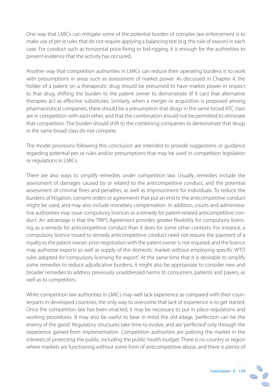One way that LMICs can mitigate some of the potential burden of complex law enforcement is to make use of per se rules that do not require applying a balancing test (e.g. the rule of reason) in each case. For conduct such as horizontal price-fixing or bid-rigging, it is enough for the authorities to present evidence that the activity has occurred.

Another way that competition authorities in LMICs can reduce their operating burdens is to work with presumptions in areas such as assessment of market power. As discussed in Chapter 4, the holder of a patent on a therapeutic drug should be presumed to have market power in respect to that drug, shifting the burden to the patent owner to demonstrate (if it can) that alternative therapies act as effective substitutes. Similarly, when a merger or acquisition is proposed among pharmaceutical companies, there should be a presumption that drugs in the same broad ATC class are in competition with each other, and that the combination should not be permitted to eliminate that competition. The burden should shift to the combining companies to demonstrate that drugs in the same broad class do not compete.

The model provisions following this conclusion are intended to provide suggestions or guidance regarding potential per se rules and/or presumptions that may be used in competition legislation or regulations in LMICs.

There are also ways to simplify remedies under competition law. Usually, remedies include the assessment of damages caused by or related to the anticompetitive conduct, and the potential assessment of criminal fines and penalties, as well as imprisonment for individuals. To reduce the burdens of litigation, consent orders or agreements that put an end to the anticompetitive conduct might be used, and may also include monetary compensation. In addition, courts and administrative authorities may issue compulsory licences as a remedy for patent-related anticompetitive conduct. An advantage is that the TRIPS Agreement provides greater flexibility for compulsory licensing as a remedy for anticompetitive conduct than it does for some other contexts. For instance, a compulsory licence issued to remedy anticompetitive conduct need not require the payment of a royalty to the patent owner; prior negotiation with the patent owner is not required; and the licence may authorize exports as well as supply of the domestic market without employing specific WTO rules adopted for 'compulsory licensing for export'. At the same time that it is desirable to simplify some remedies to reduce adjudicative burdens, it might also be appropriate to consider new and broader remedies to address previously unaddressed harms to consumers, patients and payers, as well as to competitors.

While competition law authorities in LMICs may well lack experience as compared with their counterparts in developed countries, the only way to overcome that lack of experience is to get started. Once the competition law has been enacted, it may be necessary to put in place regulations and working procedures. It may also be useful to bear in mind the old adage, 'perfection can be the enemy of the good'. Regulatory structures take time to evolve, and are 'perfected' only through the experience gained from implementation. Competition authorities are policing the market in the interests of protecting the public, including the public health budget. There is no country or region where markets are functioning without some form of anticompetitive abuse, and there is plenty of

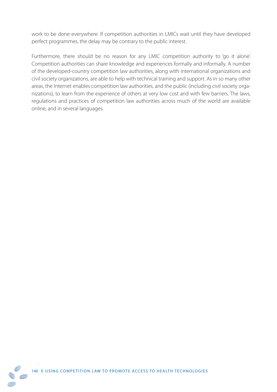work to be done everywhere. If competition authorities in LMICs wait until they have developed perfect programmes, the delay may be contrary to the public interest.

Furthermore, there should be no reason for any LMIC competition authority to 'go it alone'. Competition authorities can share knowledge and experiences formally and informally. A number of the developed-country competition law authorities, along with international organizations and civil society organizations, are able to help with technical training and support. As in so many other areas, the Internet enables competition law authorities, and the public (including civil society organizations), to learn from the experience of others at very low cost and with few barriers. The laws, regulations and practices of competition law authorities across much of the world are available online, and in several languages.

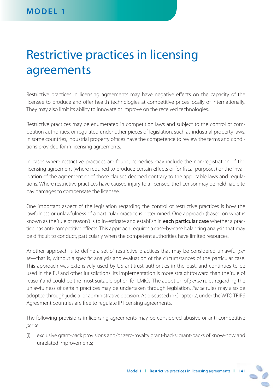# Restrictive practices in licensing agreements

Restrictive practices in licensing agreements may have negative effects on the capacity of the licensee to produce and offer health technologies at competitive prices locally or internationally. They may also limit its ability to innovate or improve on the received technologies.

Restrictive practices may be enumerated in competition laws and subject to the control of competition authorities, or regulated under other pieces of legislation, such as industrial property laws. In some countries, industrial property offices have the competence to review the terms and conditions provided for in licensing agreements.

In cases where restrictive practices are found, remedies may include the non-registration of the licensing agreement (where required to produce certain effects or for fiscal purposes) or the invalidation of the agreement or of those clauses deemed contrary to the applicable laws and regulations. Where restrictive practices have caused injury to a licensee, the licensor may be held liable to pay damages to compensate the licensee.

One important aspect of the legislation regarding the control of restrictive practices is how the lawfulness or unlawfulness of a particular practice is determined. One approach (based on what is known as the 'rule of reason') is to investigate and establish in each particular case whether a practice has anti-competitive effects. This approach requires a case-by-case balancing analysis that may be difficult to conduct, particularly when the competent authorities have limited resources.

Another approach is to define a set of restrictive practices that may be considered unlawful per se—that is, without a specific analysis and evaluation of the circumstances of the particular case. This approach was extensively used by US antitrust authorities in the past, and continues to be used in the EU and other jurisdictions. Its implementation is more straightforward than the 'rule of reason' and could be the most suitable option for LMICs. The adoption of *per se* rules regarding the unlawfulness of certain practices may be undertaken through legislation. Per se rules may also be adopted through judicial or administrative decision. As discussed in Chapter 2, under the WTO TRIPS Agreement countries are free to regulate IP licensing agreements.

The following provisions in licensing agreements may be considered abusive or anti-competitive per se:

(i) exclusive grant-back provisions and/or zero-royalty grant-backs; grant-backs of know-how and unrelated improvements;

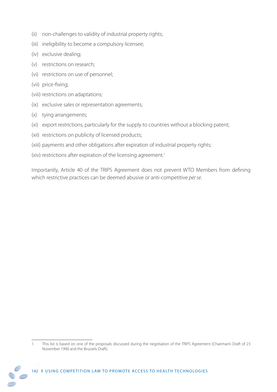- (ii) non-challenges to validity of industrial property rights;
- (iii) ineligibility to become a compulsory licensee;
- (iv) exclusive dealing;
- (v) restrictions on research;
- (vi) restrictions on use of personnel;
- (vii) price-fixing;
- (viii) restrictions on adaptations;
- (ix) exclusive sales or representation agreements;
- (x) tying arrangements;
- (xi) export restrictions, particularly for the supply to countries without a blocking patent;
- (xii) restrictions on publicity of licensed products;
- (xiii) payments and other obligations after expiration of industrial property rights;
- (xiv) restrictions after expiration of the licensing agreement.<sup>1</sup>

Importantly, Article 40 of the TRIPS Agreement does not prevent WTO Members from defining which restrictive practices can be deemed abusive or anti-competitive per se.

<sup>1.</sup> This list is based on one of the proposals discussed during the negotiation of the TRIPS Agreement (Chairman's Draft of 23 November 1990 and the Brussels Draft).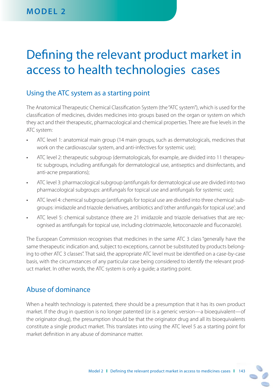# Defining the relevant product market in access to health technologies cases

### Using the ATC system as a starting point

The Anatomical Therapeutic Chemical Classification System (the "ATC system"), which is used for the classification of medicines, divides medicines into groups based on the organ or system on which they act and their therapeutic, pharmacological and chemical properties. There are five levels in the ATC system:

- ATC level 1: anatomical main group (14 main groups, such as dermatologicals, medicines that work on the cardiovascular system, and anti-infectives for systemic use);
- ATC level 2: therapeutic subgroup (dermatologicals, for example, are divided into 11 therapeutic subgroups, including antifungals for dermatological use, antiseptics and disinfectants, and anti-acne preparations);
- ATC level 3: pharmacological subgroup (antifungals for dermatological use are divided into two pharmacological subgroups: antifungals for topical use and antifungals for systemic use);
- ATC level 4: chemical subgroup (antifungals for topical use are divided into three chemical subgroups: imidazole and triazole derivatives, antibiotics and 'other antifungals for topical use'; and
- ATC level 5: chemical substance (there are 21 imidazole and triazole derivatives that are recognised as antifungals for topical use, including clotrimazole, ketoconazole and fluconazole).

The European Commission recognises that medicines in the same ATC 3 class "generally have the same therapeutic indication and, subject to exceptions, cannot be substituted by products belonging to other ATC 3 classes". That said, the appropriate ATC level must be identified on a case-by-case basis, with the circumstances of any particular case being considered to identify the relevant product market. In other words, the ATC system is only a guide; a starting point.

## Abuse of dominance

When a health technology is patented, there should be a presumption that it has its own product market. If the drug in question is no longer patented (or is a generic version—a bioequivalent—of the originator drug), the presumption should be that the originator drug and all its bioequivalents constitute a single product market. This translates into using the ATC level 5 as a starting point for market definition in any abuse of dominance matter.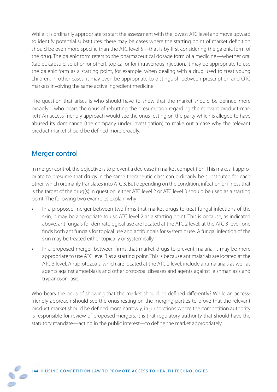While it is ordinarily appropriate to start the assessment with the lowest ATC level and move upward to identify potential substitutes, there may be cases where the starting point of market definition should be even more specific than the ATC level 5—that is by first considering the galenic form of the drug. The galenic form refers to the pharmaceutical dosage form of a medicine—whether oral (tablet, capsule, solution or other), topical or for intravenous injection. It may be appropriate to use the galenic form as a starting point, for example, when dealing with a drug used to treat young children. In other cases, it may even be appropriate to distinguish between prescription and OTC markets involving the same active ingredient medicine.

The question that arises is who should have to show that the market should be defined more broadly—who bears the onus of rebutting the presumption regarding the relevant product market? An access-friendly approach would see the onus resting on the party which is alleged to have abused its dominance (the company under investigation) to make out a case why the relevant product market should be defined more broadly.

### Merger control

In merger control, the objective is to prevent a decrease in market competition. This makes it appropriate to presume that drugs in the same therapeutic class can ordinarily be substituted for each other, which ordinarily translates into ATC 3. But depending on the condition, infection or illness that is the target of the drug(s) in question, either ATC level 2 or ATC level 3 should be used as a starting point. The following two examples explain why:

- In a proposed merger between two firms that market drugs to treat fungal infections of the skin, it may be appropriate to use ATC level 2 as a starting point. This is because, as indicated above, antifungals for dermatological use are located at the ATC 2 level; at the ATC 3 level, one finds both antifungals for topical use and antifungals for systemic use. A fungal infection of the skin may be treated either topically or systemically.
- In a proposed merger between firms that market drugs to prevent malaria, it may be more appropriate to use ATC level 3 as a starting point. This is because antimalarials are located at the ATC 3 level. Antiprotozoals, which are located at the ATC 2 level, include antimalarials as well as agents against amoebiasis and other protozoal diseases and agents against leishmaniasis and trypanosomiasis.

Who bears the onus of showing that the market should be defined differently? While an accessfriendly approach should see the onus resting on the merging parties to prove that the relevant product market should be defined more narrowly, in jurisdictions where the competition authority is responsible for review of proposed mergers, it is that regulatory authority that should have the statutory mandate—acting in the public interest—to define the market appropriately.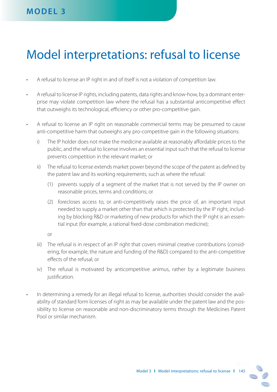# Model interpretations: refusal to license

- A refusal to license an IP right in and of itself is not a violation of competition law.
- A refusal to license IP rights, including patents, data rights and know-how, by a dominant enterprise may violate competition law where the refusal has a substantial anticompetitive effect that outweighs its technological, efficiency or other pro-competitive gain.
- A refusal to license an IP right on reasonable commercial terms may be presumed to cause anti-competitive harm that outweighs any pro-competitive gain in the following situations:
	- i) The IP holder does not make the medicine available at reasonably affordable prices to the public, and the refusal to license involves an essential input such that the refusal to license prevents competition in the relevant market; or
	- ii) The refusal to license extends market power beyond the scope of the patent as defined by the patent law and its working requirements, such as where the refusal:
		- (1) prevents supply of a segment of the market that is not served by the IP owner on reasonable prices, terms and conditions; or
		- (2) forecloses access to, or anti-competitively raises the price of, an important input needed to supply a market other than that which is protected by the IP right, including by blocking R&D or marketing of new products for which the IP right is an essential input (for example, a rational fixed-dose combination medicine);

or

- iii) The refusal is in respect of an IP right that covers minimal creative contributions (considering, for example, the nature and funding of the R&D) compared to the anti-competitive effects of the refusal: or
- iv) The refusal is motivated by anticompetitive animus, rather by a legitimate business justification.
- In determining a remedy for an illegal refusal to license, authorities should consider the availability of standard form licenses of right as may be available under the patent law and the possibility to license on reasonable and non-discriminatory terms through the Medicines Patent Pool or similar mechanism.

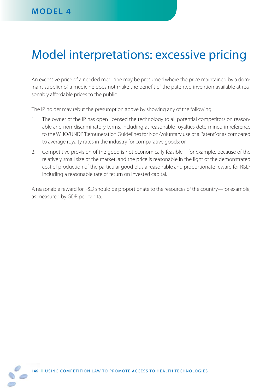# Model interpretations: excessive pricing

An excessive price of a needed medicine may be presumed where the price maintained by a dominant supplier of a medicine does not make the benefit of the patented invention available at reasonably affordable prices to the public.

The IP holder may rebut the presumption above by showing any of the following:

- 1. The owner of the IP has open licensed the technology to all potential competitors on reasonable and non-discriminatory terms, including at reasonable royalties determined in reference to the WHO/UNDP 'Remuneration Guidelines for Non-Voluntary use of a Patent' or as compared to average royalty rates in the industry for comparative goods; or
- 2. Competitive provision of the good is not economically feasible—for example, because of the relatively small size of the market, and the price is reasonable in the light of the demonstrated cost of production of the particular good plus a reasonable and proportionate reward for R&D, including a reasonable rate of return on invested capital.

A reasonable reward for R&D should be proportionate to the resources of the country—for example, as measured by GDP per capita.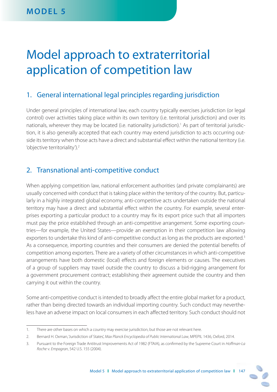# Model approach to extraterritorial application of competition law

### 1. General international legal principles regarding jurisdiction

Under general principles of international law, each country typically exercises jurisdiction (or legal control) over activities taking place within its own territory (i.e. territorial jurisdiction) and over its nationals, wherever they may be located (i.e. nationality jurisdiction).<sup>1</sup> As part of territorial jurisdiction, it is also generally accepted that each country may extend jurisdiction to acts occurring outside its territory when those acts have a direct and substantial effect within the national territory (i.e. 'objective territoriality').2

### 2. Transnational anti-competitive conduct

When applying competition law, national enforcement authorities (and private complainants) are usually concerned with conduct that is taking place within the territory of the country. But, particularly in a highly integrated global economy, anti-competitive acts undertaken outside the national territory may have a direct and substantial effect within the country. For example, several enterprises exporting a particular product to a country may fix its export price such that all importers must pay the price established through an anti-competitive arrangement. Some exporting countries—for example, the United States—provide an exemption in their competition law allowing exporters to undertake this kind of anti-competitive conduct as long as the products are exported.<sup>3</sup> As a consequence, importing countries and their consumers are denied the potential benefits of competition among exporters. There are a variety of other circumstances in which anti-competitive arrangements have both domestic (local) effects and foreign elements or causes. The executives of a group of suppliers may travel outside the country to discuss a bid-rigging arrangement for a government procurement contract; establishing their agreement outside the country and then carrying it out within the country.

Some anti-competitive conduct is intended to broadly affect the entire global market for a product, rather than being directed towards an individual importing country. Such conduct may nevertheless have an adverse impact on local consumers in each affected territory. Such conduct should not

<sup>1.</sup> There are other bases on which a country may exercise jurisdiction, but those are not relevant here.

<sup>2.</sup> Bernard H. Oxman, 'Jurisdiction of States', Max Planck Encyclopedia of Public International Law, MPEPIL 1436, Oxford, 2014.

<sup>3.</sup> Pursuant to the Foreign Trade Antitrust Improvements Act of 1982 (FTAIA), as confirmed by the Supreme Court in Hoffman-La Roche v. Empagran, 542 U.S. 155 (2004).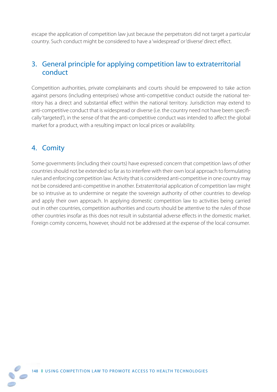escape the application of competition law just because the perpetrators did not target a particular country. Such conduct might be considered to have a 'widespread' or 'diverse' direct effect.

### 3. General principle for applying competition law to extraterritorial conduct

Competition authorities, private complainants and courts should be empowered to take action against persons (including enterprises) whose anti-competitive conduct outside the national territory has a direct and substantial effect within the national territory. Jurisdiction may extend to anti-competitive conduct that is widespread or diverse (i.e. the country need not have been specifically 'targeted'), in the sense of that the anti-competitive conduct was intended to affect the global market for a product, with a resulting impact on local prices or availability.

## 4. Comity

Some governments (including their courts) have expressed concern that competition laws of other countries should not be extended so far as to interfere with their own local approach to formulating rules and enforcing competition law. Activity that is considered anti-competitive in one country may not be considered anti-competitive in another. Extraterritorial application of competition law might be so intrusive as to undermine or negate the sovereign authority of other countries to develop and apply their own approach. In applying domestic competition law to activities being carried out in other countries, competition authorities and courts should be attentive to the rules of those other countries insofar as this does not result in substantial adverse effects in the domestic market. Foreign comity concerns, however, should not be addressed at the expense of the local consumer.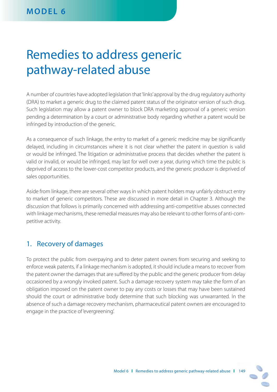# Remedies to address generic pathway-related abuse

A number of countries have adopted legislation that 'links' approval by the drug regulatory authority (DRA) to market a generic drug to the claimed patent status of the originator version of such drug. Such legislation may allow a patent owner to block DRA marketing approval of a generic version pending a determination by a court or administrative body regarding whether a patent would be infringed by introduction of the generic.

As a consequence of such linkage, the entry to market of a generic medicine may be significantly delayed, including in circumstances where it is not clear whether the patent in question is valid or would be infringed. The litigation or administrative process that decides whether the patent is valid or invalid, or would be infringed, may last for well over a year, during which time the public is deprived of access to the lower-cost competitor products, and the generic producer is deprived of sales opportunities.

Aside from linkage, there are several other ways in which patent holders may unfairly obstruct entry to market of generic competitors. These are discussed in more detail in Chapter 3. Although the discussion that follows is primarily concerned with addressing anti-competitive abuses connected with linkage mechanisms, these remedial measures may also be relevant to other forms of anti-competitive activity.

#### 1. Recovery of damages

To protect the public from overpaying and to deter patent owners from securing and seeking to enforce weak patents, if a linkage mechanism is adopted, it should include a means to recover from the patent owner the damages that are suffered by the public and the generic producer from delay occasioned by a wrongly invoked patent. Such a damage recovery system may take the form of an obligation imposed on the patent owner to pay any costs or losses that may have been sustained should the court or administrative body determine that such blocking was unwarranted. In the absence of such a damage recovery mechanism, pharmaceutical patent owners are encouraged to engage in the practice of 'evergreening'.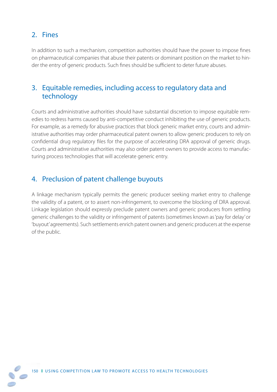## 2. Fines

In addition to such a mechanism, competition authorities should have the power to impose fines on pharmaceutical companies that abuse their patents or dominant position on the market to hinder the entry of generic products. Such fines should be sufficient to deter future abuses.

### 3. Equitable remedies, including access to regulatory data and technology

Courts and administrative authorities should have substantial discretion to impose equitable remedies to redress harms caused by anti-competitive conduct inhibiting the use of generic products. For example, as a remedy for abusive practices that block generic market entry, courts and administrative authorities may order pharmaceutical patent owners to allow generic producers to rely on confidential drug regulatory files for the purpose of accelerating DRA approval of generic drugs. Courts and administrative authorities may also order patent owners to provide access to manufacturing process technologies that will accelerate generic entry.

## 4. Preclusion of patent challenge buyouts

A linkage mechanism typically permits the generic producer seeking market entry to challenge the validity of a patent, or to assert non-infringement, to overcome the blocking of DRA approval. Linkage legislation should expressly preclude patent owners and generic producers from settling generic challenges to the validity or infringement of patents (sometimes known as 'pay for delay' or 'buyout' agreements). Such settlements enrich patent owners and generic producers at the expense of the public.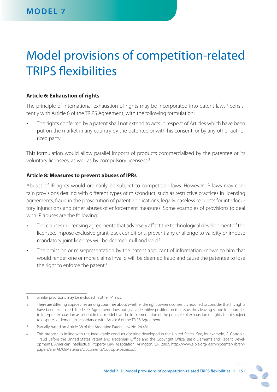# Model provisions of competition-related **TRIPS flexibilities**

#### **Article 6: Exhaustion of rights**

The principle of international exhaustion of rights may be incorporated into patent laws,<sup>1</sup> consistently with Article 6 of the TRIPS Agreement, with the following formulation:

The rights conferred by a patent shall not extend to acts in respect of Articles which have been put on the market in any country by the patentee or with his consent, or by any other authorized party.

This formulation would allow parallel imports of products commercialized by the patentee or its voluntary licensees, as well as by compulsory licensees.2

#### **Article 8: Measures to prevent abuses of IPRs**

Abuses of IP rights would ordinarily be subject to competition laws. However, IP laws may contain provisions dealing with different types of misconduct, such as restrictive practices in licensing agreements, fraud in the prosecution of patent applications, legally baseless requests for interlocutory injunctions and other abuses of enforcement measures. Some examples of provisions to deal with IP abuses are the following:

- The clauses in licensing agreements that adversely affect the technological development of the licensee, impose exclusive grant-back conditions, prevent any challenge to validity or impose mandatory joint licences will be deemed null and void.<sup>3</sup>
- The omission or misrepresentation by the patent applicant of information known to him that would render one or more claims invalid will be deemed fraud and cause the patentee to lose the right to enforce the patent.<sup>4</sup>

<sup>4.</sup> This proposal is in line with the 'inequitable conduct doctrine' developed in the United States. See, for example, C. Cotropia, 'Fraud Before the United States Patent and Trademark Office and the Copyright Office: Basic Elements and Recent Developments', American Intellectual Property Law Association, Arlington, VA, 2007, http://www.aipla.org/learningcenter/library/ papers/am/AM08Materials/Documents/Cotropia-paper.pdf.



<sup>1.</sup> Similar provisions may be included in other IP laws.

<sup>2.</sup> There are differing approaches among countries about whether the right owner's consent is required to consider that his rights have been exhausted. The TRIPS Agreement does not give a definitive position on the issue, thus leaving scope for countries to interpret exhaustion as set out in this model law. The implementation of the principle of exhaustion of rights is not subject to dispute settlement in accordance with Article 6 of the TRIPS Agreement.

<sup>3.</sup> Partially based on Article 38 of the Argentine Patent Law No. 24.481.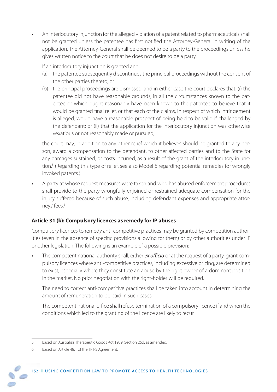• An interlocutory injunction for the alleged violation of a patent related to pharmaceuticals shall not be granted unless the patentee has first notified the Attorney-General in writing of the application. The Attorney-General shall be deemed to be a party to the proceedings unless he gives written notice to the court that he does not desire to be a party.

If an interlocutory injunction is granted and:

- (a) the patentee subsequently discontinues the principal proceedings without the consent of the other parties thereto; or
- (b) the principal proceedings are dismissed; and in either case the court declares that: (i) the patentee did not have reasonable grounds, in all the circumstances known to the patentee or which ought reasonably have been known to the patentee to believe that it would be granted final relief, or that each of the claims, in respect of which infringement is alleged, would have a reasonable prospect of being held to be valid if challenged by the defendant; or (ii) that the application for the interlocutory injunction was otherwise vexatious or not reasonably made or pursued,

 the court may, in addition to any other relief which it believes should be granted to any person, award a compensation to the defendant, to other affected parties and to the State for any damages sustained, or costs incurred, as a result of the grant of the interlocutory injunction.5 (Regarding this type of relief, see also Model 6 regarding potential remedies for wrongly invoked patents.)

• A party at whose request measures were taken and who has abused enforcement procedures shall provide to the party wrongfully enjoined or restrained adequate compensation for the injury suffered because of such abuse, including defendant expenses and appropriate attorneys' fees.6

#### **Article 31 (k): Compulsory licences as remedy for IP abuses**

Compulsory licences to remedy anti-competitive practices may be granted by competition authorities (even in the absence of specific provisions allowing for them) or by other authorities under IP or other legislation. The following is an example of a possible provision:

The competent national authority shall, either ex officio or at the request of a party, grant compulsory licences where anti-competitive practices, including excessive pricing, are determined to exist, especially where they constitute an abuse by the right owner of a dominant position in the market. No prior negotiation with the right-holder will be required.

 The need to correct anti-competitive practices shall be taken into account in determining the amount of remuneration to be paid in such cases.

The competent national office shall refuse termination of a compulsory licence if and when the conditions which led to the granting of the licence are likely to recur.

<sup>5.</sup> Based on Australia's Therapeutic Goods Act 1989, Section 26d, as amended.

<sup>6.</sup> Based on Article 48.1 of the TRIPS Agreement.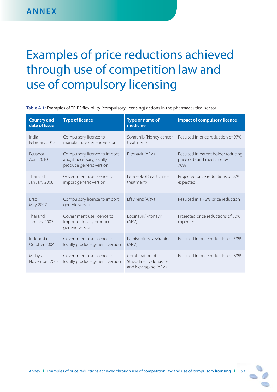# Examples of price reductions achieved through use of competition law and use of compulsory licensing

Table A.1: Examples of TRIPS flexibility (compulsory licensing) actions in the pharmaceutical sector

| <b>Country and</b><br>date of Issue | <b>Type of licence</b>                                                                | Type or name of<br>medicine                                     | <b>Impact of compulsory licence</b>                                     |
|-------------------------------------|---------------------------------------------------------------------------------------|-----------------------------------------------------------------|-------------------------------------------------------------------------|
| India<br>February 2012              | Compulsory licence to<br>manufacture generic version                                  | Sorafenib (kidney cancer<br>treatment)                          | Resulted in price reduction of 97%                                      |
| Ecuador<br>April 2010               | Compulsory licence to import<br>and, if necessary, locally<br>produce generic version | Ritonavir (ARV)                                                 | Resulted in patent holder reducing<br>price of brand medicine by<br>70% |
| Thailand<br>January 2008            | Government use licence to<br>import generic version                                   | Letrozole (Breast cancer<br>treatment)                          | Projected price reductions of 97%<br>expected                           |
| <b>Brazil</b><br>May 2007           | Compulsory licence to import<br>generic version                                       | Efavirenz (ARV)                                                 | Resulted in a 72% price reduction                                       |
| Thailand<br>January 2007            | Government use licence to<br>import or locally produce<br>generic version             | Lopinavir/Ritonavir<br>(ARV)                                    | Projected price reductions of 80%<br>expected                           |
| Indonesia<br>October 2004           | Government use licence to<br>locally produce generic version                          | Lamivudine/Nevirapine<br>(ARV)                                  | Resulted in price reduction of 53%                                      |
| Malaysia<br>November 2003           | Government use licence to<br>locally produce generic version                          | Combination of<br>Stavudine, Didonasine<br>and Nevirapine (ARV) | Resulted in price reduction of 83%                                      |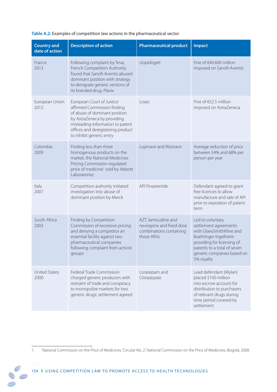| <b>Country and</b><br>date of action | <b>Description of action</b>                                                                                                                                                                                                  | <b>Pharmaceutical product</b>                                                             | Impact                                                                                                                                                                                                 |
|--------------------------------------|-------------------------------------------------------------------------------------------------------------------------------------------------------------------------------------------------------------------------------|-------------------------------------------------------------------------------------------|--------------------------------------------------------------------------------------------------------------------------------------------------------------------------------------------------------|
| France<br>2013                       | Following complaint by Teva,<br>French Competition Authority<br>found that Sanofi-Aventis abused<br>dominant position with strategy<br>to denigrate generic versions of<br>its branded drug, Plavix                           | clopidogrel                                                                               | Fine of €40.600 million<br>imposed on Sanofi-Aventis                                                                                                                                                   |
| European Union<br>2012               | European Court of Justice<br>affirmed Commission finding<br>of abuse of dominant position<br>by AstraZeneca by providing<br>misleading information to patent<br>offices and deregistering product<br>to inhibit generic entry | Losec                                                                                     | Fine of €52.5 million<br>imposed on AstraZeneca                                                                                                                                                        |
| Colombia<br>2009                     | Finding less than three<br>homogenous products on the<br>market, the National Medicines<br>Pricing Commission regulated<br>price of medicine <sup>1</sup> sold by Abbott<br>Laboratories                                      | Lopinavir and Ritonavir                                                                   | Average reduction of price<br>between 54% and 68% per<br>person per year                                                                                                                               |
| Italy<br>2007                        | Competition authority initiated<br>investigation into abuse of<br>dominant position by Merck                                                                                                                                  | API Finastertide                                                                          | Defendant agreed to grant<br>free licences to allow<br>manufacture and sale of API<br>prior to expiration of patent<br>term                                                                            |
| South Africa<br>2003                 | Finding by Competition<br>Commission of excessive pricing<br>and denying a competitor an<br>essential facility against two<br>pharmaceutical companies<br>following complaint from activist<br>groups                         | AZT, lamivudine and<br>nevirapine and fixed dose<br>combinations containing<br>these ARVs | Led to voluntary<br>settlement agreements<br>with GlaxoSmithKline and<br>Boehringer Ingelheim<br>providing for licensing of<br>patents to a total of seven<br>generic companies based on<br>5% royalty |
| <b>United States</b><br>2000         | <b>Federal Trade Commission</b><br>charged generic producers with<br>restraint of trade and conspiracy<br>to monopolize markets for two<br>generic drugs; settlement agreed                                                   | Lorazepam and<br>Clorazepate                                                              | Lead defendant (Mylan)<br>placed \$100 million<br>into escrow account for<br>distribution to purchasers<br>of relevant drugs during<br>time period covered by<br>settlement                            |

**Table A.2:** Examples of competition law actions in the pharmaceutical sector

<sup>1.</sup> National Commission on the Price of Medicines, 'Circular No. 2', National Commission on the Price of Medicines, Bogotà, 2008.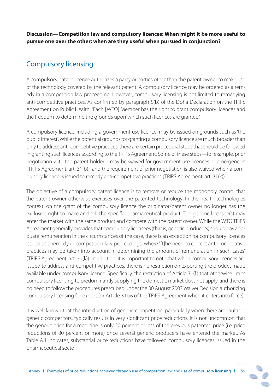**Discussion—Competition law and compulsory licences: When might it be more useful to pursue one over the other; when are they useful when pursued in conjunction?** 

### Compulsory licensing

A compulsory patent licence authorizes a party or parties other than the patent owner to make use of the technology covered by the relevant patent. A compulsory licence may be ordered as a remedy in a competition law proceeding. However, compulsory licensing is not limited to remedying anti-competitive practices. As confirmed by paragraph 5(b) of the Doha Declaration on the TRIPS Agreement on Public Health, "Each [WTO] Member has the right to grant compulsory licences and the freedom to determine the grounds upon which such licences are granted."

A compulsory licence, including a government use licence, may be issued on grounds such as 'the public interest'. While the potential grounds for granting a compulsory licence are much broader than only to address anti-competitive practices, there are certain procedural steps that should be followed in granting such licences according to the TRIPS Agreement. Some of these steps—for example, prior negotiation with the patent holder—may be waived for government use licences or emergencies (TRIPS Agreement, art. 31(b)), and the requirement of prior negotiation is also waived when a compulsory licence is issued to remedy anti-competitive practices (TRIPS Agreement, art. 31(k)).

The objective of a compulsory patent licence is to remove or reduce the monopoly control that the patent owner otherwise exercises over the patented technology. In the health technologies context, on the grant of the compulsory licence the originator/patent owner no longer has the exclusive right to make and sell the specific pharmaceutical product. The generic licensee(s) may enter the market with the same product and compete with the patent owner. While the WTO TRIPS Agreement generally provides that compulsory licensees (that is, generic producers) should pay adequate remuneration in the circumstances of the case, there is an exception for compulsory licences issued as a remedy in competition law proceedings, where "[t]he need to correct anti-competitive practices may be taken into account in determining the amount of remuneration in such cases" (TRIPS Agreement, art. 31(k)). In addition, it is important to note that when compulsory licences are issued to address anti-competitive practices, there is no restriction on exporting the product made available under compulsory licence. Specifically, the restriction of Article 31(f) that otherwise limits compulsory licensing to predominantly supplying the domestic market does not apply, and there is no need to follow the procedures prescribed under the 30 August 2003 Waiver Decision authorizing compulsory licensing for export (or Article 31bis of the TRIPS Agreement when it enters into force).

It is well known that the introduction of generic competition, particularly when there are multiple generic competitors, typically results in very significant price reductions. It is not uncommon that the generic price for a medicine is only 20 percent or less of the previous patented price (i.e. price reductions of 80 percent or more) once several generic producers have entered the market. As Table A.1 indicates, substantial price reductions have followed compulsory licences issued in the pharmaceutical sector.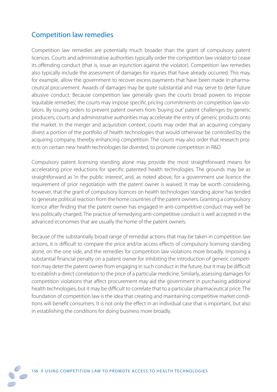### Competition law remedies

Competition law remedies are potentially much broader than the grant of compulsory patent licences. Courts and administrative authorities typically order the competition law violator to cease its offending conduct (that is, issue an injunction against the violator). Competition law remedies also typically include the assessment of damages for injuries that have already occurred. This may, for example, allow the government to recover excess payments that have been made in pharmaceutical procurement. Awards of damages may be quite substantial and may serve to deter future abusive conduct. Because competition law generally gives the courts broad powers to impose 'equitable remedies', the courts may impose specific pricing commitments on competition law violators. By issuing orders to prevent patent owners from 'buying out' patent challenges by generic producers, courts and administrative authorities may accelerate the entry of generic products onto the market. In the merger and acquisition context, courts may order that an acquiring company divest a portion of the portfolio of health technologies that would otherwise be controlled by the acquiring company, thereby enhancing competition. The courts may also order that research projects on certain new health technologies be divested, to promote competition in R&D.

Compulsory patent licensing standing alone may provide the most straightforward means for accelerating price reductions for specific patented health technologies. The grounds may be as straightforward as 'in the public interest', and, as noted above, for a government use licence the requirement of prior negotiation with the patent owner is waived. It may be worth considering, however, that the grant of compulsory licences on health technologies 'standing alone' has tended to generate political reaction from the home countries of the patent owners. Granting a compulsory licence after finding that the patent owner has engaged in anti-competitive conduct may well be less politically charged. The practice of remedying anti-competitive conduct is well accepted in the advanced economies that are usually the home of the patent owners.

Because of the substantially broad range of remedial actions that may be taken in competition law actions, it is difficult to compare the price and/or access effects of compulsory licensing standing alone, on the one side, and the remedies for competition law violations more broadly. Imposing a substantial financial penalty on a patent owner for inhibiting the introduction of generic competition may deter the patent owner from engaging in such conduct in the future, but it may be difficult to establish a direct correlation to the price of a particular medicine. Similarly, assessing damages for competition violations that affect procurement may aid the government in purchasing additional health technologies, but it may be difficult to correlate that to a particular pharmaceutical price. The foundation of competition law is the idea that creating and maintaining competitive market conditions will benefit consumers. It is not only the effect in an individual case that is important, but also in establishing the conditions for doing business more broadly.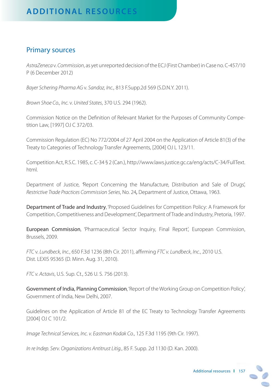#### Primary sources

AstraZenecav. Commission, as yet unreported decision of the ECJ (First Chamber) in Case no. C-457/10 P (6 December 2012)

Bayer Schering Pharma AG v. Sandoz, Inc., 813 F.Supp.2d 569 (S.D.N.Y. 2011).

Brown Shoe Co., Inc. v. United States, 370 U.S. 294 (1962).

Commission Notice on the Definition of Relevant Market for the Purposes of Community Competition Law, [1997] OJ C 372/03.

Commission Regulation (EC) No 772/2004 of 27 April 2004 on the Application of Article 81(3) of the Treaty to Categories of Technology Transfer Agreements, [2004] OJ L 123/11.

Competition Act, R.S.C. 1985, c. C-34 § 2 (Can.), http://www.laws.justice.gc.ca/eng/acts/C-34/FullText. html.

Department of Justice, 'Report Concerning the Manufacture, Distribution and Sale of Drugs', Restrictive Trade Practices Commission Series, No. 24, Department of Justice, Ottawa, 1963.

Department of Trade and Industry, 'Proposed Guidelines for Competition Policy: A Framework for Competition, Competitiveness and Development', Department of Trade and Industry, Pretoria, 1997.

European Commission, 'Pharmaceutical Sector Inquiry, Final Report', European Commission, Brussels, 2009.

FTC v. Lundbeck, Inc., 650 F.3d 1236 (8th Cir. 2011), affirming FTC v. Lundbeck, Inc., 2010 U.S. Dist. LEXIS 95365 (D. Minn. Aug. 31, 2010).

FTC v. Actavis, U.S. Sup. Ct., 526 U. S. 756 (2013).

Government of India, Planning Commission, 'Report of the Working Group on Competition Policy', Government of India, New Delhi, 2007.

Guidelines on the Application of Article 81 of the EC Treaty to Technology Transfer Agreements [2004] OJ C 101/2.

Image Technical Services, Inc. v. Eastman Kodak Co., 125 F.3d 1195 (9th Cir. 1997).

In re Indep. Serv. Organizations Antitrust Litig., 85 F. Supp. 2d 1130 (D. Kan. 2000).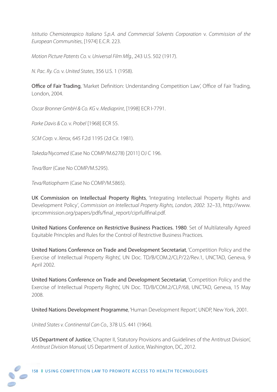Istitutio Chemioterapico Italiano S.p.A. and Commercial Solvents Corporation v. Commission of the European Communities, [1974] E.C.R. 223.

Motion Picture Patents Co. v. Universal Film Mfg., 243 U.S. 502 (1917).

N. Pac. Ry. Co. v. United States, 356 U.S. 1 (1958).

Office of Fair Trading, 'Market Definition: Understanding Competition Law', Office of Fair Trading, London, 2004.

Oscar Bronner GmbH & Co. KG v. Mediaprint, [1998] ECR I-7791.

Parke Davis & Co. v. Probel [1968] ECR 55.

SCM Corp. v. Xerox, 645 F.2d 1195 (2d Cir. 1981).

Takeda/Nycomed (Case No COMP/M.6278) [2011] OJ C 196.

Teva/Barr (Case No COMP/M.5295).

Teva/Ratiopharm (Case No COMP/M.5865).

UK Commission on Intellectual Property Rights, 'Integrating Intellectual Property Rights and Development Policy', Commission on Intellectual Property Rights, London, 2002: 32–33, http://www. iprcommission.org/papers/pdfs/final\_report/ciprfullfinal.pdf.

United Nations Conference on Restrictive Business Practices. 1980. Set of Multilaterally Agreed Equitable Principles and Rules for the Control of Restrictive Business Practices.

United Nations Conference on Trade and Development Secretariat, 'Competition Policy and the Exercise of Intellectual Property Rights', UN Doc. TD/B/COM.2/CLP/22/Rev.1, UNCTAD, Geneva, 9 April 2002.

United Nations Conference on Trade and Development Secretariat, 'Competition Policy and the Exercise of Intellectual Property Rights', UN Doc. TD/B/COM.2/CLP/68, UNCTAD, Geneva, 15 May 2008.

United Nations Development Programme, 'Human Development Report', UNDP, New York, 2001.

United States v. Continental Can Co., 378 U.S. 441 (1964).

US Department of Justice, 'Chapter II, Statutory Provisions and Guidelines of the Antitrust Division', Antitrust Division Manual, US Department of Justice, Washington, DC, 2012.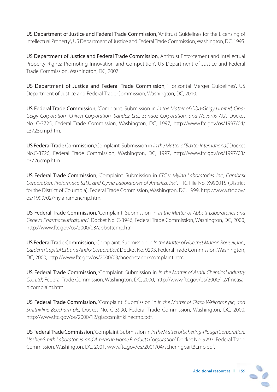US Department of Justice and Federal Trade Commission, 'Antitrust Guidelines for the Licensing of Intellectual Property', US Department of Justice and Federal Trade Commission, Washington, DC, 1995.

US Department of Justice and Federal Trade Commission, 'Antitrust Enforcement and Intellectual Property Rights: Promoting Innovation and Competition', US Department of Justice and Federal Trade Commission, Washington, DC, 2007.

US Department of Justice and Federal Trade Commission, 'Horizontal Merger Guidelines', US Department of Justice and Federal Trade Commission, Washington, DC, 2010.

US Federal Trade Commission, 'Complaint. Submission in In the Matter of Ciba-Geigy Limited, Ciba-Geigy Corporation, Chiron Corporation, Sandoz Ltd., Sandoz Corporation, and Novartis AG', Docket No. C-3725, Federal Trade Commission, Washington, DC, 1997, http://www.ftc.gov/os/1997/04/ c3725cmp.htm.

US Federal Trade Commission, 'Complaint. Submission in In the Matter of Baxter International', Docket No.C-3726, Federal Trade Commission, Washington, DC, 1997, http://www.ftc.gov/os/1997/03/ c3726cmp.htm.

US Federal Trade Commission, 'Complaint. Submission in FTC v. Mylan Laboratories, Inc., Cambrex Corporation, Profarmaco S.R.I., and Gyma Laboratories of America, Inc.', FTC File No. X990015 (District for the District of Columbia), Federal Trade Commission, Washington, DC, 1999, http://www.ftc.gov/ os/1999/02/mylanamencmp.htm.

US Federal Trade Commission, 'Complaint. Submission in In the Matter of Abbott Laboratories and Geneva Pharmaceuticals, Inc.', Docket No. C-3946, Federal Trade Commission, Washington, DC, 2000, http://www.ftc.gov/os/2000/03/abbottcmp.htm.

US Federal Trade Commission, 'Complaint. Submission in In the Matter of Hoechst Marion Rousell, Inc., Carderm Capital L.P., and Andrx Corporation', Docket No. 9293, Federal Trade Commission, Washington, DC, 2000, http://www.ftc.gov/os/2000/03/hoechstandrxcomplaint.htm.

US Federal Trade Commission, 'Complaint. Submission in In the Matter of Asahi Chemical Industry Co., Ltd.', Federal Trade Commission, Washington, DC, 2000, http://www.ftc.gov/os/2000/12/fmcasahicomplaint.htm.

US Federal Trade Commission, 'Complaint. Submission in In the Matter of Glaxo Wellcome plc, and SmithKline Beecham plc', Docket No. C-3990, Federal Trade Commission, Washington, DC, 2000, http://www.ftc.gov/os/2000/12/glaxosmithklinecmp.pdf.

US Federal Trade Commission, 'Complaint. Submission in In the Matter of Schering-Plough Corporation, Upsher-Smith Laboratories, and American Home Products Corporation', Docket No. 9297, Federal Trade Commission, Washington, DC, 2001, www.ftc.gov/os/2001/04/scheringpart3cmp.pdf.

Additional resources **l** 159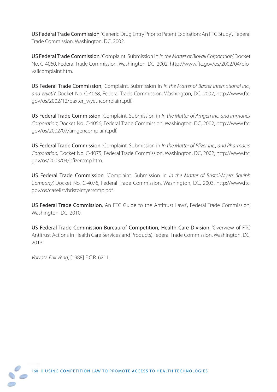US Federal Trade Commission, 'Generic Drug Entry Prior to Patent Expiration: An FTC Study', Federal Trade Commission, Washington, DC, 2002.

US Federal Trade Commission, 'Complaint. Submission in In the Matter of Biovail Corporation', Docket No. C-4060, Federal Trade Commission, Washington, DC, 2002, http://www.ftc.gov/os/2002/04/biovailcomplaint.htm.

US Federal Trade Commission, 'Complaint. Submission in In the Matter of Baxter International Inc., and Wyeth', Docket No. C-4068, Federal Trade Commission, Washington, DC, 2002, http://www.ftc. gov/os/2002/12/baxter\_wyethcomplaint.pdf.

US Federal Trade Commission, 'Complaint. Submission in In the Matter of Amgen Inc. and Immunex Corporation', Docket No. C-4056, Federal Trade Commission, Washington, DC, 2002, http://www.ftc. gov/os/2002/07/amgencomplaint.pdf.

US Federal Trade Commission, 'Complaint. Submission in In the Matter of Pfizer Inc., and Pharmacia Corporation', Docket No. C-4075, Federal Trade Commission, Washington, DC, 2002, http://www.ftc. gov/os/2003/04/pfizercmp.htm.

US Federal Trade Commission, 'Complaint. Submission in In the Matter of Bristol-Myers Squibb Company', Docket No. C-4076, Federal Trade Commission, Washington, DC, 2003, http://www.ftc. gov/os/caselist/bristolmyerscmp.pdf.

US Federal Trade Commission, 'An FTC Guide to the Antitrust Laws', Federal Trade Commission, Washington, DC, 2010.

US Federal Trade Commission Bureau of Competition, Health Care Division, 'Overview of FTC Antitrust Actions in Health Care Services and Products', Federal Trade Commission, Washington, DC, 2013.

Volvo v. Erik Veng, [1988] E.C.R. 6211.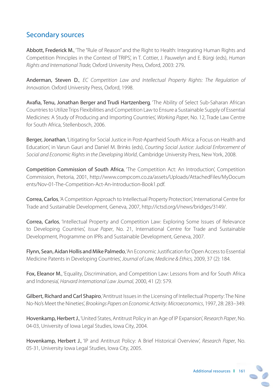### Secondary sources

Abbott, Frederick M., 'The "Rule of Reason" and the Right to Health: Integrating Human Rights and Competition Principles in the Context of TRIPS', in T. Cottier, J. Pauwelyn and E. Bürgi (eds), Human Rights and International Trade, Oxford University Press, Oxford, 2003: 279.

Anderman, Steven D., EC Competition Law and Intellectual Property Rights: The Regulation of Innovation. Oxford University Press, Oxford, 1998.

Avafia, Tenu, Jonathan Berger and Trudi Hartzenberg, 'The Ability of Select Sub-Saharan African Countries to Utilize Trips Flexibilities and Competition Law to Ensure a Sustainable Supply of Essential Medicines: A Study of Producing and Importing Countries', Working Paper, No. 12, Trade Law Centre for South Africa, Stellenbosch, 2006.

Berger, Jonathan, 'Litigating for Social Justice in Post-Apartheid South Africa: a Focus on Health and Education', in Varun Gauri and Daniel M. Brinks (eds), Courting Social Justice: Judicial Enforcement of Social and Economic Rights in the Developing World, Cambridge University Press, New York, 2008.

Competition Commission of South Africa, 'The Competition Act: An Introduction', Competition Commission, Pretoria, 2001, http://www.compcom.co.za/assets/Uploads/AttachedFiles/MyDocum ents/Nov-01-The-Competition-Act-An-Introduction-Book1.pdf.

Correa, Carlos, 'A Competition Approach to Intellectual Property Protection', International Centre for Trade and Sustainable Development, Geneva, 2007, http://ictsd.org/i/news/bridges/3149/.

Correa, Carlos, 'Intellectual Property and Competition Law: Exploring Some Issues of Relevance to Developing Countries', Issue Paper, No. 21, International Centre for Trade and Sustainable Development, Programme on IPRs and Sustainable Development, Geneva, 2007.

Flynn, Sean, Aidan Hollis and Mike Palmedo, 'An Economic Justification for Open Access to Essential Medicine Patents in Developing Countries', Journal of Law, Medicine & Ethics, 2009, 37 (2): 184.

Fox, Eleanor M., 'Equality, Discrimination, and Competition Law: Lessons from and for South Africa and Indonesia', Harvard International Law Journal, 2000, 41 (2): 579.

Gilbert, Richard and Carl Shapiro, 'Antitrust Issues in the Licensing of Intellectual Property: The Nine No-No's Meet the Nineties', Brookings Papers on Economic Activity: Microeconomics, 1997, 28: 283–349.

Hovenkamp, Herbert J., 'United States, Antitrust Policy in an Age of IP Expansion', Research Paper, No. 04-03, University of Iowa Legal Studies, Iowa City, 2004.

Hovenkamp, Herbert J., 'IP and Antitrust Policy: A Brief Historical Overview', Research Paper, No. 05-31, University Iowa Legal Studies, Iowa City, 2005.

Additional resources **l** 161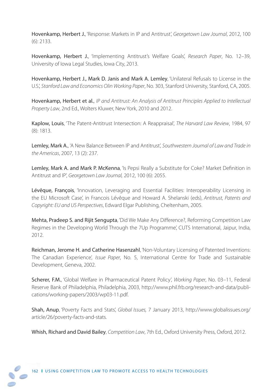Hovenkamp, Herbert J., 'Response: Markets in IP and Antitrust', Georgetown Law Journal, 2012, 100 (6): 2133.

Hovenkamp, Herbert J., 'Implementing Antitrust's Welfare Goals', Research Paper, No. 12-39, University of Iowa Legal Studies, Iowa City, 2013.

Hovenkamp, Herbert J., Mark D. Janis and Mark A. Lemley, 'Unilateral Refusals to License in the U.S.', Stanford Law and Economics Olin Working Paper, No. 303, Stanford University, Stanford, CA, 2005.

Hovenkamp, Herbert et al., IP and Antitrust: An Analysis of Antitrust Principles Applied to Intellectual Property Law, 2nd Ed., Wolters Kluwer, New York, 2010 and 2012.

Kaplow, Louis, 'The Patent-Antitrust Intersection: A Reappraisal', The Harvard Law Review, 1984, 97 (8): 1813.

Lemley, Mark A., 'A New Balance Between IP and Antitrust', Southwestern Journal of Law and Trade in the Americas, 2007, 13 (2): 237.

Lemley, Mark A. and Mark P. McKenna, 'Is Pepsi Really a Substitute for Coke? Market Definition in Antitrust and IP', Georgetown Law Journal, 2012, 100 (6): 2055.

Lévêque, François, 'Innovation, Leveraging and Essential Facilities: Interoperability Licensing in the EU Microsoft Case', in Francois Lévêque and Howard A. Shelanski (eds), Antitrust, Patents and Copyright: EU and US Perspectives, Edward Elgar Publishing, Cheltenham, 2005.

Mehta, Pradeep S. and Rijit Sengupta, 'Did We Make Any Difference?, Reforming Competition Law Regimes in the Developing World Through the 7Up Programme', CUTS International, Jaipur, India, 2012.

Reichman, Jerome H. and Catherine Hasenzahl, 'Non-Voluntary Licensing of Patented Inventions: The Canadian Experience', Issue Paper, No. 5, International Centre for Trade and Sustainable Development, Geneva, 2002.

Scherer, F.M., 'Global Welfare in Pharmaceutical Patent Policy', Working Paper, No. 03-11, Federal Reserve Bank of Philadelphia, Philadelphia, 2003, http://www.phil.frb.org/research-and-data/publications/working-papers/2003/wp03-11.pdf.

Shah, Anup, 'Poverty Facts and Stats', Global Issues, 7 January 2013, http://www.globalissues.org/ article/26/poverty-facts-and-stats.

Whish, Richard and David Bailey, Competition Law, 7th Ed., Oxford University Press, Oxford, 2012.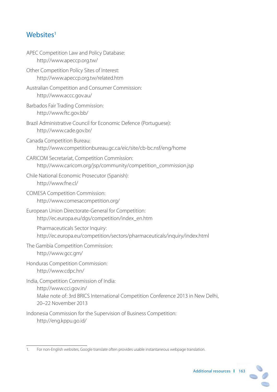## Websites<sup>1</sup>

| APEC Competition Law and Policy Database:<br>http://www.apeccp.org.tw/                                                                                                      |
|-----------------------------------------------------------------------------------------------------------------------------------------------------------------------------|
| Other Competition Policy Sites of Interest:<br>http://www.apeccp.org.tw/related.htm                                                                                         |
| Australian Competition and Consumer Commission:<br>http://www.accc.gov.au/                                                                                                  |
| Barbados Fair Trading Commission:<br>http://www.ftc.gov.bb/                                                                                                                 |
| Brazil Administrative Council for Economic Defence (Portuguese):<br>http://www.cade.gov.br/                                                                                 |
| Canada Competition Bureau:<br>http://www.competitionbureau.gc.ca/eic/site/cb-bc.nsf/eng/home                                                                                |
| CARICOM Secretariat, Competition Commission:<br>http://www.caricom.org/jsp/community/competition_commission.jsp                                                             |
| Chile National Economic Prosecutor (Spanish):<br>http://www.fne.cl/                                                                                                         |
| <b>COMESA Competition Commission:</b><br>http://www.comesacompetition.org/                                                                                                  |
| European Union Directorate-General for Competition:<br>http://ec.europa.eu/dgs/competition/index_en.htm                                                                     |
| Pharmaceuticals Sector Inquiry:<br>http://ec.europa.eu/competition/sectors/pharmaceuticals/inquiry/index.html                                                               |
| The Gambia Competition Commission:<br>http://www.gcc.gm/                                                                                                                    |
| Honduras Competition Commission:<br>http://www.cdpc.hn/                                                                                                                     |
| India, Competition Commission of India:<br>http://www.cci.gov.in/<br>Make note of: 3rd BRICS International Competition Conference 2013 in New Delhi,<br>20-22 November 2013 |
| Indonesia Commission for the Supervision of Business Competition:<br>http://eng.kppu.go.id/                                                                                 |

<sup>1.</sup> For non-English websites, Google translate often provides usable instantaneous webpage translation.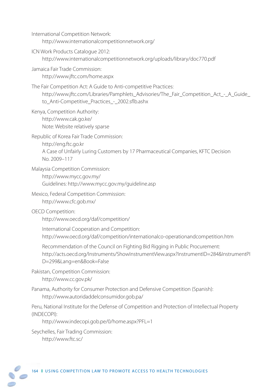International Competition Network: http://www.internationalcompetitionnetwork.org/

ICN Work Products Catalogue 2012: http://www.internationalcompetitionnetwork.org/uploads/library/doc770.pdf

Jamaica Fair Trade Commission: http://www.jftc.com/home.aspx

The Fair Competition Act: A Guide to Anti-competitive Practices: http://www.jftc.com/Libraries/Pamphlets\_Advisories/The\_Fair\_Competition\_Act\_-\_A\_Guide\_ to\_Anti-Competitive\_Practices\_-\_2002.sflb.ashx

Kenya, Competition Authority: http://www.cak.go.ke/ Note: Website relatively sparse

Republic of Korea Fair Trade Commission:

 http://eng.ftc.go.kr A Case of Unfairly Luring Customers by 17 Pharmaceutical Companies, KFTC Decision No. 2009–117

Malaysia Competition Commission:

 http://www.mycc.gov.my/ Guidelines: http://www.mycc.gov.my/guideline.asp

Mexico, Federal Competition Commission:

http://www.cfc.gob.mx/

#### OECD Competition:

http://www.oecd.org/daf/competition/

 International Cooperation and Competition: http://www.oecd.org/daf/competition/internationalco-operationandcompetition.htm

 Recommendation of the Council on Fighting Bid Rigging in Public Procurement: http://acts.oecd.org/Instruments/ShowInstrumentView.aspx?InstrumentID=284&InstrumentPI D=299&Lang=en&Book=False

Pakistan, Competition Commission: http://www.cc.gov.pk/

Panama, Authority for Consumer Protection and Defensive Competition (Spanish): http://www.autoridaddelconsumidor.gob.pa/

Peru, National Institute for the Defense of Competition and Protection of Intellectual Property (INDECOPI):

http://www.indecopi.gob.pe/0/home.aspx?PFL=1

Seychelles, Fair Trading Commission: http://www.ftc.sc/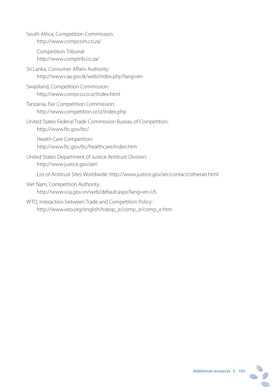| South Africa, Competition Commission: |
|---------------------------------------|
| http://www.compcom.co.za/             |

 Competition Tribunal: http://www.comptrib.co.za/

- Sri Lanka, Consumer Affairs Authority: http://www.caa.gov.lk/web/index.php?lang=en
- Swaziland, Competition Commission: http://www.compco.co.sz/Index.html
- Tanzania, Fair Competition Commission: http://www.competition.or.tz/index.php
- United States Federal Trade Commission Bureau of Competition: http://www.ftc.gov/bc/

 Health Care Competition: http://www.ftc.gov/bc/healthcare/index.htm

United States Department of Justice Antitrust Division: http://www.justice.gov/atr/

List of Antitrust Sites Worldwide: http://www.justice.gov/atr/contact/otheratr.html

- Viet Nam, Competition Authority: http://www.vca.gov.vn/web/default.aspx?lang=en-US
- WTO, Interaction between Trade and Competition Policy: http://www.wto.org/english/tratop\_e/comp\_e/comp\_e.htm